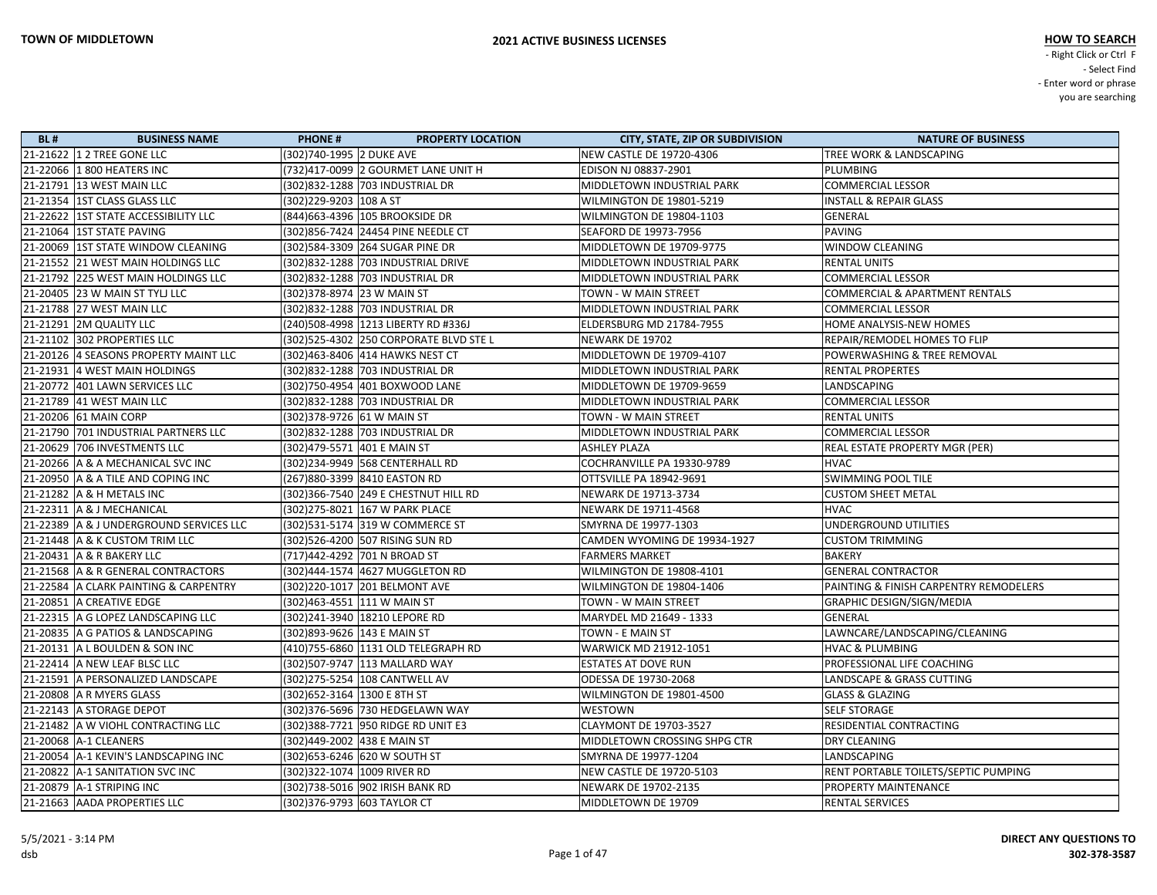| <b>BL#</b> | <b>BUSINESS NAME</b>                    | <b>PHONE#</b>                | <b>PROPERTY LOCATION</b>                | <b>CITY, STATE, ZIP OR SUBDIVISION</b> | <b>NATURE OF BUSINESS</b>                 |
|------------|-----------------------------------------|------------------------------|-----------------------------------------|----------------------------------------|-------------------------------------------|
|            | 21-21622 1 2 TREE GONE LLC              | (302)740-1995 2 DUKE AVE     |                                         | <b>NEW CASTLE DE 19720-4306</b>        | TREE WORK & LANDSCAPING                   |
|            | 21-22066 1 800 HEATERS INC              |                              | (732)417-0099 2 GOURMET LANE UNIT H     | EDISON NJ 08837-2901                   | PLUMBING                                  |
|            | 21-21791 13 WEST MAIN LLC               |                              | (302)832-1288 703 INDUSTRIAL DR         | MIDDLETOWN INDUSTRIAL PARK             | <b>COMMERCIAL LESSOR</b>                  |
|            | 21-21354   1ST CLASS GLASS LLC          | (302)229-9203 108 A ST       |                                         | WILMINGTON DE 19801-5219               | <b>INSTALL &amp; REPAIR GLASS</b>         |
|            | 21-22622   1ST STATE ACCESSIBILITY LLC  |                              | (844) 663-4396 105 BROOKSIDE DR         | WILMINGTON DE 19804-1103               | <b>GENERAL</b>                            |
|            | 21-21064   1ST STATE PAVING             |                              | (302)856-7424 24454 PINE NEEDLE CT      | SEAFORD DE 19973-7956                  | PAVING                                    |
|            | 21-20069 1ST STATE WINDOW CLEANING      |                              | (302)584-3309 264 SUGAR PINE DR         | MIDDLETOWN DE 19709-9775               | <b>WINDOW CLEANING</b>                    |
|            | 21-21552 21 WEST MAIN HOLDINGS LLC      |                              | (302)832-1288 703 INDUSTRIAL DRIVE      | MIDDLETOWN INDUSTRIAL PARK             | <b>RENTAL UNITS</b>                       |
|            | 21-21792 225 WEST MAIN HOLDINGS LLC     |                              | (302)832-1288 703 INDUSTRIAL DR         | MIDDLETOWN INDUSTRIAL PARK             | <b>COMMERCIAL LESSOR</b>                  |
|            | 21-20405 23 W MAIN ST TYLJ LLC          | (302) 378-8974 23 W MAIN ST  |                                         | TOWN - W MAIN STREET                   | <b>COMMERCIAL &amp; APARTMENT RENTALS</b> |
|            | 21-21788 27 WEST MAIN LLC               |                              | (302) 832-1288 703 INDUSTRIAL DR        | MIDDLETOWN INDUSTRIAL PARK             | <b>COMMERCIAL LESSOR</b>                  |
|            | 21-21291 2M QUALITY LLC                 |                              | (240) 508-4998 1213 LIBERTY RD #336J    | ELDERSBURG MD 21784-7955               | HOME ANALYSIS-NEW HOMES                   |
|            | 21-21102 302 PROPERTIES LLC             |                              | (302) 525-4302 250 CORPORATE BLVD STE L | NEWARK DE 19702                        | REPAIR/REMODEL HOMES TO FLIP              |
|            | 21-20126 4 SEASONS PROPERTY MAINT LLC   |                              | (302)463-8406 414 HAWKS NEST CT         | MIDDLETOWN DE 19709-4107               | POWERWASHING & TREE REMOVAL               |
|            | 21-21931 4 WEST MAIN HOLDINGS           |                              | (302)832-1288 703 INDUSTRIAL DR         | MIDDLETOWN INDUSTRIAL PARK             | <b>RENTAL PROPERTES</b>                   |
|            | 21-20772 401 LAWN SERVICES LLC          |                              | (302)750-4954 401 BOXWOOD LANE          | MIDDLETOWN DE 19709-9659               | <b>LANDSCAPING</b>                        |
|            | 21-21789 41 WEST MAIN LLC               |                              | (302)832-1288 703 INDUSTRIAL DR         | MIDDLETOWN INDUSTRIAL PARK             | <b>COMMERCIAL LESSOR</b>                  |
|            | 21-20206 61 MAIN CORP                   | (302) 378-9726 61 W MAIN ST  |                                         | TOWN - W MAIN STREET                   | <b>RENTAL UNITS</b>                       |
|            | 21-21790 701 INDUSTRIAL PARTNERS LLC    |                              | (302)832-1288 703 INDUSTRIAL DR         | MIDDLETOWN INDUSTRIAL PARK             | <b>COMMERCIAL LESSOR</b>                  |
|            | 21-20629 706 INVESTMENTS LLC            | (302) 479-5571 401 E MAIN ST |                                         | ASHLEY PLAZA                           | REAL ESTATE PROPERTY MGR (PER)            |
|            | 21-20266 A & A MECHANICAL SVC INC       |                              | (302)234-9949 568 CENTERHALL RD         | COCHRANVILLE PA 19330-9789             | <b>HVAC</b>                               |
|            | 21-20950 A & A TILE AND COPING INC      |                              | (267)880-3399 8410 EASTON RD            | OTTSVILLE PA 18942-9691                | <b>SWIMMING POOL TILE</b>                 |
|            | 21-21282 A & H METALS INC               |                              | (302) 366-7540 249 E CHESTNUT HILL RD   | NEWARK DE 19713-3734                   | <b>CUSTOM SHEET METAL</b>                 |
|            | 21-22311 A & J MECHANICAL               |                              | (302) 275-8021 167 W PARK PLACE         | NEWARK DE 19711-4568                   | <b>HVAC</b>                               |
|            | 21-22389 A & J UNDERGROUND SERVICES LLC |                              | (302)531-5174 319 W COMMERCE ST         | SMYRNA DE 19977-1303                   | UNDERGROUND UTILITIES                     |
|            | 21-21448 A & K CUSTOM TRIM LLC          |                              | (302)526-4200 507 RISING SUN RD         | CAMDEN WYOMING DE 19934-1927           | <b>CUSTOM TRIMMING</b>                    |
|            | 21-20431   A & R BAKERY LLC             |                              | (717)442-4292 701 N BROAD ST            | <b>FARMERS MARKET</b>                  | <b>BAKERY</b>                             |
|            | 21-21568 A & R GENERAL CONTRACTORS      |                              | (302)444-1574 4627 MUGGLETON RD         | WILMINGTON DE 19808-4101               | <b>GENERAL CONTRACTOR</b>                 |
|            | 21-22584 A CLARK PAINTING & CARPENTRY   |                              | (302)220-1017 201 BELMONT AVE           | WILMINGTON DE 19804-1406               | PAINTING & FINISH CARPENTRY REMODELERS    |
|            | 21-20851 A CREATIVE EDGE                |                              | (302)463-4551 111 W MAIN ST             | <b>TOWN - W MAIN STREET</b>            | <b>GRAPHIC DESIGN/SIGN/MEDIA</b>          |
|            | 21-22315 A G LOPEZ LANDSCAPING LLC      |                              | (302)241-3940 18210 LEPORE RD           | MARYDEL MD 21649 - 1333                | <b>GENERAL</b>                            |
|            | 21-20835   A G PATIOS & LANDSCAPING     | (302) 893-9626 143 E MAIN ST |                                         | TOWN - E MAIN ST                       | LAWNCARE/LANDSCAPING/CLEANING             |
|            | 21-20131 A L BOULDEN & SON INC          |                              | (410)755-6860 1131 OLD TELEGRAPH RD     | <b>WARWICK MD 21912-1051</b>           | <b>HVAC &amp; PLUMBING</b>                |
|            | 21-22414 A NEW LEAF BLSC LLC            |                              | (302)507-9747 113 MALLARD WAY           | <b>ESTATES AT DOVE RUN</b>             | PROFESSIONAL LIFE COACHING                |
|            | 21-21591 A PERSONALIZED LANDSCAPE       |                              | (302)275-5254 108 CANTWELL AV           | ODESSA DE 19730-2068                   | LANDSCAPE & GRASS CUTTING                 |
|            | 21-20808 A R MYERS GLASS                | (302) 652-3164 1300 E 8TH ST |                                         | WILMINGTON DE 19801-4500               | <b>GLASS &amp; GLAZING</b>                |
|            | 21-22143 A STORAGE DEPOT                |                              | (302)376-5696 730 HEDGELAWN WAY         | WESTOWN                                | <b>SELF STORAGE</b>                       |
|            | 21-21482 A W VIOHL CONTRACTING LLC      |                              | (302) 388-7721 950 RIDGE RD UNIT E3     | <b>CLAYMONT DE 19703-3527</b>          | RESIDENTIAL CONTRACTING                   |
|            | 21-20068 A-1 CLEANERS                   | (302)449-2002 438 E MAIN ST  |                                         | MIDDLETOWN CROSSING SHPG CTR           | <b>DRY CLEANING</b>                       |
|            | 21-20054 A-1 KEVIN'S LANDSCAPING INC    |                              | (302) 653-6246 620 W SOUTH ST           | SMYRNA DE 19977-1204                   | LANDSCAPING                               |
|            | 21-20822 A-1 SANITATION SVC INC         | (302) 322-1074 1009 RIVER RD |                                         | NEW CASTLE DE 19720-5103               | RENT PORTABLE TOILETS/SEPTIC PUMPING      |
|            | 21-20879 A-1 STRIPING INC               |                              | (302)738-5016 902 IRISH BANK RD         | NEWARK DE 19702-2135                   | <b>PROPERTY MAINTENANCE</b>               |
|            | 21-21663 AADA PROPERTIES LLC            | (302) 376-9793 603 TAYLOR CT |                                         | MIDDLETOWN DE 19709                    | <b>RENTAL SERVICES</b>                    |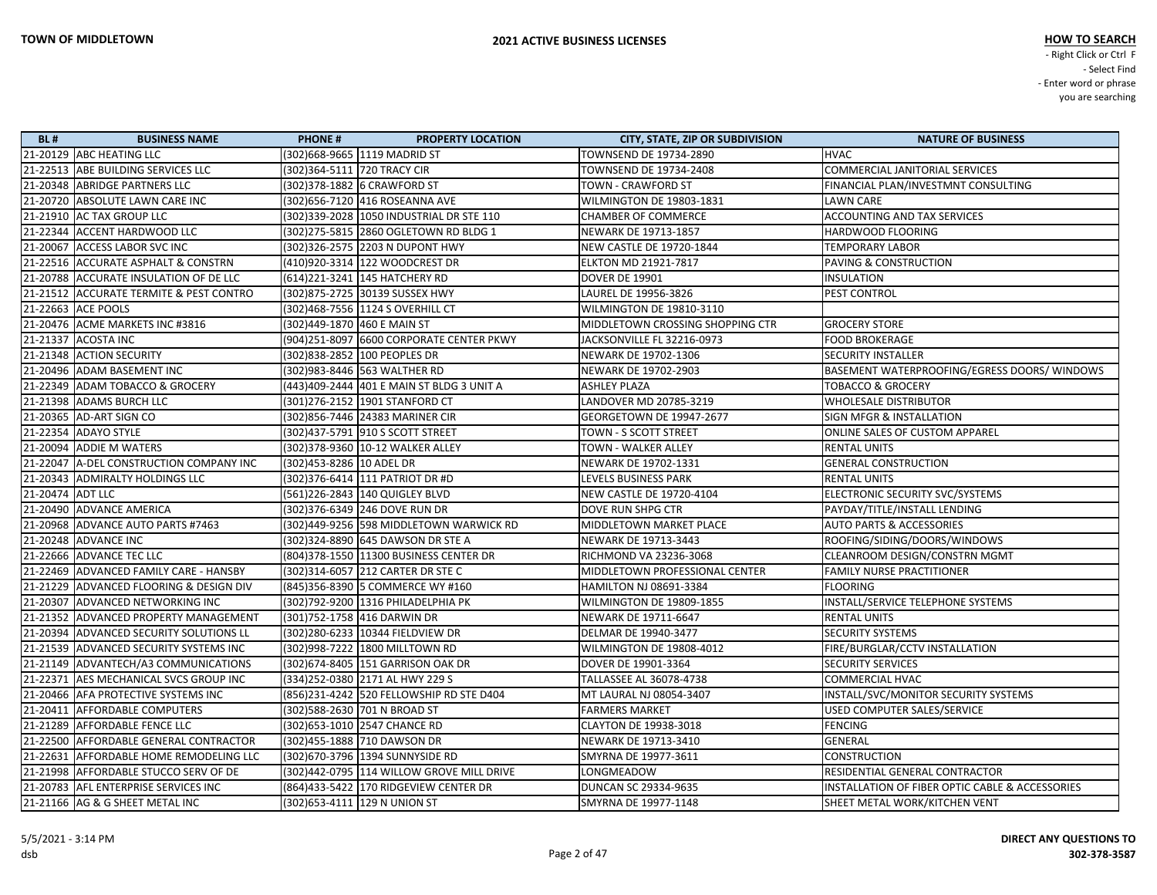| <b>BL#</b>       | <b>BUSINESS NAME</b>                    | <b>PHONE#</b>               | <b>PROPERTY LOCATION</b>                  | <b>CITY, STATE, ZIP OR SUBDIVISION</b> | <b>NATURE OF BUSINESS</b>                                  |
|------------------|-----------------------------------------|-----------------------------|-------------------------------------------|----------------------------------------|------------------------------------------------------------|
|                  | 21-20129 ABC HEATING LLC                |                             | (302)668-9665 1119 MADRID ST              | TOWNSEND DE 19734-2890                 | <b>HVAC</b>                                                |
|                  | 21-22513 ABE BUILDING SERVICES LLC      | (302)364-5111 720 TRACY CIR |                                           | TOWNSEND DE 19734-2408                 | <b>COMMERCIAL JANITORIAL SERVICES</b>                      |
|                  | 21-20348 ABRIDGE PARTNERS LLC           |                             | (302) 378-1882 6 CRAWFORD ST              | TOWN - CRAWFORD ST                     | FINANCIAL PLAN/INVESTMNT CONSULTING                        |
|                  | 21-20720 ABSOLUTE LAWN CARE INC         |                             | (302)656-7120 416 ROSEANNA AVE            | WILMINGTON DE 19803-1831               | <b>LAWN CARE</b>                                           |
|                  | 21-21910 AC TAX GROUP LLC               |                             | (302) 339-2028 1050 INDUSTRIAL DR STE 110 | <b>CHAMBER OF COMMERCE</b>             | <b>ACCOUNTING AND TAX SERVICES</b>                         |
|                  | 21-22344 ACCENT HARDWOOD LLC            |                             | (302)275-5815 2860 OGLETOWN RD BLDG 1     | NEWARK DE 19713-1857                   | HARDWOOD FLOORING                                          |
|                  | 21-20067 ACCESS LABOR SVC INC           |                             | (302) 326-2575 2203 N DUPONT HWY          | NEW CASTLE DE 19720-1844               | TEMPORARY LABOR                                            |
|                  | 21-22516 ACCURATE ASPHALT & CONSTRN     |                             | (410)920-3314 122 WOODCREST DR            | <b>ELKTON MD 21921-7817</b>            | <b>PAVING &amp; CONSTRUCTION</b>                           |
|                  | 21-20788 ACCURATE INSULATION OF DE LLC  |                             | (614)221-3241 145 HATCHERY RD             | <b>DOVER DE 19901</b>                  | INSULATION                                                 |
|                  | 21-21512 ACCURATE TERMITE & PEST CONTRO |                             | (302)875-2725 30139 SUSSEX HWY            | LAUREL DE 19956-3826                   | PEST CONTROL                                               |
|                  | 21-22663 ACE POOLS                      |                             | (302)468-7556 1124 S OVERHILL CT          | WILMINGTON DE 19810-3110               |                                                            |
|                  | 21-20476 ACME MARKETS INC #3816         | (302)449-1870 460 E MAIN ST |                                           | MIDDLETOWN CROSSING SHOPPING CTR       | <b>GROCERY STORE</b>                                       |
|                  | 21-21337 ACOSTA INC                     |                             | (904)251-8097 6600 CORPORATE CENTER PKWY  | JACKSONVILLE FL 32216-0973             | <b>FOOD BROKERAGE</b>                                      |
|                  | 21-21348 ACTION SECURITY                |                             | (302)838-2852 100 PEOPLES DR              | NEWARK DE 19702-1306                   | <b>SECURITY INSTALLER</b>                                  |
|                  | 21-20496 ADAM BASEMENT INC              |                             | (302)983-8446 563 WALTHER RD              | NEWARK DE 19702-2903                   | BASEMENT WATERPROOFING/EGRESS DOORS/WINDOWS                |
|                  | 21-22349 ADAM TOBACCO & GROCERY         |                             | (443)409-2444 401 E MAIN ST BLDG 3 UNIT A | <b>ASHLEY PLAZA</b>                    | <b>TOBACCO &amp; GROCERY</b>                               |
|                  | 21-21398 ADAMS BURCH LLC                |                             | (301)276-2152 1901 STANFORD CT            | LANDOVER MD 20785-3219                 | <b>WHOLESALE DISTRIBUTOR</b>                               |
|                  | 21-20365 AD-ART SIGN CO                 |                             | (302)856-7446 24383 MARINER CIR           | GEORGETOWN DE 19947-2677               | <b>SIGN MFGR &amp; INSTALLATION</b>                        |
|                  | 21-22354 ADAYO STYLE                    |                             | (302)437-5791 910 S SCOTT STREET          | TOWN - S SCOTT STREET                  | ONLINE SALES OF CUSTOM APPAREL                             |
|                  | 21-20094 ADDIE M WATERS                 |                             | (302) 378-9360 10-12 WALKER ALLEY         | TOWN - WALKER ALLEY                    | <b>RENTAL UNITS</b>                                        |
|                  | 21-22047 A-DEL CONSTRUCTION COMPANY INC | (302)453-8286 10 ADEL DR    |                                           | NEWARK DE 19702-1331                   | <b>GENERAL CONSTRUCTION</b>                                |
|                  | 21-20343 ADMIRALTY HOLDINGS LLC         |                             | (302) 376-6414 111 PATRIOT DR #D          | LEVELS BUSINESS PARK                   | <b>RENTAL UNITS</b>                                        |
| 21-20474 ADT LLC |                                         |                             | (561)226-2843  140 QUIGLEY BLVD           | NEW CASTLE DE 19720-4104               | ELECTRONIC SECURITY SVC/SYSTEMS                            |
|                  | 21-20490 ADVANCE AMERICA                |                             | (302) 376-6349 246 DOVE RUN DR            | DOVE RUN SHPG CTR                      | PAYDAY/TITLE/INSTALL LENDING                               |
|                  | 21-20968 ADVANCE AUTO PARTS #7463       |                             | (302)449-9256 598 MIDDLETOWN WARWICK RD   | MIDDLETOWN MARKET PLACE                | <b>AUTO PARTS &amp; ACCESSORIES</b>                        |
|                  | 21-20248 ADVANCE INC                    |                             | (302) 324-8890 645 DAWSON DR STE A        | NEWARK DE 19713-3443                   | ROOFING/SIDING/DOORS/WINDOWS                               |
|                  | 21-22666 ADVANCE TEC LLC                |                             | (804)378-1550 11300 BUSINESS CENTER DR    | RICHMOND VA 23236-3068                 | CLEANROOM DESIGN/CONSTRN MGMT                              |
|                  | 21-22469 ADVANCED FAMILY CARE - HANSBY  |                             | (302) 314-6057 212 CARTER DR STE C        | MIDDLETOWN PROFESSIONAL CENTER         | <b>FAMILY NURSE PRACTITIONER</b>                           |
|                  | 21-21229 ADVANCED FLOORING & DESIGN DIV |                             | (845)356-8390 5 COMMERCE WY #160          | HAMILTON NJ 08691-3384                 | <b>FLOORING</b>                                            |
|                  | 21-20307 ADVANCED NETWORKING INC        |                             | (302)792-9200 1316 PHILADELPHIA PK        | WILMINGTON DE 19809-1855               | INSTALL/SERVICE TELEPHONE SYSTEMS                          |
|                  | 21-21352 ADVANCED PROPERTY MANAGEMENT   |                             | (301) 752-1758 416 DARWIN DR              | NEWARK DE 19711-6647                   | <b>RENTAL UNITS</b>                                        |
|                  | 21-20394 ADVANCED SECURITY SOLUTIONS LL |                             | (302)280-6233 10344 FIELDVIEW DR          | DELMAR DE 19940-3477                   | <b>SECURITY SYSTEMS</b>                                    |
|                  | 21-21539 ADVANCED SECURITY SYSTEMS INC  |                             | (302)998-7222 1800 MILLTOWN RD            | WILMINGTON DE 19808-4012               | FIRE/BURGLAR/CCTV INSTALLATION                             |
|                  | 21-21149 ADVANTECH/A3 COMMUNICATIONS    |                             | (302) 674-8405 151 GARRISON OAK DR        | DOVER DE 19901-3364                    | <b>SECURITY SERVICES</b>                                   |
|                  | 21-22371 AES MECHANICAL SVCS GROUP INC  |                             | (334)252-0380 2171 AL HWY 229 S           | TALLASSEE AL 36078-4738                | <b>COMMERCIAL HVAC</b>                                     |
|                  | 21-20466 AFA PROTECTIVE SYSTEMS INC     |                             | (856)231-4242 520 FELLOWSHIP RD STE D404  | MT LAURAL NJ 08054-3407                | INSTALL/SVC/MONITOR SECURITY SYSTEMS                       |
|                  | 21-20411 AFFORDABLE COMPUTERS           |                             | (302)588-2630 701 N BROAD ST              | <b>FARMERS MARKET</b>                  | USED COMPUTER SALES/SERVICE                                |
|                  | 21-21289 AFFORDABLE FENCE LLC           |                             | (302) 653-1010 2547 CHANCE RD             | <b>CLAYTON DE 19938-3018</b>           | <b>FENCING</b>                                             |
|                  | 21-22500 AFFORDABLE GENERAL CONTRACTOR  |                             | (302)455-1888 710 DAWSON DR               | NEWARK DE 19713-3410                   | GENERAL                                                    |
|                  | 21-22631 AFFORDABLE HOME REMODELING LLC |                             | (302)670-3796 1394 SUNNYSIDE RD           | SMYRNA DE 19977-3611                   | <b>CONSTRUCTION</b>                                        |
|                  | 21-21998 AFFORDABLE STUCCO SERV OF DE   |                             | (302)442-0795 114 WILLOW GROVE MILL DRIVE | LONGMEADOW                             | RESIDENTIAL GENERAL CONTRACTOR                             |
|                  | 21-20783 AFL ENTERPRISE SERVICES INC    |                             | (864)433-5422 170 RIDGEVIEW CENTER DR     | <b>DUNCAN SC 29334-9635</b>            | <b>INSTALLATION OF FIBER OPTIC CABLE &amp; ACCESSORIES</b> |
|                  | 21-21166 AG & G SHEET METAL INC         |                             | (302) 653-4111 129 N UNION ST             | SMYRNA DE 19977-1148                   | SHEET METAL WORK/KITCHEN VENT                              |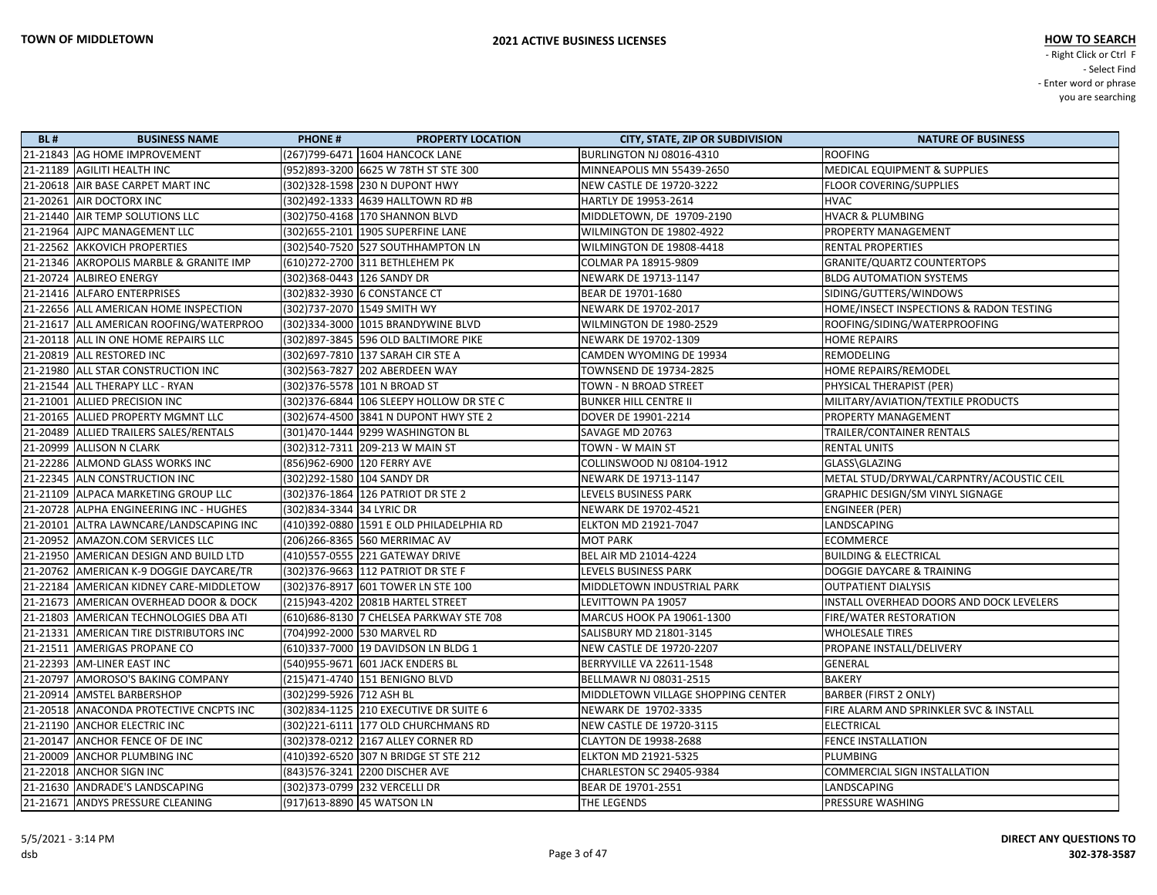| <b>BL#</b> | <b>BUSINESS NAME</b>                    | <b>PHONE#</b>               | <b>PROPERTY LOCATION</b>                   | <b>CITY, STATE, ZIP OR SUBDIVISION</b> | <b>NATURE OF BUSINESS</b>                |
|------------|-----------------------------------------|-----------------------------|--------------------------------------------|----------------------------------------|------------------------------------------|
|            | 21-21843 AG HOME IMPROVEMENT            |                             | (267)799-6471 1604 HANCOCK LANE            | <b>BURLINGTON NJ 08016-4310</b>        | <b>ROOFING</b>                           |
|            | 21-21189 AGILITI HEALTH INC             |                             | (952)893-3200 6625 W 78TH ST STE 300       | MINNEAPOLIS MN 55439-2650              | <b>MEDICAL EQUIPMENT &amp; SUPPLIES</b>  |
|            | 21-20618 AIR BASE CARPET MART INC       |                             | (302) 328-1598 230 N DUPONT HWY            | <b>NEW CASTLE DE 19720-3222</b>        | <b>FLOOR COVERING/SUPPLIES</b>           |
|            | 21-20261 AIR DOCTORX INC                |                             | (302)492-1333 4639 HALLTOWN RD #B          | HARTLY DE 19953-2614                   | <b>HVAC</b>                              |
|            | 21-21440 AIR TEMP SOLUTIONS LLC         |                             | (302) 750-4168 170 SHANNON BLVD            | MIDDLETOWN, DE 19709-2190              | <b>HVACR &amp; PLUMBING</b>              |
|            | 21-21964 AJPC MANAGEMENT LLC            |                             | (302)655-2101 1905 SUPERFINE LANE          | WILMINGTON DE 19802-4922               | <b>PROPERTY MANAGEMENT</b>               |
|            | 21-22562 AKKOVICH PROPERTIES            |                             | (302)540-7520 527 SOUTHHAMPTON LN          | WILMINGTON DE 19808-4418               | <b>RENTAL PROPERTIES</b>                 |
|            | 21-21346 AKROPOLIS MARBLE & GRANITE IMP |                             | (610)272-2700 311 BETHLEHEM PK             | COLMAR PA 18915-9809                   | GRANITE/QUARTZ COUNTERTOPS               |
|            | 21-20724 ALBIREO ENERGY                 | (302)368-0443 126 SANDY DR  |                                            | NEWARK DE 19713-1147                   | <b>BLDG AUTOMATION SYSTEMS</b>           |
|            | 21-21416 ALFARO ENTERPRISES             |                             | (302)832-3930 6 CONSTANCE CT               | BEAR DE 19701-1680                     | SIDING/GUTTERS/WINDOWS                   |
|            | 21-22656 ALL AMERICAN HOME INSPECTION   |                             | (302)737-2070 1549 SMITH WY                | NEWARK DE 19702-2017                   | HOME/INSECT INSPECTIONS & RADON TESTING  |
|            | 21-21617 ALL AMERICAN ROOFING/WATERPROO |                             | (302)334-3000 1015 BRANDYWINE BLVD         | WILMINGTON DE 1980-2529                | ROOFING/SIDING/WATERPROOFING             |
|            | 21-20118 ALL IN ONE HOME REPAIRS LLC    |                             | (302) 897-3845 596 OLD BALTIMORE PIKE      | NEWARK DE 19702-1309                   | <b>HOME REPAIRS</b>                      |
|            | 21-20819 ALL RESTORED INC               |                             | (302) 697-7810 137 SARAH CIR STE A         | CAMDEN WYOMING DE 19934                | <b>REMODELING</b>                        |
|            | 21-21980 ALL STAR CONSTRUCTION INC      |                             | (302)563-7827  202 ABERDEEN WAY            | TOWNSEND DE 19734-2825                 | HOME REPAIRS/REMODEL                     |
|            | 21-21544 ALL THERAPY LLC - RYAN         |                             | (302)376-5578 101 N BROAD ST               | TOWN - N BROAD STREET                  | PHYSICAL THERAPIST (PER)                 |
|            | 21-21001 ALLIED PRECISION INC           |                             | (302) 376-6844 106 SLEEPY HOLLOW DR STE C  | <b>BUNKER HILL CENTRE II</b>           | MILITARY/AVIATION/TEXTILE PRODUCTS       |
|            | 21-20165 ALLIED PROPERTY MGMNT LLC      |                             | (302)674-4500 3841 N DUPONT HWY STE 2      | DOVER DE 19901-2214                    | PROPERTY MANAGEMENT                      |
|            | 21-20489 ALLIED TRAILERS SALES/RENTALS  |                             | (301)470-1444 9299 WASHINGTON BL           | SAVAGE MD 20763                        | TRAILER/CONTAINER RENTALS                |
|            | 21-20999 ALLISON N CLARK                |                             | (302) 312-7311 209-213 W MAIN ST           | TOWN - W MAIN ST                       | <b>RENTAL UNITS</b>                      |
|            | 21-22286 ALMOND GLASS WORKS INC         | (856)962-6900 120 FERRY AVE |                                            | COLLINSWOOD NJ 08104-1912              | GLASS\GLAZING                            |
|            | 21-22345 ALN CONSTRUCTION INC           | (302)292-1580 104 SANDY DR  |                                            | NEWARK DE 19713-1147                   | METAL STUD/DRYWAL/CARPNTRY/ACOUSTIC CEIL |
|            | 21-21109 ALPACA MARKETING GROUP LLC     |                             | (302) 376-1864 126 PATRIOT DR STE 2        | LEVELS BUSINESS PARK                   | <b>GRAPHIC DESIGN/SM VINYL SIGNAGE</b>   |
|            | 21-20728 ALPHA ENGINEERING INC - HUGHES | (302) 834-3344 34 LYRIC DR  |                                            | NEWARK DE 19702-4521                   | <b>ENGINEER (PER)</b>                    |
|            | 21-20101 ALTRA LAWNCARE/LANDSCAPING INC |                             | (410)392-0880   1591 E OLD PHILADELPHIA RD | ELKTON MD 21921-7047                   | LANDSCAPING                              |
|            | 21-20952 AMAZON.COM SERVICES LLC        |                             | (206)266-8365 560 MERRIMAC AV              | <b>MOT PARK</b>                        | <b>ECOMMERCE</b>                         |
|            | 21-21950 AMERICAN DESIGN AND BUILD LTD  |                             | 410)557-0555 221 GATEWAY DRIVE             | BEL AIR MD 21014-4224                  | <b>BUILDING &amp; ELECTRICAL</b>         |
|            | 21-20762 AMERICAN K-9 DOGGIE DAYCARE/TR |                             | (302) 376-9663 112 PATRIOT DR STE F        | LEVELS BUSINESS PARK                   | DOGGIE DAYCARE & TRAINING                |
|            | 21-22184 AMERICAN KIDNEY CARE-MIDDLETOW |                             | (302) 376-8917 601 TOWER LN STE 100        | MIDDLETOWN INDUSTRIAL PARK             | <b>OUTPATIENT DIALYSIS</b>               |
|            | 21-21673 AMERICAN OVERHEAD DOOR & DOCK  |                             | (215)943-4202 2081B HARTEL STREET          | LEVITTOWN PA 19057                     | INSTALL OVERHEAD DOORS AND DOCK LEVELERS |
|            | 21-21803 AMERICAN TECHNOLOGIES DBA ATI  |                             | (610)686-8130 7 CHELSEA PARKWAY STE 708    | MARCUS HOOK PA 19061-1300              | <b>FIRE/WATER RESTORATION</b>            |
|            | 21-21331 AMERICAN TIRE DISTRIBUTORS INC |                             | (704)992-2000 530 MARVEL RD                | SALISBURY MD 21801-3145                | <b>WHOLESALE TIRES</b>                   |
|            | 21-21511 AMERIGAS PROPANE CO            |                             | (610)337-7000 19 DAVIDSON LN BLDG 1        | NEW CASTLE DE 19720-2207               | PROPANE INSTALL/DELIVERY                 |
|            | 21-22393 AM-LINER EAST INC              |                             | (540)955-9671 601 JACK ENDERS BL           | <b>BERRYVILLE VA 22611-1548</b>        | GENERAL                                  |
|            | 21-20797 AMOROSO'S BAKING COMPANY       |                             | (215)471-4740 151 BENIGNO BLVD             | BELLMAWR NJ 08031-2515                 | <b>BAKERY</b>                            |
|            | 21-20914 AMSTEL BARBERSHOP              | (302)299-5926 712 ASH BL    |                                            | MIDDLETOWN VILLAGE SHOPPING CENTER     | <b>BARBER (FIRST 2 ONLY)</b>             |
|            | 21-20518 ANACONDA PROTECTIVE CNCPTS INC |                             | (302) 834-1125 210 EXECUTIVE DR SUITE 6    | NEWARK DE 19702-3335                   | FIRE ALARM AND SPRINKLER SVC & INSTALL   |
|            | 21-21190 ANCHOR ELECTRIC INC            |                             | (302) 221-6111 177 OLD CHURCHMANS RD       | NEW CASTLE DE 19720-3115               | <b>ELECTRICAL</b>                        |
|            | 21-20147 ANCHOR FENCE OF DE INC         |                             | (302) 378-0212 2167 ALLEY CORNER RD        | <b>CLAYTON DE 19938-2688</b>           | <b>FENCE INSTALLATION</b>                |
|            | 21-20009 ANCHOR PLUMBING INC            |                             | (410)392-6520 307 N BRIDGE ST STE 212      | <b>ELKTON MD 21921-5325</b>            | <b>PLUMBING</b>                          |
|            | 21-22018 ANCHOR SIGN INC                |                             | (843) 576-3241 2200 DISCHER AVE            | CHARLESTON SC 29405-9384               | COMMERCIAL SIGN INSTALLATION             |
|            | 21-21630 ANDRADE'S LANDSCAPING          |                             | (302)373-0799 232 VERCELLI DR              | BEAR DE 19701-2551                     | LANDSCAPING                              |
|            | 21-21671 ANDYS PRESSURE CLEANING        |                             | (917)613-8890 45 WATSON LN                 | THE LEGENDS                            | <b>PRESSURE WASHING</b>                  |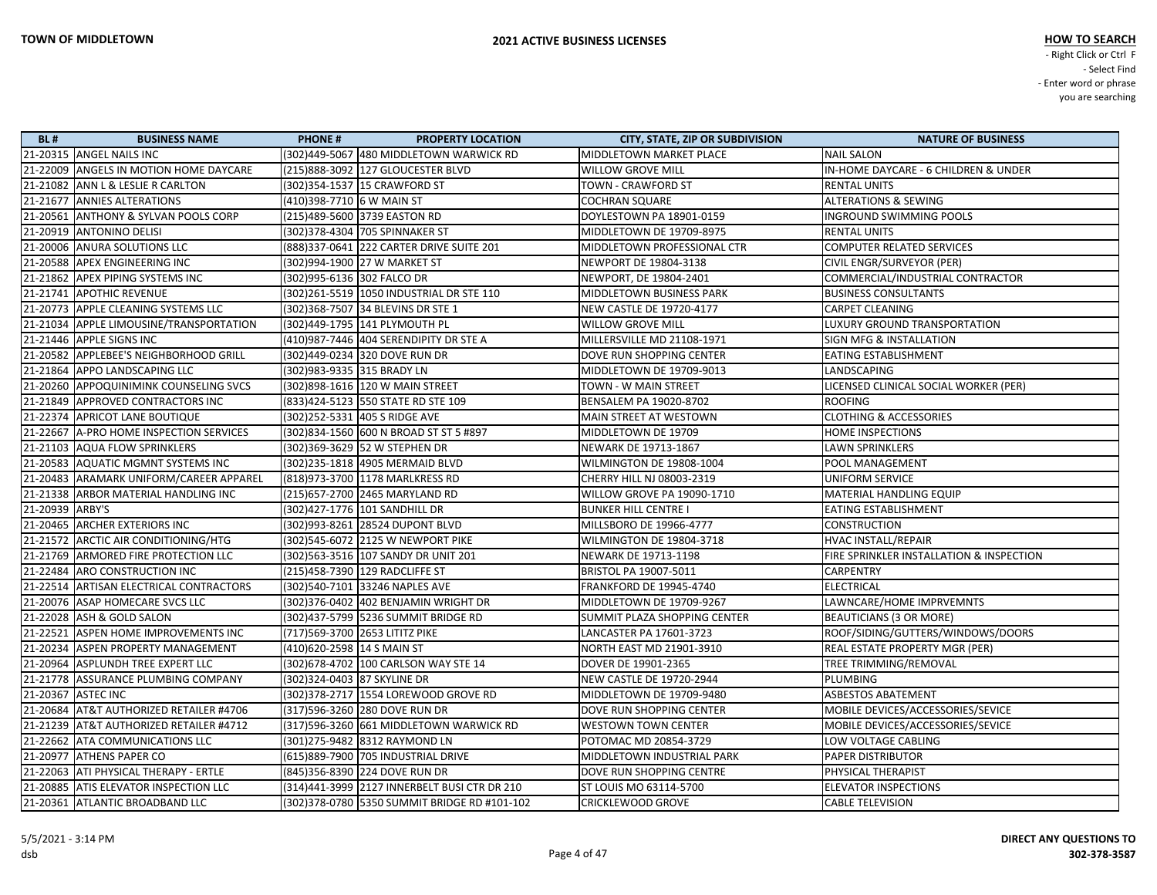| <b>BL#</b>      | <b>BUSINESS NAME</b>                    | <b>PHONE#</b>                | <b>PROPERTY LOCATION</b>                      | <b>CITY, STATE, ZIP OR SUBDIVISION</b> | <b>NATURE OF BUSINESS</b>                |
|-----------------|-----------------------------------------|------------------------------|-----------------------------------------------|----------------------------------------|------------------------------------------|
|                 | 21-20315 ANGEL NAILS INC                |                              | (302)449-5067 480 MIDDLETOWN WARWICK RD       | MIDDLETOWN MARKET PLACE                | <b>NAIL SALON</b>                        |
|                 | 21-22009 ANGELS IN MOTION HOME DAYCARE  |                              | (215)888-3092 127 GLOUCESTER BLVD             | WILLOW GROVE MILL                      | IN-HOME DAYCARE - 6 CHILDREN & UNDER     |
|                 | 21-21082 ANN L & LESLIE R CARLTON       |                              | (302)354-1537 15 CRAWFORD ST                  | TOWN - CRAWFORD ST                     | <b>RENTAL UNITS</b>                      |
|                 | 21-21677 ANNIES ALTERATIONS             | (410)398-7710 6 W MAIN ST    |                                               | COCHRAN SQUARE                         | <b>ALTERATIONS &amp; SEWING</b>          |
|                 | 21-20561 ANTHONY & SYLVAN POOLS CORP    |                              | (215)489-5600 3739 EASTON RD                  | DOYLESTOWN PA 18901-0159               | INGROUND SWIMMING POOLS                  |
|                 | 21-20919 ANTONINO DELISI                |                              | (302)378-4304 705 SPINNAKER ST                | MIDDLETOWN DE 19709-8975               | <b>RENTAL UNITS</b>                      |
|                 | 21-20006 ANURA SOLUTIONS LLC            |                              | (888) 337-0641 222 CARTER DRIVE SUITE 201     | MIDDLETOWN PROFESSIONAL CTR            | <b>COMPUTER RELATED SERVICES</b>         |
|                 | 21-20588 APEX ENGINEERING INC           |                              | (302)994-1900 27 W MARKET ST                  | NEWPORT DE 19804-3138                  | CIVIL ENGR/SURVEYOR (PER)                |
|                 | 21-21862 APEX PIPING SYSTEMS INC        | (302)995-6136 302 FALCO DR   |                                               | NEWPORT, DE 19804-2401                 | COMMERCIAL/INDUSTRIAL CONTRACTOR         |
|                 | 21-21741 APOTHIC REVENUE                |                              | (302)261-5519 1050 INDUSTRIAL DR STE 110      | MIDDLETOWN BUSINESS PARK               | <b>BUSINESS CONSULTANTS</b>              |
|                 | 21-20773 APPLE CLEANING SYSTEMS LLC     |                              | (302)368-7507 34 BLEVINS DR STE 1             | <b>NEW CASTLE DE 19720-4177</b>        | <b>CARPET CLEANING</b>                   |
|                 | 21-21034 APPLE LIMOUSINE/TRANSPORTATION |                              | (302)449-1795 141 PLYMOUTH PL                 | WILLOW GROVE MILL                      | LUXURY GROUND TRANSPORTATION             |
|                 | 21-21446 APPLE SIGNS INC                |                              | (410)987-7446 404 SERENDIPITY DR STE A        | MILLERSVILLE MD 21108-1971             | <b>SIGN MFG &amp; INSTALLATION</b>       |
|                 | 21-20582 APPLEBEE'S NEIGHBORHOOD GRILL  |                              | (302)449-0234 320 DOVE RUN DR                 | DOVE RUN SHOPPING CENTER               | EATING ESTABLISHMENT                     |
|                 | 21-21864 APPO LANDSCAPING LLC           | (302)983-9335 315 BRADY LN   |                                               | MIDDLETOWN DE 19709-9013               | LANDSCAPING                              |
|                 | 21-20260 APPOQUINIMINK COUNSELING SVCS  |                              | (302) 898-1616 120 W MAIN STREET              | TOWN - W MAIN STREET                   | LICENSED CLINICAL SOCIAL WORKER (PER)    |
|                 | 21-21849 APPROVED CONTRACTORS INC       |                              | (833)424-5123 550 STATE RD STE 109            | BENSALEM PA 19020-8702                 | <b>ROOFING</b>                           |
|                 | 21-22374 APRICOT LANE BOUTIQUE          |                              | (302)252-5331 405 S RIDGE AVE                 | MAIN STREET AT WESTOWN                 | <b>CLOTHING &amp; ACCESSORIES</b>        |
|                 | 21-22667 A-PRO HOME INSPECTION SERVICES |                              | (302)834-1560 600 N BROAD ST ST 5 #897        | MIDDLETOWN DE 19709                    | HOME INSPECTIONS                         |
|                 | 21-21103 AQUA FLOW SPRINKLERS           |                              | (302)369-3629 52 W STEPHEN DR                 | NEWARK DE 19713-1867                   | LAWN SPRINKLERS                          |
|                 | 21-20583 AQUATIC MGMNT SYSTEMS INC      |                              | (302)235-1818 4905 MERMAID BLVD               | WILMINGTON DE 19808-1004               | POOL MANAGEMENT                          |
|                 | 21-20483 ARAMARK UNIFORM/CAREER APPAREL |                              | (818)973-3700 1178 MARLKRESS RD               | CHERRY HILL NJ 08003-2319              | <b>UNIFORM SERVICE</b>                   |
|                 | 21-21338 ARBOR MATERIAL HANDLING INC    |                              | (215) 657-2700 2465 MARYLAND RD               | WILLOW GROVE PA 19090-1710             | MATERIAL HANDLING EQUIP                  |
| 21-20939 ARBY'S |                                         |                              | (302)427-1776 101 SANDHILL DR                 | <b>BUNKER HILL CENTRE I</b>            | EATING ESTABLISHMENT                     |
|                 | 21-20465 ARCHER EXTERIORS INC           |                              | (302)993-8261 28524 DUPONT BLVD               | MILLSBORO DE 19966-4777                | CONSTRUCTION                             |
|                 | 21-21572 ARCTIC AIR CONDITIONING/HTG    |                              | (302)545-6072 2125 W NEWPORT PIKE             | WILMINGTON DE 19804-3718               | HVAC INSTALL/REPAIR                      |
|                 | 21-21769 ARMORED FIRE PROTECTION LLC    |                              | (302)563-3516 107 SANDY DR UNIT 201           | NEWARK DE 19713-1198                   | FIRE SPRINKLER INSTALLATION & INSPECTION |
|                 | 21-22484 ARO CONSTRUCTION INC           |                              | (215)458-7390 129 RADCLIFFE ST                | BRISTOL PA 19007-5011                  | <b>CARPENTRY</b>                         |
|                 | 21-22514 ARTISAN ELECTRICAL CONTRACTORS |                              | (302)540-7101 33246 NAPLES AVE                | FRANKFORD DE 19945-4740                | ELECTRICAL                               |
|                 | 21-20076 ASAP HOMECARE SVCS LLC         |                              | (302) 376-0402 402 BENJAMIN WRIGHT DR         | MIDDLETOWN DE 19709-9267               | LAWNCARE/HOME IMPRVEMNTS                 |
|                 | 21-22028 ASH & GOLD SALON               |                              | (302)437-5799 5236 SUMMIT BRIDGE RD           | SUMMIT PLAZA SHOPPING CENTER           | <b>BEAUTICIANS (3 OR MORE)</b>           |
|                 | 21-22521 ASPEN HOME IMPROVEMENTS INC    |                              | (717)569-3700 2653 LITITZ PIKE                | LANCASTER PA 17601-3723                | ROOF/SIDING/GUTTERS/WINDOWS/DOORS        |
|                 | 21-20234 ASPEN PROPERTY MANAGEMENT      | (410)620-2598 14 S MAIN ST   |                                               | NORTH EAST MD 21901-3910               | REAL ESTATE PROPERTY MGR (PER)           |
|                 | 21-20964 ASPLUNDH TREE EXPERT LLC       |                              | (302) 678-4702 100 CARLSON WAY STE 14         | DOVER DE 19901-2365                    | TREE TRIMMING/REMOVAL                    |
|                 | 21-21778 ASSURANCE PLUMBING COMPANY     | (302) 324-0403 87 SKYLINE DR |                                               | <b>NEW CASTLE DE 19720-2944</b>        | PLUMBING                                 |
|                 | 21-20367 ASTEC INC                      |                              | (302) 378-2717 1554 LOREWOOD GROVE RD         | MIDDLETOWN DE 19709-9480               | <b>ASBESTOS ABATEMENT</b>                |
|                 | 21-20684 AT&T AUTHORIZED RETAILER #4706 |                              | (317)596-3260 280 DOVE RUN DR                 | DOVE RUN SHOPPING CENTER               | MOBILE DEVICES/ACCESSORIES/SEVICE        |
|                 | 21-21239 AT&T AUTHORIZED RETAILER #4712 |                              | (317)596-3260 661 MIDDLETOWN WARWICK RD       | <b>WESTOWN TOWN CENTER</b>             | MOBILE DEVICES/ACCESSORIES/SEVICE        |
|                 | 21-22662 ATA COMMUNICATIONS LLC         |                              | (301)275-9482 8312 RAYMOND LN                 | POTOMAC MD 20854-3729                  | LOW VOLTAGE CABLING                      |
|                 | 21-20977 ATHENS PAPER CO                |                              | (615)889-7900 705 INDUSTRIAL DRIVE            | MIDDLETOWN INDUSTRIAL PARK             | <b>PAPER DISTRIBUTOR</b>                 |
|                 | 21-22063 ATI PHYSICAL THERAPY - ERTLE   |                              | (845)356-8390 224 DOVE RUN DR                 | DOVE RUN SHOPPING CENTRE               | <b>PHYSICAL THERAPIST</b>                |
|                 | 21-20885 ATIS ELEVATOR INSPECTION LLC   |                              | (314)441-3999 2127 INNERBELT BUSI CTR DR 210  | <b>ST LOUIS MO 63114-5700</b>          | <b>ELEVATOR INSPECTIONS</b>              |
|                 | 21-20361 ATLANTIC BROADBAND LLC         |                              | (302) 378-0780 5350 SUMMIT BRIDGE RD #101-102 | <b>CRICKLEWOOD GROVE</b>               | <b>CABLE TELEVISION</b>                  |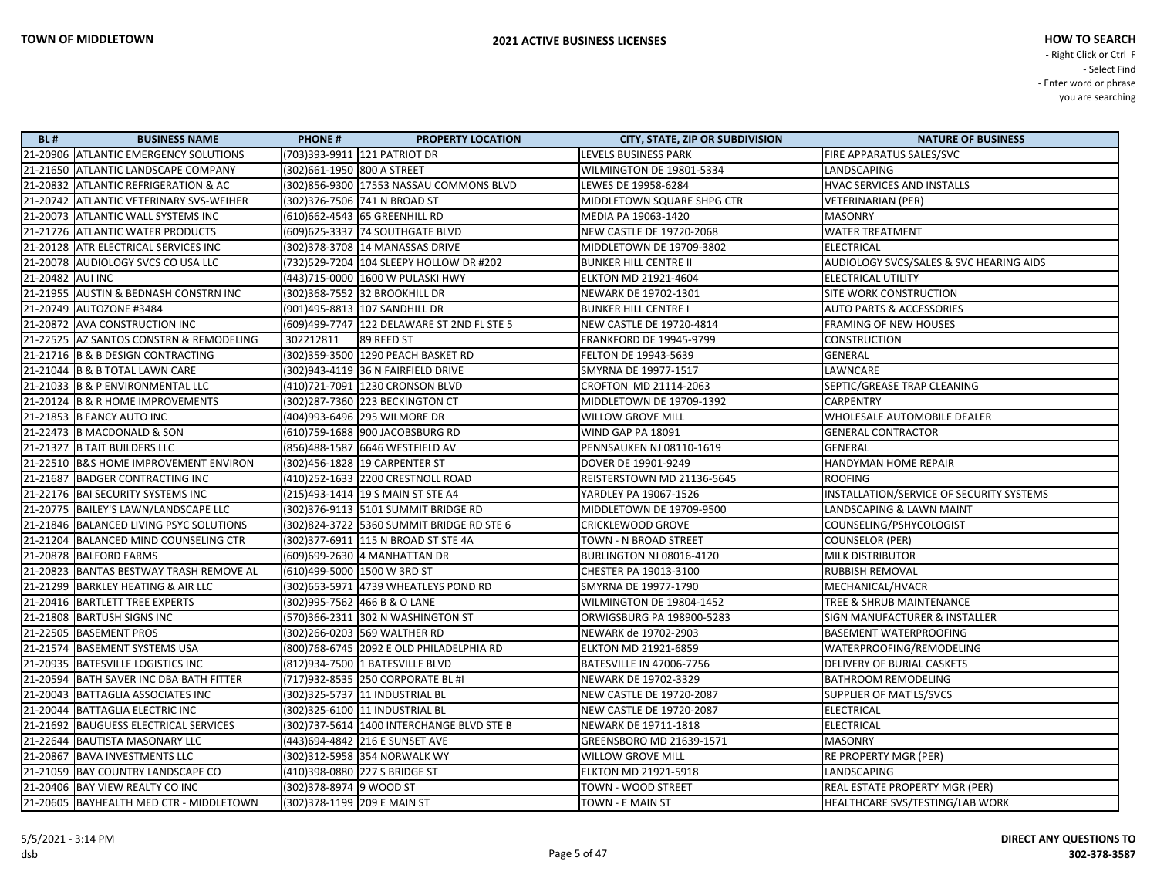| <b>BL#</b>       | <b>BUSINESS NAME</b>                    | <b>PHONE#</b>                   | <b>PROPERTY LOCATION</b>                     | <b>CITY, STATE, ZIP OR SUBDIVISION</b> | <b>NATURE OF BUSINESS</b>                          |
|------------------|-----------------------------------------|---------------------------------|----------------------------------------------|----------------------------------------|----------------------------------------------------|
|                  | 21-20906 ATLANTIC EMERGENCY SOLUTIONS   | (703)393-9911 121 PATRIOT DR    |                                              | LEVELS BUSINESS PARK                   | FIRE APPARATUS SALES/SVC                           |
|                  | 21-21650 ATLANTIC LANDSCAPE COMPANY     | (302)661-1950 800 A STREET      |                                              | WILMINGTON DE 19801-5334               | LANDSCAPING                                        |
|                  | 21-20832 ATLANTIC REFRIGERATION & AC    |                                 | (302)856-9300 17553 NASSAU COMMONS BLVD      | LEWES DE 19958-6284                    | HVAC SERVICES AND INSTALLS                         |
|                  | 21-20742 ATLANTIC VETERINARY SVS-WEIHER | (302) 376-7506 741 N BROAD ST   |                                              | MIDDLETOWN SQUARE SHPG CTR             | VETERINARIAN (PER)                                 |
|                  | 21-20073 ATLANTIC WALL SYSTEMS INC      | (610) 662-4543 65 GREENHILL RD  |                                              | MEDIA PA 19063-1420                    | <b>MASONRY</b>                                     |
|                  | 21-21726 ATLANTIC WATER PRODUCTS        |                                 | (609) 625-3337 74 SOUTHGATE BLVD             | NEW CASTLE DE 19720-2068               | <b>WATER TREATMENT</b>                             |
|                  | 21-20128 ATR ELECTRICAL SERVICES INC    |                                 | (302) 378-3708 14 MANASSAS DRIVE             | MIDDLETOWN DE 19709-3802               | <b>ELECTRICAL</b>                                  |
|                  | 21-20078 AUDIOLOGY SVCS CO USA LLC      |                                 | (732)529-7204   104 SLEEPY HOLLOW DR #202    | <b>BUNKER HILL CENTRE II</b>           | <b>AUDIOLOGY SVCS/SALES &amp; SVC HEARING AIDS</b> |
| 21-20482 AUI INC |                                         |                                 | (443)715-0000 1600 W PULASKI HWY             | <b>ELKTON MD 21921-4604</b>            | <b>ELECTRICAL UTILITY</b>                          |
|                  | 21-21955 AUSTIN & BEDNASH CONSTRN INC   | (302)368-7552 32 BROOKHILL DR   |                                              | NEWARK DE 19702-1301                   | SITE WORK CONSTRUCTION                             |
|                  | 21-20749 AUTOZONE #3484                 | (901)495-8813 107 SANDHILL DR   |                                              | <b>BUNKER HILL CENTRE I</b>            | <b>AUTO PARTS &amp; ACCESSORIES</b>                |
|                  | 21-20872 AVA CONSTRUCTION INC           |                                 | (609)499-7747   122 DELAWARE ST 2ND FL STE 5 | NEW CASTLE DE 19720-4814               | FRAMING OF NEW HOUSES                              |
|                  | 21-22525 AZ SANTOS CONSTRN & REMODELING | 302212811                       | 89 REED ST                                   | FRANKFORD DE 19945-9799                | <b>CONSTRUCTION</b>                                |
|                  | 21-21716 B & B DESIGN CONTRACTING       |                                 | (302)359-3500   1290 PEACH BASKET RD         | <b>FELTON DE 19943-5639</b>            | GENERAL                                            |
|                  | 21-21044 B & B TOTAL LAWN CARE          |                                 | (302)943-4119 36 N FAIRFIELD DRIVE           | SMYRNA DE 19977-1517                   | LAWNCARE                                           |
|                  | 21-21033 B & P ENVIRONMENTAL LLC        |                                 | (410)721-7091 1230 CRONSON BLVD              | CROFTON MD 21114-2063                  | SEPTIC/GREASE TRAP CLEANING                        |
|                  | 21-20124 B & R HOME IMPROVEMENTS        |                                 | (302) 287-7360 223 BECKINGTON CT             | MIDDLETOWN DE 19709-1392               | <b>CARPENTRY</b>                                   |
|                  | 21-21853 B FANCY AUTO INC               | (404)993-6496 295 WILMORE DR    |                                              | <b>WILLOW GROVE MILL</b>               | WHOLESALE AUTOMOBILE DEALER                        |
|                  | 21-22473 B MACDONALD & SON              |                                 | (610) 759-1688 900 JACOBSBURG RD             | WIND GAP PA 18091                      | <b>GENERAL CONTRACTOR</b>                          |
|                  | 21-21327 B TAIT BUILDERS LLC            | (856)488-1587 6646 WESTFIELD AV |                                              | PENNSAUKEN NJ 08110-1619               | <b>GENERAL</b>                                     |
|                  | 21-22510 B&S HOME IMPROVEMENT ENVIRON   | (302)456-1828 19 CARPENTER ST   |                                              | DOVER DE 19901-9249                    | HANDYMAN HOME REPAIR                               |
|                  | 21-21687 BADGER CONTRACTING INC         |                                 | (410) 252-1633 2200 CRESTNOLL ROAD           | REISTERSTOWN MD 21136-5645             | <b>ROOFING</b>                                     |
|                  | 21-22176   BAI SECURITY SYSTEMS INC     |                                 | (215)493-1414 19 S MAIN ST STE A4            | YARDLEY PA 19067-1526                  | INSTALLATION/SERVICE OF SECURITY SYSTEMS           |
|                  | 21-20775   BAILEY'S LAWN/LANDSCAPE LLC  |                                 | (302) 376-9113 5101 SUMMIT BRIDGE RD         | MIDDLETOWN DE 19709-9500               | LANDSCAPING & LAWN MAINT                           |
|                  | 21-21846 BALANCED LIVING PSYC SOLUTIONS |                                 | (302)824-3722 5360 SUMMIT BRIDGE RD STE 6    | <b>CRICKLEWOOD GROVE</b>               | COUNSELING/PSHYCOLOGIST                            |
|                  | 21-21204 BALANCED MIND COUNSELING CTR   |                                 | (302) 377-6911 115 N BROAD ST STE 4A         | TOWN - N BROAD STREET                  | <b>COUNSELOR (PER)</b>                             |
|                  | 21-20878   BALFORD FARMS                | (609)699-2630 4 MANHATTAN DR    |                                              | BURLINGTON NJ 08016-4120               | MILK DISTRIBUTOR                                   |
|                  | 21-20823 BANTAS BESTWAY TRASH REMOVE AL | (610)499-5000 1500 W 3RD ST     |                                              | CHESTER PA 19013-3100                  | RUBBISH REMOVAL                                    |
|                  | 21-21299 BARKLEY HEATING & AIR LLC      |                                 | (302) 653-5971 4739 WHEATLEYS POND RD        | SMYRNA DE 19977-1790                   | MECHANICAL/HVACR                                   |
|                  | 21-20416 BARTLETT TREE EXPERTS          | (302) 995-7562 466 B & O LANE   |                                              | WILMINGTON DE 19804-1452               | TREE & SHRUB MAINTENANCE                           |
|                  | 21-21808 BARTUSH SIGNS INC              |                                 | (570)366-2311 302 N WASHINGTON ST            | ORWIGSBURG PA 198900-5283              | SIGN MANUFACTURER & INSTALLER                      |
|                  | 21-22505 BASEMENT PROS                  | (302)266-0203 569 WALTHER RD    |                                              | NEWARK de 19702-2903                   | <b>BASEMENT WATERPROOFING</b>                      |
|                  | 21-21574 BASEMENT SYSTEMS USA           |                                 | (800)768-6745 2092 E OLD PHILADELPHIA RD     | <b>ELKTON MD 21921-6859</b>            | WATERPROOFING/REMODELING                           |
|                  | 21-20935   BATESVILLE LOGISTICS INC     | (812)934-7500 1 BATESVILLE BLVD |                                              | BATESVILLE IN 47006-7756               | DELIVERY OF BURIAL CASKETS                         |
|                  | 21-20594 BATH SAVER INC DBA BATH FITTER |                                 | (717)932-8535 250 CORPORATE BL #I            | NEWARK DE 19702-3329                   | <b>BATHROOM REMODELING</b>                         |
|                  | 21-20043 BATTAGLIA ASSOCIATES INC       | (302) 325-5737 11 INDUSTRIAL BL |                                              | NEW CASTLE DE 19720-2087               | SUPPLIER OF MAT'LS/SVCS                            |
|                  | 21-20044   BATTAGLIA ELECTRIC INC       | (302) 325-6100 11 INDUSTRIAL BL |                                              | NEW CASTLE DE 19720-2087               | <b>ELECTRICAL</b>                                  |
|                  | 21-21692 BAUGUESS ELECTRICAL SERVICES   |                                 | (302) 737-5614 1400 INTERCHANGE BLVD STE B   | NEWARK DE 19711-1818                   | <b>ELECTRICAL</b>                                  |
|                  | 21-22644 BAUTISTA MASONARY LLC          | (443)694-4842 216 E SUNSET AVE  |                                              | GREENSBORO MD 21639-1571               | <b>MASONRY</b>                                     |
|                  | 21-20867 BAVA INVESTMENTS LLC           | (302)312-5958 354 NORWALK WY    |                                              | <b>WILLOW GROVE MILL</b>               | RE PROPERTY MGR (PER)                              |
|                  | 21-21059 BAY COUNTRY LANDSCAPE CO       | (410)398-0880 227 S BRIDGE ST   |                                              | <b>ELKTON MD 21921-5918</b>            | LANDSCAPING                                        |
|                  | 21-20406   BAY VIEW REALTY CO INC       | (302) 378-8974 9 WOOD ST        |                                              | TOWN - WOOD STREET                     | REAL ESTATE PROPERTY MGR (PER)                     |
|                  | 21-20605 BAYHEALTH MED CTR - MIDDLETOWN | (302)378-1199 209 E MAIN ST     |                                              | TOWN - E MAIN ST                       | HEALTHCARE SVS/TESTING/LAB WORK                    |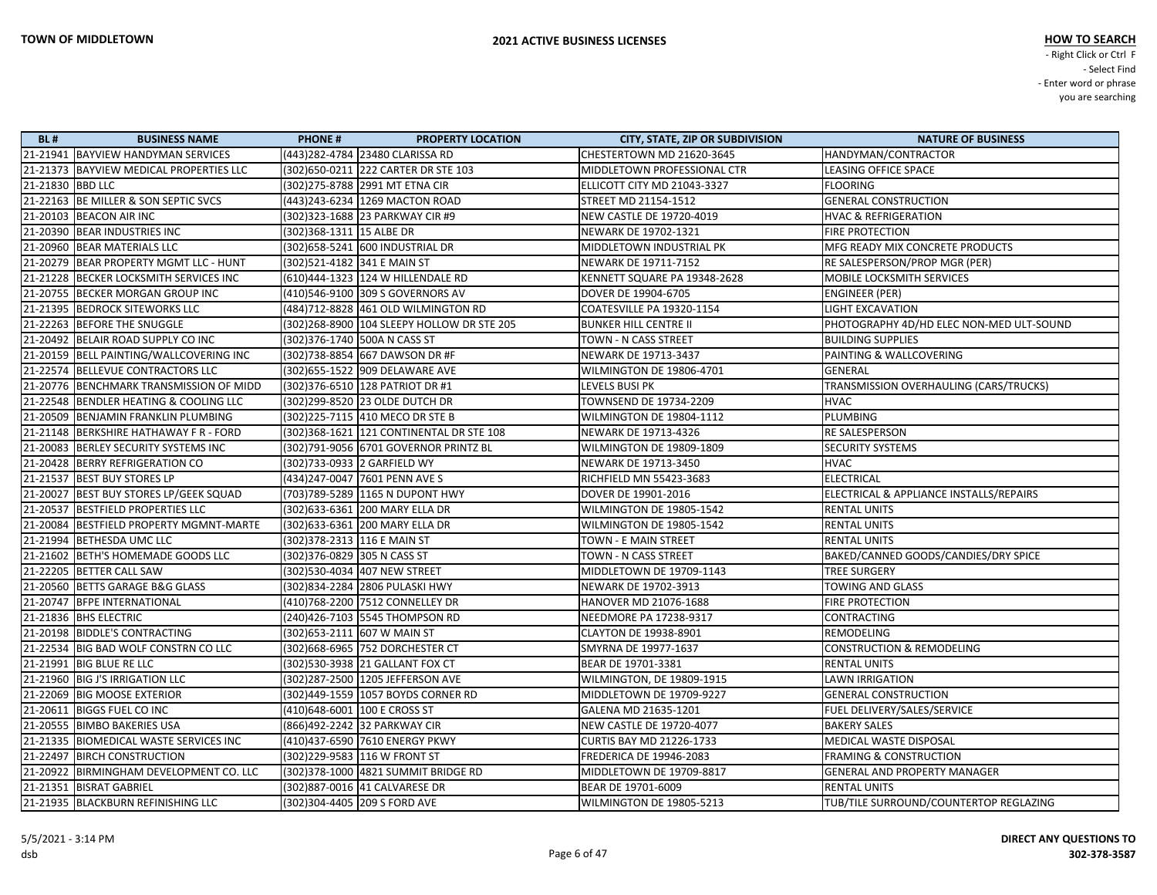| <b>BL#</b>       | <b>BUSINESS NAME</b>                     | <b>PHONE#</b>                | <b>PROPERTY LOCATION</b>                    | <b>CITY, STATE, ZIP OR SUBDIVISION</b> | <b>NATURE OF BUSINESS</b>                |
|------------------|------------------------------------------|------------------------------|---------------------------------------------|----------------------------------------|------------------------------------------|
|                  | 21-21941 BAYVIEW HANDYMAN SERVICES       |                              | (443)282-4784  23480 CLARISSA RD            | CHESTERTOWN MD 21620-3645              | HANDYMAN/CONTRACTOR                      |
|                  | 21-21373 BAYVIEW MEDICAL PROPERTIES LLC  |                              | (302) 650-0211 222 CARTER DR STE 103        | MIDDLETOWN PROFESSIONAL CTR            | <b>LEASING OFFICE SPACE</b>              |
| 21-21830 BBD LLC |                                          |                              | (302) 275-8788 2991 MT ETNA CIR             | ELLICOTT CITY MD 21043-3327            | <b>FLOORING</b>                          |
|                  | 21-22163 BE MILLER & SON SEPTIC SVCS     |                              | (443)243-6234 1269 MACTON ROAD              | STREET MD 21154-1512                   | <b>GENERAL CONSTRUCTION</b>              |
|                  | 21-20103 BEACON AIR INC                  |                              |                                             | NEW CASTLE DE 19720-4019               | <b>HVAC &amp; REFRIGERATION</b>          |
|                  | 21-20390 BEAR INDUSTRIES INC             | (302)368-1311  15 ALBE DR    |                                             | NEWARK DE 19702-1321                   | <b>FIRE PROTECTION</b>                   |
|                  | 21-20960 BEAR MATERIALS LLC              |                              | (302)658-5241 600 INDUSTRIAL DR             | MIDDLETOWN INDUSTRIAL PK               | MFG READY MIX CONCRETE PRODUCTS          |
|                  | 21-20279 BEAR PROPERTY MGMT LLC - HUNT   | (302)521-4182 341 E MAIN ST  |                                             | NEWARK DE 19711-7152                   | RE SALESPERSON/PROP MGR (PER)            |
|                  | 21-21228 BECKER LOCKSMITH SERVICES INC   |                              | (610)444-1323 124 W HILLENDALE RD           | KENNETT SQUARE PA 19348-2628           | MOBILE LOCKSMITH SERVICES                |
|                  | 21-20755 BECKER MORGAN GROUP INC         |                              | (410)546-9100 309 S GOVERNORS AV            | DOVER DE 19904-6705                    | <b>ENGINEER (PER)</b>                    |
|                  | 21-21395 BEDROCK SITEWORKS LLC           |                              |                                             | COATESVILLE PA 19320-1154              | <b>LIGHT EXCAVATION</b>                  |
|                  | 21-22263 BEFORE THE SNUGGLE              |                              | (302)268-8900  104 SLEEPY HOLLOW DR STE 205 | <b>BUNKER HILL CENTRE II</b>           | PHOTOGRAPHY 4D/HD ELEC NON-MED ULT-SOUND |
|                  | 21-20492 BELAIR ROAD SUPPLY CO INC       |                              | (302)376-1740  500A N CASS ST               | TOWN - N CASS STREET                   | <b>BUILDING SUPPLIES</b>                 |
|                  | 21-20159 BELL PAINTING/WALLCOVERING INC  |                              | (302)738-8854 667 DAWSON DR #F              | NEWARK DE 19713-3437                   | PAINTING & WALLCOVERING                  |
|                  | 21-22574 BELLEVUE CONTRACTORS LLC        |                              | (302)655-1522  909 DELAWARE AVE             | WILMINGTON DE 19806-4701               | GENERAL                                  |
|                  | 21-20776 BENCHMARK TRANSMISSION OF MIDD  |                              | (302) 376-6510 128 PATRIOT DR #1            | LEVELS BUSI PK                         | TRANSMISSION OVERHAULING (CARS/TRUCKS)   |
|                  | 21-22548 BENDLER HEATING & COOLING LLC   |                              | (302) 299-8520 23 OLDE DUTCH DR             | TOWNSEND DE 19734-2209                 | <b>HVAC</b>                              |
|                  | 21-20509 BENJAMIN FRANKLIN PLUMBING      |                              | (302)225-7115  410 MECO DR STE B            | WILMINGTON DE 19804-1112               | PLUMBING                                 |
|                  | 21-21148 BERKSHIRE HATHAWAY F R - FORD   |                              | (302) 368-1621   121 CONTINENTAL DR STE 108 | NEWARK DE 19713-4326                   | <b>RE SALESPERSON</b>                    |
|                  | 21-20083 BERLEY SECURITY SYSTEMS INC     |                              | (302)791-9056 6701 GOVERNOR PRINTZ BL       | WILMINGTON DE 19809-1809               | <b>SECURITY SYSTEMS</b>                  |
|                  | 21-20428 BERRY REFRIGERATION CO          |                              |                                             | NEWARK DE 19713-3450                   | <b>HVAC</b>                              |
|                  | 21-21537 BEST BUY STORES LP              |                              | (434)247-0047 7601 PENN AVE S               | RICHFIELD MN 55423-3683                | ELECTRICAL                               |
|                  | 21-20027 BEST BUY STORES LP/GEEK SQUAD   |                              | (703)789-5289  1165 N DUPONT HWY            | DOVER DE 19901-2016                    | ELECTRICAL & APPLIANCE INSTALLS/REPAIRS  |
|                  | 21-20537 BESTFIELD PROPERTIES LLC        |                              | (302)633-6361  200 MARY ELLA DR             | WILMINGTON DE 19805-1542               | <b>RENTAL UNITS</b>                      |
|                  | 21-20084 BESTFIELD PROPERTY MGMNT-MARTE  |                              | (302)633-6361 200 MARY ELLA DR              | WILMINGTON DE 19805-1542               | <b>RENTAL UNITS</b>                      |
|                  | 21-21994 BETHESDA UMC LLC                | (302) 378-2313 116 E MAIN ST |                                             | TOWN - E MAIN STREET                   | <b>RENTAL UNITS</b>                      |
|                  | 21-21602 BETH'S HOMEMADE GOODS LLC       | (302)376-0829  305 N CASS ST |                                             | TOWN - N CASS STREET                   | BAKED/CANNED GOODS/CANDIES/DRY SPICE     |
|                  | 21-22205 BETTER CALL SAW                 |                              | (302)530-4034  407 NEW STREET               | MIDDLETOWN DE 19709-1143               | TREE SURGERY                             |
|                  | 21-20560 BETTS GARAGE B&G GLASS          |                              | (302)834-2284 2806 PULASKI HWY              | NEWARK DE 19702-3913                   | <b>TOWING AND GLASS</b>                  |
|                  | 21-20747 BFPE INTERNATIONAL              |                              | (410)768-2200 7512 CONNELLEY DR             | HANOVER MD 21076-1688                  | FIRE PROTECTION                          |
|                  | 21-21836 BHS ELECTRIC                    |                              |                                             | NEEDMORE PA 17238-9317                 | CONTRACTING                              |
|                  | 21-20198 BIDDLE'S CONTRACTING            |                              |                                             | <b>CLAYTON DE 19938-8901</b>           | REMODELING                               |
|                  | 21-22534 BIG BAD WOLF CONSTRN CO LLC     |                              |                                             | SMYRNA DE 19977-1637                   | <b>CONSTRUCTION &amp; REMODELING</b>     |
|                  | 21-21991 BIG BLUE RE LLC                 |                              |                                             | BEAR DE 19701-3381                     | <b>RENTAL UNITS</b>                      |
|                  | 21-21960 BIG J'S IRRIGATION LLC          |                              | (302)287-2500  1205 JEFFERSON AVE           | WILMINGTON, DE 19809-1915              | <b>LAWN IRRIGATION</b>                   |
|                  | 21-22069 BIG MOOSE EXTERIOR              |                              | (302)449-1559  1057 BOYDS CORNER RD         | MIDDLETOWN DE 19709-9227               | <b>GENERAL CONSTRUCTION</b>              |
|                  | 21-20611 BIGGS FUEL CO INC               |                              | (410)648-6001   100 E CROSS ST              | GALENA MD 21635-1201                   | FUEL DELIVERY/SALES/SERVICE              |
|                  | 21-20555   BIMBO BAKERIES USA            |                              | (866)492-2242 32 PARKWAY CIR                | NEW CASTLE DE 19720-4077               | <b>BAKERY SALES</b>                      |
|                  | 21-21335   BIOMEDICAL WASTE SERVICES INC |                              | (410)437-6590 7610 ENERGY PKWY              | <b>CURTIS BAY MD 21226-1733</b>        | <b>MEDICAL WASTE DISPOSAL</b>            |
|                  | 21-22497 BIRCH CONSTRUCTION              |                              | (302)229-9583 116 W FRONT ST                | FREDERICA DE 19946-2083                | <b>FRAMING &amp; CONSTRUCTION</b>        |
|                  | 21-20922 BIRMINGHAM DEVELOPMENT CO. LLC  |                              | (302) 378-1000 4821 SUMMIT BRIDGE RD        | MIDDLETOWN DE 19709-8817               | <b>GENERAL AND PROPERTY MANAGER</b>      |
|                  | 21-21351 BISRAT GABRIEL                  |                              | (302)887-0016 41 CALVARESE DR               | BEAR DE 19701-6009                     | <b>RENTAL UNITS</b>                      |
|                  | 21-21935 BLACKBURN REFINISHING LLC       |                              | (302)304-4405 209 S FORD AVE                | WILMINGTON DE 19805-5213               | TUB/TILE SURROUND/COUNTERTOP REGLAZING   |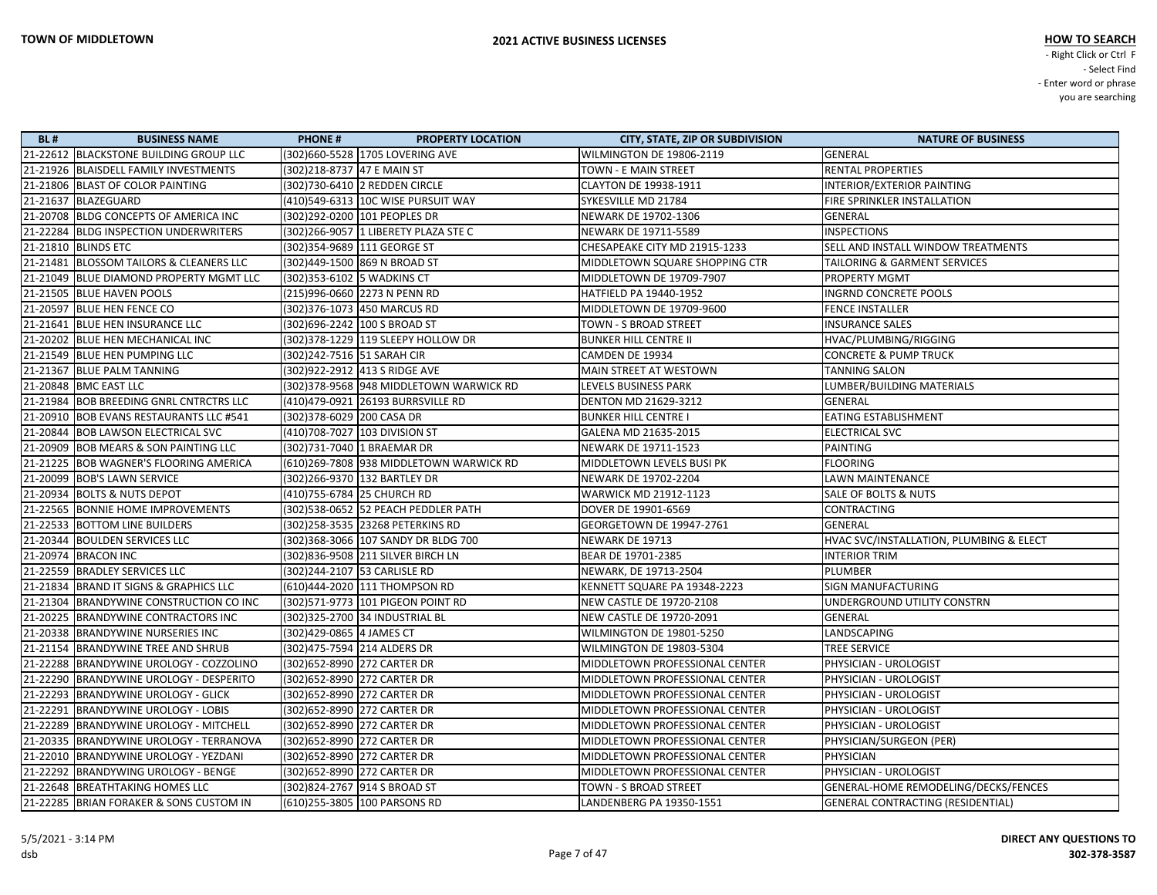| <b>BL#</b> | <b>BUSINESS NAME</b>                    | <b>PHONE#</b>                 | <b>PROPERTY LOCATION</b>                | <b>CITY, STATE, ZIP OR SUBDIVISION</b> | <b>NATURE OF BUSINESS</b>                |
|------------|-----------------------------------------|-------------------------------|-----------------------------------------|----------------------------------------|------------------------------------------|
|            | 21-22612 BLACKSTONE BUILDING GROUP LLC  |                               | (302)660-5528 1705 LOVERING AVE         | <b>WILMINGTON DE 19806-2119</b>        | GENERAL                                  |
|            | 21-21926 BLAISDELL FAMILY INVESTMENTS   | (302)218-8737 47 E MAIN ST    |                                         | TOWN - E MAIN STREET                   | <b>RENTAL PROPERTIES</b>                 |
|            | 21-21806 BLAST OF COLOR PAINTING        |                               | (302)730-6410 2 REDDEN CIRCLE           | CLAYTON DE 19938-1911                  | INTERIOR/EXTERIOR PAINTING               |
|            | 21-21637 BLAZEGUARD                     |                               | (410)549-6313  10C WISE PURSUIT WAY     | SYKESVILLE MD 21784                    | FIRE SPRINKLER INSTALLATION              |
|            | 21-20708 BLDG CONCEPTS OF AMERICA INC   |                               | (302)292-0200 101 PEOPLES DR            | NEWARK DE 19702-1306                   | <b>GENERAL</b>                           |
|            | 21-22284 BLDG INSPECTION UNDERWRITERS   |                               | (302)266-9057  1 LIBERETY PLAZA STE C   | NEWARK DE 19711-5589                   | <b>INSPECTIONS</b>                       |
|            | 21-21810 BLINDS ETC                     | (302)354-9689  111 GEORGE ST  |                                         | CHESAPEAKE CITY MD 21915-1233          | SELL AND INSTALL WINDOW TREATMENTS       |
|            | 21-21481 BLOSSOM TAILORS & CLEANERS LLC |                               | (302)449-1500 869 N BROAD ST            | MIDDLETOWN SQUARE SHOPPING CTR         | TAILORING & GARMENT SERVICES             |
|            | 21-21049 BLUE DIAMOND PROPERTY MGMT LLC | (302) 353-6102 5 WADKINS CT   |                                         | MIDDLETOWN DE 19709-7907               | PROPERTY MGMT                            |
|            | 21-21505 BLUE HAVEN POOLS               |                               | (215)996-0660 2273 N PENN RD            | HATFIELD PA 19440-1952                 | <b>INGRND CONCRETE POOLS</b>             |
|            | 21-20597 BLUE HEN FENCE CO              |                               | (302)376-1073  450 MARCUS RD            | MIDDLETOWN DE 19709-9600               | <b>FENCE INSTALLER</b>                   |
|            | 21-21641 BLUE HEN INSURANCE LLC         |                               | (302)696-2242  100 S BROAD ST           | TOWN - S BROAD STREET                  | <b>INSURANCE SALES</b>                   |
|            | 21-20202 BLUE HEN MECHANICAL INC        |                               | (302) 378-1229 119 SLEEPY HOLLOW DR     | <b>BUNKER HILL CENTRE II</b>           | HVAC/PLUMBING/RIGGING                    |
|            | 21-21549 BLUE HEN PUMPING LLC           | (302)242-7516 51 SARAH CIR    |                                         | CAMDEN DE 19934                        | <b>CONCRETE &amp; PUMP TRUCK</b>         |
|            | 21-21367 BLUE PALM TANNING              |                               | (302)922-2912  413 S RIDGE AVE          | MAIN STREET AT WESTOWN                 | <b>TANNING SALON</b>                     |
|            | 21-20848 BMC EAST LLC                   |                               | (302)378-9568 948 MIDDLETOWN WARWICK RD | LEVELS BUSINESS PARK                   | LUMBER/BUILDING MATERIALS                |
|            | 21-21984 BOB BREEDING GNRL CNTRCTRS LLC |                               | (410)479-0921 26193 BURRSVILLE RD       | DENTON MD 21629-3212                   | GENERAL                                  |
|            | 21-20910 BOB EVANS RESTAURANTS LLC #541 | (302)378-6029 200 CASA DR     |                                         | <b>BUNKER HILL CENTRE I</b>            | <b>EATING ESTABLISHMENT</b>              |
|            | 21-20844 BOB LAWSON ELECTRICAL SVC      |                               | (410)708-7027 103 DIVISION ST           | GALENA MD 21635-2015                   | <b>ELECTRICAL SVC</b>                    |
|            | 21-20909 BOB MEARS & SON PAINTING LLC   | (302)731-7040 1 BRAEMAR DR    |                                         | NEWARK DE 19711-1523                   | PAINTING                                 |
|            | 21-21225 BOB WAGNER'S FLOORING AMERICA  |                               | (610)269-7808 938 MIDDLETOWN WARWICK RD | MIDDLETOWN LEVELS BUSI PK              | <b>FLOORING</b>                          |
|            | 21-20099 BOB'S LAWN SERVICE             |                               | (302)266-9370 132 BARTLEY DR            | NEWARK DE 19702-2204                   | LAWN MAINTENANCE                         |
|            | 21-20934 BOLTS & NUTS DEPOT             | (410)755-6784  25 CHURCH RD   |                                         | WARWICK MD 21912-1123                  | SALE OF BOLTS & NUTS                     |
|            | 21-22565 BONNIE HOME IMPROVEMENTS       |                               | (302)538-0652 52 PEACH PEDDLER PATH     | DOVER DE 19901-6569                    | CONTRACTING                              |
|            | 21-22533 BOTTOM LINE BUILDERS           |                               | (302)258-3535  23268 PETERKINS RD       | GEORGETOWN DE 19947-2761               | GENERAL                                  |
|            | 21-20344 BOULDEN SERVICES LLC           |                               | (302)368-3066 107 SANDY DR BLDG 700     | NEWARK DE 19713                        | HVAC SVC/INSTALLATION, PLUMBING & ELECT  |
|            | 21-20974 BRACON INC                     |                               | (302)836-9508 211 SILVER BIRCH LN       | BEAR DE 19701-2385                     | <b>INTERIOR TRIM</b>                     |
|            | 21-22559 BRADLEY SERVICES LLC           | (302)244-2107  53 CARLISLE RD |                                         | NEWARK, DE 19713-2504                  | PLUMBER                                  |
|            | 21-21834 BRAND IT SIGNS & GRAPHICS LLC  |                               | (610)444-2020 111 THOMPSON RD           | KENNETT SQUARE PA 19348-2223           | <b>SIGN MANUFACTURING</b>                |
|            | 21-21304 BRANDYWINE CONSTRUCTION CO INC |                               | (302) 571-9773 101 PIGEON POINT RD      | NEW CASTLE DE 19720-2108               | UNDERGROUND UTILITY CONSTRN              |
|            | 21-20225 BRANDYWINE CONTRACTORS INC     |                               | (302)325-2700 34 INDUSTRIAL BL          | NEW CASTLE DE 19720-2091               | GENERAL                                  |
|            | 21-20338 BRANDYWINE NURSERIES INC       | (302)429-0865  4 JAMES CT     |                                         | WILMINGTON DE 19801-5250               | LANDSCAPING                              |
|            | 21-21154 BRANDYWINE TREE AND SHRUB      | (302)475-7594 214 ALDERS DR   |                                         | WILMINGTON DE 19803-5304               | <b>TREE SERVICE</b>                      |
|            | 21-22288 BRANDYWINE UROLOGY - COZZOLINO | (302) 652-8990 272 CARTER DR  |                                         | MIDDLETOWN PROFESSIONAL CENTER         | PHYSICIAN - UROLOGIST                    |
|            | 21-22290 BRANDYWINE UROLOGY - DESPERITO | (302)652-8990 272 CARTER DR   |                                         | MIDDLETOWN PROFESSIONAL CENTER         | PHYSICIAN - UROLOGIST                    |
|            | 21-22293 BRANDYWINE UROLOGY - GLICK     | (302) 652-8990 272 CARTER DR  |                                         | MIDDLETOWN PROFESSIONAL CENTER         | PHYSICIAN - UROLOGIST                    |
|            | 21-22291 BRANDYWINE UROLOGY - LOBIS     | (302) 652-8990 272 CARTER DR  |                                         | MIDDLETOWN PROFESSIONAL CENTER         | PHYSICIAN - UROLOGIST                    |
|            | 21-22289 BRANDYWINE UROLOGY - MITCHELL  | (302) 652-8990 272 CARTER DR  |                                         | MIDDLETOWN PROFESSIONAL CENTER         | PHYSICIAN - UROLOGIST                    |
|            | 21-20335 BRANDYWINE UROLOGY - TERRANOVA | (302)652-8990 272 CARTER DR   |                                         | MIDDLETOWN PROFESSIONAL CENTER         | PHYSICIAN/SURGEON (PER)                  |
|            | 21-22010 BRANDYWINE UROLOGY - YEZDANI   | (302) 652-8990 272 CARTER DR  |                                         | MIDDLETOWN PROFESSIONAL CENTER         | PHYSICIAN                                |
|            | 21-22292 BRANDYWING UROLOGY - BENGE     | (302) 652-8990 272 CARTER DR  |                                         | MIDDLETOWN PROFESSIONAL CENTER         | PHYSICIAN - UROLOGIST                    |
|            | 21-22648 BREATHTAKING HOMES LLC         | (302)824-2767 914 S BROAD ST  |                                         | TOWN - S BROAD STREET                  | GENERAL-HOME REMODELING/DECKS/FENCES     |
|            | 21-22285 BRIAN FORAKER & SONS CUSTOM IN |                               | (610)255-3805  100 PARSONS RD           | LANDENBERG PA 19350-1551               | <b>GENERAL CONTRACTING (RESIDENTIAL)</b> |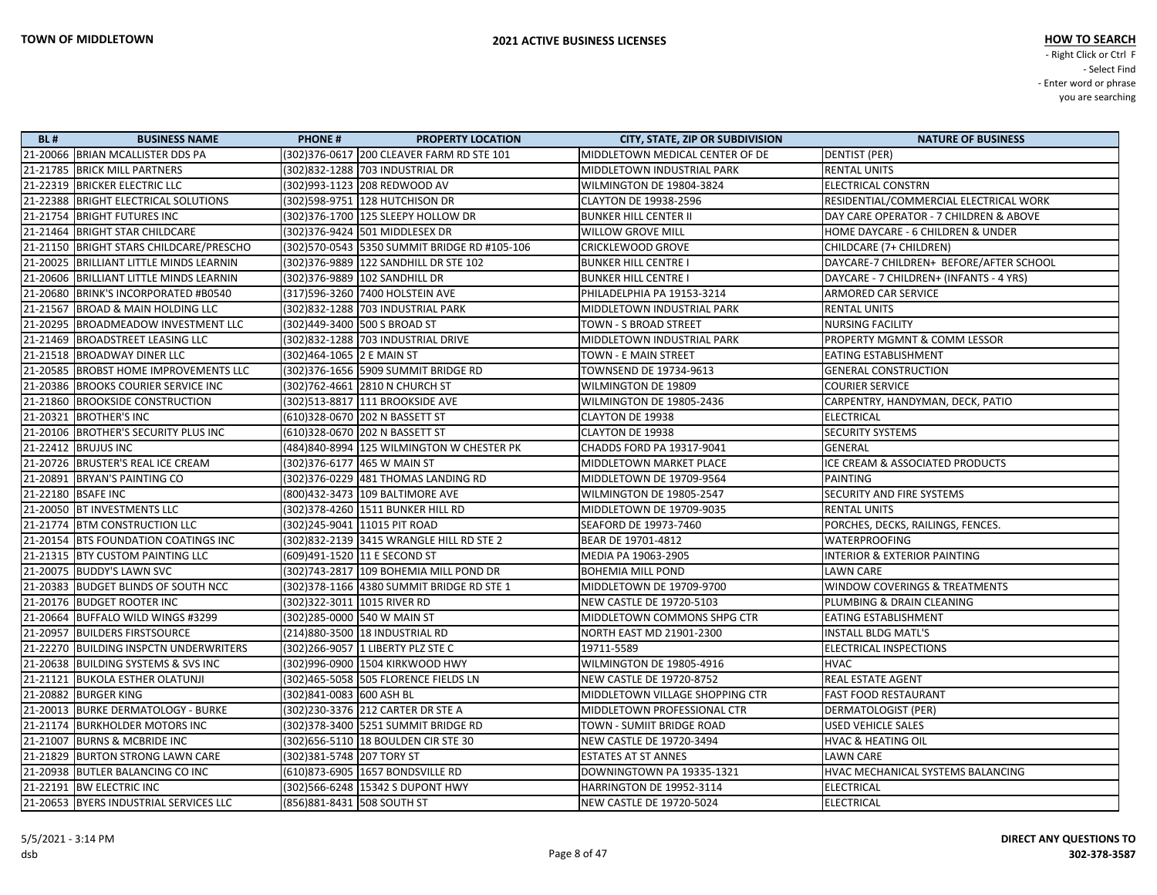| <b>BL#</b> | <b>BUSINESS NAME</b>                    | <b>PHONE#</b>               | <b>PROPERTY LOCATION</b>                  | <b>CITY, STATE, ZIP OR SUBDIVISION</b> | <b>NATURE OF BUSINESS</b>                |
|------------|-----------------------------------------|-----------------------------|-------------------------------------------|----------------------------------------|------------------------------------------|
|            | 21-20066 BRIAN MCALLISTER DDS PA        |                             | (302)376-0617 200 CLEAVER FARM RD STE 101 | MIDDLETOWN MEDICAL CENTER OF DE        | DENTIST (PER)                            |
|            | 21-21785 BRICK MILL PARTNERS            |                             | (302) 832-1288 703 INDUSTRIAL DR          | MIDDLETOWN INDUSTRIAL PARK             | <b>RENTAL UNITS</b>                      |
|            | 21-22319 BRICKER ELECTRIC LLC           |                             | (302)993-1123 208 REDWOOD AV              | WILMINGTON DE 19804-3824               | <b>ELECTRICAL CONSTRN</b>                |
|            | 21-22388 BRIGHT ELECTRICAL SOLUTIONS    |                             | (302)598-9751  128 HUTCHISON DR           | CLAYTON DE 19938-2596                  | RESIDENTIAL/COMMERCIAL ELECTRICAL WORK   |
|            | 21-21754 BRIGHT FUTURES INC             |                             | (302)376-1700 125 SLEEPY HOLLOW DR        | <b>BUNKER HILL CENTER II</b>           | DAY CARE OPERATOR - 7 CHILDREN & ABOVE   |
|            | 21-21464 BRIGHT STAR CHILDCARE          |                             | (302) 376-9424 501 MIDDLESEX DR           | WILLOW GROVE MILL                      | HOME DAYCARE - 6 CHILDREN & UNDER        |
|            | 21-21150 BRIGHT STARS CHILDCARE/PRESCHO |                             |                                           | CRICKLEWOOD GROVE                      | CHILDCARE (7+ CHILDREN)                  |
|            | 21-20025 BRILLIANT LITTLE MINDS LEARNIN |                             | (302) 376-9889   122 SANDHILL DR STE 102  | <b>BUNKER HILL CENTRE I</b>            | DAYCARE-7 CHILDREN+ BEFORE/AFTER SCHOOL  |
|            | 21-20606 BRILLIANT LITTLE MINDS LEARNIN |                             | (302)376-9889 102 SANDHILL DR             | <b>BUNKER HILL CENTRE I</b>            | DAYCARE - 7 CHILDREN+ (INFANTS - 4 YRS)  |
|            | 21-20680 BRINK'S INCORPORATED #B0540    |                             | (317)596-3260 7400 HOLSTEIN AVE           | PHILADELPHIA PA 19153-3214             | <b>ARMORED CAR SERVICE</b>               |
|            | 21-21567 BROAD & MAIN HOLDING LLC       |                             |                                           | MIDDLETOWN INDUSTRIAL PARK             | <b>RENTAL UNITS</b>                      |
|            | 21-20295 BROADMEADOW INVESTMENT LLC     |                             | (302)449-3400 500 S BROAD ST              | TOWN - S BROAD STREET                  | <b>NURSING FACILITY</b>                  |
|            | 21-21469 BROADSTREET LEASING LLC        |                             | (302)832-1288 703 INDUSTRIAL DRIVE        | MIDDLETOWN INDUSTRIAL PARK             | <b>PROPERTY MGMNT &amp; COMM LESSOR</b>  |
|            | 21-21518 BROADWAY DINER LLC             | (302)464-1065 2 E MAIN ST   |                                           | TOWN - E MAIN STREET                   | EATING ESTABLISHMENT                     |
|            | 21-20585 BROBST HOME IMPROVEMENTS LLC   |                             | (302) 376-1656 5909 SUMMIT BRIDGE RD      | TOWNSEND DE 19734-9613                 | <b>GENERAL CONSTRUCTION</b>              |
|            | 21-20386 BROOKS COURIER SERVICE INC     |                             | (302)762-4661  2810 N CHURCH ST           | WILMINGTON DE 19809                    | <b>COURIER SERVICE</b>                   |
|            | 21-21860 BROOKSIDE CONSTRUCTION         |                             | (302)513-8817 111 BROOKSIDE AVE           | WILMINGTON DE 19805-2436               | CARPENTRY, HANDYMAN, DECK, PATIO         |
|            | 21-20321 BROTHER'S INC                  |                             | (610)328-0670 202 N BASSETT ST            | CLAYTON DE 19938                       | <b>ELECTRICAL</b>                        |
|            | 21-20106 BROTHER'S SECURITY PLUS INC    |                             | (610)328-0670 202 N BASSETT ST            | CLAYTON DE 19938                       | <b>SECURITY SYSTEMS</b>                  |
|            | 21-22412 BRUJUS INC                     |                             | (484)840-8994 125 WILMINGTON W CHESTER PK | CHADDS FORD PA 19317-9041              | <b>GENERAL</b>                           |
|            | 21-20726 BRUSTER'S REAL ICE CREAM       |                             | (302)376-6177  465 W MAIN ST              | MIDDLETOWN MARKET PLACE                | ICE CREAM & ASSOCIATED PRODUCTS          |
|            | 21-20891 BRYAN'S PAINTING CO            |                             | (302)376-0229  481 THOMAS LANDING RD      | MIDDLETOWN DE 19709-9564               | <b>PAINTING</b>                          |
|            | 21-22180 BSAFE INC                      |                             | (800)432-3473 109 BALTIMORE AVE           | WILMINGTON DE 19805-2547               | SECURITY AND FIRE SYSTEMS                |
|            | 21-20050 BT INVESTMENTS LLC             |                             | (302) 378-4260 1511 BUNKER HILL RD        | MIDDLETOWN DE 19709-9035               | <b>RENTAL UNITS</b>                      |
|            | 21-21774 BTM CONSTRUCTION LLC           |                             | (302)245-9041 11015 PIT ROAD              | SEAFORD DE 19973-7460                  | PORCHES, DECKS, RAILINGS, FENCES.        |
|            | 21-20154 BTS FOUNDATION COATINGS INC    |                             |                                           | BEAR DE 19701-4812                     | <b>WATERPROOFING</b>                     |
|            | 21-21315 BTY CUSTOM PAINTING LLC        |                             | (609)491-1520 11 E SECOND ST              | MEDIA PA 19063-2905                    | <b>INTERIOR &amp; EXTERIOR PAINTING</b>  |
|            | 21-20075 BUDDY'S LAWN SVC               |                             | (302)743-2817 109 BOHEMIA MILL POND DR    | <b>BOHEMIA MILL POND</b>               | <b>LAWN CARE</b>                         |
|            | 21-20383 BUDGET BLINDS OF SOUTH NCC     |                             |                                           | MIDDLETOWN DE 19709-9700               | <b>WINDOW COVERINGS &amp; TREATMENTS</b> |
|            | 21-20176 BUDGET ROOTER INC              |                             | (302) 322-3011 1015 RIVER RD              | NEW CASTLE DE 19720-5103               | PLUMBING & DRAIN CLEANING                |
|            | 21-20664 BUFFALO WILD WINGS #3299       |                             | (302)285-0000 540 W MAIN ST               | MIDDLETOWN COMMONS SHPG CTR            | <b>EATING ESTABLISHMENT</b>              |
|            | 21-20957 BUILDERS FIRSTSOURCE           |                             | (214)880-3500 18 INDUSTRIAL RD            | NORTH EAST MD 21901-2300               | <b>INSTALL BLDG MATL'S</b>               |
|            | 21-22270 BUILDING INSPCTN UNDERWRITERS  |                             | (302)266-9057 1 LIBERTY PLZ STE C         | 19711-5589                             | ELECTRICAL INSPECTIONS                   |
|            | 21-20638 BUILDING SYSTEMS & SVS INC     |                             | (302)996-0900 1504 KIRKWOOD HWY           | WILMINGTON DE 19805-4916               | <b>HVAC</b>                              |
|            | 21-21121 BUKOLA ESTHER OLATUNJI         |                             | (302)465-5058 505 FLORENCE FIELDS LN      | <b>NEW CASTLE DE 19720-8752</b>        | <b>REAL ESTATE AGENT</b>                 |
|            | 21-20882 BURGER KING                    | (302)841-0083 600 ASH BL    |                                           | MIDDLETOWN VILLAGE SHOPPING CTR        | <b>FAST FOOD RESTAURANT</b>              |
|            | 21-20013 BURKE DERMATOLOGY - BURKE      |                             | (302)230-3376 212 CARTER DR STE A         | MIDDLETOWN PROFESSIONAL CTR            | DERMATOLOGIST (PER)                      |
|            | 21-21174 BURKHOLDER MOTORS INC          |                             |                                           | TOWN - SUMIIT BRIDGE ROAD              | <b>USED VEHICLE SALES</b>                |
|            | 21-21007 BURNS & MCBRIDE INC            |                             | (302) 656-5110 18 BOULDEN CIR STE 30      | NEW CASTLE DE 19720-3494               | <b>HVAC &amp; HEATING OIL</b>            |
|            | 21-21829 BURTON STRONG LAWN CARE        | (302)381-5748 207 TORY ST   |                                           | <b>ESTATES AT ST ANNES</b>             | <b>LAWN CARE</b>                         |
|            | 21-20938 BUTLER BALANCING CO INC        |                             | (610)873-6905 1657 BONDSVILLE RD          | DOWNINGTOWN PA 19335-1321              | HVAC MECHANICAL SYSTEMS BALANCING        |
|            | 21-22191 BW ELECTRIC INC                |                             | (302)566-6248 15342 S DUPONT HWY          | <b>HARRINGTON DE 19952-3114</b>        | ELECTRICAL                               |
|            | 21-20653 BYERS INDUSTRIAL SERVICES LLC  | (856) 881-8431 508 SOUTH ST |                                           | NEW CASTLE DE 19720-5024               | <b>ELECTRICAL</b>                        |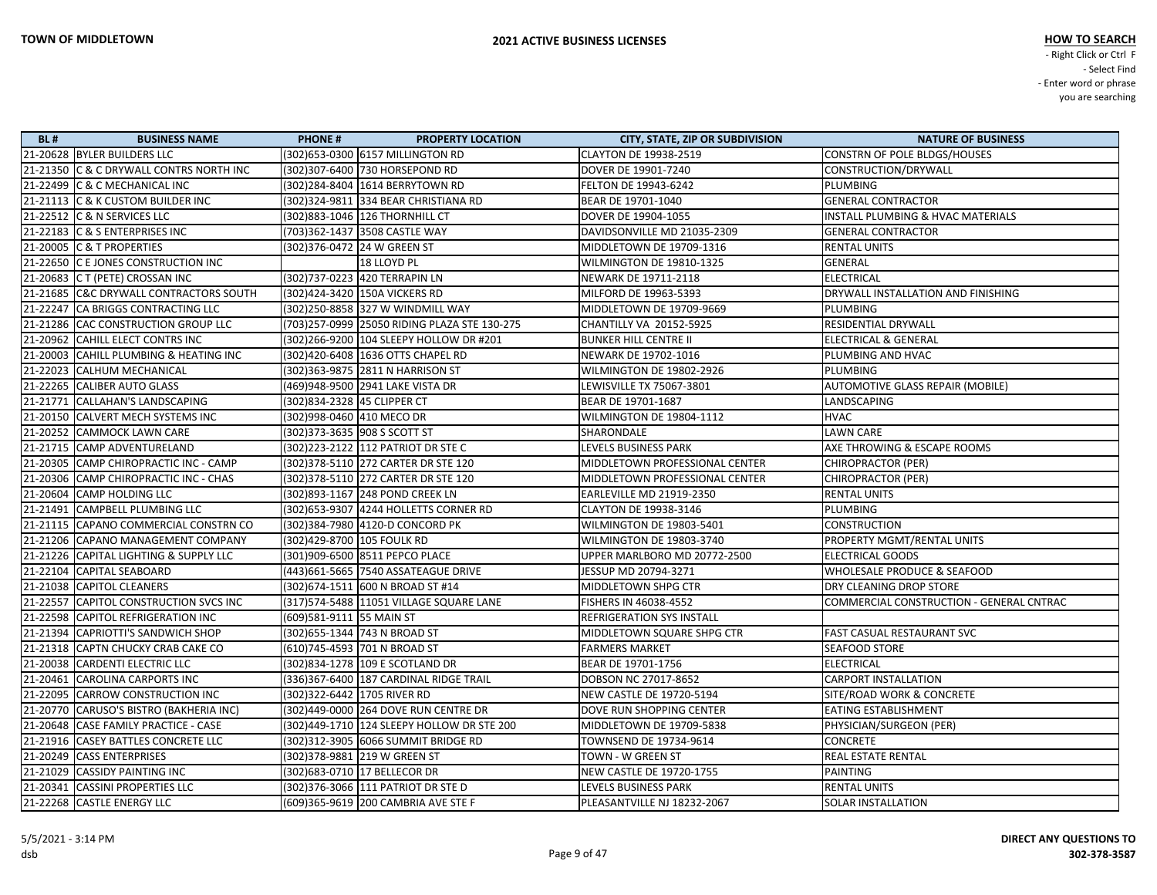| <b>BL#</b> | <b>BUSINESS NAME</b>                    | <b>PHONE#</b><br><b>PROPERTY LOCATION</b>    | <b>CITY, STATE, ZIP OR SUBDIVISION</b> | <b>NATURE OF BUSINESS</b>                |
|------------|-----------------------------------------|----------------------------------------------|----------------------------------------|------------------------------------------|
|            | 21-20628 BYLER BUILDERS LLC             | (302) 653-0300 6157 MILLINGTON RD            | <b>CLAYTON DE 19938-2519</b>           | <b>CONSTRN OF POLE BLDGS/HOUSES</b>      |
|            | 21-21350 C & C DRYWALL CONTRS NORTH INC | (302)307-6400 730 HORSEPOND RD               | DOVER DE 19901-7240                    | CONSTRUCTION/DRYWALL                     |
|            | 21-22499 C & C MECHANICAL INC           | (302)284-8404 1614 BERRYTOWN RD              | FELTON DE 19943-6242                   | PLUMBING                                 |
|            | 21-21113 C & K CUSTOM BUILDER INC       | (302) 324-9811 334 BEAR CHRISTIANA RD        | BEAR DE 19701-1040                     | <b>GENERAL CONTRACTOR</b>                |
|            | 21-22512 C & N SERVICES LLC             | (302) 883-1046 126 THORNHILL CT              | DOVER DE 19904-1055                    | INSTALL PLUMBING & HVAC MATERIALS        |
|            | 21-22183 C & S ENTERPRISES INC          | (703)362-1437 3508 CASTLE WAY                | DAVIDSONVILLE MD 21035-2309            | <b>GENERAL CONTRACTOR</b>                |
|            | 21-20005 C & T PROPERTIES               | (302) 376-0472 24 W GREEN ST                 | MIDDLETOWN DE 19709-1316               | <b>RENTAL UNITS</b>                      |
|            | 21-22650 C E JONES CONSTRUCTION INC     | 18 LLOYD PL                                  | WILMINGTON DE 19810-1325               | GENERAL                                  |
|            | 21-20683 C T (PETE) CROSSAN INC         | (302)737-0223 420 TERRAPIN LN                | NEWARK DE 19711-2118                   | <b>ELECTRICAL</b>                        |
|            | 21-21685 C&C DRYWALL CONTRACTORS SOUTH  | (302)424-3420 150A VICKERS RD                | MILFORD DE 19963-5393                  | DRYWALL INSTALLATION AND FINISHING       |
|            | 21-22247 CA BRIGGS CONTRACTING LLC      | (302)250-8858 327 W WINDMILL WAY             | MIDDLETOWN DE 19709-9669               | PLUMBING                                 |
|            | 21-21286 CAC CONSTRUCTION GROUP LLC     | (703)257-0999 25050 RIDING PLAZA STE 130-275 | CHANTILLY VA 20152-5925                | RESIDENTIAL DRYWALL                      |
|            | 21-20962 CAHILL ELECT CONTRS INC        | (302)266-9200 104 SLEEPY HOLLOW DR #201      | <b>BUNKER HILL CENTRE II</b>           | ELECTRICAL & GENERAL                     |
|            | 21-20003 CAHILL PLUMBING & HEATING INC  | (302)420-6408 1636 OTTS CHAPEL RD            | NEWARK DE 19702-1016                   | PLUMBING AND HVAC                        |
|            | 21-22023 CALHUM MECHANICAL              | (302) 363-9875 2811 N HARRISON ST            | WILMINGTON DE 19802-2926               | PLUMBING                                 |
|            | 21-22265 CALIBER AUTO GLASS             | (469)948-9500 2941 LAKE VISTA DR             | LEWISVILLE TX 75067-3801               | AUTOMOTIVE GLASS REPAIR (MOBILE)         |
|            | 21-21771 CALLAHAN'S LANDSCAPING         | (302) 834-2328 45 CLIPPER CT                 | BEAR DE 19701-1687                     | LANDSCAPING                              |
|            | 21-20150 CALVERT MECH SYSTEMS INC       | (302)998-0460 410 MECO DR                    | WILMINGTON DE 19804-1112               | <b>HVAC</b>                              |
|            | 21-20252 CAMMOCK LAWN CARE              | (302) 373-3635 908 S SCOTT ST                | SHARONDALE                             | <b>LAWN CARE</b>                         |
|            | 21-21715 CAMP ADVENTURELAND             | (302) 223-2122 112 PATRIOT DR STE C          | LEVELS BUSINESS PARK                   | AXE THROWING & ESCAPE ROOMS              |
|            | 21-20305 CAMP CHIROPRACTIC INC - CAMP   | (302) 378-5110 272 CARTER DR STE 120         | MIDDLETOWN PROFESSIONAL CENTER         | <b>CHIROPRACTOR (PER)</b>                |
|            | 21-20306 CAMP CHIROPRACTIC INC - CHAS   | (302) 378-5110 272 CARTER DR STE 120         | MIDDLETOWN PROFESSIONAL CENTER         | CHIROPRACTOR (PER)                       |
|            | 21-20604 CAMP HOLDING LLC               | (302) 893-1167 248 POND CREEK LN             | <b>EARLEVILLE MD 21919-2350</b>        | <b>RENTAL UNITS</b>                      |
|            | 21-21491 CAMPBELL PLUMBING LLC          | (302) 653-9307 4244 HOLLETTS CORNER RD       | CLAYTON DE 19938-3146                  | PLUMBING                                 |
|            | 21-21115 CAPANO COMMERCIAL CONSTRN CO   | (302)384-7980 4120-D CONCORD PK              | WILMINGTON DE 19803-5401               | <b>CONSTRUCTION</b>                      |
|            | 21-21206 CAPANO MANAGEMENT COMPANY      | (302)429-8700 105 FOULK RD                   | WILMINGTON DE 19803-3740               | PROPERTY MGMT/RENTAL UNITS               |
|            | 21-21226 CAPITAL LIGHTING & SUPPLY LLC  | (301)909-6500 8511 PEPCO PLACE               | UPPER MARLBORO MD 20772-2500           | <b>ELECTRICAL GOODS</b>                  |
|            | 21-22104 CAPITAL SEABOARD               | (443) 661-5665 7540 ASSATEAGUE DRIVE         | JESSUP MD 20794-3271                   | WHOLESALE PRODUCE & SEAFOOD              |
|            | 21-21038 CAPITOL CLEANERS               | (302) 674-1511 600 N BROAD ST #14            | MIDDLETOWN SHPG CTR                    | DRY CLEANING DROP STORE                  |
|            | 21-22557 CAPITOL CONSTRUCTION SVCS INC  | (317) 574-5488   11051 VILLAGE SQUARE LANE   | FISHERS IN 46038-4552                  | COMMERCIAL CONSTRUCTION - GENERAL CNTRAC |
|            | 21-22598 CAPITOL REFRIGERATION INC      | (609)581-9111 55 MAIN ST                     | <b>REFRIGERATION SYS INSTALL</b>       |                                          |
|            | 21-21394 CAPRIOTTI'S SANDWICH SHOP      | (302) 655-1344 743 N BROAD ST                | MIDDLETOWN SQUARE SHPG CTR             | <b>FAST CASUAL RESTAURANT SVC</b>        |
|            | 21-21318 CAPTN CHUCKY CRAB CAKE CO      | (610)745-4593 701 N BROAD ST                 | <b>FARMERS MARKET</b>                  | <b>SEAFOOD STORE</b>                     |
|            | 21-20038 CARDENTI ELECTRIC LLC          | (302)834-1278 109 E SCOTLAND DR              | BEAR DE 19701-1756                     | <b>ELECTRICAL</b>                        |
|            | 21-20461 CAROLINA CARPORTS INC          | (336) 367-6400 187 CARDINAL RIDGE TRAIL      | DOBSON NC 27017-8652                   | <b>CARPORT INSTALLATION</b>              |
|            | 21-22095 CARROW CONSTRUCTION INC        | (302) 322-6442 1705 RIVER RD                 | NEW CASTLE DE 19720-5194               | <b>SITE/ROAD WORK &amp; CONCRETE</b>     |
|            | 21-20770 CARUSO'S BISTRO (BAKHERIA INC) | (302)449-0000 264 DOVE RUN CENTRE DR         | DOVE RUN SHOPPING CENTER               | EATING ESTABLISHMENT                     |
|            | 21-20648 CASE FAMILY PRACTICE - CASE    | (302)449-1710 124 SLEEPY HOLLOW DR STE 200   | MIDDLETOWN DE 19709-5838               | PHYSICIAN/SURGEON (PER)                  |
|            | 21-21916 CASEY BATTLES CONCRETE LLC     | (302)312-3905 6066 SUMMIT BRIDGE RD          | TOWNSEND DE 19734-9614                 | <b>CONCRETE</b>                          |
|            | 21-20249 CASS ENTERPRISES               | (302) 378-9881 219 W GREEN ST                | <b>TOWN - W GREEN ST</b>               | <b>REAL ESTATE RENTAL</b>                |
|            | 21-21029 CASSIDY PAINTING INC           | (302)683-0710 17 BELLECOR DR                 | NEW CASTLE DE 19720-1755               | PAINTING                                 |
|            | 21-20341   CASSINI PROPERTIES LLC       | (302) 376-3066 111 PATRIOT DR STE D          | LEVELS BUSINESS PARK                   | <b>RENTAL UNITS</b>                      |
|            | 21-22268 CASTLE ENERGY LLC              | (609)365-9619 200 CAMBRIA AVE STE F          | PLEASANTVILLE NJ 18232-2067            | <b>SOLAR INSTALLATION</b>                |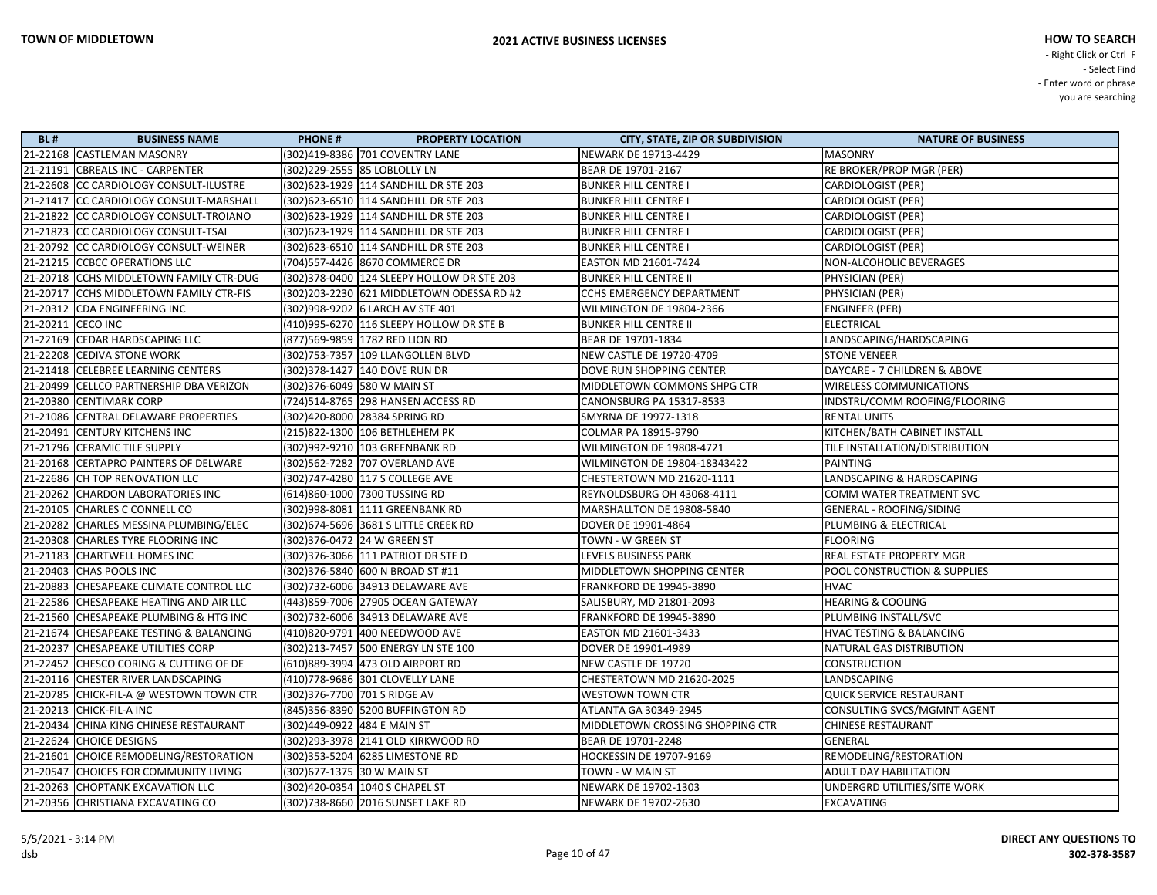| <b>BL#</b> | <b>BUSINESS NAME</b>                    | <b>PHONE#</b><br><b>PROPERTY LOCATION</b>  | <b>CITY, STATE, ZIP OR SUBDIVISION</b> | <b>NATURE OF BUSINESS</b>           |
|------------|-----------------------------------------|--------------------------------------------|----------------------------------------|-------------------------------------|
|            | 21-22168 CASTLEMAN MASONRY              | (302)419-8386 701 COVENTRY LANE            | NEWARK DE 19713-4429                   | <b>MASONRY</b>                      |
|            | 21-21191 CBREALS INC - CARPENTER        | (302)229-2555 85 LOBLOLLY LN               | BEAR DE 19701-2167                     | RE BROKER/PROP MGR (PER)            |
|            | 21-22608 CC CARDIOLOGY CONSULT-ILUSTRE  | (302)623-1929 114 SANDHILL DR STE 203      | <b>BUNKER HILL CENTRE I</b>            | <b>CARDIOLOGIST (PER)</b>           |
|            | 21-21417 CC CARDIOLOGY CONSULT-MARSHALL | (302)623-6510 114 SANDHILL DR STE 203      | <b>BUNKER HILL CENTRE I</b>            | <b>CARDIOLOGIST (PER)</b>           |
|            | 21-21822 CC CARDIOLOGY CONSULT-TROIANO  | (302)623-1929 114 SANDHILL DR STE 203      | <b>BUNKER HILL CENTRE I</b>            | CARDIOLOGIST (PER)                  |
|            | 21-21823 CC CARDIOLOGY CONSULT-TSAI     | (302) 623-1929 114 SANDHILL DR STE 203     | <b>BUNKER HILL CENTRE I</b>            | CARDIOLOGIST (PER)                  |
|            | 21-20792 CC CARDIOLOGY CONSULT-WEINER   | (302) 623-6510 114 SANDHILL DR STE 203     | <b>BUNKER HILL CENTRE I</b>            | <b>CARDIOLOGIST (PER)</b>           |
|            | 21-21215 CCBCC OPERATIONS LLC           | (704)557-4426 8670 COMMERCE DR             | <b>EASTON MD 21601-7424</b>            | NON-ALCOHOLIC BEVERAGES             |
|            | 21-20718 CCHS MIDDLETOWN FAMILY CTR-DUG | (302)378-0400 124 SLEEPY HOLLOW DR STE 203 | <b>BUNKER HILL CENTRE II</b>           | PHYSICIAN (PER)                     |
|            | 21-20717 CCHS MIDDLETOWN FAMILY CTR-FIS | (302)203-2230 621 MIDDLETOWN ODESSA RD #2  | <b>CCHS EMERGENCY DEPARTMENT</b>       | PHYSICIAN (PER)                     |
|            | 21-20312 CDA ENGINEERING INC            | (302)998-9202 6 LARCH AV STE 401           | WILMINGTON DE 19804-2366               | <b>ENGINEER (PER)</b>               |
|            | 21-20211 CECO INC                       | (410)995-6270 116 SLEEPY HOLLOW DR STE B   | <b>BUNKER HILL CENTRE II</b>           | <b>ELECTRICAL</b>                   |
|            | 21-22169 CEDAR HARDSCAPING LLC          | (877)569-9859 1782 RED LION RD             | BEAR DE 19701-1834                     | LANDSCAPING/HARDSCAPING             |
|            | 21-22208 CEDIVA STONE WORK              | (302)753-7357 109 LLANGOLLEN BLVD          | NEW CASTLE DE 19720-4709               | <b>STONE VENEER</b>                 |
|            | 21-21418 CELEBREE LEARNING CENTERS      | (302) 378-1427 140 DOVE RUN DR             | DOVE RUN SHOPPING CENTER               | DAYCARE - 7 CHILDREN & ABOVE        |
|            | 21-20499 CELLCO PARTNERSHIP DBA VERIZON | (302)376-6049 580 W MAIN ST                | MIDDLETOWN COMMONS SHPG CTR            | <b>WIRELESS COMMUNICATIONS</b>      |
|            | 21-20380 CENTIMARK CORP                 | (724)514-8765 298 HANSEN ACCESS RD         | CANONSBURG PA 15317-8533               | INDSTRL/COMM ROOFING/FLOORING       |
|            | 21-21086 CENTRAL DELAWARE PROPERTIES    | (302)420-8000 28384 SPRING RD              | SMYRNA DE 19977-1318                   | <b>RENTAL UNITS</b>                 |
|            | 21-20491 CENTURY KITCHENS INC           | (215)822-1300 106 BETHLEHEM PK             | COLMAR PA 18915-9790                   | KITCHEN/BATH CABINET INSTALL        |
|            | 21-21796 CERAMIC TILE SUPPLY            | (302)992-9210 103 GREENBANK RD             | WILMINGTON DE 19808-4721               | TILE INSTALLATION/DISTRIBUTION      |
|            | 21-20168 CERTAPRO PAINTERS OF DELWARE   | (302)562-7282 707 OVERLAND AVE             | <b>WILMINGTON DE 19804-18343422</b>    | <b>PAINTING</b>                     |
|            | 21-22686 CH TOP RENOVATION LLC          | (302)747-4280 117 S COLLEGE AVE            | CHESTERTOWN MD 21620-1111              | LANDSCAPING & HARDSCAPING           |
|            | 21-20262 CHARDON LABORATORIES INC       | (614)860-1000 7300 TUSSING RD              | REYNOLDSBURG OH 43068-4111             | COMM WATER TREATMENT SVC            |
|            | 21-20105 CHARLES C CONNELL CO           | (302)998-8081 1111 GREENBANK RD            | MARSHALLTON DE 19808-5840              | GENERAL - ROOFING/SIDING            |
|            | 21-20282 CHARLES MESSINA PLUMBING/ELEC  | (302) 674-5696 3681 S LITTLE CREEK RD      | DOVER DE 19901-4864                    | PLUMBING & ELECTRICAL               |
|            | 21-20308 CHARLES TYRE FLOORING INC      | (302)376-0472 24 W GREEN ST                | TOWN - W GREEN ST                      | <b>FLOORING</b>                     |
|            | 21-21183 CHARTWELL HOMES INC            | (302) 376-3066 111 PATRIOT DR STE D        | LEVELS BUSINESS PARK                   | REAL ESTATE PROPERTY MGR            |
|            | 21-20403 CHAS POOLS INC                 | (302)376-5840 600 N BROAD ST #11           | MIDDLETOWN SHOPPING CENTER             | POOL CONSTRUCTION & SUPPLIES        |
|            | 21-20883 CHESAPEAKE CLIMATE CONTROL LLC | (302)732-6006 34913 DELAWARE AVE           | FRANKFORD DE 19945-3890                | <b>HVAC</b>                         |
|            | 21-22586 CHESAPEAKE HEATING AND AIR LLC | (443)859-7006 27905 OCEAN GATEWAY          | SALISBURY, MD 21801-2093               | <b>HEARING &amp; COOLING</b>        |
|            | 21-21560 CHESAPEAKE PLUMBING & HTG INC  | (302)732-6006 34913 DELAWARE AVE           | FRANKFORD DE 19945-3890                | PLUMBING INSTALL/SVC                |
|            | 21-21674 CHESAPEAKE TESTING & BALANCING | (410)820-9791 400 NEEDWOOD AVE             | <b>EASTON MD 21601-3433</b>            | <b>HVAC TESTING &amp; BALANCING</b> |
|            | 21-20237 CHESAPEAKE UTILITIES CORP      | (302)213-7457 500 ENERGY LN STE 100        | DOVER DE 19901-4989                    | NATURAL GAS DISTRIBUTION            |
|            | 21-22452 CHESCO CORING & CUTTING OF DE  | (610)889-3994 473 OLD AIRPORT RD           | NEW CASTLE DE 19720                    | <b>CONSTRUCTION</b>                 |
|            | 21-20116 CHESTER RIVER LANDSCAPING      | (410)778-9686 301 CLOVELLY LANE            | CHESTERTOWN MD 21620-2025              | LANDSCAPING                         |
|            | 21-20785 CHICK-FIL-A @ WESTOWN TOWN CTR | (302) 376-7700 701 S RIDGE AV              | <b>WESTOWN TOWN CTR</b>                | <b>QUICK SERVICE RESTAURANT</b>     |
|            | 21-20213 CHICK-FIL-A INC                | (845)356-8390 5200 BUFFINGTON RD           | ATLANTA GA 30349-2945                  | CONSULTING SVCS/MGMNT AGENT         |
|            | 21-20434 CHINA KING CHINESE RESTAURANT  | (302)449-0922 484 E MAIN ST                | MIDDLETOWN CROSSING SHOPPING CTR       | <b>CHINESE RESTAURANT</b>           |
|            | 21-22624 CHOICE DESIGNS                 | (302)293-3978 2141 OLD KIRKWOOD RD         | BEAR DE 19701-2248                     | <b>GENERAL</b>                      |
|            | 21-21601 CHOICE REMODELING/RESTORATION  | (302)353-5204 6285 LIMESTONE RD            | HOCKESSIN DE 19707-9169                | REMODELING/RESTORATION              |
|            | 21-20547 CHOICES FOR COMMUNITY LIVING   | (302) 677-1375 30 W MAIN ST                | TOWN - W MAIN ST                       | ADULT DAY HABILITATION              |
|            | 21-20263 CHOPTANK EXCAVATION LLC        | (302)420-0354 1040 S CHAPEL ST             | NEWARK DE 19702-1303                   | UNDERGRD UTILITIES/SITE WORK        |
|            | 21-20356 CHRISTIANA EXCAVATING CO       | (302)738-8660 2016 SUNSET LAKE RD          | NEWARK DE 19702-2630                   | <b>EXCAVATING</b>                   |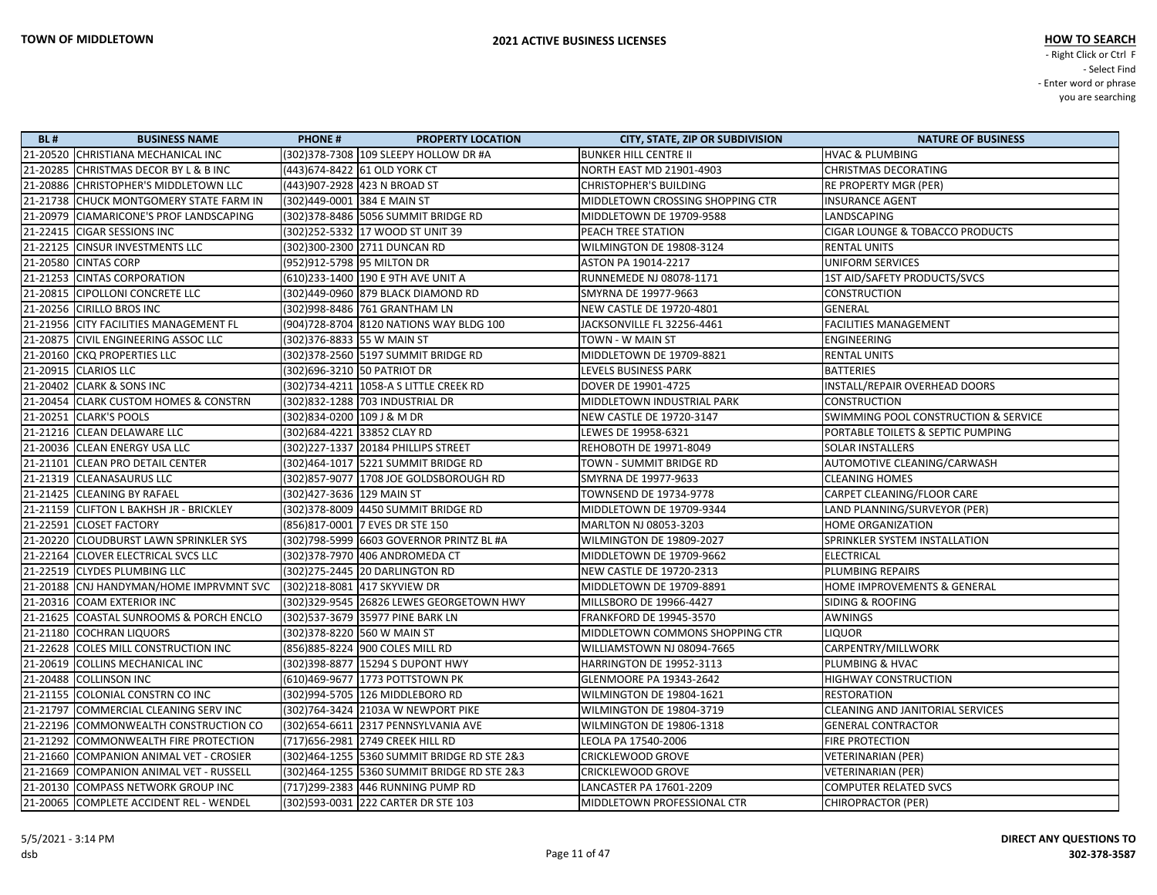| <b>BL#</b> | <b>BUSINESS NAME</b>                    | <b>PHONE#</b><br><b>PROPERTY LOCATION</b>   | <b>CITY, STATE, ZIP OR SUBDIVISION</b> | <b>NATURE OF BUSINESS</b>                  |
|------------|-----------------------------------------|---------------------------------------------|----------------------------------------|--------------------------------------------|
|            | 21-20520 CHRISTIANA MECHANICAL INC      | (302) 378-7308 109 SLEEPY HOLLOW DR #A      | <b>BUNKER HILL CENTRE II</b>           | <b>HVAC &amp; PLUMBING</b>                 |
|            | 21-20285 CHRISTMAS DECOR BY L & B INC   | (443) 674-8422 61 OLD YORK CT               | <b>NORTH EAST MD 21901-4903</b>        | <b>CHRISTMAS DECORATING</b>                |
|            | 21-20886 CHRISTOPHER'S MIDDLETOWN LLC   | (443)907-2928 423 N BROAD ST                | <b>CHRISTOPHER'S BUILDING</b>          | RE PROPERTY MGR (PER)                      |
|            | 21-21738 CHUCK MONTGOMERY STATE FARM IN | (302)449-0001 384 E MAIN ST                 | MIDDLETOWN CROSSING SHOPPING CTR       | <b>INSURANCE AGENT</b>                     |
|            | 21-20979 CIAMARICONE'S PROF LANDSCAPING | (302) 378-8486 5056 SUMMIT BRIDGE RD        | MIDDLETOWN DE 19709-9588               | LANDSCAPING                                |
|            | 21-22415 CIGAR SESSIONS INC             | (302) 252-5332 17 WOOD ST UNIT 39           | <b>PEACH TREE STATION</b>              | <b>CIGAR LOUNGE &amp; TOBACCO PRODUCTS</b> |
|            | 21-22125 CINSUR INVESTMENTS LLC         | (302)300-2300 2711 DUNCAN RD                | WILMINGTON DE 19808-3124               | <b>RENTAL UNITS</b>                        |
|            | 21-20580 CINTAS CORP                    | (952)912-5798 95 MILTON DR                  | <b>ASTON PA 19014-2217</b>             | <b>UNIFORM SERVICES</b>                    |
|            | 21-21253 CINTAS CORPORATION             | (610)233-1400 190 E 9TH AVE UNIT A          | <b>RUNNEMEDE NJ 08078-1171</b>         | 1ST AID/SAFETY PRODUCTS/SVCS               |
|            | 21-20815 CIPOLLONI CONCRETE LLC         | (302)449-0960 879 BLACK DIAMOND RD          | SMYRNA DE 19977-9663                   | <b>CONSTRUCTION</b>                        |
|            | 21-20256 CIRILLO BROS INC               | (302)998-8486 761 GRANTHAM LN               | NEW CASTLE DE 19720-4801               | <b>GENERAL</b>                             |
|            | 21-21956 CITY FACILITIES MANAGEMENT FL  | (904)728-8704 8120 NATIONS WAY BLDG 100     | JACKSONVILLE FL 32256-4461             | <b>FACILITIES MANAGEMENT</b>               |
|            | 21-20875 CIVIL ENGINEERING ASSOC LLC    | (302)376-8833 55 W MAIN ST                  | TOWN - W MAIN ST                       | ENGINEERING                                |
|            | 21-20160 CKQ PROPERTIES LLC             | (302)378-2560 5197 SUMMIT BRIDGE RD         | MIDDLETOWN DE 19709-8821               | <b>RENTAL UNITS</b>                        |
|            | 21-20915 CLARIOS LLC                    | (302)696-3210 50 PATRIOT DR                 | LEVELS BUSINESS PARK                   | <b>BATTERIES</b>                           |
|            | 21-20402 CLARK & SONS INC               | (302)734-4211   1058-A S LITTLE CREEK RD    | DOVER DE 19901-4725                    | INSTALL/REPAIR OVERHEAD DOORS              |
|            | 21-20454 CLARK CUSTOM HOMES & CONSTRN   | (302)832-1288 703 INDUSTRIAL DR             | MIDDLETOWN INDUSTRIAL PARK             | <b>CONSTRUCTION</b>                        |
|            | 21-20251 CLARK'S POOLS                  | (302)834-0200 109 J & M DR                  | NEW CASTLE DE 19720-3147               | SWIMMING POOL CONSTRUCTION & SERVICE       |
|            | 21-21216 CLEAN DELAWARE LLC             | (302)684-4221 33852 CLAY RD                 | LEWES DE 19958-6321                    | PORTABLE TOILETS & SEPTIC PUMPING          |
|            | 21-20036 CLEAN ENERGY USA LLC           | (302) 227-1337 20184 PHILLIPS STREET        | REHOBOTH DE 19971-8049                 | SOLAR INSTALLERS                           |
|            | 21-21101 CLEAN PRO DETAIL CENTER        | (302)464-1017 5221 SUMMIT BRIDGE RD         | TOWN - SUMMIT BRIDGE RD                | AUTOMOTIVE CLEANING/CARWASH                |
|            | 21-21319 CLEANASAURUS LLC               | (302)857-9077   1708 JOE GOLDSBOROUGH RD    | SMYRNA DE 19977-9633                   | <b>CLEANING HOMES</b>                      |
|            | 21-21425 CLEANING BY RAFAEL             | (302)427-3636 129 MAIN ST                   | TOWNSEND DE 19734-9778                 | CARPET CLEANING/FLOOR CARE                 |
|            | 21-21159 CLIFTON L BAKHSH JR - BRICKLEY | (302) 378-8009 4450 SUMMIT BRIDGE RD        | MIDDLETOWN DE 19709-9344               | LAND PLANNING/SURVEYOR (PER)               |
|            | 21-22591 CLOSET FACTORY                 | (856) 817-0001 7 EVES DR STE 150            | MARLTON NJ 08053-3203                  | HOME ORGANIZATION                          |
|            | 21-20220 CLOUDBURST LAWN SPRINKLER SYS  | (302)798-5999 6603 GOVERNOR PRINTZ BL #A    | WILMINGTON DE 19809-2027               | SPRINKLER SYSTEM INSTALLATION              |
|            | 21-22164 CLOVER ELECTRICAL SVCS LLC     | (302) 378-7970 406 ANDROMEDA CT             | MIDDLETOWN DE 19709-9662               | <b>ELECTRICAL</b>                          |
|            | 21-22519 CLYDES PLUMBING LLC            | (302) 275-2445 20 DARLINGTON RD             | <b>NEW CASTLE DE 19720-2313</b>        | PLUMBING REPAIRS                           |
|            | 21-20188 CNJ HANDYMAN/HOME IMPRVMNT SVC | (302)218-8081 417 SKYVIEW DR                | MIDDLETOWN DE 19709-8891               | HOME IMPROVEMENTS & GENERAL                |
|            | 21-20316 COAM EXTERIOR INC              | (302) 329-9545 26826 LEWES GEORGETOWN HWY   | MILLSBORO DE 19966-4427                | SIDING & ROOFING                           |
|            | 21-21625 COASTAL SUNROOMS & PORCH ENCLO | (302)537-3679 35977 PINE BARK LN            | FRANKFORD DE 19945-3570                | <b>AWNINGS</b>                             |
|            | 21-21180 COCHRAN LIQUORS                | (302) 378-8220 560 W MAIN ST                | MIDDLETOWN COMMONS SHOPPING CTR        | <b>LIQUOR</b>                              |
|            | 21-22628 COLES MILL CONSTRUCTION INC    | (856) 885-8224 900 COLES MILL RD            | WILLIAMSTOWN NJ 08094-7665             | CARPENTRY/MILLWORK                         |
|            | 21-20619 COLLINS MECHANICAL INC         | (302) 398-8877 15294 S DUPONT HWY           | HARRINGTON DE 19952-3113               | PLUMBING & HVAC                            |
|            | 21-20488 COLLINSON INC                  | (610)469-9677 1773 POTTSTOWN PK             | GLENMOORE PA 19343-2642                | <b>HIGHWAY CONSTRUCTION</b>                |
|            | 21-21155 COLONIAL CONSTRN CO INC        | (302)994-5705 126 MIDDLEBORO RD             | WILMINGTON DE 19804-1621               | <b>RESTORATION</b>                         |
|            | 21-21797 COMMERCIAL CLEANING SERV INC   | (302)764-3424 2103A W NEWPORT PIKE          | WILMINGTON DE 19804-3719               | CLEANING AND JANITORIAL SERVICES           |
|            | 21-22196 COMMONWEALTH CONSTRUCTION CO   | (302)654-6611 2317 PENNSYLVANIA AVE         | WILMINGTON DE 19806-1318               | <b>GENERAL CONTRACTOR</b>                  |
|            | 21-21292 COMMONWEALTH FIRE PROTECTION   | (717)656-2981  2749 CREEK HILL RD           | LEOLA PA 17540-2006                    | <b>FIRE PROTECTION</b>                     |
|            | 21-21660 COMPANION ANIMAL VET - CROSIER | (302)464-1255 5360 SUMMIT BRIDGE RD STE 2&3 | CRICKLEWOOD GROVE                      | <b>VETERINARIAN (PER)</b>                  |
|            | 21-21669 COMPANION ANIMAL VET - RUSSELL | (302)464-1255 5360 SUMMIT BRIDGE RD STE 2&3 | <b>CRICKLEWOOD GROVE</b>               | <b>VETERINARIAN (PER)</b>                  |
|            | 21-20130 COMPASS NETWORK GROUP INC      |                                             | LANCASTER PA 17601-2209                | <b>COMPUTER RELATED SVCS</b>               |
|            | 21-20065 COMPLETE ACCIDENT REL - WENDEL | (302)593-0031 222 CARTER DR STE 103         | MIDDLETOWN PROFESSIONAL CTR            | CHIROPRACTOR (PER)                         |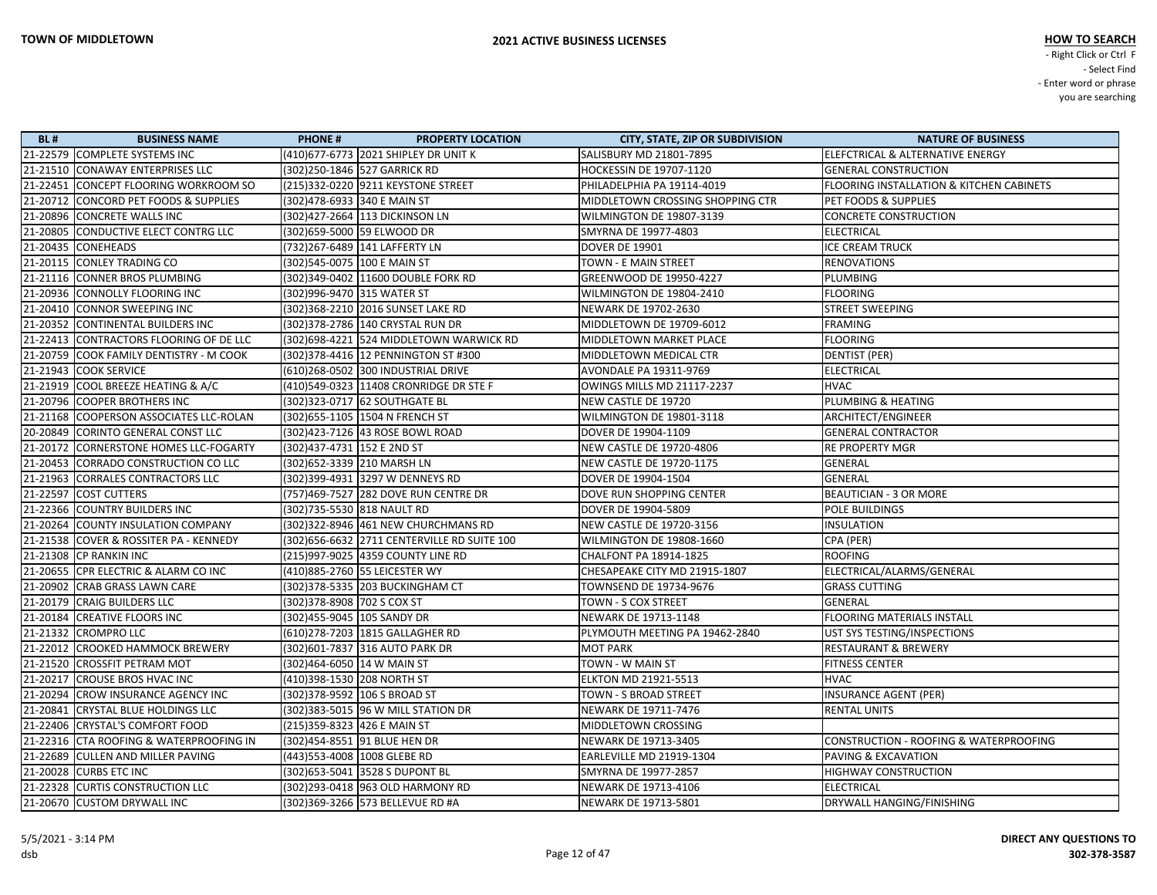| <b>BL#</b> | <b>BUSINESS NAME</b>                    | <b>PHONE#</b>                 | <b>PROPERTY LOCATION</b>                     | <b>CITY, STATE, ZIP OR SUBDIVISION</b> | <b>NATURE OF BUSINESS</b>                           |
|------------|-----------------------------------------|-------------------------------|----------------------------------------------|----------------------------------------|-----------------------------------------------------|
|            | 21-22579 COMPLETE SYSTEMS INC           |                               | (410) 677-6773 2021 SHIPLEY DR UNIT K        | SALISBURY MD 21801-7895                | ELEFCTRICAL & ALTERNATIVE ENERGY                    |
|            | 21-21510 CONAWAY ENTERPRISES LLC        |                               | (302) 250-1846 527 GARRICK RD                | HOCKESSIN DE 19707-1120                | <b>GENERAL CONSTRUCTION</b>                         |
|            | 21-22451 CONCEPT FLOORING WORKROOM SO   |                               | (215)332-0220  9211 KEYSTONE STREET          | PHILADELPHIA PA 19114-4019             | <b>FLOORING INSTALLATION &amp; KITCHEN CABINETS</b> |
|            | 21-20712 CONCORD PET FOODS & SUPPLIES   | (302)478-6933 340 E MAIN ST   |                                              | MIDDLETOWN CROSSING SHOPPING CTR       | PET FOODS & SUPPLIES                                |
|            | 21-20896 CONCRETE WALLS INC             |                               | (302)427-2664 113 DICKINSON LN               | WILMINGTON DE 19807-3139               | <b>CONCRETE CONSTRUCTION</b>                        |
|            | 21-20805 CONDUCTIVE ELECT CONTRG LLC    |                               | (302)659-5000 59 ELWOOD DR                   | SMYRNA DE 19977-4803                   | <b>ELECTRICAL</b>                                   |
|            | 21-20435 CONEHEADS                      |                               | (732)267-6489 141 LAFFERTY LN                | <b>DOVER DE 19901</b>                  | <b>ICE CREAM TRUCK</b>                              |
|            | 21-20115 CONLEY TRADING CO              | (302)545-0075   100 E MAIN ST |                                              | <b>TOWN - E MAIN STREET</b>            | <b>RENOVATIONS</b>                                  |
|            | 21-21116 CONNER BROS PLUMBING           |                               | (302)349-0402 11600 DOUBLE FORK RD           | <b>GREENWOOD DE 19950-4227</b>         | <b>PLUMBING</b>                                     |
|            | 21-20936 CONNOLLY FLOORING INC          | (302)996-9470 315 WATER ST    |                                              | WILMINGTON DE 19804-2410               | <b>FLOORING</b>                                     |
|            | 21-20410 CONNOR SWEEPING INC            |                               | (302)368-2210 2016 SUNSET LAKE RD            | NEWARK DE 19702-2630                   | <b>STREET SWEEPING</b>                              |
|            | 21-20352 CONTINENTAL BUILDERS INC       |                               | (302) 378-2786 140 CRYSTAL RUN DR            | MIDDLETOWN DE 19709-6012               | <b>FRAMING</b>                                      |
|            | 21-22413 CONTRACTORS FLOORING OF DE LLC |                               | (302) 698-4221 524 MIDDLETOWN WARWICK RD     | MIDDLETOWN MARKET PLACE                | <b>FLOORING</b>                                     |
|            | 21-20759 COOK FAMILY DENTISTRY - M COOK |                               | (302) 378-4416 12 PENNINGTON ST #300         | MIDDLETOWN MEDICAL CTR                 | <b>DENTIST (PER)</b>                                |
|            | 21-21943 COOK SERVICE                   |                               | (610)268-0502 300 INDUSTRIAL DRIVE           | AVONDALE PA 19311-9769                 | <b>ELECTRICAL</b>                                   |
|            | 21-21919 COOL BREEZE HEATING & A/C      |                               | (410)549-0323 11408 CRONRIDGE DR STE F       | OWINGS MILLS MD 21117-2237             | <b>HVAC</b>                                         |
|            | 21-20796 COOPER BROTHERS INC            |                               | (302) 323-0717 62 SOUTHGATE BL               | NEW CASTLE DE 19720                    | PLUMBING & HEATING                                  |
|            | 21-21168 COOPERSON ASSOCIATES LLC-ROLAN |                               | (302) 655-1105 1504 N FRENCH ST              | WILMINGTON DE 19801-3118               | ARCHITECT/ENGINEER                                  |
|            | 20-20849 CORINTO GENERAL CONST LLC      |                               | (302)423-7126 43 ROSE BOWL ROAD              | DOVER DE 19904-1109                    | <b>GENERAL CONTRACTOR</b>                           |
|            | 21-20172 CORNERSTONE HOMES LLC-FOGARTY  | (302)437-4731   152 E 2ND ST  |                                              | <b>NEW CASTLE DE 19720-4806</b>        | <b>RE PROPERTY MGR</b>                              |
|            | 21-20453 CORRADO CONSTRUCTION CO LLC    |                               | (302) 652-3339 210 MARSH LN                  | <b>NEW CASTLE DE 19720-1175</b>        | GENERAL                                             |
|            | 21-21963 CORRALES CONTRACTORS LLC       |                               | (302)399-4931 3297 W DENNEYS RD              | DOVER DE 19904-1504                    | GENERAL                                             |
|            | 21-22597 COST CUTTERS                   |                               | (757)469-7527 282 DOVE RUN CENTRE DR         | DOVE RUN SHOPPING CENTER               | <b>BEAUTICIAN - 3 OR MORE</b>                       |
|            | 21-22366 COUNTRY BUILDERS INC           | (302)735-5530 818 NAULT RD    |                                              | DOVER DE 19904-5809                    | POLE BUILDINGS                                      |
|            | 21-20264 COUNTY INSULATION COMPANY      |                               | (302)322-8946 461 NEW CHURCHMANS RD          | <b>NEW CASTLE DE 19720-3156</b>        | <b>INSULATION</b>                                   |
|            | 21-21538 COVER & ROSSITER PA - KENNEDY  |                               | (302) 656-6632 2711 CENTERVILLE RD SUITE 100 | WILMINGTON DE 19808-1660               | CPA (PER)                                           |
|            | 21-21308 CP RANKIN INC                  |                               | (215)997-9025 4359 COUNTY LINE RD            | CHALFONT PA 18914-1825                 | <b>ROOFING</b>                                      |
|            | 21-20655 CPR ELECTRIC & ALARM CO INC    |                               | (410)885-2760 55 LEICESTER WY                | CHESAPEAKE CITY MD 21915-1807          | ELECTRICAL/ALARMS/GENERAL                           |
|            | 21-20902 CRAB GRASS LAWN CARE           |                               | (302) 378-5335 203 BUCKINGHAM CT             | TOWNSEND DE 19734-9676                 | <b>GRASS CUTTING</b>                                |
|            | 21-20179 CRAIG BUILDERS LLC             | (302) 378-8908 702 S COX ST   |                                              | TOWN - S COX STREET                    | GENERAL                                             |
|            | 21-20184 CREATIVE FLOORS INC            | (302)455-9045 105 SANDY DR    |                                              | NEWARK DE 19713-1148                   | <b>FLOORING MATERIALS INSTALL</b>                   |
|            | 21-21332 CROMPRO LLC                    |                               | (610)278-7203 1815 GALLAGHER RD              | PLYMOUTH MEETING PA 19462-2840         | UST SYS TESTING/INSPECTIONS                         |
|            | 21-22012 CROOKED HAMMOCK BREWERY        |                               | (302) 601-7837 316 AUTO PARK DR              | <b>MOT PARK</b>                        | <b>RESTAURANT &amp; BREWERY</b>                     |
|            | 21-21520 CROSSFIT PETRAM MOT            | (302)464-6050 14 W MAIN ST    |                                              | TOWN - W MAIN ST                       | <b>FITNESS CENTER</b>                               |
|            | 21-20217 CROUSE BROS HVAC INC           | (410)398-1530 208 NORTH ST    |                                              | <b>ELKTON MD 21921-5513</b>            | <b>HVAC</b>                                         |
|            | 21-20294 CROW INSURANCE AGENCY INC      |                               | (302) 378-9592 106 S BROAD ST                | TOWN - S BROAD STREET                  | <b>INSURANCE AGENT (PER)</b>                        |
|            | 21-20841 CRYSTAL BLUE HOLDINGS LLC      |                               | (302) 383-5015 96 W MILL STATION DR          | NEWARK DE 19711-7476                   | <b>RENTAL UNITS</b>                                 |
|            | 21-22406 CRYSTAL'S COMFORT FOOD         | (215) 359-8323 426 E MAIN ST  |                                              | MIDDLETOWN CROSSING                    |                                                     |
|            | 21-22316 CTA ROOFING & WATERPROOFING IN |                               | (302)454-8551 91 BLUE HEN DR                 | NEWARK DE 19713-3405                   | CONSTRUCTION - ROOFING & WATERPROOFING              |
|            | 21-22689 CULLEN AND MILLER PAVING       |                               | (443) 553-4008 1008 GLEBE RD                 | EARLEVILLE MD 21919-1304               | <b>PAVING &amp; EXCAVATION</b>                      |
|            | 21-20028 CURBS ETC INC                  |                               | (302) 653-5041 3528 S DUPONT BL              | SMYRNA DE 19977-2857                   | <b>HIGHWAY CONSTRUCTION</b>                         |
|            | 21-22328 CURTIS CONSTRUCTION LLC        |                               | (302)293-0418 963 OLD HARMONY RD             | NEWARK DE 19713-4106                   | <b>ELECTRICAL</b>                                   |
|            | 21-20670 CUSTOM DRYWALL INC             |                               | (302) 369-3266 573 BELLEVUE RD #A            | NEWARK DE 19713-5801                   | DRYWALL HANGING/FINISHING                           |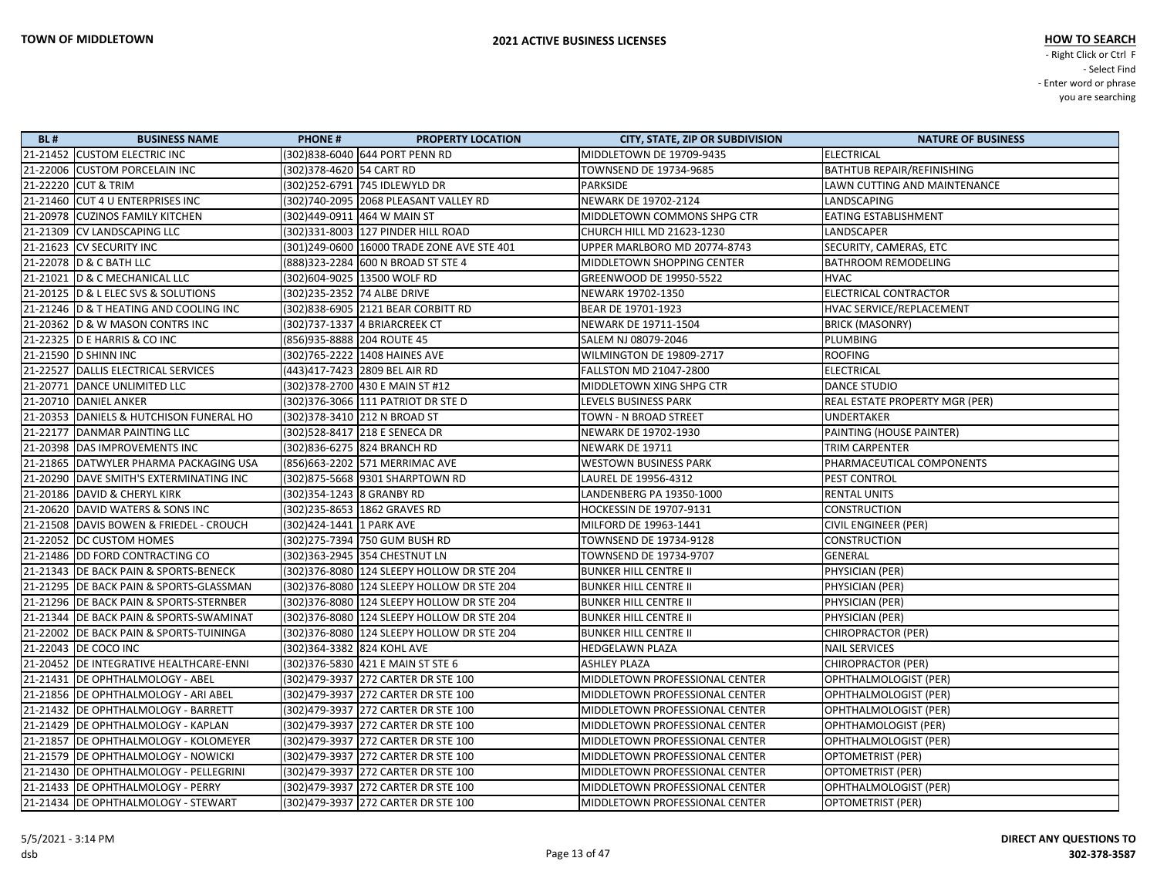| <b>BL#</b> | <b>BUSINESS NAME</b>                      | <b>PHONE#</b>               | <b>PROPERTY LOCATION</b>                    | <b>CITY, STATE, ZIP OR SUBDIVISION</b> | <b>NATURE OF BUSINESS</b>         |
|------------|-------------------------------------------|-----------------------------|---------------------------------------------|----------------------------------------|-----------------------------------|
|            | 21-21452 CUSTOM ELECTRIC INC              |                             | (302)838-6040 644 PORT PENN RD              | MIDDLETOWN DE 19709-9435               | <b>ELECTRICAL</b>                 |
|            | 21-22006 CUSTOM PORCELAIN INC             | (302) 378-4620 54 CART RD   |                                             | TOWNSEND DE 19734-9685                 | <b>BATHTUB REPAIR/REFINISHING</b> |
|            | 21-22220 CUT & TRIM                       |                             | (302)252-6791 745 IDLEWYLD DR               | <b>PARKSIDE</b>                        | LAWN CUTTING AND MAINTENANCE      |
|            | 21-21460 CUT 4 U ENTERPRISES INC          |                             | (302)740-2095 2068 PLEASANT VALLEY RD       | NEWARK DE 19702-2124                   | LANDSCAPING                       |
|            | 21-20978 CUZINOS FAMILY KITCHEN           |                             | (302)449-0911 464 W MAIN ST                 | MIDDLETOWN COMMONS SHPG CTR            | EATING ESTABLISHMENT              |
|            | 21-21309 CV LANDSCAPING LLC               |                             | (302)331-8003   127 PINDER HILL ROAD        | CHURCH HILL MD 21623-1230              | LANDSCAPER                        |
|            | 21-21623 CV SECURITY INC                  |                             | (301)249-0600 16000 TRADE ZONE AVE STE 401  | UPPER MARLBORO MD 20774-8743           | SECURITY, CAMERAS, ETC            |
|            | 21-22078 D & C BATH LLC                   |                             | (888) 323-2284 600 N BROAD ST STE 4         | MIDDLETOWN SHOPPING CENTER             | <b>BATHROOM REMODELING</b>        |
|            | 21-21021 D & C MECHANICAL LLC             |                             | (302)604-9025 13500 WOLF RD                 | GREENWOOD DE 19950-5522                | <b>HVAC</b>                       |
|            | 21-20125  D & L ELEC SVS & SOLUTIONS      | (302)235-2352 74 ALBE DRIVE |                                             | NEWARK 19702-1350                      | ELECTRICAL CONTRACTOR             |
|            | 21-21246 D & T HEATING AND COOLING INC    |                             | (302) 838-6905 2121 BEAR CORBITT RD         | BEAR DE 19701-1923                     | HVAC SERVICE/REPLACEMENT          |
|            | 21-20362 D & W MASON CONTRS INC           |                             | (302)737-1337 4 BRIARCREEK CT               | NEWARK DE 19711-1504                   | <b>BRICK (MASONRY)</b>            |
|            | 21-22325 D E HARRIS & CO INC              | (856) 935-8888 204 ROUTE 45 |                                             | SALEM NJ 08079-2046                    | PLUMBING                          |
|            | 21-21590 D SHINN INC                      |                             | (302)765-2222 1408 HAINES AVE               | WILMINGTON DE 19809-2717               | <b>ROOFING</b>                    |
|            | 21-22527 DALLIS ELECTRICAL SERVICES       |                             | (443)417-7423 2809 BEL AIR RD               | <b>FALLSTON MD 21047-2800</b>          | <b>ELECTRICAL</b>                 |
|            | 21-20771 DANCE UNLIMITED LLC              |                             | (302) 378-2700 430 E MAIN ST #12            | MIDDLETOWN XING SHPG CTR               | <b>DANCE STUDIO</b>               |
|            | 21-20710 DANIEL ANKER                     |                             | (302) 376-3066 111 PATRIOT DR STE D         | LEVELS BUSINESS PARK                   | REAL ESTATE PROPERTY MGR (PER)    |
|            | 21-20353 DANIELS & HUTCHISON FUNERAL HO   |                             | (302) 378-3410 212 N BROAD ST               | TOWN - N BROAD STREET                  | <b>UNDERTAKER</b>                 |
|            | 21-22177 DANMAR PAINTING LLC              |                             | (302)528-8417 218 E SENECA DR               | NEWARK DE 19702-1930                   | PAINTING (HOUSE PAINTER)          |
|            | 21-20398   DAS IMPROVEMENTS INC           |                             | (302)836-6275 824 BRANCH RD                 | NEWARK DE 19711                        | TRIM CARPENTER                    |
|            | 21-21865 DATWYLER PHARMA PACKAGING USA    |                             | (856) 663-2202 571 MERRIMAC AVE             | <b>WESTOWN BUSINESS PARK</b>           | PHARMACEUTICAL COMPONENTS         |
|            | 21-20290 DAVE SMITH'S EXTERMINATING INC   |                             | (302)875-5668 9301 SHARPTOWN RD             | LAUREL DE 19956-4312                   | PEST CONTROL                      |
|            | 21-20186 DAVID & CHERYL KIRK              | (302) 354-1243 8 GRANBY RD  |                                             | LANDENBERG PA 19350-1000               | <b>RENTAL UNITS</b>               |
|            | 21-20620 DAVID WATERS & SONS INC          |                             | (302)235-8653 1862 GRAVES RD                | HOCKESSIN DE 19707-9131                | <b>CONSTRUCTION</b>               |
|            | 21-21508 DAVIS BOWEN & FRIEDEL - CROUCH   | (302)424-1441 1 PARK AVE    |                                             | MILFORD DE 19963-1441                  | <b>CIVIL ENGINEER (PER)</b>       |
|            | 21-22052   DC CUSTOM HOMES                |                             | (302)275-7394 750 GUM BUSH RD               | TOWNSEND DE 19734-9128                 | <b>CONSTRUCTION</b>               |
|            | 21-21486   DD FORD CONTRACTING CO         |                             | (302)363-2945 354 CHESTNUT LN               | TOWNSEND DE 19734-9707                 | GENERAL                           |
|            | 21-21343 DE BACK PAIN & SPORTS-BENECK     |                             | (302) 376-8080 124 SLEEPY HOLLOW DR STE 204 | <b>BUNKER HILL CENTRE II</b>           | PHYSICIAN (PER)                   |
|            | 21-21295 DE BACK PAIN & SPORTS-GLASSMAN   |                             | (302) 376-8080 124 SLEEPY HOLLOW DR STE 204 | <b>BUNKER HILL CENTRE II</b>           | PHYSICIAN (PER)                   |
|            | 21-21296   DE BACK PAIN & SPORTS-STERNBER |                             | (302) 376-8080 124 SLEEPY HOLLOW DR STE 204 | <b>BUNKER HILL CENTRE II</b>           | PHYSICIAN (PER)                   |
|            | 21-21344   DE BACK PAIN & SPORTS-SWAMINAT |                             | (302)376-8080 124 SLEEPY HOLLOW DR STE 204  | <b>BUNKER HILL CENTRE II</b>           | PHYSICIAN (PER)                   |
|            | 21-22002 DE BACK PAIN & SPORTS-TUININGA   |                             | (302) 376-8080 124 SLEEPY HOLLOW DR STE 204 | <b>BUNKER HILL CENTRE II</b>           | CHIROPRACTOR (PER)                |
|            | 21-22043   DE COCO INC                    | (302) 364-3382 824 KOHL AVE |                                             | <b>HEDGELAWN PLAZA</b>                 | <b>NAIL SERVICES</b>              |
|            | 21-20452 DE INTEGRATIVE HEALTHCARE-ENNI   |                             | (302) 376-5830 421 E MAIN ST STE 6          | <b>ASHLEY PLAZA</b>                    | CHIROPRACTOR (PER)                |
|            | 21-21431   DE OPHTHALMOLOGY - ABEL        |                             | (302)479-3937 272 CARTER DR STE 100         | MIDDLETOWN PROFESSIONAL CENTER         | OPHTHALMOLOGIST (PER)             |
|            | 21-21856   DE OPHTHALMOLOGY - ARI ABEL    |                             | (302) 479-3937 272 CARTER DR STE 100        | MIDDLETOWN PROFESSIONAL CENTER         | OPHTHALMOLOGIST (PER)             |
|            | 21-21432   DE OPHTHALMOLOGY - BARRETT     |                             | (302) 479-3937 272 CARTER DR STE 100        | MIDDLETOWN PROFESSIONAL CENTER         | OPHTHALMOLOGIST (PER)             |
|            | 21-21429 DE OPHTHALMOLOGY - KAPLAN        |                             | (302) 479-3937 272 CARTER DR STE 100        | MIDDLETOWN PROFESSIONAL CENTER         | OPHTHAMOLOGIST (PER)              |
|            | 21-21857 DE OPHTHALMOLOGY - KOLOMEYER     |                             | (302)479-3937 272 CARTER DR STE 100         | MIDDLETOWN PROFESSIONAL CENTER         | OPHTHALMOLOGIST (PER)             |
|            | 21-21579   DE OPHTHALMOLOGY - NOWICKI     |                             | (302)479-3937 272 CARTER DR STE 100         | MIDDLETOWN PROFESSIONAL CENTER         | <b>OPTOMETRIST (PER)</b>          |
|            | 21-21430   DE OPHTHALMOLOGY - PELLEGRINI  |                             | (302) 479-3937 272 CARTER DR STE 100        | MIDDLETOWN PROFESSIONAL CENTER         | OPTOMETRIST (PER)                 |
|            | 21-21433   DE OPHTHALMOLOGY - PERRY       |                             | (302) 479-3937 272 CARTER DR STE 100        | MIDDLETOWN PROFESSIONAL CENTER         | OPHTHALMOLOGIST (PER)             |
|            | 21-21434   DE OPHTHALMOLOGY - STEWART     |                             | (302) 479-3937 272 CARTER DR STE 100        | MIDDLETOWN PROFESSIONAL CENTER         | OPTOMETRIST (PER)                 |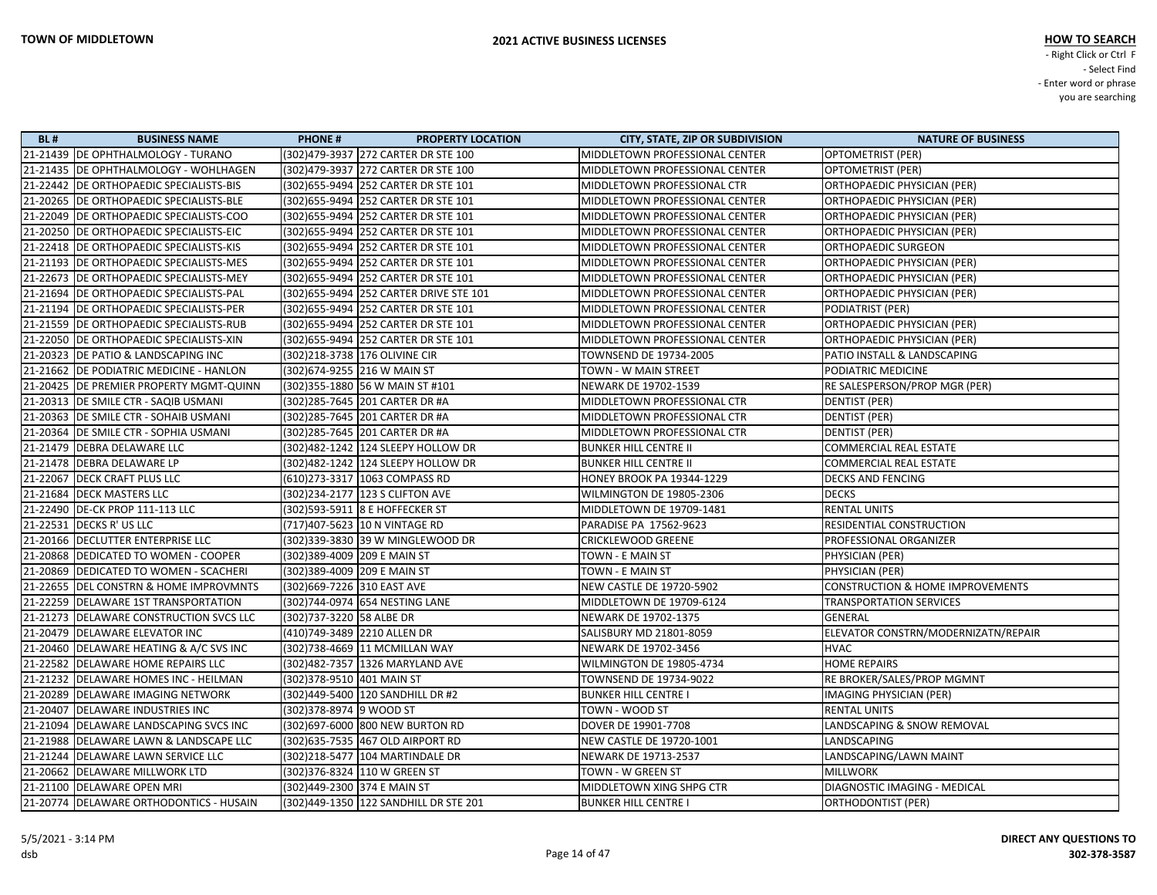| <b>BL#</b> | <b>BUSINESS NAME</b>                      | <b>PHONE#</b>                     | <b>PROPERTY LOCATION</b>                | <b>CITY, STATE, ZIP OR SUBDIVISION</b> | <b>NATURE OF BUSINESS</b>                   |
|------------|-------------------------------------------|-----------------------------------|-----------------------------------------|----------------------------------------|---------------------------------------------|
|            | 21-21439 DE OPHTHALMOLOGY - TURANO        |                                   | (302)479-3937 272 CARTER DR STE 100     | MIDDLETOWN PROFESSIONAL CENTER         | <b>OPTOMETRIST (PER)</b>                    |
|            | 21-21435 DE OPHTHALMOLOGY - WOHLHAGEN     |                                   | (302)479-3937 272 CARTER DR STE 100     | MIDDLETOWN PROFESSIONAL CENTER         | <b>OPTOMETRIST (PER)</b>                    |
|            | 21-22442   DE ORTHOPAEDIC SPECIALISTS-BIS |                                   | (302) 655-9494 252 CARTER DR STE 101    | MIDDLETOWN PROFESSIONAL CTR            | ORTHOPAEDIC PHYSICIAN (PER)                 |
|            | 21-20265   DE ORTHOPAEDIC SPECIALISTS-BLE |                                   | (302) 655-9494 252 CARTER DR STE 101    | MIDDLETOWN PROFESSIONAL CENTER         | ORTHOPAEDIC PHYSICIAN (PER)                 |
|            | 21-22049 DE ORTHOPAEDIC SPECIALISTS-COO   |                                   | (302) 655-9494 252 CARTER DR STE 101    | MIDDLETOWN PROFESSIONAL CENTER         | ORTHOPAEDIC PHYSICIAN (PER)                 |
|            | 21-20250 DE ORTHOPAEDIC SPECIALISTS-EIC   |                                   | (302) 655-9494 252 CARTER DR STE 101    | MIDDLETOWN PROFESSIONAL CENTER         | ORTHOPAEDIC PHYSICIAN (PER)                 |
|            | 21-22418   DE ORTHOPAEDIC SPECIALISTS-KIS |                                   | (302) 655-9494 252 CARTER DR STE 101    | MIDDLETOWN PROFESSIONAL CENTER         | ORTHOPAEDIC SURGEON                         |
|            | 21-21193 DE ORTHOPAEDIC SPECIALISTS-MES   |                                   | (302) 655-9494 252 CARTER DR STE 101    | MIDDLETOWN PROFESSIONAL CENTER         | ORTHOPAEDIC PHYSICIAN (PER)                 |
|            | 21-22673 DE ORTHOPAEDIC SPECIALISTS-MEY   |                                   | (302) 655-9494 252 CARTER DR STE 101    | MIDDLETOWN PROFESSIONAL CENTER         | ORTHOPAEDIC PHYSICIAN (PER)                 |
|            | 21-21694   DE ORTHOPAEDIC SPECIALISTS-PAL |                                   | (302) 655-9494 252 CARTER DRIVE STE 101 | MIDDLETOWN PROFESSIONAL CENTER         | ORTHOPAEDIC PHYSICIAN (PER)                 |
|            | 21-21194   DE ORTHOPAEDIC SPECIALISTS-PER |                                   | (302) 655-9494 252 CARTER DR STE 101    | MIDDLETOWN PROFESSIONAL CENTER         | PODIATRIST (PER)                            |
|            | 21-21559 DE ORTHOPAEDIC SPECIALISTS-RUB   |                                   | (302) 655-9494 252 CARTER DR STE 101    | MIDDLETOWN PROFESSIONAL CENTER         | ORTHOPAEDIC PHYSICIAN (PER)                 |
|            | 21-22050   DE ORTHOPAEDIC SPECIALISTS-XIN |                                   | (302) 655-9494 252 CARTER DR STE 101    | MIDDLETOWN PROFESSIONAL CENTER         | ORTHOPAEDIC PHYSICIAN (PER)                 |
|            | 21-20323 DE PATIO & LANDSCAPING INC       | (302)218-3738 176 OLIVINE CIR     |                                         | <b>TOWNSEND DE 19734-2005</b>          | PATIO INSTALL & LANDSCAPING                 |
|            | 21-21662 DE PODIATRIC MEDICINE - HANLON   | (302) 674-9255 216 W MAIN ST      |                                         | TOWN - W MAIN STREET                   | PODIATRIC MEDICINE                          |
|            | 21-20425 DE PREMIER PROPERTY MGMT-QUINN   | (302) 355-1880 56 W MAIN ST #101  |                                         | NEWARK DE 19702-1539                   | RE SALESPERSON/PROP MGR (PER)               |
|            | 21-20313 DE SMILE CTR - SAQIB USMANI      | (302) 285-7645 201 CARTER DR #A   |                                         | MIDDLETOWN PROFESSIONAL CTR            | <b>DENTIST (PER)</b>                        |
|            | 21-20363 DE SMILE CTR - SOHAIB USMANI     | (302) 285-7645 201 CARTER DR #A   |                                         | MIDDLETOWN PROFESSIONAL CTR            | <b>DENTIST (PER)</b>                        |
|            | 21-20364 DE SMILE CTR - SOPHIA USMANI     | (302) 285-7645 201 CARTER DR #A   |                                         | MIDDLETOWN PROFESSIONAL CTR            | <b>DENTIST (PER)</b>                        |
|            | 21-21479   DEBRA DELAWARE LLC             |                                   | (302)482-1242 124 SLEEPY HOLLOW DR      | <b>BUNKER HILL CENTRE II</b>           | <b>COMMERCIAL REAL ESTATE</b>               |
|            | 21-21478 DEBRA DELAWARE LP                |                                   | (302)482-1242 124 SLEEPY HOLLOW DR      | <b>BUNKER HILL CENTRE II</b>           | COMMERCIAL REAL ESTATE                      |
|            | 21-22067   DECK CRAFT PLUS LLC            | (610)273-3317 1063 COMPASS RD     |                                         | <b>HONEY BROOK PA 19344-1229</b>       | <b>DECKS AND FENCING</b>                    |
|            | 21-21684 DECK MASTERS LLC                 | (302)234-2177  123 S CLIFTON AVE  |                                         | WILMINGTON DE 19805-2306               | <b>DECKS</b>                                |
|            | 21-22490 DE-CK PROP 111-113 LLC           | (302) 593-5911 8 E HOFFECKER ST   |                                         | MIDDLETOWN DE 19709-1481               | <b>RENTAL UNITS</b>                         |
|            | 21-22531   DECKS R' US LLC                | (717)407-5623 10 N VINTAGE RD     |                                         | PARADISE PA 17562-9623                 | RESIDENTIAL CONSTRUCTION                    |
|            | 21-20166   DECLUTTER ENTERPRISE LLC       |                                   | (302)339-3830 39 W MINGLEWOOD DR        | <b>CRICKLEWOOD GREENE</b>              | PROFESSIONAL ORGANIZER                      |
|            | 21-20868 DEDICATED TO WOMEN - COOPER      | (302)389-4009 209 E MAIN ST       |                                         | TOWN - E MAIN ST                       | PHYSICIAN (PER)                             |
|            | 21-20869 DEDICATED TO WOMEN - SCACHERI    | (302)389-4009 209 E MAIN ST       |                                         | TOWN - E MAIN ST                       | PHYSICIAN (PER)                             |
|            | 21-22655 DEL CONSTRN & HOME IMPROVMNTS    | (302)669-7226 310 EAST AVE        |                                         | NEW CASTLE DE 19720-5902               | <b>CONSTRUCTION &amp; HOME IMPROVEMENTS</b> |
|            | 21-22259 DELAWARE 1ST TRANSPORTATION      | (302)744-0974 654 NESTING LANE    |                                         | MIDDLETOWN DE 19709-6124               | <b>TRANSPORTATION SERVICES</b>              |
|            | 21-21273 DELAWARE CONSTRUCTION SVCS LLC   | (302)737-3220 58 ALBE DR          |                                         | NEWARK DE 19702-1375                   | GENERAL                                     |
|            | 21-20479 DELAWARE ELEVATOR INC            | (410)749-3489 2210 ALLEN DR       |                                         | SALISBURY MD 21801-8059                | ELEVATOR CONSTRN/MODERNIZATN/REPAIR         |
|            | 21-20460 DELAWARE HEATING & A/C SVS INC   | (302)738-4669 11 MCMILLAN WAY     |                                         | NEWARK DE 19702-3456                   | <b>HVAC</b>                                 |
|            | 21-22582 DELAWARE HOME REPAIRS LLC        | (302)482-7357 1326 MARYLAND AVE   |                                         | WILMINGTON DE 19805-4734               | <b>HOME REPAIRS</b>                         |
|            | 21-21232   DELAWARE HOMES INC - HEILMAN   | (302) 378-9510 401 MAIN ST        |                                         | <b>TOWNSEND DE 19734-9022</b>          | RE BROKER/SALES/PROP MGMNT                  |
|            | 21-20289   DELAWARE IMAGING NETWORK       | (302)449-5400 120 SANDHILL DR #2  |                                         | BUNKER HILL CENTRE I                   | <b>IMAGING PHYSICIAN (PER)</b>              |
|            | 21-20407 DELAWARE INDUSTRIES INC          | (302) 378-8974 9 WOOD ST          |                                         | TOWN - WOOD ST                         | <b>RENTAL UNITS</b>                         |
|            | 21-21094 DELAWARE LANDSCAPING SVCS INC    | (302) 697-6000 800 NEW BURTON RD  |                                         | DOVER DE 19901-7708                    | LANDSCAPING & SNOW REMOVAL                  |
|            | 21-21988   DELAWARE LAWN & LANDSCAPE LLC  | (302) 635-7535 467 OLD AIRPORT RD |                                         | NEW CASTLE DE 19720-1001               | <b>LANDSCAPING</b>                          |
|            | 21-21244 DELAWARE LAWN SERVICE LLC        | (302)218-5477  104 MARTINDALE DR  |                                         | NEWARK DE 19713-2537                   | LANDSCAPING/LAWN MAINT                      |
|            | 21-20662 DELAWARE MILLWORK LTD            | (302)376-8324 110 W GREEN ST      |                                         | TOWN - W GREEN ST                      | MILLWORK                                    |
|            | 21-21100 DELAWARE OPEN MRI                | (302)449-2300 374 E MAIN ST       |                                         | MIDDLETOWN XING SHPG CTR               | DIAGNOSTIC IMAGING - MEDICAL                |
|            | 21-20774   DELAWARE ORTHODONTICS - HUSAIN |                                   | (302)449-1350 122 SANDHILL DR STE 201   | <b>BUNKER HILL CENTRE I</b>            | ORTHODONTIST (PER)                          |
|            |                                           |                                   |                                         |                                        |                                             |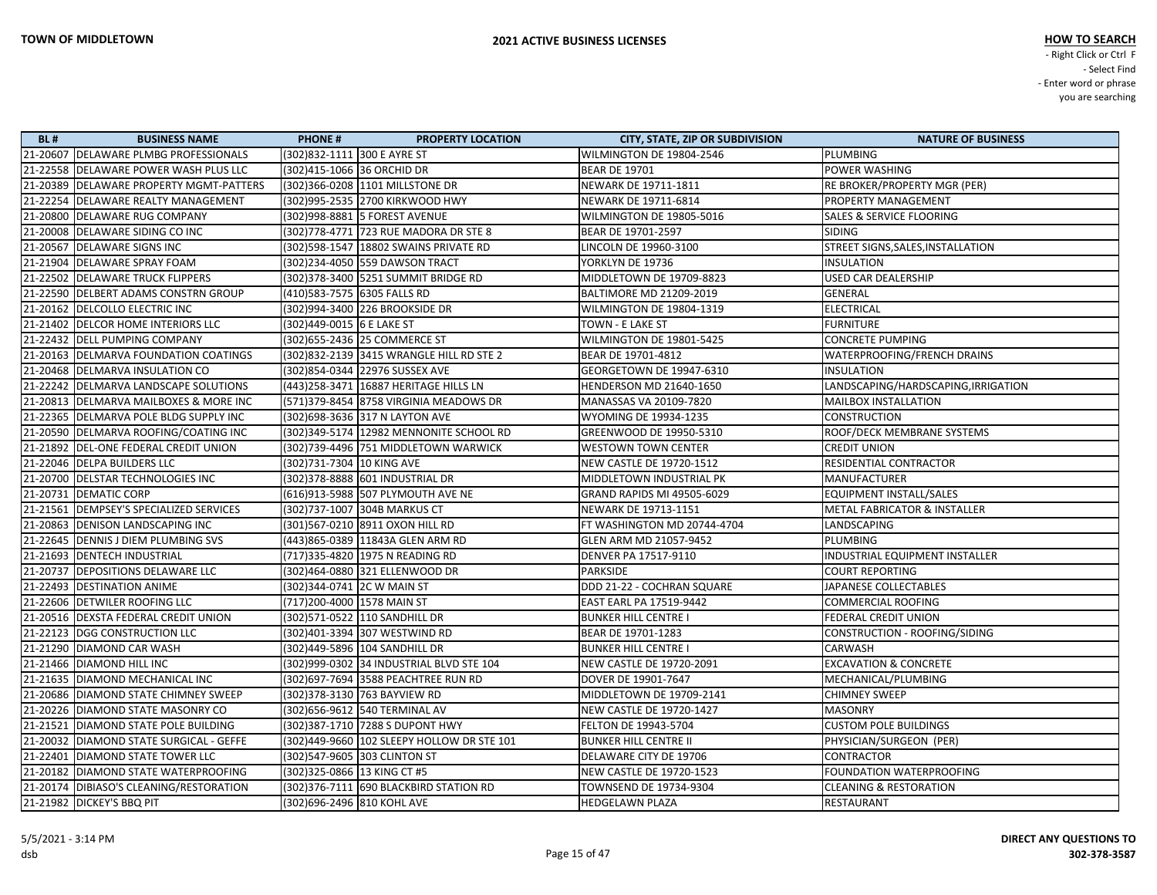| <b>BL#</b> | <b>BUSINESS NAME</b>                      | <b>PHONE#</b>                 | <b>PROPERTY LOCATION</b>                   | <b>CITY, STATE, ZIP OR SUBDIVISION</b> | <b>NATURE OF BUSINESS</b>               |
|------------|-------------------------------------------|-------------------------------|--------------------------------------------|----------------------------------------|-----------------------------------------|
|            | 21-20607 DELAWARE PLMBG PROFESSIONALS     | (302)832-1111 300 E AYRE ST   |                                            | WILMINGTON DE 19804-2546               | <b>PLUMBING</b>                         |
|            | 21-22558 DELAWARE POWER WASH PLUS LLC     | (302)415-1066 36 ORCHID DR    |                                            | <b>BEAR DE 19701</b>                   | POWER WASHING                           |
|            | 21-20389   DELAWARE PROPERTY MGMT-PATTERS |                               | (302)366-0208 1101 MILLSTONE DR            | NEWARK DE 19711-1811                   | RE BROKER/PROPERTY MGR (PER)            |
|            | 21-22254 DELAWARE REALTY MANAGEMENT       |                               | (302)995-2535 2700 KIRKWOOD HWY            | NEWARK DE 19711-6814                   | PROPERTY MANAGEMENT                     |
|            | 21-20800 DELAWARE RUG COMPANY             |                               | (302)998-8881 5 FOREST AVENUE              | WILMINGTON DE 19805-5016               | <b>SALES &amp; SERVICE FLOORING</b>     |
|            | 21-20008 DELAWARE SIDING CO INC           |                               | (302)778-4771 723 RUE MADORA DR STE 8      | BEAR DE 19701-2597                     | <b>SIDING</b>                           |
|            | 21-20567 DELAWARE SIGNS INC               |                               | (302)598-1547   18802 SWAINS PRIVATE RD    | LINCOLN DE 19960-3100                  | STREET SIGNS, SALES, INSTALLATION       |
|            | 21-21904 DELAWARE SPRAY FOAM              |                               | (302)234-4050 559 DAWSON TRACT             | YORKLYN DE 19736                       | <b>INSULATION</b>                       |
|            | 21-22502 DELAWARE TRUCK FLIPPERS          |                               | (302) 378-3400 5251 SUMMIT BRIDGE RD       | MIDDLETOWN DE 19709-8823               | <b>USED CAR DEALERSHIP</b>              |
|            | 21-22590 DELBERT ADAMS CONSTRN GROUP      | (410)583-7575 6305 FALLS RD   |                                            | BALTIMORE MD 21209-2019                | <b>GENERAL</b>                          |
|            | 21-20162 DELCOLLO ELECTRIC INC            |                               | (302)994-3400 226 BROOKSIDE DR             | WILMINGTON DE 19804-1319               | <b>ELECTRICAL</b>                       |
|            | 21-21402 DELCOR HOME INTERIORS LLC        | (302)449-0015 6 E LAKE ST     |                                            | TOWN - E LAKE ST                       | <b>FURNITURE</b>                        |
|            | 21-22432 DELL PUMPING COMPANY             |                               | (302) 655-2436 25 COMMERCE ST              | WILMINGTON DE 19801-5425               | <b>CONCRETE PUMPING</b>                 |
|            | 21-20163 DELMARVA FOUNDATION COATINGS     |                               | (302)832-2139 3415 WRANGLE HILL RD STE 2   | BEAR DE 19701-4812                     | WATERPROOFING/FRENCH DRAINS             |
|            | 21-20468   DELMARVA INSULATION CO         |                               | (302)854-0344 22976 SUSSEX AVE             | GEORGETOWN DE 19947-6310               | <b>INSULATION</b>                       |
|            | 21-22242 DELMARVA LANDSCAPE SOLUTIONS     |                               | (443) 258-3471 16887 HERITAGE HILLS LN     | HENDERSON MD 21640-1650                | LANDSCAPING/HARDSCAPING, IRRIGATION     |
|            | 21-20813 DELMARVA MAILBOXES & MORE INC    |                               | (571)379-8454 8758 VIRGINIA MEADOWS DR     | MANASSAS VA 20109-7820                 | <b>MAILBOX INSTALLATION</b>             |
|            | 21-22365   DELMARVA POLE BLDG SUPPLY INC  |                               | (302) 698-3636 317 N LAYTON AVE            | WYOMING DE 19934-1235                  | <b>CONSTRUCTION</b>                     |
|            | 21-20590 DELMARVA ROOFING/COATING INC     |                               | (302) 349-5174   12982 MENNONITE SCHOOL RD | GREENWOOD DE 19950-5310                | ROOF/DECK MEMBRANE SYSTEMS              |
|            | 21-21892 DEL-ONE FEDERAL CREDIT UNION     |                               | (302)739-4496 751 MIDDLETOWN WARWICK       | <b>WESTOWN TOWN CENTER</b>             | <b>CREDIT UNION</b>                     |
|            | 21-22046 DELPA BUILDERS LLC               | (302)731-7304  10 KING AVE    |                                            | NEW CASTLE DE 19720-1512               | <b>RESIDENTIAL CONTRACTOR</b>           |
|            | 21-20700 DELSTAR TECHNOLOGIES INC         |                               | (302) 378-8888 601 INDUSTRIAL DR           | MIDDLETOWN INDUSTRIAL PK               | <b>MANUFACTURER</b>                     |
|            | 21-20731 DEMATIC CORP                     |                               | (616)913-5988 507 PLYMOUTH AVE NE          | <b>GRAND RAPIDS MI 49505-6029</b>      | EQUIPMENT INSTALL/SALES                 |
|            | 21-21561   DEMPSEY'S SPECIALIZED SERVICES |                               | (302)737-1007 304B MARKUS CT               | NEWARK DE 19713-1151                   | <b>METAL FABRICATOR &amp; INSTALLER</b> |
|            | 21-20863 DENISON LANDSCAPING INC          |                               | (301)567-0210 8911 OXON HILL RD            | FT WASHINGTON MD 20744-4704            | LANDSCAPING                             |
|            | 21-22645 DENNIS J DIEM PLUMBING SVS       |                               | (443)865-0389 11843A GLEN ARM RD           | GLEN ARM MD 21057-9452                 | <b>PLUMBING</b>                         |
|            | 21-21693 DENTECH INDUSTRIAL               |                               | (717)335-4820 1975 N READING RD            | DENVER PA 17517-9110                   | INDUSTRIAL EQUIPMENT INSTALLER          |
|            | 21-20737   DEPOSITIONS DELAWARE LLC       |                               | (302)464-0880 321 ELLENWOOD DR             | PARKSIDE                               | <b>COURT REPORTING</b>                  |
|            | 21-22493 DESTINATION ANIME                | (302) 344-0741 2C W MAIN ST   |                                            | DDD 21-22 - COCHRAN SQUARE             | JAPANESE COLLECTABLES                   |
|            | 21-22606 DETWILER ROOFING LLC             | (717) 200-4000 1578 MAIN ST   |                                            | <b>EAST EARL PA 17519-9442</b>         | <b>COMMERCIAL ROOFING</b>               |
|            | 21-20516 DEXSTA FEDERAL CREDIT UNION      |                               | (302)571-0522 110 SANDHILL DR              | <b>BUNKER HILL CENTRE I</b>            | FEDERAL CREDIT UNION                    |
|            | 21-22123 DGG CONSTRUCTION LLC             |                               | (302)401-3394 307 WESTWIND RD              | BEAR DE 19701-1283                     | CONSTRUCTION - ROOFING/SIDING           |
|            | 21-21290 DIAMOND CAR WASH                 |                               | (302)449-5896 104 SANDHILL DR              | <b>BUNKER HILL CENTRE I</b>            | <b>CARWASH</b>                          |
|            | 21-21466 DIAMOND HILL INC                 |                               | (302)999-0302 34 INDUSTRIAL BLVD STE 104   | NEW CASTLE DE 19720-2091               | <b>EXCAVATION &amp; CONCRETE</b>        |
|            | 21-21635   DIAMOND MECHANICAL INC         |                               | (302)697-7694 3588 PEACHTREE RUN RD        | DOVER DE 19901-7647                    | MECHANICAL/PLUMBING                     |
|            | 21-20686   DIAMOND STATE CHIMNEY SWEEP    | (302) 378-3130 763 BAYVIEW RD |                                            | MIDDLETOWN DE 19709-2141               | <b>CHIMNEY SWEEP</b>                    |
|            | 21-20226 DIAMOND STATE MASONRY CO         |                               | (302) 656-9612 540 TERMINAL AV             | NEW CASTLE DE 19720-1427               | <b>MASONRY</b>                          |
|            | 21-21521 DIAMOND STATE POLE BUILDING      |                               | (302) 387-1710 7288 S DUPONT HWY           | FELTON DE 19943-5704                   | <b>CUSTOM POLE BUILDINGS</b>            |
|            | 21-20032 DIAMOND STATE SURGICAL - GEFFE   |                               | (302)449-9660 102 SLEEPY HOLLOW DR STE 101 | <b>BUNKER HILL CENTRE II</b>           | PHYSICIAN/SURGEON (PER)                 |
|            | 21-22401   DIAMOND STATE TOWER LLC        | (302)547-9605 303 CLINTON ST  |                                            | DELAWARE CITY DE 19706                 | <b>CONTRACTOR</b>                       |
|            | 21-20182 DIAMOND STATE WATERPROOFING      | (302) 325-0866 13 KING CT #5  |                                            | NEW CASTLE DE 19720-1523               | FOUNDATION WATERPROOFING                |
|            | 21-20174 DIBIASO'S CLEANING/RESTORATION   |                               | (302) 376-7111 690 BLACKBIRD STATION RD    | TOWNSEND DE 19734-9304                 | <b>CLEANING &amp; RESTORATION</b>       |
|            | 21-21982 DICKEY'S BBQ PIT                 | (302)696-2496 810 KOHL AVE    |                                            | HEDGELAWN PLAZA                        | RESTAURANT                              |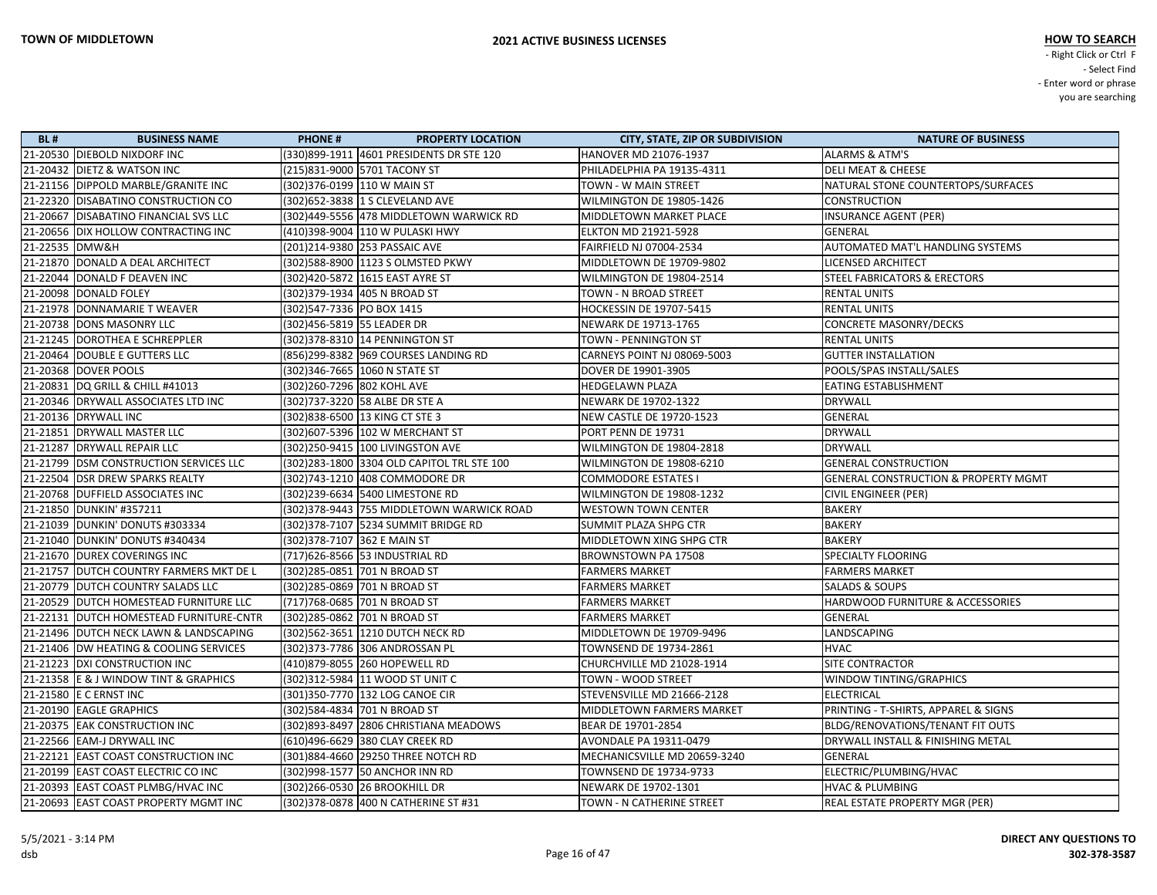| <b>BL#</b>     | <b>BUSINESS NAME</b>                      | <b>PHONE#</b>              | <b>PROPERTY LOCATION</b>                    | <b>CITY, STATE, ZIP OR SUBDIVISION</b> | <b>NATURE OF BUSINESS</b>                       |
|----------------|-------------------------------------------|----------------------------|---------------------------------------------|----------------------------------------|-------------------------------------------------|
|                | 21-20530 DIEBOLD NIXDORF INC              |                            | (330)899-1911  4601 PRESIDENTS DR STE 120   | HANOVER MD 21076-1937                  | <b>ALARMS &amp; ATM'S</b>                       |
|                | 21-20432 DIETZ & WATSON INC               |                            | (215)831-9000 5701 TACONY ST                | PHILADELPHIA PA 19135-4311             | <b>DELI MEAT &amp; CHEESE</b>                   |
|                | 21-21156 DIPPOLD MARBLE/GRANITE INC       |                            | (302)376-0199 110 W MAIN ST                 | TOWN - W MAIN STREET                   | NATURAL STONE COUNTERTOPS/SURFACES              |
|                | 21-22320 DISABATINO CONSTRUCTION CO       |                            | (302) 652-3838 1 S CLEVELAND AVE            | WILMINGTON DE 19805-1426               | <b>CONSTRUCTION</b>                             |
|                | 21-20667 DISABATINO FINANCIAL SVS LLC     |                            | (302)449-5556 478 MIDDLETOWN WARWICK RD     | MIDDLETOWN MARKET PLACE                | <b>INSURANCE AGENT (PER)</b>                    |
|                | 21-20656 DIX HOLLOW CONTRACTING INC       |                            | (410)398-9004  110 W PULASKI HWY            | ELKTON MD 21921-5928                   | <b>GENERAL</b>                                  |
| 21-22535 DMW&H |                                           |                            | (201)214-9380 253 PASSAIC AVE               | FAIRFIELD NJ 07004-2534                | <b>AUTOMATED MAT'L HANDLING SYSTEMS</b>         |
|                | 21-21870 DONALD A DEAL ARCHITECT          |                            | (302)588-8900  1123 S OLMSTED PKWY          | MIDDLETOWN DE 19709-9802               | LICENSED ARCHITECT                              |
|                | 21-22044 DONALD F DEAVEN INC              |                            | (302)420-5872  1615 EAST AYRE ST            | WILMINGTON DE 19804-2514               | <b>STEEL FABRICATORS &amp; ERECTORS</b>         |
|                | 21-20098 DONALD FOLEY                     |                            | (302)379-1934 405 N BROAD ST                | TOWN - N BROAD STREET                  | <b>RENTAL UNITS</b>                             |
|                | 21-21978 DONNAMARIE T WEAVER              | (302)547-7336 PO BOX 1415  |                                             | HOCKESSIN DE 19707-5415                | <b>RENTAL UNITS</b>                             |
|                | 21-20738 DONS MASONRY LLC                 | (302)456-5819 55 LEADER DR |                                             | NEWARK DE 19713-1765                   | <b>CONCRETE MASONRY/DECKS</b>                   |
|                | 21-21245 DOROTHEA E SCHREPPLER            |                            |                                             | TOWN - PENNINGTON ST                   | <b>RENTAL UNITS</b>                             |
|                | 21-20464 DOUBLE E GUTTERS LLC             |                            | (856)299-8382 969 COURSES LANDING RD        | CARNEYS POINT NJ 08069-5003            | <b>GUTTER INSTALLATION</b>                      |
|                | 21-20368 DOVER POOLS                      |                            | (302)346-7665   1060 N STATE ST             | DOVER DE 19901-3905                    | POOLS/SPAS INSTALL/SALES                        |
|                | 21-20831   DQ GRILL & CHILL #41013        |                            | (302)260-7296  802 KOHL AVE                 | <b>HEDGELAWN PLAZA</b>                 | EATING ESTABLISHMENT                            |
|                | 21-20346 DRYWALL ASSOCIATES LTD INC       |                            | (302)737-3220 58 ALBE DR STE A              | NEWARK DE 19702-1322                   | <b>DRYWALL</b>                                  |
|                | 21-20136 DRYWALL INC                      |                            | (302)838-6500 13 KING CT STE 3              | <b>NEW CASTLE DE 19720-1523</b>        | <b>GENERAL</b>                                  |
|                | 21-21851 DRYWALL MASTER LLC               |                            | (302) 607-5396 102 W MERCHANT ST            | PORT PENN DE 19731                     | <b>DRYWALL</b>                                  |
|                | 21-21287 DRYWALL REPAIR LLC               |                            | (302)250-9415  100 LIVINGSTON AVE           | WILMINGTON DE 19804-2818               | <b>DRYWALL</b>                                  |
|                | 21-21799 DSM CONSTRUCTION SERVICES LLC    |                            | (302) 283-1800 3304 OLD CAPITOL TRL STE 100 | WILMINGTON DE 19808-6210               | <b>GENERAL CONSTRUCTION</b>                     |
|                | 21-22504 DSR DREW SPARKS REALTY           |                            | (302)743-1210 408 COMMODORE DR              | <b>COMMODORE ESTATES I</b>             | <b>GENERAL CONSTRUCTION &amp; PROPERTY MGMT</b> |
|                | 21-20768 DUFFIELD ASSOCIATES INC          |                            |                                             | WILMINGTON DE 19808-1232               | CIVIL ENGINEER (PER)                            |
|                | 21-21850 DUNKIN' #357211                  |                            | (302) 378-9443 755 MIDDLETOWN WARWICK ROAD  | <b>WESTOWN TOWN CENTER</b>             | <b>BAKERY</b>                                   |
|                | 21-21039   DUNKIN' DONUTS #303334         |                            |                                             | SUMMIT PLAZA SHPG CTR                  | <b>BAKERY</b>                                   |
|                | 21-21040   DUNKIN' DONUTS #340434         |                            | (302) 378-7107 362 E MAIN ST                | MIDDLETOWN XING SHPG CTR               | <b>BAKERY</b>                                   |
|                | 21-21670 DUREX COVERINGS INC              |                            | (717)626-8566 53 INDUSTRIAL RD              | BROWNSTOWN PA 17508                    | <b>SPECIALTY FLOORING</b>                       |
|                | 21-21757   DUTCH COUNTRY FARMERS MKT DE L |                            | (302)285-0851 701 N BROAD ST                | <b>FARMERS MARKET</b>                  | <b>FARMERS MARKET</b>                           |
|                | 21-20779 DUTCH COUNTRY SALADS LLC         |                            | (302)285-0869 701 N BROAD ST                | <b>FARMERS MARKET</b>                  | <b>SALADS &amp; SOUPS</b>                       |
|                | 21-20529 DUTCH HOMESTEAD FURNITURE LLC    |                            | (717) 768-0685 701 N BROAD ST               | <b>FARMERS MARKET</b>                  | HARDWOOD FURNITURE & ACCESSORIES                |
|                | 21-22131 DUTCH HOMESTEAD FURNITURE-CNTR   |                            | (302)285-0862 701 N BROAD ST                | <b>FARMERS MARKET</b>                  | <b>GENERAL</b>                                  |
|                | 21-21496 DUTCH NECK LAWN & LANDSCAPING    |                            | (302) 562-3651 1210 DUTCH NECK RD           | MIDDLETOWN DE 19709-9496               | LANDSCAPING                                     |
|                | 21-21406   DW HEATING & COOLING SERVICES  |                            | (302)373-7786 306 ANDROSSAN PL              | TOWNSEND DE 19734-2861                 | <b>HVAC</b>                                     |
|                | 21-21223 DXI CONSTRUCTION INC             |                            | (410)879-8055 260 HOPEWELL RD               | CHURCHVILLE MD 21028-1914              | <b>SITE CONTRACTOR</b>                          |
|                | 21-21358 E & J WINDOW TINT & GRAPHICS     |                            | (302)312-5984  11 WOOD ST UNIT C            | TOWN - WOOD STREET                     | <b>WINDOW TINTING/GRAPHICS</b>                  |
|                | 21-21580 E C ERNST INC                    |                            | (301) 350-7770 132 LOG CANOE CIR            | STEVENSVILLE MD 21666-2128             | <b>ELECTRICAL</b>                               |
|                | 21-20190 EAGLE GRAPHICS                   |                            | (302)584-4834 701 N BROAD ST                | <b>MIDDLETOWN FARMERS MARKET</b>       | PRINTING - T-SHIRTS, APPAREL & SIGNS            |
|                | 21-20375 EAK CONSTRUCTION INC             |                            | (302) 893-8497 2806 CHRISTIANA MEADOWS      | BEAR DE 19701-2854                     | BLDG/RENOVATIONS/TENANT FIT OUTS                |
|                | 21-22566 EAM-J DRYWALL INC                |                            | (610)496-6629 380 CLAY CREEK RD             | AVONDALE PA 19311-0479                 | DRYWALL INSTALL & FINISHING METAL               |
|                | 21-22121 EAST COAST CONSTRUCTION INC      |                            | (301)884-4660 29250 THREE NOTCH RD          | MECHANICSVILLE MD 20659-3240           | <b>GENERAL</b>                                  |
|                | 21-20199 EAST COAST ELECTRIC CO INC       |                            | (302)998-1577 50 ANCHOR INN RD              | TOWNSEND DE 19734-9733                 | ELECTRIC/PLUMBING/HVAC                          |
|                | 21-20393 EAST COAST PLMBG/HVAC INC        |                            | (302)266-0530 26 BROOKHILL DR               | NEWARK DE 19702-1301                   | <b>HVAC &amp; PLUMBING</b>                      |
|                | 21-20693 EAST COAST PROPERTY MGMT INC     |                            | (302) 378-0878 400 N CATHERINE ST #31       | <b>TOWN - N CATHERINE STREET</b>       | REAL ESTATE PROPERTY MGR (PER)                  |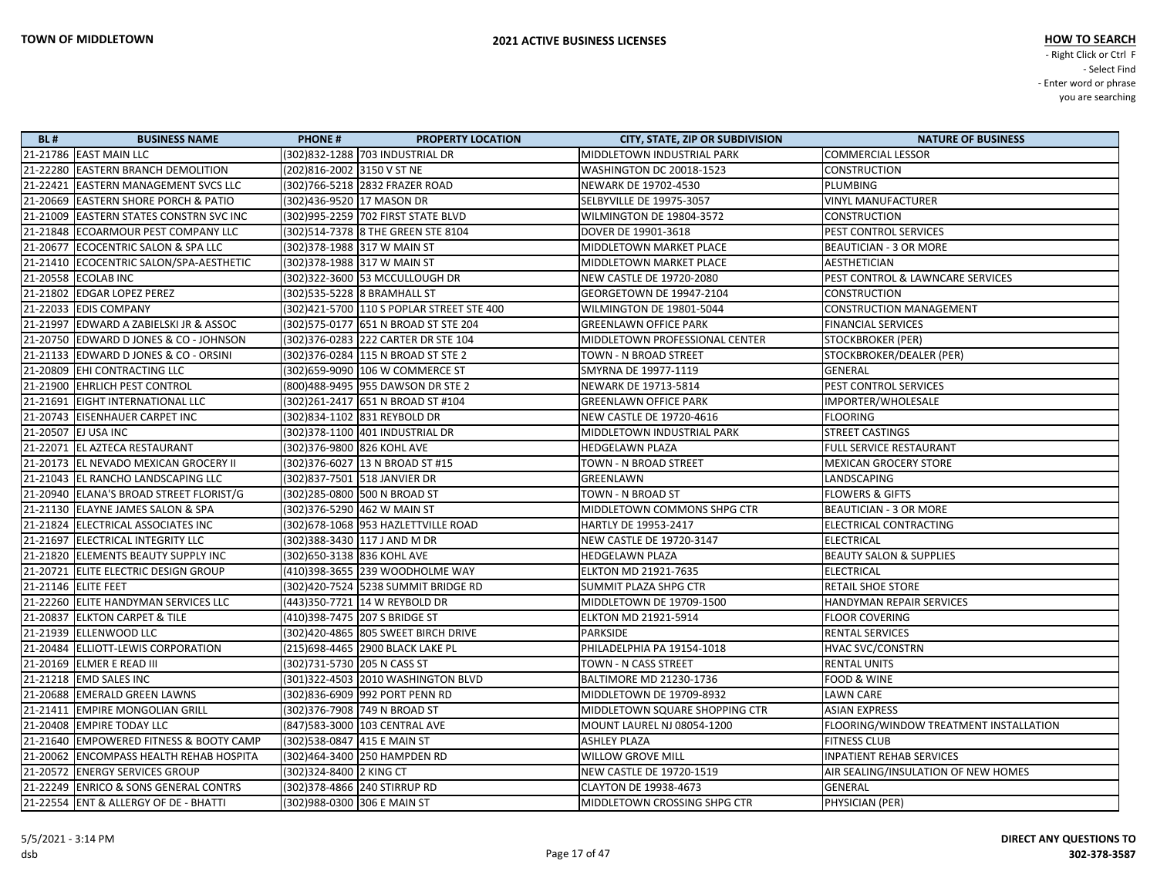| <b>BL#</b> | <b>BUSINESS NAME</b>                     | <b>PHONE#</b>                             | <b>PROPERTY LOCATION</b> | <b>CITY, STATE, ZIP OR SUBDIVISION</b> | <b>NATURE OF BUSINESS</b>              |
|------------|------------------------------------------|-------------------------------------------|--------------------------|----------------------------------------|----------------------------------------|
|            | 21-21786 EAST MAIN LLC                   | (302)832-1288 703 INDUSTRIAL DR           |                          | MIDDLETOWN INDUSTRIAL PARK             | <b>COMMERCIAL LESSOR</b>               |
|            | 21-22280 EASTERN BRANCH DEMOLITION       | (202)816-2002 3150 V ST NE                |                          | WASHINGTON DC 20018-1523               | <b>CONSTRUCTION</b>                    |
|            | 21-22421  EASTERN MANAGEMENT SVCS LLC    | (302)766-5218  2832 FRAZER ROAD           |                          | NEWARK DE 19702-4530                   | PLUMBING                               |
|            | 21-20669 EASTERN SHORE PORCH & PATIO     | (302)436-9520 17 MASON DR                 |                          | SELBYVILLE DE 19975-3057               | <b>VINYL MANUFACTURER</b>              |
|            | 21-21009 EASTERN STATES CONSTRN SVC INC  |                                           |                          | WILMINGTON DE 19804-3572               | <b>CONSTRUCTION</b>                    |
|            | 21-21848  ECOARMOUR PEST COMPANY LLC     | (302)514-7378 8 THE GREEN STE 8104        |                          | DOVER DE 19901-3618                    | PEST CONTROL SERVICES                  |
|            | 21-20677 ECOCENTRIC SALON & SPA LLC      | (302) 378-1988 317 W MAIN ST              |                          | MIDDLETOWN MARKET PLACE                | <b>BEAUTICIAN - 3 OR MORE</b>          |
|            | 21-21410 ECOCENTRIC SALON/SPA-AESTHETIC  | (302)378-1988  317 W MAIN ST              |                          | <b>MIDDLETOWN MARKET PLACE</b>         | AESTHETICIAN                           |
|            | 21-20558 ECOLAB INC                      | (302) 322-3600 53 MCCULLOUGH DR           |                          | NEW CASTLE DE 19720-2080               | PEST CONTROL & LAWNCARE SERVICES       |
|            | 21-21802 EDGAR LOPEZ PEREZ               | (302)535-5228 8 BRAMHALL ST               |                          | GEORGETOWN DE 19947-2104               | <b>CONSTRUCTION</b>                    |
|            | 21-22033 EDIS COMPANY                    | (302)421-5700 110 S POPLAR STREET STE 400 |                          | WILMINGTON DE 19801-5044               | <b>CONSTRUCTION MANAGEMENT</b>         |
|            | 21-21997 EDWARD A ZABIELSKI JR & ASSOC   | (302) 575-0177 651 N BROAD ST STE 204     |                          | <b>GREENLAWN OFFICE PARK</b>           | <b>FINANCIAL SERVICES</b>              |
|            | 21-20750 EDWARD D JONES & CO - JOHNSON   | (302) 376-0283 222 CARTER DR STE 104      |                          | MIDDLETOWN PROFESSIONAL CENTER         | <b>STOCKBROKER (PER)</b>               |
|            | 21-21133 EDWARD D JONES & CO - ORSINI    | (302) 376-0284 115 N BROAD ST STE 2       |                          | TOWN - N BROAD STREET                  | STOCKBROKER/DEALER (PER)               |
|            | 21-20809 EHI CONTRACTING LLC             | (302) 659-9090 106 W COMMERCE ST          |                          | SMYRNA DE 19977-1119                   | GENERAL                                |
|            | 21-21900 EHRLICH PEST CONTROL            | (800)488-9495   955 DAWSON DR STE 2       |                          | NEWARK DE 19713-5814                   | PEST CONTROL SERVICES                  |
|            | 21-21691  EIGHT INTERNATIONAL LLC        | (302)261-2417 651 N BROAD ST #104         |                          | <b>GREENLAWN OFFICE PARK</b>           | IMPORTER/WHOLESALE                     |
|            | 21-20743  EISENHAUER CARPET INC          | (302)834-1102 831 REYBOLD DR              |                          | NEW CASTLE DE 19720-4616               | <b>FLOORING</b>                        |
|            | 21-20507 EJ USA INC                      | (302) 378-1100 401 INDUSTRIAL DR          |                          | MIDDLETOWN INDUSTRIAL PARK             | STREET CASTINGS                        |
|            | 21-22071  EL AZTECA RESTAURANT           | (302) 376-9800 826 KOHL AVE               |                          | <b>HEDGELAWN PLAZA</b>                 | FULL SERVICE RESTAURANT                |
|            | 21-20173  EL NEVADO MEXICAN GROCERY II   | (302) 376-6027 13 N BROAD ST #15          |                          | TOWN - N BROAD STREET                  | <b>MEXICAN GROCERY STORE</b>           |
|            | 21-21043 EL RANCHO LANDSCAPING LLC       | (302)837-7501  518 JANVIER DR             |                          | GREENLAWN                              | LANDSCAPING                            |
|            | 21-20940  ELANA'S BROAD STREET FLORIST/G | (302)285-0800 500 N BROAD ST              |                          | TOWN - N BROAD ST                      | <b>FLOWERS &amp; GIFTS</b>             |
|            | 21-21130 ELAYNE JAMES SALON & SPA        | (302) 376-5290 462 W MAIN ST              |                          | MIDDLETOWN COMMONS SHPG CTR            | <b>BEAUTICIAN - 3 OR MORE</b>          |
|            | 21-21824 ELECTRICAL ASSOCIATES INC       | (302) 678-1068 953 HAZLETTVILLE ROAD      |                          | HARTLY DE 19953-2417                   | ELECTRICAL CONTRACTING                 |
|            | 21-21697  ELECTRICAL INTEGRITY LLC       | (302) 388-3430 117 J AND M DR             |                          | NEW CASTLE DE 19720-3147               | <b>ELECTRICAL</b>                      |
|            | 21-21820 ELEMENTS BEAUTY SUPPLY INC      | (302) 650-3138 836 KOHL AVE               |                          | <b>HEDGELAWN PLAZA</b>                 | <b>BEAUTY SALON &amp; SUPPLIES</b>     |
|            | 21-20721 ELITE ELECTRIC DESIGN GROUP     | (410)398-3655 239 WOODHOLME WAY           |                          | ELKTON MD 21921-7635                   | <b>ELECTRICAL</b>                      |
|            | 21-21146 ELITE FEET                      | (302)420-7524 5238 SUMMIT BRIDGE RD       |                          | SUMMIT PLAZA SHPG CTR                  | <b>RETAIL SHOE STORE</b>               |
|            | 21-22260 ELITE HANDYMAN SERVICES LLC     | (443)350-7721 14 W REYBOLD DR             |                          | MIDDLETOWN DE 19709-1500               | HANDYMAN REPAIR SERVICES               |
|            | 21-20837 ELKTON CARPET & TILE            | (410)398-7475 207 S BRIDGE ST             |                          | <b>ELKTON MD 21921-5914</b>            | <b>FLOOR COVERING</b>                  |
|            | 21-21939 ELLENWOOD LLC                   | (302) 420-4865 805 SWEET BIRCH DRIVE      |                          | PARKSIDE                               | <b>RENTAL SERVICES</b>                 |
|            | 21-20484 ELLIOTT-LEWIS CORPORATION       | (215)698-4465 2900 BLACK LAKE PL          |                          | PHILADELPHIA PA 19154-1018             | <b>HVAC SVC/CONSTRN</b>                |
|            | 21-20169 ELMER E READ III                | (302)731-5730 205 N CASS ST               |                          | TOWN - N CASS STREET                   | <b>RENTAL UNITS</b>                    |
|            | 21-21218  EMD SALES INC                  | (301)322-4503 2010 WASHINGTON BLVD        |                          | BALTIMORE MD 21230-1736                | FOOD & WINE                            |
|            | 21-20688 EMERALD GREEN LAWNS             | (302)836-6909 992 PORT PENN RD            |                          | MIDDLETOWN DE 19709-8932               | <b>LAWN CARE</b>                       |
|            | 21-21411 EMPIRE MONGOLIAN GRILL          | (302) 376-7908 749 N BROAD ST             |                          | MIDDLETOWN SQUARE SHOPPING CTR         | <b>ASIAN EXPRESS</b>                   |
|            | 21-20408 EMPIRE TODAY LLC                | (847)583-3000 103 CENTRAL AVE             |                          | MOUNT LAUREL NJ 08054-1200             | FLOORING/WINDOW TREATMENT INSTALLATION |
|            | 21-21640 EMPOWERED FITNESS & BOOTY CAMP  | (302)538-0847 415 E MAIN ST               |                          | <b>ASHLEY PLAZA</b>                    | <b>FITNESS CLUB</b>                    |
|            | 21-20062 ENCOMPASS HEALTH REHAB HOSPITA  | (302)464-3400 250 HAMPDEN RD              |                          | <b>WILLOW GROVE MILL</b>               | <b>INPATIENT REHAB SERVICES</b>        |
|            | 21-20572 ENERGY SERVICES GROUP           | (302) 324-8400 2 KING CT                  |                          | <b>NEW CASTLE DE 19720-1519</b>        | AIR SEALING/INSULATION OF NEW HOMES    |
|            | 21-22249  ENRICO & SONS GENERAL CONTRS   | (302) 378-4866 240 STIRRUP RD             |                          | <b>CLAYTON DE 19938-4673</b>           | GENERAL                                |
|            | 21-22554 ENT & ALLERGY OF DE - BHATTI    | (302)988-0300 306 E MAIN ST               |                          | MIDDLETOWN CROSSING SHPG CTR           | PHYSICIAN (PER)                        |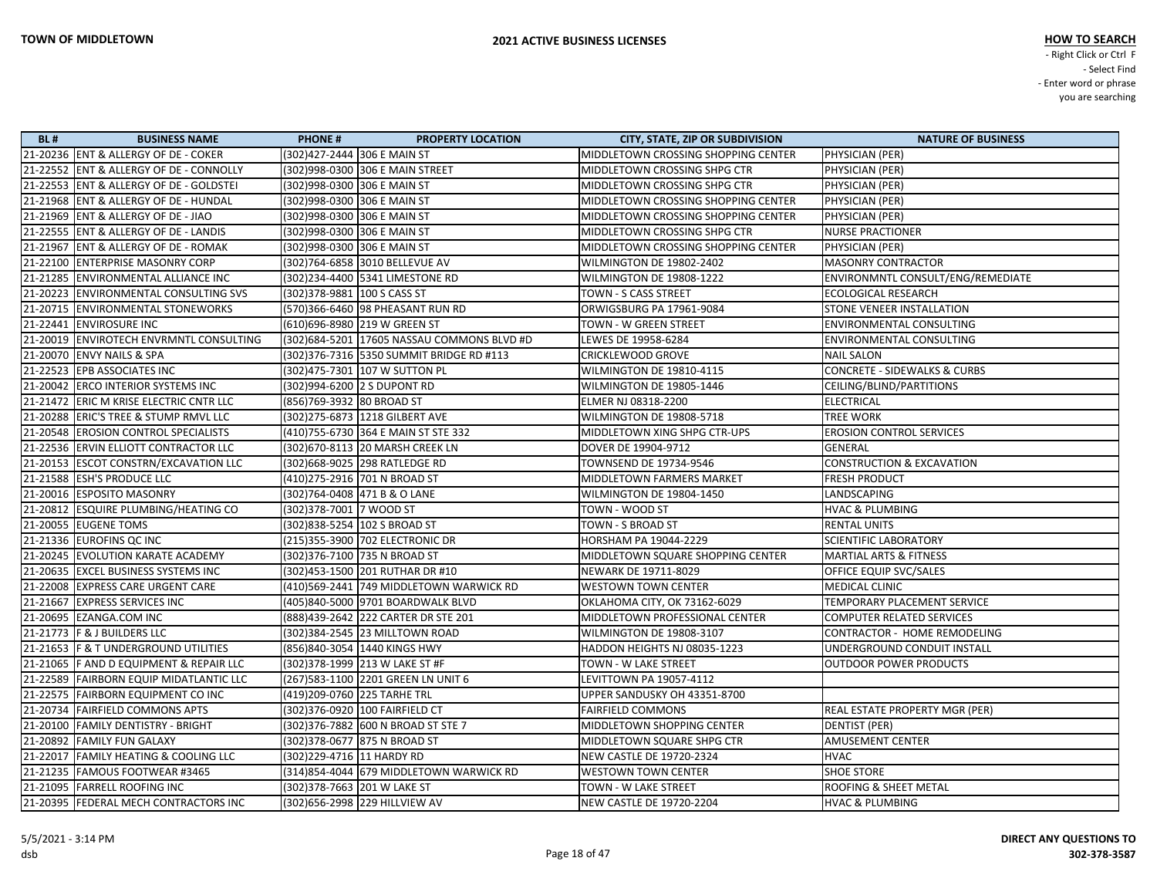| <b>BL#</b> | <b>BUSINESS NAME</b>                      | <b>PHONE#</b>                | <b>PROPERTY LOCATION</b>                   | <b>CITY, STATE, ZIP OR SUBDIVISION</b> | <b>NATURE OF BUSINESS</b>               |
|------------|-------------------------------------------|------------------------------|--------------------------------------------|----------------------------------------|-----------------------------------------|
|            | 21-20236 ENT & ALLERGY OF DE - COKER      |                              | (302)427-2444 306 E MAIN ST                | MIDDLETOWN CROSSING SHOPPING CENTER    | PHYSICIAN (PER)                         |
|            | 21-22552 ENT & ALLERGY OF DE - CONNOLLY   |                              | (302)998-0300 306 E MAIN STREET            | MIDDLETOWN CROSSING SHPG CTR           | PHYSICIAN (PER)                         |
|            | 21-22553 ENT & ALLERGY OF DE - GOLDSTEI   | (302)998-0300 306 E MAIN ST  |                                            | MIDDLETOWN CROSSING SHPG CTR           | PHYSICIAN (PER)                         |
|            | 21-21968 ENT & ALLERGY OF DE - HUNDAL     |                              | (302)998-0300  306 E MAIN ST               | MIDDLETOWN CROSSING SHOPPING CENTER    | PHYSICIAN (PER)                         |
|            | 21-21969   ENT & ALLERGY OF DE - JIAO     | (302)998-0300 306 E MAIN ST  |                                            | MIDDLETOWN CROSSING SHOPPING CENTER    | PHYSICIAN (PER)                         |
|            | 21-22555 ENT & ALLERGY OF DE - LANDIS     |                              | (302)998-0300 306 E MAIN ST                | MIDDLETOWN CROSSING SHPG CTR           | <b>NURSE PRACTIONER</b>                 |
|            | 21-21967 ENT & ALLERGY OF DE - ROMAK      | (302)998-0300 306 E MAIN ST  |                                            | MIDDLETOWN CROSSING SHOPPING CENTER    | PHYSICIAN (PER)                         |
|            | 21-22100 ENTERPRISE MASONRY CORP          |                              | (302)764-6858 3010 BELLEVUE AV             | WILMINGTON DE 19802-2402               | <b>MASONRY CONTRACTOR</b>               |
|            | 21-21285 ENVIRONMENTAL ALLIANCE INC       |                              | (302)234-4400 5341 LIMESTONE RD            | WILMINGTON DE 19808-1222               | ENVIRONMNTL CONSULT/ENG/REMEDIATE       |
|            | 21-20223 ENVIRONMENTAL CONSULTING SVS     | (302) 378-9881 100 S CASS ST |                                            | TOWN - S CASS STREET                   | <b>ECOLOGICAL RESEARCH</b>              |
|            | 21-20715 ENVIRONMENTAL STONEWORKS         |                              | (570)366-6460 98 PHEASANT RUN RD           | ORWIGSBURG PA 17961-9084               | STONE VENEER INSTALLATION               |
|            | 21-22441 ENVIROSURE INC                   |                              | (610)696-8980 219 W GREEN ST               | TOWN - W GREEN STREET                  | <b>ENVIRONMENTAL CONSULTING</b>         |
|            | 21-20019 ENVIROTECH ENVRMNTL CONSULTING   |                              | (302)684-5201 17605 NASSAU COMMONS BLVD #D | LEWES DE 19958-6284                    | <b>ENVIRONMENTAL CONSULTING</b>         |
|            | 21-20070 ENVY NAILS & SPA                 |                              | (302) 376-7316 5350 SUMMIT BRIDGE RD #113  | CRICKLEWOOD GROVE                      | <b>NAIL SALON</b>                       |
|            | 21-22523 EPB ASSOCIATES INC               |                              | (302)475-7301 107 W SUTTON PL              | WILMINGTON DE 19810-4115               | <b>CONCRETE - SIDEWALKS &amp; CURBS</b> |
|            | 21-20042 ERCO INTERIOR SYSTEMS INC        |                              | (302)994-6200  2 S DUPONT RD               | WILMINGTON DE 19805-1446               | CEILING/BLIND/PARTITIONS                |
|            | 21-21472 ERIC M KRISE ELECTRIC CNTR LLC   | (856)769-3932 80 BROAD ST    |                                            | ELMER NJ 08318-2200                    | <b>ELECTRICAL</b>                       |
|            | 21-20288 ERIC'S TREE & STUMP RMVL LLC     |                              | (302)275-6873  1218 GILBERT AVE            | WILMINGTON DE 19808-5718               | <b>TREE WORK</b>                        |
|            | 21-20548 EROSION CONTROL SPECIALISTS      |                              | (410)755-6730 364 E MAIN ST STE 332        | MIDDLETOWN XING SHPG CTR-UPS           | <b>EROSION CONTROL SERVICES</b>         |
|            | 21-22536 ERVIN ELLIOTT CONTRACTOR LLC     |                              | (302) 670-8113 20 MARSH CREEK LN           | DOVER DE 19904-9712                    | GENERAL                                 |
|            | 21-20153 ESCOT CONSTRN/EXCAVATION LLC     |                              | (302)668-9025 298 RATLEDGE RD              | TOWNSEND DE 19734-9546                 | <b>CONSTRUCTION &amp; EXCAVATION</b>    |
|            | 21-21588 ESH'S PRODUCE LLC                |                              | (410) 275-2916 701 N BROAD ST              | MIDDLETOWN FARMERS MARKET              | <b>FRESH PRODUCT</b>                    |
|            | 21-20016 ESPOSITO MASONRY                 |                              | (302)764-0408  471 B & O LANE              | WILMINGTON DE 19804-1450               | LANDSCAPING                             |
|            | 21-20812 ESQUIRE PLUMBING/HEATING CO      | (302) 378-7001 7 WOOD ST     |                                            | TOWN - WOOD ST                         | <b>HVAC &amp; PLUMBING</b>              |
|            | 21-20055 EUGENE TOMS                      |                              | (302)838-5254   102 S BROAD ST             | TOWN - S BROAD ST                      | <b>RENTAL UNITS</b>                     |
|            | 21-21336 EUROFINS QC INC                  |                              | (215)355-3900 702 ELECTRONIC DR            | HORSHAM PA 19044-2229                  | <b>SCIENTIFIC LABORATORY</b>            |
|            | 21-20245 EVOLUTION KARATE ACADEMY         |                              | (302)376-7100 735 N BROAD ST               | MIDDLETOWN SQUARE SHOPPING CENTER      | <b>MARTIAL ARTS &amp; FITNESS</b>       |
|            | 21-20635 EXCEL BUSINESS SYSTEMS INC       |                              | (302)453-1500  201 RUTHAR DR #10           | NEWARK DE 19711-8029                   | OFFICE EQUIP SVC/SALES                  |
|            | 21-22008 EXPRESS CARE URGENT CARE         |                              | (410)569-2441 749 MIDDLETOWN WARWICK RD    | <b>WESTOWN TOWN CENTER</b>             | MEDICAL CLINIC                          |
|            | 21-21667 EXPRESS SERVICES INC             |                              | (405)840-5000 9701 BOARDWALK BLVD          | OKLAHOMA CITY, OK 73162-6029           | TEMPORARY PLACEMENT SERVICE             |
|            | 21-20695 EZANGA.COM INC                   |                              | (888)439-2642 222 CARTER DR STE 201        | MIDDLETOWN PROFESSIONAL CENTER         | <b>COMPUTER RELATED SERVICES</b>        |
|            | 21-21773   F & J BUILDERS LLC             |                              | (302) 384-2545 23 MILLTOWN ROAD            | WILMINGTON DE 19808-3107               | CONTRACTOR - HOME REMODELING            |
|            | 21-21653   F & T UNDERGROUND UTILITIES    |                              | (856)840-3054 1440 KINGS HWY               | HADDON HEIGHTS NJ 08035-1223           | UNDERGROUND CONDUIT INSTALL             |
|            | 21-21065   F AND D EQUIPMENT & REPAIR LLC |                              | (302) 378-1999 213 W LAKE ST #F            | TOWN - W LAKE STREET                   | <b>OUTDOOR POWER PRODUCTS</b>           |
|            | 21-22589 FAIRBORN EQUIP MIDATLANTIC LLC   |                              | (267)583-1100 2201 GREEN LN UNIT 6         | LEVITTOWN PA 19057-4112                |                                         |
|            | 21-22575 FAIRBORN EQUIPMENT CO INC        |                              | (419)209-0760 225 TARHE TRL                | UPPER SANDUSKY OH 43351-8700           |                                         |
|            | 21-20734 FAIRFIELD COMMONS APTS           |                              | (302)376-0920 100 FAIRFIELD CT             | <b>FAIRFIELD COMMONS</b>               | <b>REAL ESTATE PROPERTY MGR (PER)</b>   |
|            | 21-20100 FAMILY DENTISTRY - BRIGHT        |                              |                                            | MIDDLETOWN SHOPPING CENTER             | DENTIST (PER)                           |
|            | 21-20892 FAMILY FUN GALAXY                |                              | (302) 378-0677 875 N BROAD ST              | MIDDLETOWN SQUARE SHPG CTR             | <b>AMUSEMENT CENTER</b>                 |
|            | 21-22017 FAMILY HEATING & COOLING LLC     | (302)229-4716 11 HARDY RD    |                                            | <b>NEW CASTLE DE 19720-2324</b>        | <b>HVAC</b>                             |
|            | 21-21235 FAMOUS FOOTWEAR #3465            |                              | (314)854-4044 679 MIDDLETOWN WARWICK RD    | <b>WESTOWN TOWN CENTER</b>             | <b>SHOE STORE</b>                       |
|            | 21-21095 FARRELL ROOFING INC              |                              | (302) 378-7663 201 W LAKE ST               | TOWN - W LAKE STREET                   | <b>ROOFING &amp; SHEET METAL</b>        |
|            | 21-20395 FEDERAL MECH CONTRACTORS INC     |                              | (302) 656-2998 229 HILLVIEW AV             | NEW CASTLE DE 19720-2204               | <b>HVAC &amp; PLUMBING</b>              |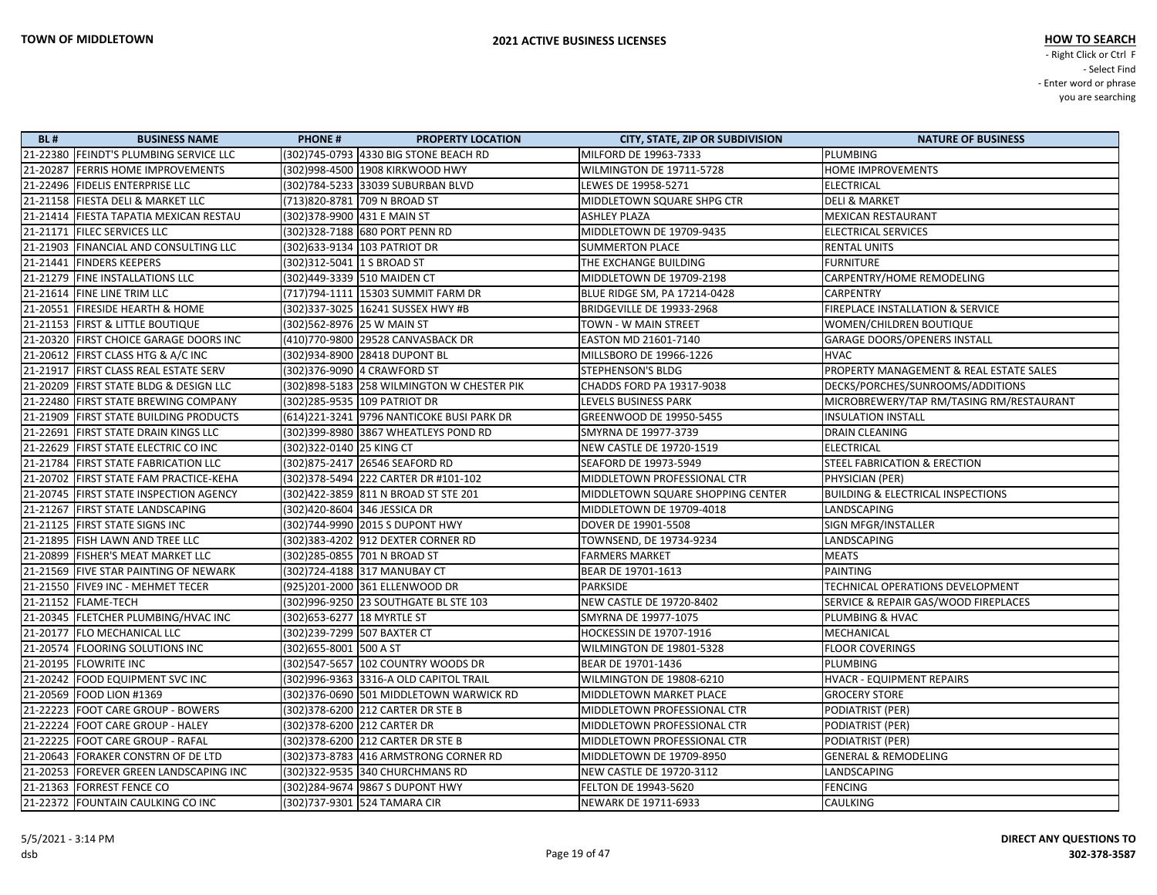| <b>BL#</b> | <b>BUSINESS NAME</b>                     | <b>PHONE#</b><br><b>PROPERTY LOCATION</b>   | <b>CITY, STATE, ZIP OR SUBDIVISION</b> | <b>NATURE OF BUSINESS</b>                    |
|------------|------------------------------------------|---------------------------------------------|----------------------------------------|----------------------------------------------|
|            | 21-22380 FEINDT'S PLUMBING SERVICE LLC   | (302)745-0793 4330 BIG STONE BEACH RD       | MILFORD DE 19963-7333                  | <b>PLUMBING</b>                              |
|            | 21-20287  FERRIS HOME IMPROVEMENTS       | (302) 998-4500 1908 KIRKWOOD HWY            | WILMINGTON DE 19711-5728               | <b>HOME IMPROVEMENTS</b>                     |
|            | 21-22496  FIDELIS ENTERPRISE LLC         | (302)784-5233 33039 SUBURBAN BLVD           | LEWES DE 19958-5271                    | <b>ELECTRICAL</b>                            |
|            | 21-21158  FIESTA DELI & MARKET LLC       | (713)820-8781 709 N BROAD ST                | MIDDLETOWN SQUARE SHPG CTR             | <b>DELI &amp; MARKET</b>                     |
|            | 21-21414  FIESTA TAPATIA MEXICAN RESTAU  | (302) 378-9900 431 E MAIN ST                | <b>ASHLEY PLAZA</b>                    | <b>MEXICAN RESTAURANT</b>                    |
|            | 21-21171  FILEC SERVICES LLC             | (302)328-7188 680 PORT PENN RD              | MIDDLETOWN DE 19709-9435               | <b>ELECTRICAL SERVICES</b>                   |
|            | 21-21903 FINANCIAL AND CONSULTING LLC    | (302) 633-9134 103 PATRIOT DR               | <b>SUMMERTON PLACE</b>                 | <b>RENTAL UNITS</b>                          |
|            | 21-21441  FINDERS KEEPERS                | (302) 312-5041 1 S BROAD ST                 | THE EXCHANGE BUILDING                  | <b>FURNITURE</b>                             |
|            | 21-21279 FINE INSTALLATIONS LLC          | (302)449-3339 510 MAIDEN CT                 | MIDDLETOWN DE 19709-2198               | CARPENTRY/HOME REMODELING                    |
|            | 21-21614 FINE LINE TRIM LLC              | (717)794-1111   15303 SUMMIT FARM DR        | BLUE RIDGE SM, PA 17214-0428           | CARPENTRY                                    |
|            | 21-20551  FIRESIDE HEARTH & HOME         | (302)337-3025   16241 SUSSEX HWY #B         | BRIDGEVILLE DE 19933-2968              | FIREPLACE INSTALLATION & SERVICE             |
|            | 21-21153   FIRST & LITTLE BOUTIQUE       | (302)562-8976 25 W MAIN ST                  | TOWN - W MAIN STREET                   | WOMEN/CHILDREN BOUTIQUE                      |
|            | 21-20320   FIRST CHOICE GARAGE DOORS INC | (410)770-9800 29528 CANVASBACK DR           | <b>EASTON MD 21601-7140</b>            | <b>GARAGE DOORS/OPENERS INSTALL</b>          |
|            | 21-20612  FIRST CLASS HTG & A/C INC      | (302)934-8900 28418 DUPONT BL               | MILLSBORO DE 19966-1226                | <b>HVAC</b>                                  |
|            | 21-21917  FIRST CLASS REAL ESTATE SERV   | (302) 376-9090 4 CRAWFORD ST                | <b>STEPHENSON'S BLDG</b>               | PROPERTY MANAGEMENT & REAL ESTATE SALES      |
|            | 21-20209 FIRST STATE BLDG & DESIGN LLC   | (302) 898-5183 258 WILMINGTON W CHESTER PIK | CHADDS FORD PA 19317-9038              | DECKS/PORCHES/SUNROOMS/ADDITIONS             |
|            | 21-22480 FIRST STATE BREWING COMPANY     | (302)285-9535 109 PATRIOT DR                | <b>LEVELS BUSINESS PARK</b>            | MICROBREWERY/TAP RM/TASING RM/RESTAURANT     |
|            | 21-21909 FIRST STATE BUILDING PRODUCTS   | (614) 221-3241 9796 NANTICOKE BUSI PARK DR  | GREENWOOD DE 19950-5455                | <b>INSULATION INSTALL</b>                    |
|            | 21-22691  FIRST STATE DRAIN KINGS LLC    | (302) 399-8980 3867 WHEATLEYS POND RD       | SMYRNA DE 19977-3739                   | DRAIN CLEANING                               |
|            | 21-22629  FIRST STATE ELECTRIC CO INC    | (302) 322-0140 25 KING CT                   | <b>NEW CASTLE DE 19720-1519</b>        | <b>ELECTRICAL</b>                            |
|            | 21-21784   FIRST STATE FABRICATION LLC   | (302) 875-2417 26546 SEAFORD RD             | SEAFORD DE 19973-5949                  | STEEL FABRICATION & ERECTION                 |
|            | 21-20702 FIRST STATE FAM PRACTICE-KEHA   | (302)378-5494  222 CARTER DR #101-102       | MIDDLETOWN PROFESSIONAL CTR            | PHYSICIAN (PER)                              |
|            | 21-20745  FIRST STATE INSPECTION AGENCY  | (302)422-3859 811 N BROAD ST STE 201        | MIDDLETOWN SQUARE SHOPPING CENTER      | <b>BUILDING &amp; ELECTRICAL INSPECTIONS</b> |
|            | 21-21267   FIRST STATE LANDSCAPING       | (302)420-8604 346 JESSICA DR                | MIDDLETOWN DE 19709-4018               | LANDSCAPING                                  |
|            | 21-21125  FIRST STATE SIGNS INC          | (302)744-9990 2015 S DUPONT HWY             | DOVER DE 19901-5508                    | SIGN MFGR/INSTALLER                          |
|            | 21-21895 FISH LAWN AND TREE LLC          | (302) 383-4202 912 DEXTER CORNER RD         | TOWNSEND, DE 19734-9234                | LANDSCAPING                                  |
|            | 21-20899  FISHER'S MEAT MARKET LLC       | (302)285-0855 701 N BROAD ST                | <b>FARMERS MARKET</b>                  | <b>MEATS</b>                                 |
|            | 21-21569 FIVE STAR PAINTING OF NEWARK    | (302)724-4188 317 MANUBAY CT                | BEAR DE 19701-1613                     | <b>PAINTING</b>                              |
|            | 21-21550 FIVE9 INC - MEHMET TECER        | (925)201-2000 361 ELLENWOOD DR              | PARKSIDE                               | TECHNICAL OPERATIONS DEVELOPMENT             |
|            | 21-21152  FLAME-TECH                     | (302)996-9250 23 SOUTHGATE BL STE 103       | NEW CASTLE DE 19720-8402               | SERVICE & REPAIR GAS/WOOD FIREPLACES         |
|            | 21-20345  FLETCHER PLUMBING/HVAC INC     | (302) 653-6277 18 MYRTLE ST                 | SMYRNA DE 19977-1075                   | PLUMBING & HVAC                              |
|            | 21-20177   FLO MECHANICAL LLC            | (302)239-7299 507 BAXTER CT                 | HOCKESSIN DE 19707-1916                | MECHANICAL                                   |
|            | 21-20574  FLOORING SOLUTIONS INC         | (302) 655-8001 500 A ST                     | WILMINGTON DE 19801-5328               | <b>FLOOR COVERINGS</b>                       |
|            | 21-20195   FLOWRITE INC                  | (302) 547-5657 102 COUNTRY WOODS DR         | BEAR DE 19701-1436                     | PLUMBING                                     |
|            | 21-20242 FOOD EQUIPMENT SVC INC          | (302) 996-9363 3316-A OLD CAPITOL TRAIL     | WILMINGTON DE 19808-6210               | HVACR - EQUIPMENT REPAIRS                    |
|            | 21-20569 FOOD LION #1369                 | (302) 376-0690 501 MIDDLETOWN WARWICK RD    | <b>MIDDLETOWN MARKET PLACE</b>         | <b>GROCERY STORE</b>                         |
|            | 21-22223 FOOT CARE GROUP - BOWERS        | (302) 378-6200 212 CARTER DR STE B          | MIDDLETOWN PROFESSIONAL CTR            | PODIATRIST (PER)                             |
|            | 21-22224 FOOT CARE GROUP - HALEY         | (302) 378-6200 212 CARTER DR                | MIDDLETOWN PROFESSIONAL CTR            | PODIATRIST (PER)                             |
|            | 21-22225 FOOT CARE GROUP - RAFAL         | (302) 378-6200 212 CARTER DR STE B          | MIDDLETOWN PROFESSIONAL CTR            | PODIATRIST (PER)                             |
|            | 21-20643 FORAKER CONSTRN OF DE LTD       | (302) 373-8783 416 ARMSTRONG CORNER RD      | MIDDLETOWN DE 19709-8950               | <b>GENERAL &amp; REMODELING</b>              |
|            | 21-20253 FOREVER GREEN LANDSCAPING INC   | (302) 322-9535 340 CHURCHMANS RD            | NEW CASTLE DE 19720-3112               | LANDSCAPING                                  |
|            | 21-21363 FORREST FENCE CO                | (302)284-9674 9867 S DUPONT HWY             | <b>FELTON DE 19943-5620</b>            | <b>FENCING</b>                               |
|            | 21-22372 FOUNTAIN CAULKING CO INC        | (302)737-9301 524 TAMARA CIR                | NEWARK DE 19711-6933                   | <b>CAULKING</b>                              |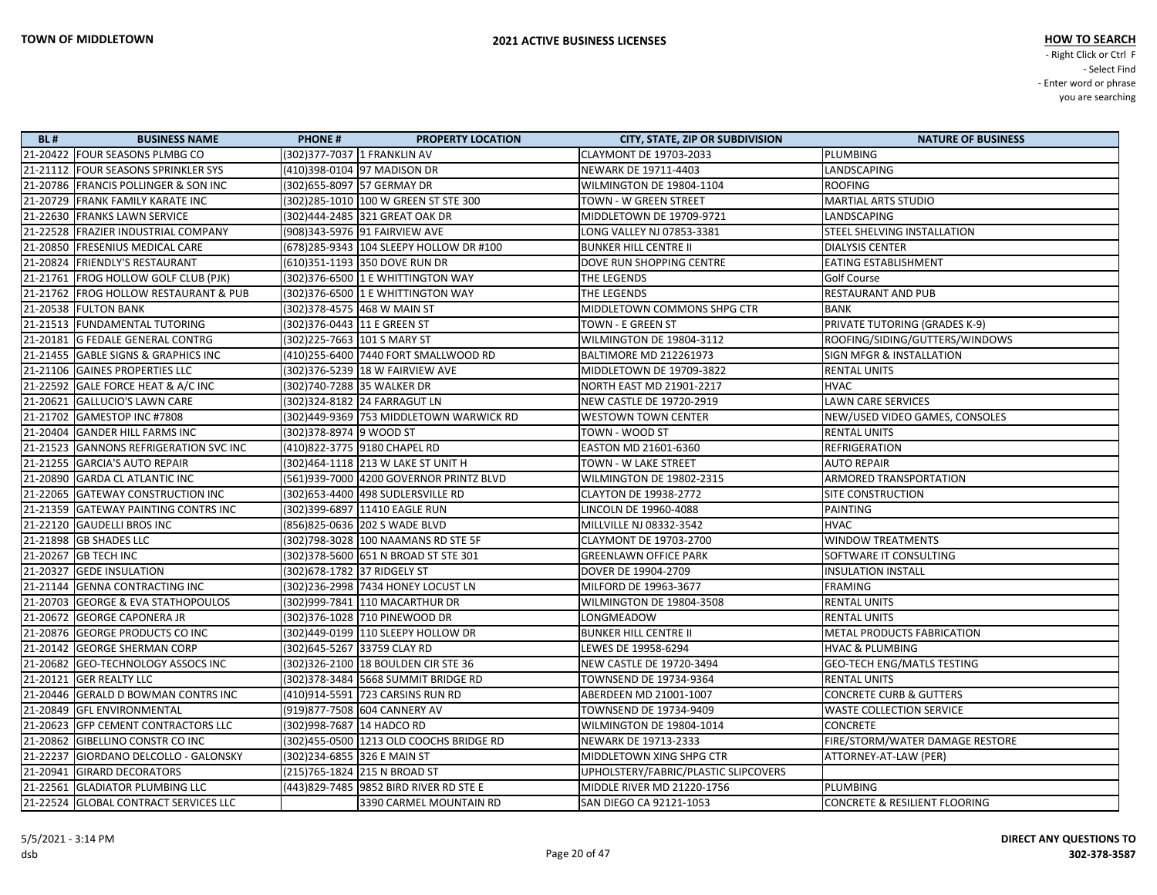| <b>BL#</b> | <b>BUSINESS NAME</b>                   | <b>PHONE#</b>                | <b>PROPERTY LOCATION</b>                 | <b>CITY, STATE, ZIP OR SUBDIVISION</b> | <b>NATURE OF BUSINESS</b>                |
|------------|----------------------------------------|------------------------------|------------------------------------------|----------------------------------------|------------------------------------------|
|            | 21-20422 FOUR SEASONS PLMBG CO         |                              | (302)377-7037  1 FRANKLIN AV             | <b>CLAYMONT DE 19703-2033</b>          | PLUMBING                                 |
|            | 21-21112 FOUR SEASONS SPRINKLER SYS    |                              | (410)398-0104 97 MADISON DR              | NEWARK DE 19711-4403                   | LANDSCAPING                              |
|            | 21-20786 FRANCIS POLLINGER & SON INC   |                              | (302)655-8097 57 GERMAY DR               | WILMINGTON DE 19804-1104               | <b>ROOFING</b>                           |
|            | 21-20729 FRANK FAMILY KARATE INC       |                              | (302)285-1010 100 W GREEN ST STE 300     | TOWN - W GREEN STREET                  | <b>MARTIAL ARTS STUDIO</b>               |
|            | 21-22630 FRANKS LAWN SERVICE           |                              | (302)444-2485 321 GREAT OAK DR           | MIDDLETOWN DE 19709-9721               | LANDSCAPING                              |
|            | 21-22528 FRAZIER INDUSTRIAL COMPANY    |                              | (908)343-5976  91 FAIRVIEW AVE           | LONG VALLEY NJ 07853-3381              | STEEL SHELVING INSTALLATION              |
|            | 21-20850 FRESENIUS MEDICAL CARE        |                              | (678)285-9343 104 SLEEPY HOLLOW DR #100  | <b>BUNKER HILL CENTRE II</b>           | <b>DIALYSIS CENTER</b>                   |
|            | 21-20824 FRIENDLY'S RESTAURANT         |                              | (610)351-1193 350 DOVE RUN DR            | DOVE RUN SHOPPING CENTRE               | <b>EATING ESTABLISHMENT</b>              |
|            | 21-21761 FROG HOLLOW GOLF CLUB (PJK)   |                              | (302) 376-6500 1 E WHITTINGTON WAY       | THE LEGENDS                            | <b>Golf Course</b>                       |
|            | 21-21762 FROG HOLLOW RESTAURANT & PUB  |                              | (302) 376-6500 1 E WHITTINGTON WAY       | THE LEGENDS                            | <b>RESTAURANT AND PUB</b>                |
|            | 21-20538 FULTON BANK                   |                              | (302)378-4575  468 W MAIN ST             | MIDDLETOWN COMMONS SHPG CTR            | BANK                                     |
|            | 21-21513 FUNDAMENTAL TUTORING          | (302) 376-0443 11 E GREEN ST |                                          | TOWN - E GREEN ST                      | PRIVATE TUTORING (GRADES K-9)            |
|            | 21-20181 G FEDALE GENERAL CONTRG       |                              | (302)225-7663  101 S MARY ST             | WILMINGTON DE 19804-3112               | ROOFING/SIDING/GUTTERS/WINDOWS           |
|            | 21-21455 GABLE SIGNS & GRAPHICS INC    |                              | (410)255-6400 7440 FORT SMALLWOOD RD     | <b>BALTIMORE MD 212261973</b>          | <b>SIGN MFGR &amp; INSTALLATION</b>      |
|            | 21-21106 GAINES PROPERTIES LLC         |                              | (302) 376-5239 18 W FAIRVIEW AVE         | MIDDLETOWN DE 19709-3822               | <b>RENTAL UNITS</b>                      |
|            | 21-22592 GALE FORCE HEAT & A/C INC     |                              | (302)740-7288 35 WALKER DR               | NORTH EAST MD 21901-2217               | <b>HVAC</b>                              |
|            | 21-20621 GALLUCIO'S LAWN CARE          |                              | (302)324-8182 24 FARRAGUT LN             | <b>NEW CASTLE DE 19720-2919</b>        | <b>LAWN CARE SERVICES</b>                |
|            | 21-21702 GAMESTOP INC #7808            |                              |                                          | <b>WESTOWN TOWN CENTER</b>             | NEW/USED VIDEO GAMES, CONSOLES           |
|            | 21-20404 GANDER HILL FARMS INC         | (302) 378-8974 9 WOOD ST     |                                          | TOWN - WOOD ST                         | <b>RENTAL UNITS</b>                      |
|            | 21-21523 GANNONS REFRIGERATION SVC INC |                              | (410)822-3775 9180 CHAPEL RD             | EASTON MD 21601-6360                   | <b>REFRIGERATION</b>                     |
|            | 21-21255 GARCIA'S AUTO REPAIR          |                              | (302) 464-1118 213 W LAKE ST UNIT H      | TOWN - W LAKE STREET                   | <b>AUTO REPAIR</b>                       |
|            | 21-20890 GARDA CL ATLANTIC INC         |                              | (561)939-7000 4200 GOVERNOR PRINTZ BLVD  | WILMINGTON DE 19802-2315               | <b>ARMORED TRANSPORTATION</b>            |
|            | 21-22065 GATEWAY CONSTRUCTION INC      |                              |                                          | <b>CLAYTON DE 19938-2772</b>           | <b>SITE CONSTRUCTION</b>                 |
|            | 21-21359 GATEWAY PAINTING CONTRS INC   |                              | (302)399-6897 11410 EAGLE RUN            | LINCOLN DE 19960-4088                  | <b>PAINTING</b>                          |
|            | 21-22120 GAUDELLI BROS INC             |                              | (856) 825-0636 202 S WADE BLVD           | MILLVILLE NJ 08332-3542                | <b>HVAC</b>                              |
|            | 21-21898 GB SHADES LLC                 |                              | (302)798-3028 100 NAAMANS RD STE 5F      | CLAYMONT DE 19703-2700                 | <b>WINDOW TREATMENTS</b>                 |
|            | 21-20267 GB TECH INC                   |                              |                                          | <b>GREENLAWN OFFICE PARK</b>           | SOFTWARE IT CONSULTING                   |
|            | 21-20327 GEDE INSULATION               | (302) 678-1782 37 RIDGELY ST |                                          | DOVER DE 19904-2709                    | <b>INSULATION INSTALL</b>                |
|            | 21-21144 GENNA CONTRACTING INC         |                              | (302)236-2998 7434 HONEY LOCUST LN       | MILFORD DE 19963-3677                  | <b>FRAMING</b>                           |
|            | 21-20703 GEORGE & EVA STATHOPOULOS     |                              | (302)999-7841 110 MACARTHUR DR           | WILMINGTON DE 19804-3508               | <b>RENTAL UNITS</b>                      |
|            | 21-20672 GEORGE CAPONERA JR            |                              |                                          | LONGMEADOW                             | <b>RENTAL UNITS</b>                      |
|            | 21-20876 GEORGE PRODUCTS CO INC        |                              |                                          | <b>BUNKER HILL CENTRE II</b>           | <b>METAL PRODUCTS FABRICATION</b>        |
|            | 21-20142 GEORGE SHERMAN CORP           |                              | (302)645-5267  33759 CLAY RD             | LEWES DE 19958-6294                    | <b>HVAC &amp; PLUMBING</b>               |
|            | 21-20682 GEO-TECHNOLOGY ASSOCS INC     |                              | (302) 326-2100 18 BOULDEN CIR STE 36     | NEW CASTLE DE 19720-3494               | <b>GEO-TECH ENG/MATLS TESTING</b>        |
|            | 21-20121 GER REALTY LLC                |                              | (302)378-3484 5668 SUMMIT BRIDGE RD      | TOWNSEND DE 19734-9364                 | <b>RENTAL UNITS</b>                      |
|            | 21-20446 GERALD D BOWMAN CONTRS INC    |                              | (410)914-5591 723 CARSINS RUN RD         | ABERDEEN MD 21001-1007                 | <b>CONCRETE CURB &amp; GUTTERS</b>       |
|            | 21-20849 GFL ENVIRONMENTAL             |                              | (919)877-7508 604 CANNERY AV             | TOWNSEND DE 19734-9409                 | <b>WASTE COLLECTION SERVICE</b>          |
|            | 21-20623 GFP CEMENT CONTRACTORS LLC    | (302)998-7687 14 HADCO RD    |                                          | WILMINGTON DE 19804-1014               | <b>CONCRETE</b>                          |
|            | 21-20862 GIBELLINO CONSTR CO INC       |                              | (302)455-0500 1213 OLD COOCHS BRIDGE RD  | NEWARK DE 19713-2333                   | FIRE/STORM/WATER DAMAGE RESTORE          |
|            | 21-22237 GIORDANO DELCOLLO - GALONSKY  |                              | (302)234-6855 326 E MAIN ST              | MIDDLETOWN XING SHPG CTR               | ATTORNEY-AT-LAW (PER)                    |
|            | 21-20941 GIRARD DECORATORS             |                              | (215)765-1824 215 N BROAD ST             | UPHOLSTERY/FABRIC/PLASTIC SLIPCOVERS   |                                          |
|            | 21-22561 GLADIATOR PLUMBING LLC        |                              | (443)829-7485   9852 BIRD RIVER RD STE E | MIDDLE RIVER MD 21220-1756             | PLUMBING                                 |
|            | 21-22524 GLOBAL CONTRACT SERVICES LLC  |                              | 3390 CARMEL MOUNTAIN RD                  | SAN DIEGO CA 92121-1053                | <b>CONCRETE &amp; RESILIENT FLOORING</b> |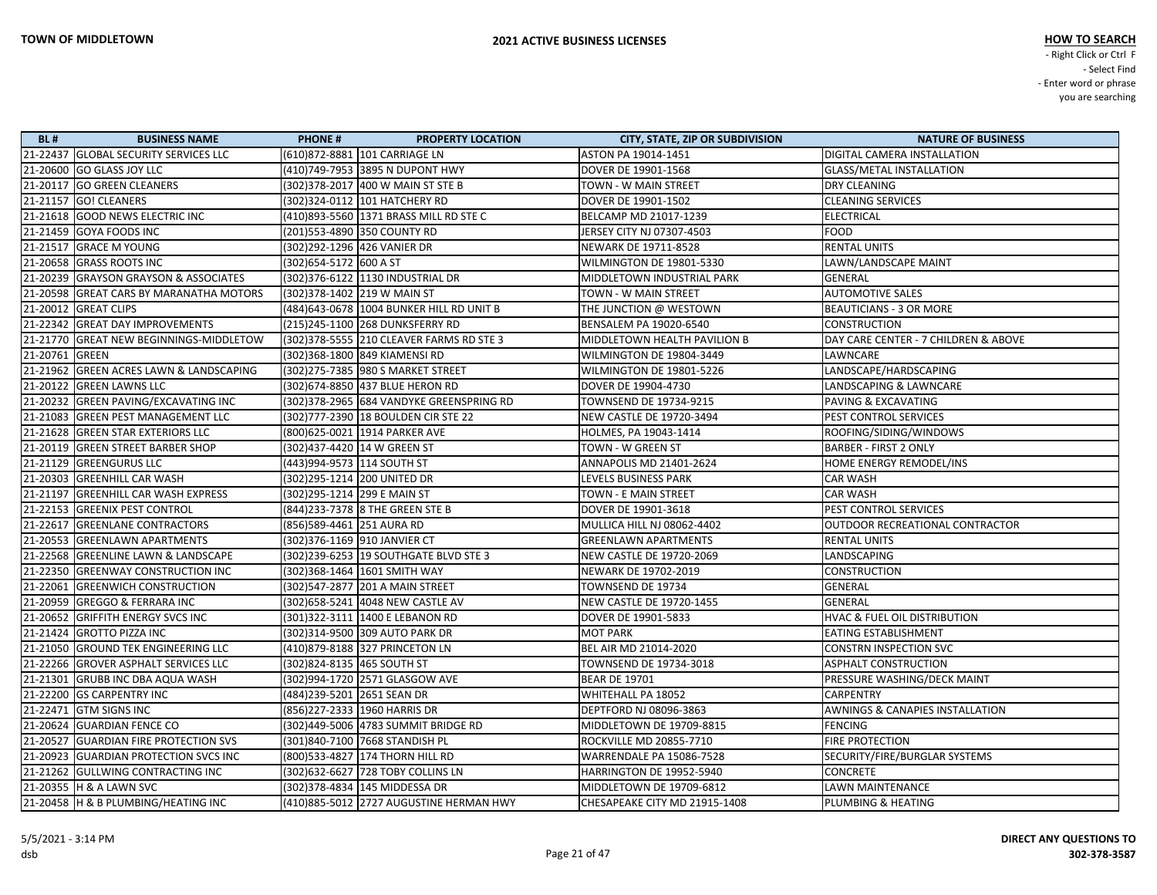| <b>BL#</b>     | <b>BUSINESS NAME</b>                    | <b>PHONE#</b>                 | <b>PROPERTY LOCATION</b>                  | <b>CITY, STATE, ZIP OR SUBDIVISION</b> | <b>NATURE OF BUSINESS</b>                  |
|----------------|-----------------------------------------|-------------------------------|-------------------------------------------|----------------------------------------|--------------------------------------------|
|                | 21-22437 GLOBAL SECURITY SERVICES LLC   |                               | (610)872-8881 101 CARRIAGE LN             | ASTON PA 19014-1451                    | DIGITAL CAMERA INSTALLATION                |
|                | 21-20600 GO GLASS JOY LLC               |                               | (410)749-7953 3895 N DUPONT HWY           | DOVER DE 19901-1568                    | <b>GLASS/METAL INSTALLATION</b>            |
|                | 21-20117 GO GREEN CLEANERS              |                               | (302) 378-2017 400 W MAIN ST STE B        | TOWN - W MAIN STREET                   | <b>DRY CLEANING</b>                        |
|                | 21-21157 GO! CLEANERS                   |                               | (302)324-0112 101 HATCHERY RD             | DOVER DE 19901-1502                    | <b>CLEANING SERVICES</b>                   |
|                | 21-21618 GOOD NEWS ELECTRIC INC         |                               | (410)893-5560 1371 BRASS MILL RD STE C    | BELCAMP MD 21017-1239                  | <b>ELECTRICAL</b>                          |
|                | 21-21459 GOYA FOODS INC                 | (201)553-4890 350 COUNTY RD   |                                           | JERSEY CITY NJ 07307-4503              | FOOD                                       |
|                | 21-21517 GRACE M YOUNG                  | (302)292-1296 426 VANIER DR   |                                           | NEWARK DE 19711-8528                   | <b>RENTAL UNITS</b>                        |
|                | 21-20658 GRASS ROOTS INC                | (302) 654-5172 600 A ST       |                                           | WILMINGTON DE 19801-5330               | LAWN/LANDSCAPE MAINT                       |
|                | 21-20239 GRAYSON GRAYSON & ASSOCIATES   |                               | (302) 376-6122 1130 INDUSTRIAL DR         | MIDDLETOWN INDUSTRIAL PARK             | GENERAL                                    |
|                | 21-20598 GREAT CARS BY MARANATHA MOTORS | (302) 378-1402 219 W MAIN ST  |                                           | TOWN - W MAIN STREET                   | <b>AUTOMOTIVE SALES</b>                    |
|                | 21-20012 GREAT CLIPS                    |                               | (484) 643-0678 1004 BUNKER HILL RD UNIT B | THE JUNCTION @ WESTOWN                 | <b>BEAUTICIANS - 3 OR MORE</b>             |
|                | 21-22342 GREAT DAY IMPROVEMENTS         |                               | (215) 245-1100 268 DUNKSFERRY RD          | BENSALEM PA 19020-6540                 | <b>CONSTRUCTION</b>                        |
|                | 21-21770 GREAT NEW BEGINNINGS-MIDDLETOW |                               | (302) 378-5555 210 CLEAVER FARMS RD STE 3 | MIDDLETOWN HEALTH PAVILION B           | DAY CARE CENTER - 7 CHILDREN & ABOVE       |
| 21-20761 GREEN |                                         |                               | (302)368-1800 849 KIAMENSI RD             | WILMINGTON DE 19804-3449               | LAWNCARE                                   |
|                | 21-21962 GREEN ACRES LAWN & LANDSCAPING |                               | (302) 275-7385   980 S MARKET STREET      | WILMINGTON DE 19801-5226               | LANDSCAPE/HARDSCAPING                      |
|                | 21-20122 GREEN LAWNS LLC                |                               | (302) 674-8850 437 BLUE HERON RD          | DOVER DE 19904-4730                    | LANDSCAPING & LAWNCARE                     |
|                | 21-20232 GREEN PAVING/EXCAVATING INC    |                               | (302)378-2965 684 VANDYKE GREENSPRING RD  | TOWNSEND DE 19734-9215                 | <b>PAVING &amp; EXCAVATING</b>             |
|                | 21-21083 GREEN PEST MANAGEMENT LLC      |                               | (302) 777-2390 18 BOULDEN CIR STE 22      | NEW CASTLE DE 19720-3494               | <b>PEST CONTROL SERVICES</b>               |
|                | 21-21628 GREEN STAR EXTERIORS LLC       |                               | (800) 625-0021 1914 PARKER AVE            | HOLMES, PA 19043-1414                  | ROOFING/SIDING/WINDOWS                     |
|                | 21-20119 GREEN STREET BARBER SHOP       | (302)437-4420 14 W GREEN ST   |                                           | TOWN - W GREEN ST                      | <b>BARBER - FIRST 2 ONLY</b>               |
|                | 21-21129 GREENGURUS LLC                 | (443)994-9573 114 SOUTH ST    |                                           | ANNAPOLIS MD 21401-2624                | HOME ENERGY REMODEL/INS                    |
|                | 21-20303 GREENHILL CAR WASH             | (302)295-1214 200 UNITED DR   |                                           | LEVELS BUSINESS PARK                   | <b>CAR WASH</b>                            |
|                | 21-21197 GREENHILL CAR WASH EXPRESS     | (302)295-1214  299 E MAIN ST  |                                           | TOWN - E MAIN STREET                   | CAR WASH                                   |
|                | 21-22153 GREENIX PEST CONTROL           |                               | (844) 233-7378 8 THE GREEN STE B          | DOVER DE 19901-3618                    | PEST CONTROL SERVICES                      |
|                | 21-22617 GREENLANE CONTRACTORS          | (856)589-4461 251 AURA RD     |                                           | <b>MULLICA HILL NJ 08062-4402</b>      | OUTDOOR RECREATIONAL CONTRACTOR            |
|                | 21-20553 GREENLAWN APARTMENTS           | (302) 376-1169 910 JANVIER CT |                                           | <b>GREENLAWN APARTMENTS</b>            | <b>RENTAL UNITS</b>                        |
|                | 21-22568 GREENLINE LAWN & LANDSCAPE     |                               | (302)239-6253 19 SOUTHGATE BLVD STE 3     | NEW CASTLE DE 19720-2069               | LANDSCAPING                                |
|                | 21-22350 GREENWAY CONSTRUCTION INC      |                               | (302)368-1464  1601 SMITH WAY             | NEWARK DE 19702-2019                   | <b>CONSTRUCTION</b>                        |
|                | 21-22061 GREENWICH CONSTRUCTION         |                               | (302) 547-2877 201 A MAIN STREET          | TOWNSEND DE 19734                      | <b>GENERAL</b>                             |
|                | 21-20959 GREGGO & FERRARA INC           |                               | (302) 658-5241 4048 NEW CASTLE AV         | NEW CASTLE DE 19720-1455               | GENERAL                                    |
|                | 21-20652 GRIFFITH ENERGY SVCS INC       |                               | (301) 322-3111 1400 E LEBANON RD          | DOVER DE 19901-5833                    | <b>HVAC &amp; FUEL OIL DISTRIBUTION</b>    |
|                | 21-21424 GROTTO PIZZA INC               |                               | (302)314-9500 309 AUTO PARK DR            | <b>MOT PARK</b>                        | <b>EATING ESTABLISHMENT</b>                |
|                | 21-21050 GROUND TEK ENGINEERING LLC     |                               | (410)879-8188 327 PRINCETON LN            | BEL AIR MD 21014-2020                  | CONSTRN INSPECTION SVC                     |
|                | 21-22266 GROVER ASPHALT SERVICES LLC    | (302)824-8135 465 SOUTH ST    |                                           | TOWNSEND DE 19734-3018                 | <b>ASPHALT CONSTRUCTION</b>                |
|                | 21-21301 GRUBB INC DBA AQUA WASH        |                               | (302)994-1720 2571 GLASGOW AVE            | <b>BEAR DE 19701</b>                   | <b>PRESSURE WASHING/DECK MAINT</b>         |
|                | 21-22200 GS CARPENTRY INC               | (484)239-5201 2651 SEAN DR    |                                           | WHITEHALL PA 18052                     | CARPENTRY                                  |
|                | 21-22471 GTM SIGNS INC                  | (856)227-2333 1960 HARRIS DR  |                                           | DEPTFORD NJ 08096-3863                 | <b>AWNINGS &amp; CANAPIES INSTALLATION</b> |
|                | 21-20624 GUARDIAN FENCE CO              |                               | (302)449-5006 4783 SUMMIT BRIDGE RD       | MIDDLETOWN DE 19709-8815               | FENCING                                    |
|                | 21-20527 GUARDIAN FIRE PROTECTION SVS   |                               | (301)840-7100 7668 STANDISH PL            | ROCKVILLE MD 20855-7710                | <b>FIRE PROTECTION</b>                     |
|                | 21-20923 GUARDIAN PROTECTION SVCS INC   |                               | (800) 533-4827 174 THORN HILL RD          | <b>WARRENDALE PA 15086-7528</b>        | SECURITY/FIRE/BURGLAR SYSTEMS              |
|                | 21-21262 GULLWING CONTRACTING INC       |                               | (302) 632-6627 728 TOBY COLLINS LN        | HARRINGTON DE 19952-5940               | <b>CONCRETE</b>                            |
|                | 21-20355 H & A LAWN SVC                 |                               | (302) 378-4834 145 MIDDESSA DR            | MIDDLETOWN DE 19709-6812               | LAWN MAINTENANCE                           |
|                | 21-20458 H & B PLUMBING/HEATING INC     |                               | (410)885-5012 2727 AUGUSTINE HERMAN HWY   | CHESAPEAKE CITY MD 21915-1408          | PLUMBING & HEATING                         |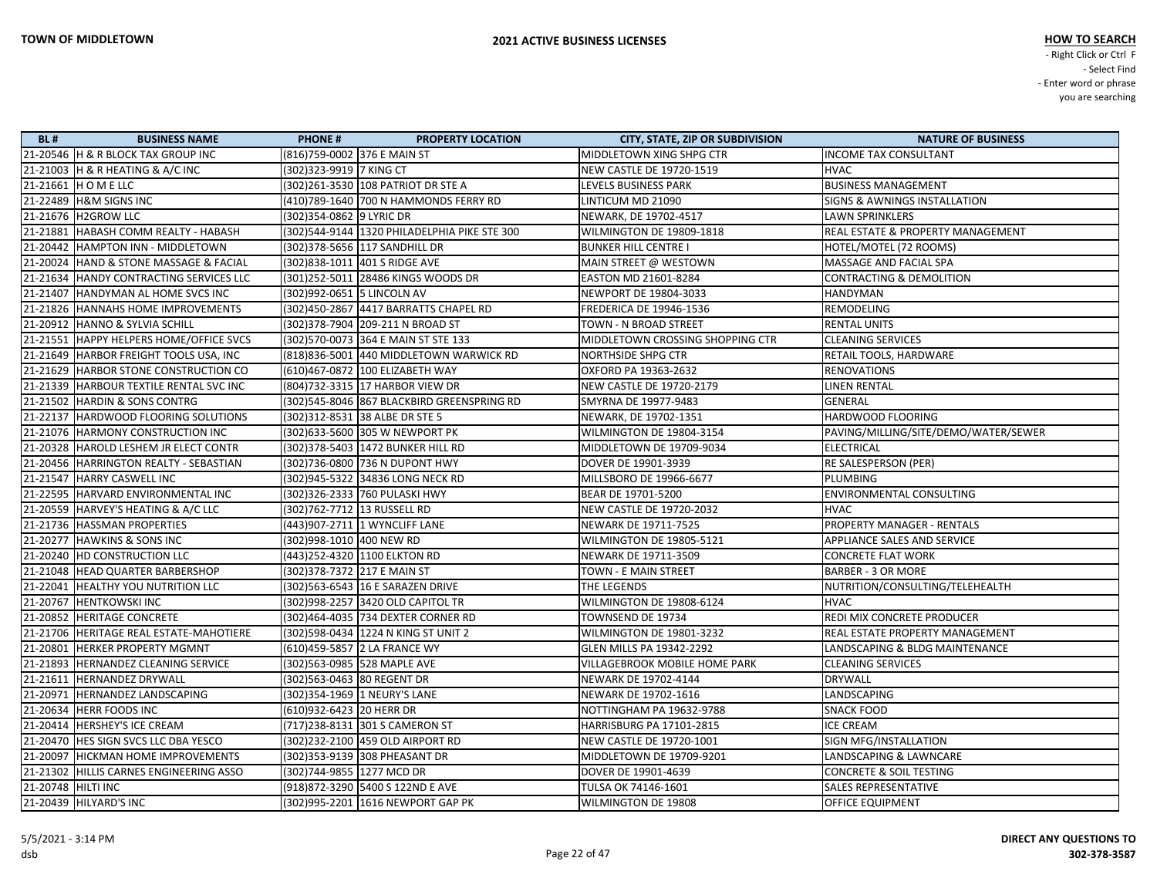| <b>BL#</b>           | <b>BUSINESS NAME</b>                      | <b>PHONE#</b><br><b>PROPERTY LOCATION</b>      | <b>CITY, STATE, ZIP OR SUBDIVISION</b> | <b>NATURE OF BUSINESS</b>            |
|----------------------|-------------------------------------------|------------------------------------------------|----------------------------------------|--------------------------------------|
|                      | 21-20546  H & R BLOCK TAX GROUP INC       | (816)759-0002 376 E MAIN ST                    | MIDDLETOWN XING SHPG CTR               | <b>INCOME TAX CONSULTANT</b>         |
|                      | 21-21003 H & R HEATING & A/C INC          | (302) 323-9919 7 KING CT                       | NEW CASTLE DE 19720-1519               | <b>HVAC</b>                          |
|                      | 21-21661  H O M E LLC                     | (302) 261-3530 108 PATRIOT DR STE A            | LEVELS BUSINESS PARK                   | <b>BUSINESS MANAGEMENT</b>           |
|                      | 21-22489 H&M SIGNS INC                    | (410)789-1640 700 N HAMMONDS FERRY RD          | LINTICUM MD 21090                      | SIGNS & AWNINGS INSTALLATION         |
|                      | 21-21676 H2GROW LLC                       | (302) 354-0862 9 LYRIC DR                      | NEWARK, DE 19702-4517                  | <b>LAWN SPRINKLERS</b>               |
|                      | 21-21881   HABASH COMM REALTY - HABASH    | (302)544-9144   1320 PHILADELPHIA PIKE STE 300 | WILMINGTON DE 19809-1818               | REAL ESTATE & PROPERTY MANAGEMENT    |
|                      | 21-20442 HAMPTON INN - MIDDLETOWN         | (302) 378-5656 117 SANDHILL DR                 | <b>BUNKER HILL CENTRE I</b>            | HOTEL/MOTEL (72 ROOMS)               |
|                      | 21-20024 HAND & STONE MASSAGE & FACIAL    | (302)838-1011 401 S RIDGE AVE                  | MAIN STREET @ WESTOWN                  | MASSAGE AND FACIAL SPA               |
|                      | 21-21634 HANDY CONTRACTING SERVICES LLC   | (301)252-5011 28486 KINGS WOODS DR             | EASTON MD 21601-8284                   | <b>CONTRACTING &amp; DEMOLITION</b>  |
|                      | 21-21407   HANDYMAN AL HOME SVCS INC      | (302)992-0651 5 LINCOLN AV                     | NEWPORT DE 19804-3033                  | HANDYMAN                             |
|                      | 21-21826 HANNAHS HOME IMPROVEMENTS        | (302)450-2867 4417 BARRATTS CHAPEL RD          | FREDERICA DE 19946-1536                | REMODELING                           |
|                      | 21-20912 HANNO & SYLVIA SCHILL            | (302) 378-7904 209-211 N BROAD ST              | TOWN - N BROAD STREET                  | <b>RENTAL UNITS</b>                  |
|                      | 21-21551 HAPPY HELPERS HOME/OFFICE SVCS   | (302)570-0073 364 E MAIN ST STE 133            | MIDDLETOWN CROSSING SHOPPING CTR       | <b>CLEANING SERVICES</b>             |
|                      | 21-21649 HARBOR FREIGHT TOOLS USA, INC    | (818)836-5001 440 MIDDLETOWN WARWICK RD        | <b>NORTHSIDE SHPG CTR</b>              | RETAIL TOOLS, HARDWARE               |
|                      | 21-21629 HARBOR STONE CONSTRUCTION CO     | (610)467-0872  100 ELIZABETH WAY               | OXFORD PA 19363-2632                   | <b>RENOVATIONS</b>                   |
|                      | 21-21339   HARBOUR TEXTILE RENTAL SVC INC | (804)732-3315 17 HARBOR VIEW DR                | <b>NEW CASTLE DE 19720-2179</b>        | <b>LINEN RENTAL</b>                  |
|                      | 21-21502 HARDIN & SONS CONTRG             | (302)545-8046 867 BLACKBIRD GREENSPRING RD     | SMYRNA DE 19977-9483                   | GENERAL                              |
|                      | 21-22137  HARDWOOD FLOORING SOLUTIONS     | (302) 312-8531 38 ALBE DR STE 5                | NEWARK, DE 19702-1351                  | HARDWOOD FLOORING                    |
|                      | 21-21076 HARMONY CONSTRUCTION INC         | (302)633-5600 305 W NEWPORT PK                 | WILMINGTON DE 19804-3154               | PAVING/MILLING/SITE/DEMO/WATER/SEWER |
|                      | 21-20328 HAROLD LESHEM JR ELECT CONTR     | (302) 378-5403 1472 BUNKER HILL RD             | MIDDLETOWN DE 19709-9034               | <b>ELECTRICAL</b>                    |
|                      | 21-20456   HARRINGTON REALTY - SEBASTIAN  | (302)736-0800 736 N DUPONT HWY                 | DOVER DE 19901-3939                    | RE SALESPERSON (PER)                 |
|                      | 21-21547 HARRY CASWELL INC                | (302)945-5322 34836 LONG NECK RD               | MILLSBORO DE 19966-6677                | <b>PLUMBING</b>                      |
|                      | 21-22595 HARVARD ENVIRONMENTAL INC        |                                                | BEAR DE 19701-5200                     | ENVIRONMENTAL CONSULTING             |
|                      | 21-20559 HARVEY'S HEATING & A/C LLC       | (302)762-7712 13 RUSSELL RD                    | NEW CASTLE DE 19720-2032               | <b>HVAC</b>                          |
|                      | 21-21736   HASSMAN PROPERTIES             | (443)907-2711 1 WYNCLIFF LANE                  | NEWARK DE 19711-7525                   | PROPERTY MANAGER - RENTALS           |
|                      | 21-20277 HAWKINS & SONS INC               | (302)998-1010  400 NEW RD                      | WILMINGTON DE 19805-5121               | APPLIANCE SALES AND SERVICE          |
|                      | 21-20240   HD CONSTRUCTION LLC            | (443)252-4320 1100 ELKTON RD                   | NEWARK DE 19711-3509                   | <b>CONCRETE FLAT WORK</b>            |
|                      | 21-21048   HEAD QUARTER BARBERSHOP        | (302)378-7372 217 E MAIN ST                    | TOWN - E MAIN STREET                   | <b>BARBER - 3 OR MORE</b>            |
|                      | 21-22041 HEALTHY YOU NUTRITION LLC        | (302)563-6543 16 E SARAZEN DRIVE               | THE LEGENDS                            | NUTRITION/CONSULTING/TELEHEALTH      |
|                      | 21-20767 HENTKOWSKI INC                   | (302) 998-2257 3420 OLD CAPITOL TR             | WILMINGTON DE 19808-6124               | <b>HVAC</b>                          |
|                      | 21-20852 HERITAGE CONCRETE                | (302)464-4035 734 DEXTER CORNER RD             | TOWNSEND DE 19734                      | REDI MIX CONCRETE PRODUCER           |
|                      | 21-21706 HERITAGE REAL ESTATE-MAHOTIERE   | (302) 598-0434 1224 N KING ST UNIT 2           | WILMINGTON DE 19801-3232               | REAL ESTATE PROPERTY MANAGEMENT      |
|                      | 21-20801 HERKER PROPERTY MGMNT            | (610)459-5857 2 LA FRANCE WY                   | <b>GLEN MILLS PA 19342-2292</b>        | LANDSCAPING & BLDG MAINTENANCE       |
|                      | 21-21893 HERNANDEZ CLEANING SERVICE       | (302)563-0985 528 MAPLE AVE                    | <b>VILLAGEBROOK MOBILE HOME PARK</b>   | <b>CLEANING SERVICES</b>             |
|                      | 21-21611 HERNANDEZ DRYWALL                | (302)563-0463 80 REGENT DR                     | NEWARK DE 19702-4144                   | DRYWALL                              |
|                      | 21-20971 HERNANDEZ LANDSCAPING            | (302) 354-1969 1 NEURY'S LANE                  | NEWARK DE 19702-1616                   | LANDSCAPING                          |
|                      | 21-20634 HERR FOODS INC                   | (610)932-6423 20 HERR DR                       | NOTTINGHAM PA 19632-9788               | <b>SNACK FOOD</b>                    |
|                      | 21-20414   HERSHEY'S ICE CREAM            | (717)238-8131 301 S CAMERON ST                 | HARRISBURG PA 17101-2815               | <b>ICE CREAM</b>                     |
|                      | 21-20470   HES SIGN SVCS LLC DBA YESCO    | (302)232-2100 459 OLD AIRPORT RD               | NEW CASTLE DE 19720-1001               | SIGN MFG/INSTALLATION                |
|                      | 21-20097 HICKMAN HOME IMPROVEMENTS        | (302)353-9139 308 PHEASANT DR                  | MIDDLETOWN DE 19709-9201               | LANDSCAPING & LAWNCARE               |
|                      | 21-21302 HILLIS CARNES ENGINEERING ASSO   | (302)744-9855 1277 MCD DR                      | DOVER DE 19901-4639                    | <b>CONCRETE &amp; SOIL TESTING</b>   |
| 21-20748   HILTI INC |                                           | (918)872-3290 5400 S 122ND E AVE               | TULSA OK 74146-1601                    | <b>SALES REPRESENTATIVE</b>          |
|                      | 21-20439   HILYARD'S INC                  | (302)995-2201 1616 NEWPORT GAP PK              | WILMINGTON DE 19808                    | <b>OFFICE EQUIPMENT</b>              |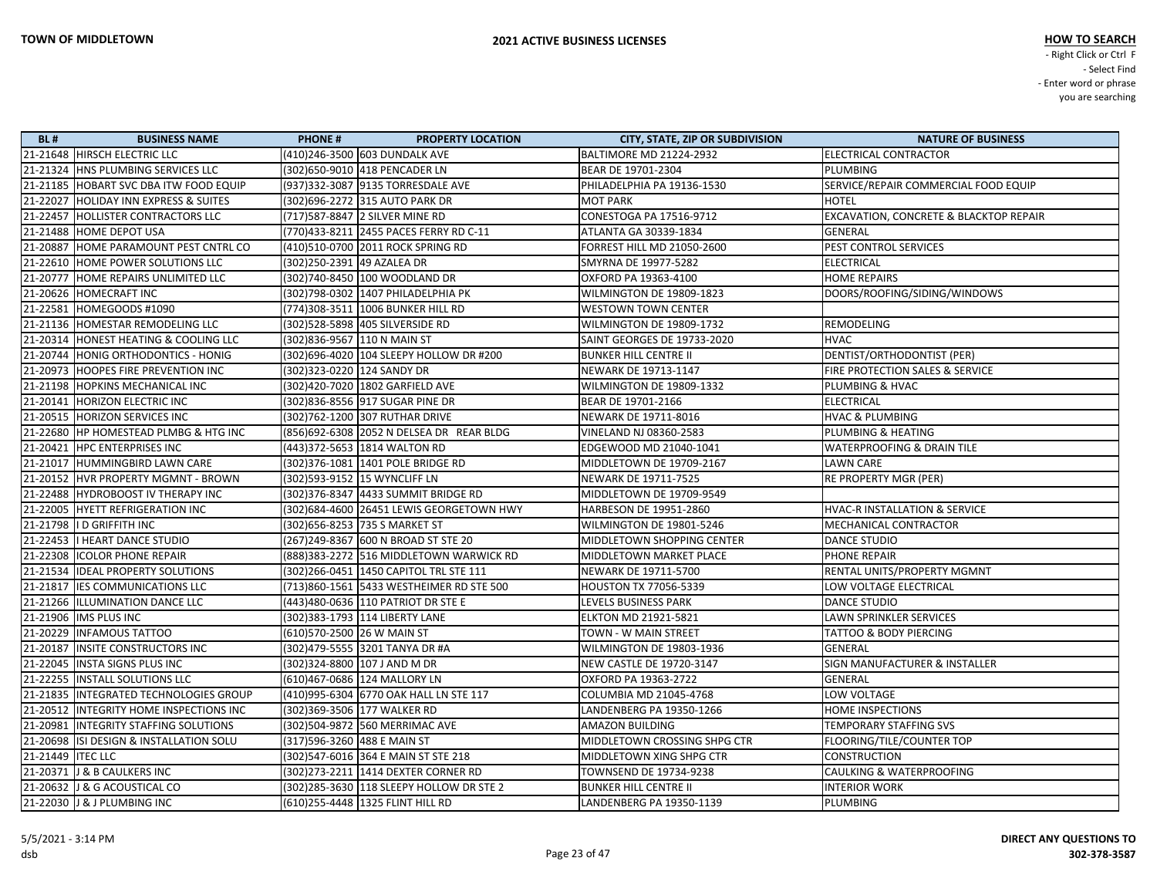| <b>BL#</b>          | <b>BUSINESS NAME</b>                      | <b>PHONE#</b><br><b>PROPERTY LOCATION</b> | <b>CITY, STATE, ZIP OR SUBDIVISION</b> | <b>NATURE OF BUSINESS</b>              |
|---------------------|-------------------------------------------|-------------------------------------------|----------------------------------------|----------------------------------------|
|                     | 21-21648 HIRSCH ELECTRIC LLC              | (410)246-3500 603 DUNDALK AVE             | <b>BALTIMORE MD 21224-2932</b>         | <b>ELECTRICAL CONTRACTOR</b>           |
|                     | 21-21324 HNS PLUMBING SERVICES LLC        | (302)650-9010 418 PENCADER LN             | BEAR DE 19701-2304                     | PLUMBING                               |
|                     | 21-21185 HOBART SVC DBA ITW FOOD EQUIP    | (937)332-3087 9135 TORRESDALE AVE         | PHILADELPHIA PA 19136-1530             | SERVICE/REPAIR COMMERCIAL FOOD EQUIP   |
|                     | 21-22027 HOLIDAY INN EXPRESS & SUITES     | (302) 696-2272 315 AUTO PARK DR           | <b>MOT PARK</b>                        | <b>HOTEL</b>                           |
|                     | 21-22457 HOLLISTER CONTRACTORS LLC        | (717)587-8847 2 SILVER MINE RD            | CONESTOGA PA 17516-9712                | EXCAVATION, CONCRETE & BLACKTOP REPAIR |
|                     | 21-21488 HOME DEPOT USA                   | (770)433-8211 2455 PACES FERRY RD C-11    | <b>ATLANTA GA 30339-1834</b>           | GENERAL                                |
|                     | 21-20887 HOME PARAMOUNT PEST CNTRL CO     | (410)510-0700 2011 ROCK SPRING RD         | <b>FORREST HILL MD 21050-2600</b>      | PEST CONTROL SERVICES                  |
|                     | 21-22610 HOME POWER SOLUTIONS LLC         | (302)250-2391 49 AZALEA DR                | SMYRNA DE 19977-5282                   | <b>ELECTRICAL</b>                      |
|                     | 21-20777 HOME REPAIRS UNLIMITED LLC       | (302)740-8450 100 WOODLAND DR             | OXFORD PA 19363-4100                   | <b>HOME REPAIRS</b>                    |
|                     | 21-20626 HOMECRAFT INC                    | (302)798-0302 1407 PHILADELPHIA PK        | WILMINGTON DE 19809-1823               | DOORS/ROOFING/SIDING/WINDOWS           |
|                     | 21-22581 HOMEGOODS #1090                  | (774)308-3511   1006 BUNKER HILL RD       | <b>WESTOWN TOWN CENTER</b>             |                                        |
|                     | 21-21136 HOMESTAR REMODELING LLC          | (302)528-5898 405 SILVERSIDE RD           | WILMINGTON DE 19809-1732               | REMODELING                             |
|                     | 21-20314 HONEST HEATING & COOLING LLC     | (302)836-9567  110 N MAIN ST              | SAINT GEORGES DE 19733-2020            | <b>HVAC</b>                            |
|                     | 21-20744 HONIG ORTHODONTICS - HONIG       | (302)696-4020 104 SLEEPY HOLLOW DR #200   | <b>BUNKER HILL CENTRE II</b>           | DENTIST/ORTHODONTIST (PER)             |
|                     | 21-20973 HOOPES FIRE PREVENTION INC       | (302) 323-0220 124 SANDY DR               | NEWARK DE 19713-1147                   | FIRE PROTECTION SALES & SERVICE        |
|                     | 21-21198 HOPKINS MECHANICAL INC           | (302)420-7020 1802 GARFIELD AVE           | WILMINGTON DE 19809-1332               | PLUMBING & HVAC                        |
|                     | 21-20141 HORIZON ELECTRIC INC             | (302)836-8556 917 SUGAR PINE DR           | BEAR DE 19701-2166                     | <b>ELECTRICAL</b>                      |
|                     | 21-20515  HORIZON SERVICES INC            | (302)762-1200 307 RUTHAR DRIVE            | NEWARK DE 19711-8016                   | <b>HVAC &amp; PLUMBING</b>             |
|                     | 21-22680 HP HOMESTEAD PLMBG & HTG INC     | (856)692-6308 2052 N DELSEA DR REAR BLDG  | VINELAND NJ 08360-2583                 | PLUMBING & HEATING                     |
|                     | 21-20421 HPC ENTERPRISES INC              | (443)372-5653 1814 WALTON RD              | EDGEWOOD MD 21040-1041                 | WATERPROOFING & DRAIN TILE             |
|                     | 21-21017 HUMMINGBIRD LAWN CARE            | (302) 376-1081 1401 POLE BRIDGE RD        | MIDDLETOWN DE 19709-2167               | <b>LAWN CARE</b>                       |
|                     | 21-20152 HVR PROPERTY MGMNT - BROWN       | (302)593-9152 15 WYNCLIFF LN              | NEWARK DE 19711-7525                   | RE PROPERTY MGR (PER)                  |
|                     | 21-22488 HYDROBOOST IV THERAPY INC        | (302) 376-8347 4433 SUMMIT BRIDGE RD      | MIDDLETOWN DE 19709-9549               |                                        |
|                     | 21-22005 HYETT REFRIGERATION INC          | (302) 684-4600 26451 LEWIS GEORGETOWN HWY | HARBESON DE 19951-2860                 | HVAC-R INSTALLATION & SERVICE          |
|                     | 21-21798  ID GRIFFITH INC                 | (302) 656-8253 735 S MARKET ST            | WILMINGTON DE 19801-5246               | MECHANICAL CONTRACTOR                  |
|                     | 21-22453   HEART DANCE STUDIO             | (267) 249-8367 600 N BROAD ST STE 20      | MIDDLETOWN SHOPPING CENTER             | DANCE STUDIO                           |
|                     | 21-22308  ICOLOR PHONE REPAIR             | (888) 383-2272 516 MIDDLETOWN WARWICK RD  | MIDDLETOWN MARKET PLACE                | PHONE REPAIR                           |
|                     | 21-21534   IDEAL PROPERTY SOLUTIONS       | (302) 266-0451 1450 CAPITOL TRL STE 111   | NEWARK DE 19711-5700                   | RENTAL UNITS/PROPERTY MGMNT            |
|                     | 21-21817 IES COMMUNICATIONS LLC           | (713)860-1561 5433 WESTHEIMER RD STE 500  | <b>HOUSTON TX 77056-5339</b>           | LOW VOLTAGE ELECTRICAL                 |
|                     | 21-21266  ILLUMINATION DANCE LLC          |                                           | LEVELS BUSINESS PARK                   | <b>DANCE STUDIO</b>                    |
|                     | 21-21906   IMS PLUS INC                   | (302)383-1793 114 LIBERTY LANE            | <b>ELKTON MD 21921-5821</b>            | <b>LAWN SPRINKLER SERVICES</b>         |
|                     | 21-20229   INFAMOUS TATTOO                | (610)570-2500 26 W MAIN ST                | TOWN - W MAIN STREET                   | <b>TATTOO &amp; BODY PIERCING</b>      |
|                     | 21-20187 INSITE CONSTRUCTORS INC          | (302)479-5555 3201 TANYA DR #A            | WILMINGTON DE 19803-1936               | GENERAL                                |
|                     | 21-22045   INSTA SIGNS PLUS INC           | (302) 324-8800 107 J AND M DR             | <b>NEW CASTLE DE 19720-3147</b>        | SIGN MANUFACTURER & INSTALLER          |
|                     | 21-22255   INSTALL SOLUTIONS LLC          | (610)467-0686  124 MALLORY LN             | OXFORD PA 19363-2722                   | <b>GENERAL</b>                         |
|                     | 21-21835   INTEGRATED TECHNOLOGIES GROUP  | (410)995-6304 6770 OAK HALL LN STE 117    | <b>COLUMBIA MD 21045-4768</b>          | LOW VOLTAGE                            |
|                     | 21-20512   INTEGRITY HOME INSPECTIONS INC | (302)369-3506 177 WALKER RD               | LANDENBERG PA 19350-1266               | <b>HOME INSPECTIONS</b>                |
|                     | 21-20981  INTEGRITY STAFFING SOLUTIONS    | (302)504-9872 560 MERRIMAC AVE            | <b>AMAZON BUILDING</b>                 | TEMPORARY STAFFING SVS                 |
|                     | 21-20698 ISI DESIGN & INSTALLATION SOLU   | (317)596-3260 488 E MAIN ST               | MIDDLETOWN CROSSING SHPG CTR           | FLOORING/TILE/COUNTER TOP              |
| 21-21449   ITEC LLC |                                           | (302) 547-6016 364 E MAIN ST STE 218      | MIDDLETOWN XING SHPG CTR               | <b>CONSTRUCTION</b>                    |
|                     | 21-20371 J & B CAULKERS INC               | (302) 273-2211 1414 DEXTER CORNER RD      | TOWNSEND DE 19734-9238                 | CAULKING & WATERPROOFING               |
|                     | 21-20632 J & G ACOUSTICAL CO              | (302) 285-3630 118 SLEEPY HOLLOW DR STE 2 | <b>BUNKER HILL CENTRE II</b>           | <b>INTERIOR WORK</b>                   |
|                     | 21-22030 J & J PLUMBING INC               | (610)255-4448 1325 FLINT HILL RD          | LANDENBERG PA 19350-1139               | <b>PLUMBING</b>                        |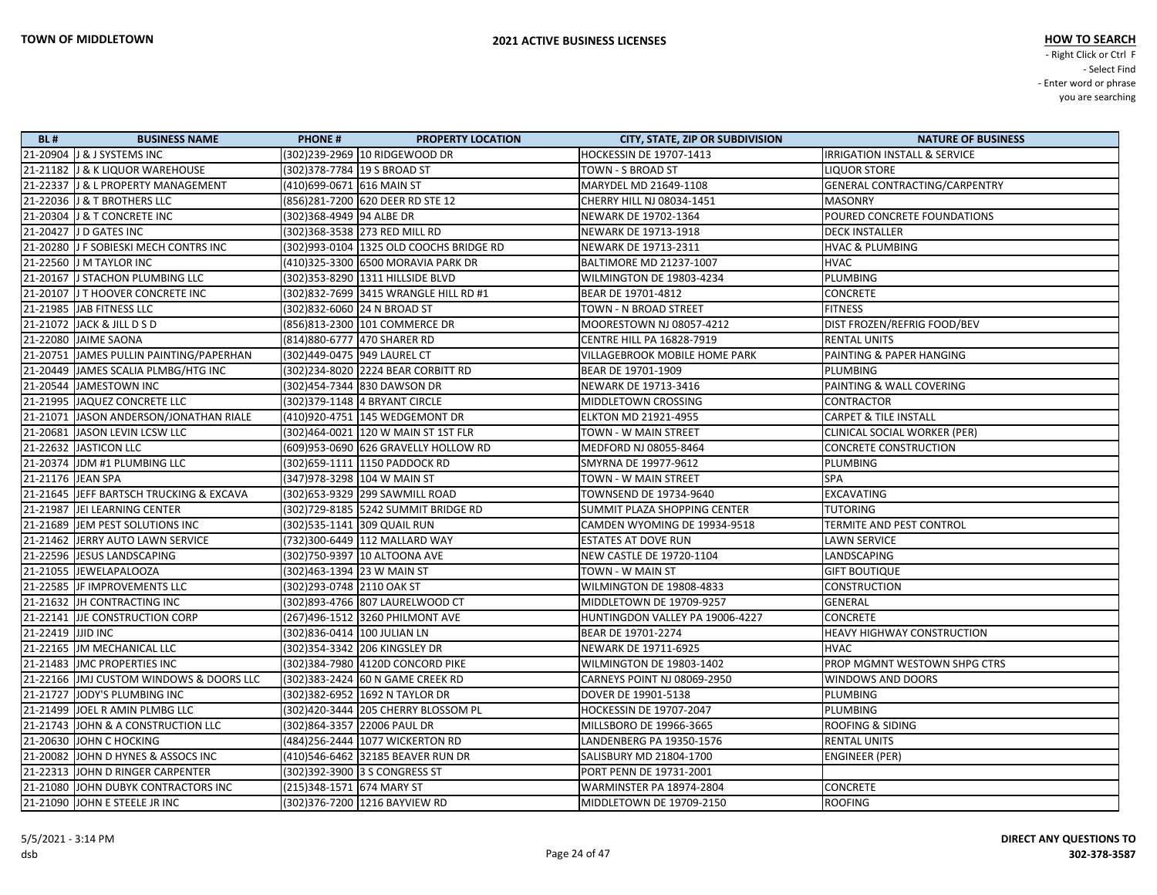| <b>BL#</b>        | <b>BUSINESS NAME</b>                    | <b>PHONE#</b>               | <b>PROPERTY LOCATION</b>                 | <b>CITY, STATE, ZIP OR SUBDIVISION</b> | <b>NATURE OF BUSINESS</b>         |
|-------------------|-----------------------------------------|-----------------------------|------------------------------------------|----------------------------------------|-----------------------------------|
|                   | 21-20904 J & J SYSTEMS INC              |                             | (302)239-2969  10 RIDGEWOOD DR           | HOCKESSIN DE 19707-1413                | IRRIGATION INSTALL & SERVICE      |
|                   | 21-21182 J & K LIQUOR WAREHOUSE         |                             | (302)378-7784  19 S BROAD ST             | TOWN - S BROAD ST                      | <b>LIQUOR STORE</b>               |
|                   | 21-22337 J & L PROPERTY MANAGEMENT      | (410)699-0671 616 MAIN ST   |                                          | MARYDEL MD 21649-1108                  | GENERAL CONTRACTING/CARPENTRY     |
|                   | 21-22036 J & T BROTHERS LLC             |                             | (856)281-7200 620 DEER RD STE 12         | CHERRY HILL NJ 08034-1451              | <b>MASONRY</b>                    |
|                   | 21-20304 J & T CONCRETE INC             | (302)368-4949 94 ALBE DR    |                                          | NEWARK DE 19702-1364                   | POURED CONCRETE FOUNDATIONS       |
|                   | 21-20427 J D GATES INC                  |                             |                                          | NEWARK DE 19713-1918                   | <b>DECK INSTALLER</b>             |
|                   | 21-20280 J F SOBIESKI MECH CONTRS INC   |                             | (302)993-0104  1325 OLD COOCHS BRIDGE RD | NEWARK DE 19713-2311                   | <b>HVAC &amp; PLUMBING</b>        |
|                   | 21-22560 J M TAYLOR INC                 |                             | (410)325-3300 6500 MORAVIA PARK DR       | <b>BALTIMORE MD 21237-1007</b>         | <b>HVAC</b>                       |
|                   | 21-20167 J STACHON PLUMBING LLC         |                             | (302) 353-8290 1311 HILLSIDE BLVD        | WILMINGTON DE 19803-4234               | <b>PLUMBING</b>                   |
|                   | 21-20107 J T HOOVER CONCRETE INC        |                             | (302)832-7699 3415 WRANGLE HILL RD #1    | BEAR DE 19701-4812                     | <b>CONCRETE</b>                   |
|                   | 21-21985 JAB FITNESS LLC                |                             | (302)832-6060 24 N BROAD ST              | TOWN - N BROAD STREET                  | <b>FITNESS</b>                    |
|                   | 21-21072 JACK & JILL D S D              |                             | (856)813-2300 101 COMMERCE DR            | MOORESTOWN NJ 08057-4212               | DIST FROZEN/REFRIG FOOD/BEV       |
|                   | 21-22080 JAIME SAONA                    |                             | (814) 880-6777 470 SHARER RD             | <b>CENTRE HILL PA 16828-7919</b>       | <b>RENTAL UNITS</b>               |
|                   | 21-20751 JAMES PULLIN PAINTING/PAPERHAN | (302)449-0475 949 LAUREL CT |                                          | VILLAGEBROOK MOBILE HOME PARK          | PAINTING & PAPER HANGING          |
|                   | 21-20449 JAMES SCALIA PLMBG/HTG INC     |                             | (302)234-8020 2224 BEAR CORBITT RD       | BEAR DE 19701-1909                     | <b>PLUMBING</b>                   |
|                   | 21-20544 JAMESTOWN INC                  |                             | (302)454-7344 830 DAWSON DR              | NEWARK DE 19713-3416                   | PAINTING & WALL COVERING          |
|                   | 21-21995 JAQUEZ CONCRETE LLC            |                             | (302) 379-1148 4 BRYANT CIRCLE           | MIDDLETOWN CROSSING                    | <b>CONTRACTOR</b>                 |
|                   | 21-21071 JASON ANDERSON/JONATHAN RIALE  |                             | (410)920-4751   145 WEDGEMONT DR         | ELKTON MD 21921-4955                   | <b>CARPET &amp; TILE INSTALL</b>  |
|                   | 21-20681 JASON LEVIN LCSW LLC           |                             | (302)464-0021 120 W MAIN ST 1ST FLR      | TOWN - W MAIN STREET                   | CLINICAL SOCIAL WORKER (PER)      |
|                   | 21-22632 JASTICON LLC                   |                             | (609)953-0690 626 GRAVELLY HOLLOW RD     | MEDFORD NJ 08055-8464                  | <b>CONCRETE CONSTRUCTION</b>      |
|                   | 21-20374 JDM #1 PLUMBING LLC            |                             | (302)659-1111  1150 PADDOCK RD           | SMYRNA DE 19977-9612                   | <b>PLUMBING</b>                   |
| 21-21176 JEAN SPA |                                         |                             | (347) 978-3298 104 W MAIN ST             | TOWN - W MAIN STREET                   | <b>SPA</b>                        |
|                   | 21-21645 JEFF BARTSCH TRUCKING & EXCAVA |                             | (302)653-9329 299 SAWMILL ROAD           | TOWNSEND DE 19734-9640                 | <b>EXCAVATING</b>                 |
|                   | 21-21987 JEI LEARNING CENTER            |                             | (302)729-8185 5242 SUMMIT BRIDGE RD      | SUMMIT PLAZA SHOPPING CENTER           | <b>TUTORING</b>                   |
|                   | 21-21689 JEM PEST SOLUTIONS INC         |                             | (302)535-1141  309 QUAIL RUN             | CAMDEN WYOMING DE 19934-9518           | TERMITE AND PEST CONTROL          |
|                   | 21-21462 JERRY AUTO LAWN SERVICE        |                             | (732)300-6449 112 MALLARD WAY            | <b>ESTATES AT DOVE RUN</b>             | <b>LAWN SERVICE</b>               |
|                   | 21-22596 JESUS LANDSCAPING              |                             | (302)750-9397  10 ALTOONA AVE            | NEW CASTLE DE 19720-1104               | LANDSCAPING                       |
|                   | 21-21055 JEWELAPALOOZA                  | (302)463-1394 23 W MAIN ST  |                                          | TOWN - W MAIN ST                       | <b>GIFT BOUTIQUE</b>              |
|                   | 21-22585 JF IMPROVEMENTS LLC            | (302) 293-0748 2110 OAK ST  |                                          | WILMINGTON DE 19808-4833               | <b>CONSTRUCTION</b>               |
|                   | 21-21632 JH CONTRACTING INC             |                             | (302) 893-4766 807 LAURELWOOD CT         | MIDDLETOWN DE 19709-9257               | GENERAL                           |
|                   | 21-22141 JJE CONSTRUCTION CORP          |                             | (267)496-1512 3260 PHILMONT AVE          | HUNTINGDON VALLEY PA 19006-4227        | <b>CONCRETE</b>                   |
| 21-22419 JJID INC |                                         | (302)836-0414 100 JULIAN LN |                                          | BEAR DE 19701-2274                     | <b>HEAVY HIGHWAY CONSTRUCTION</b> |
|                   | 21-22165 JM MECHANICAL LLC              |                             | (302)354-3342 206 KINGSLEY DR            | NEWARK DE 19711-6925                   | HVAC                              |
|                   | 21-21483 JJMC PROPERTIES INC            |                             | (302)384-7980 4120D CONCORD PIKE         | WILMINGTON DE 19803-1402               | PROP MGMNT WESTOWN SHPG CTRS      |
|                   | 21-22166 JMJ CUSTOM WINDOWS & DOORS LLC |                             | (302) 383-2424 60 N GAME CREEK RD        | CARNEYS POINT NJ 08069-2950            | <b>WINDOWS AND DOORS</b>          |
|                   | 21-21727 JODY'S PLUMBING INC            |                             | (302)382-6952 1692 N TAYLOR DR           | DOVER DE 19901-5138                    | <b>PLUMBING</b>                   |
|                   | 21-21499 JOEL R AMIN PLMBG LLC          |                             | (302)420-3444 205 CHERRY BLOSSOM PL      | HOCKESSIN DE 19707-2047                | PLUMBING                          |
|                   | 21-21743 JOHN & A CONSTRUCTION LLC      |                             | (302)864-3357 22006 PAUL DR              | MILLSBORO DE 19966-3665                | <b>ROOFING &amp; SIDING</b>       |
|                   | 21-20630 JOHN C HOCKING                 |                             | (484) 256-2444 1077 WICKERTON RD         | LANDENBERG PA 19350-1576               | <b>RENTAL UNITS</b>               |
|                   | 21-20082 JOHN D HYNES & ASSOCS INC      |                             | (410)546-6462 32185 BEAVER RUN DR        | SALISBURY MD 21804-1700                | <b>ENGINEER (PER)</b>             |
|                   | 21-22313 JOHN D RINGER CARPENTER        |                             | (302)392-3900 3 S CONGRESS ST            | PORT PENN DE 19731-2001                |                                   |
|                   | 21-21080 JOHN DUBYK CONTRACTORS INC     | (215)348-1571 674 MARY ST   |                                          | <b>WARMINSTER PA 18974-2804</b>        | <b>CONCRETE</b>                   |
|                   | 21-21090 JOHN E STEELE JR INC           |                             | (302)376-7200 1216 BAYVIEW RD            | MIDDLETOWN DE 19709-2150               | <b>ROOFING</b>                    |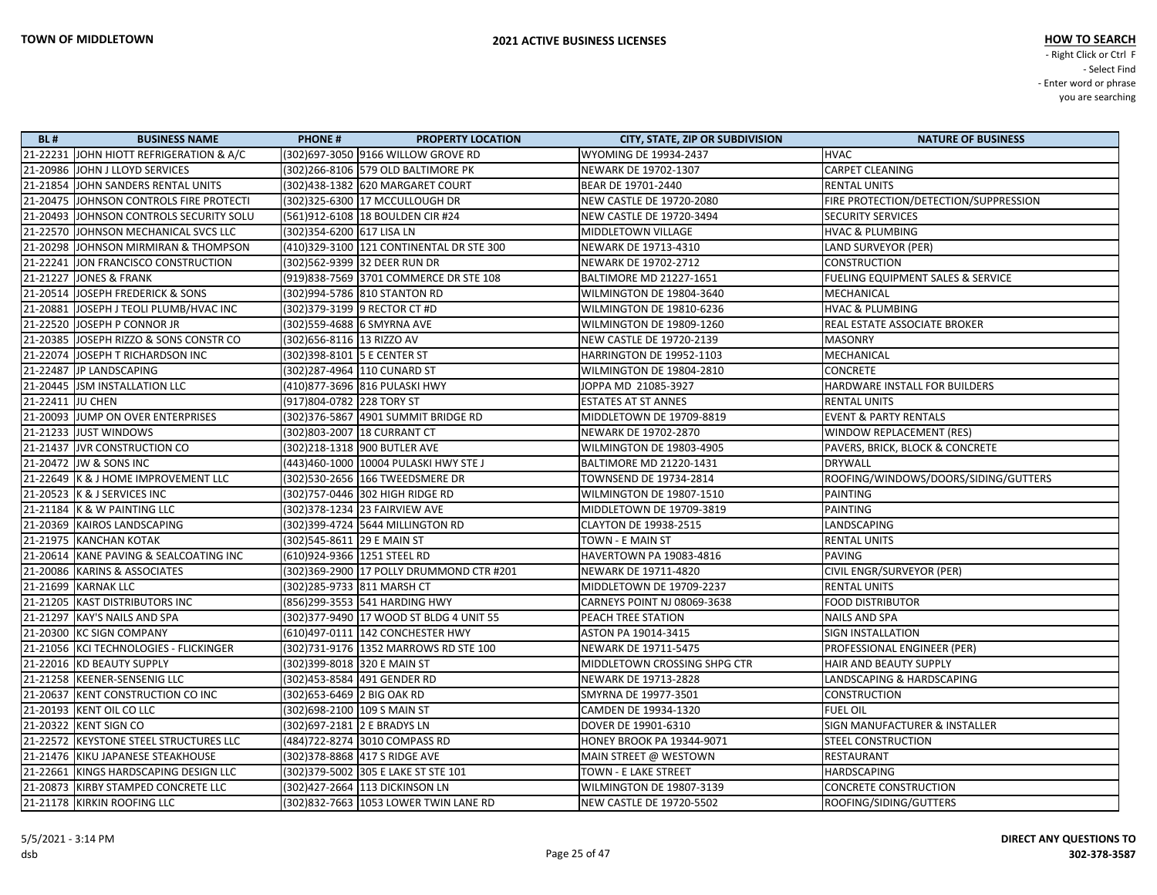| <b>BL#</b>       | <b>BUSINESS NAME</b>                     | <b>PHONE#</b>                | <b>PROPERTY LOCATION</b>                 | <b>CITY, STATE, ZIP OR SUBDIVISION</b> | <b>NATURE OF BUSINESS</b>                    |
|------------------|------------------------------------------|------------------------------|------------------------------------------|----------------------------------------|----------------------------------------------|
|                  | 21-22231 JOHN HIOTT REFRIGERATION & A/C  |                              | (302) 697-3050 9166 WILLOW GROVE RD      | <b>WYOMING DE 19934-2437</b>           | <b>HVAC</b>                                  |
|                  | 21-20986 JOHN J LLOYD SERVICES           |                              | (302)266-8106 579 OLD BALTIMORE PK       | NEWARK DE 19702-1307                   | <b>CARPET CLEANING</b>                       |
|                  | 21-21854 JOHN SANDERS RENTAL UNITS       |                              | (302)438-1382 620 MARGARET COURT         | BEAR DE 19701-2440                     | <b>RENTAL UNITS</b>                          |
|                  | 21-20475 JOHNSON CONTROLS FIRE PROTECTI  |                              | (302) 325-6300 17 MCCULLOUGH DR          | <b>NEW CASTLE DE 19720-2080</b>        | FIRE PROTECTION/DETECTION/SUPPRESSION        |
|                  | 21-20493 JJOHNSON CONTROLS SECURITY SOLU |                              | (561)912-6108 18 BOULDEN CIR #24         | <b>NEW CASTLE DE 19720-3494</b>        | <b>SECURITY SERVICES</b>                     |
|                  | 21-22570 JOHNSON MECHANICAL SVCS LLC     | (302)354-6200 617 LISA LN    |                                          | MIDDLETOWN VILLAGE                     | <b>HVAC &amp; PLUMBING</b>                   |
|                  | 21-20298 JOHNSON MIRMIRAN & THOMPSON     |                              | (410)329-3100 121 CONTINENTAL DR STE 300 | NEWARK DE 19713-4310                   | LAND SURVEYOR (PER)                          |
|                  | 21-22241 JON FRANCISCO CONSTRUCTION      |                              |                                          | <b>NEWARK DE 19702-2712</b>            | <b>CONSTRUCTION</b>                          |
|                  | 21-21227 JONES & FRANK                   |                              | (919)838-7569 3701 COMMERCE DR STE 108   | <b>BALTIMORE MD 21227-1651</b>         | <b>FUELING EQUIPMENT SALES &amp; SERVICE</b> |
|                  | 21-20514 JOSEPH FREDERICK & SONS         |                              | (302)994-5786 810 STANTON RD             | WILMINGTON DE 19804-3640               | MECHANICAL                                   |
|                  | 21-20881  JOSEPH J TEOLI PLUMB/HVAC INC  |                              | (302) 379-3199 9 RECTOR CT #D            | WILMINGTON DE 19810-6236               | <b>HVAC &amp; PLUMBING</b>                   |
|                  | 21-22520 JOSEPH P CONNOR JR              |                              | (302)559-4688 6 SMYRNA AVE               | WILMINGTON DE 19809-1260               | REAL ESTATE ASSOCIATE BROKER                 |
|                  | 21-20385 JOSEPH RIZZO & SONS CONSTR CO   | (302)656-8116 13 RIZZO AV    |                                          | <b>NEW CASTLE DE 19720-2139</b>        | <b>MASONRY</b>                               |
|                  | 21-22074 JOSEPH T RICHARDSON INC         | (302) 398-8101 5 E CENTER ST |                                          | HARRINGTON DE 19952-1103               | MECHANICAL                                   |
|                  | 21-22487 JP LANDSCAPING                  |                              | (302)287-4964 110 CUNARD ST              | WILMINGTON DE 19804-2810               | <b>CONCRETE</b>                              |
|                  | 21-20445  JSM INSTALLATION LLC           |                              | (410) 877-3696 816 PULASKI HWY           | JOPPA MD 21085-3927                    | HARDWARE INSTALL FOR BUILDERS                |
| 21-22411 JU CHEN |                                          | (917)804-0782 228 TORY ST    |                                          | <b>ESTATES AT ST ANNES</b>             | <b>RENTAL UNITS</b>                          |
|                  | 21-20093 JUMP ON OVER ENTERPRISES        |                              |                                          | MIDDLETOWN DE 19709-8819               | <b>EVENT &amp; PARTY RENTALS</b>             |
|                  | 21-21233 JUST WINDOWS                    |                              | (302)803-2007 18 CURRANT CT              | NEWARK DE 19702-2870                   | WINDOW REPLACEMENT (RES)                     |
|                  | 21-21437 JVR CONSTRUCTION CO             |                              | (302)218-1318  900 BUTLER AVE            | WILMINGTON DE 19803-4905               | PAVERS, BRICK, BLOCK & CONCRETE              |
|                  | 21-20472 JW & SONS INC                   |                              | (443)460-1000 10004 PULASKI HWY STE J    | <b>BALTIMORE MD 21220-1431</b>         | <b>DRYWALL</b>                               |
|                  | 21-22649 K & J HOME IMPROVEMENT LLC      |                              | (302) 530-2656 166 TWEEDSMERE DR         | TOWNSEND DE 19734-2814                 | ROOFING/WINDOWS/DOORS/SIDING/GUTTERS         |
|                  | 21-20523 K & J SERVICES INC              |                              | (302)757-0446 302 HIGH RIDGE RD          | WILMINGTON DE 19807-1510               | <b>PAINTING</b>                              |
|                  | 21-21184 K & W PAINTING LLC              |                              | (302) 378-1234 23 FAIRVIEW AVE           | MIDDLETOWN DE 19709-3819               | <b>PAINTING</b>                              |
|                  | 21-20369  KAIROS LANDSCAPING             |                              | (302)399-4724 5644 MILLINGTON RD         | <b>CLAYTON DE 19938-2515</b>           | LANDSCAPING                                  |
|                  | 21-21975 KANCHAN KOTAK                   | (302)545-8611 29 E MAIN ST   |                                          | <b>TOWN - E MAIN ST</b>                | <b>RENTAL UNITS</b>                          |
|                  | 21-20614 KANE PAVING & SEALCOATING INC   | (610)924-9366 1251 STEEL RD  |                                          | HAVERTOWN PA 19083-4816                | PAVING                                       |
|                  | 21-20086  KARINS & ASSOCIATES            |                              | (302)369-2900 17 POLLY DRUMMOND CTR #201 | NEWARK DE 19711-4820                   | CIVIL ENGR/SURVEYOR (PER)                    |
|                  | 21-21699 KARNAK LLC                      | (302)285-9733 811 MARSH CT   |                                          | MIDDLETOWN DE 19709-2237               | <b>RENTAL UNITS</b>                          |
|                  | 21-21205 KAST DISTRIBUTORS INC           |                              | (856)299-3553 541 HARDING HWY            | CARNEYS POINT NJ 08069-3638            | <b>FOOD DISTRIBUTOR</b>                      |
|                  | 21-21297  KAY'S NAILS AND SPA            |                              | (302) 377-9490 17 WOOD ST BLDG 4 UNIT 55 | <b>PEACH TREE STATION</b>              | <b>NAILS AND SPA</b>                         |
|                  | 21-20300 KC SIGN COMPANY                 |                              | (610)497-0111 142 CONCHESTER HWY         | ASTON PA 19014-3415                    | <b>SIGN INSTALLATION</b>                     |
|                  | 21-21056  KCI TECHNOLOGIES - FLICKINGER  |                              | (302)731-9176 1352 MARROWS RD STE 100    | <b>NEWARK DE 19711-5475</b>            | PROFESSIONAL ENGINEER (PER)                  |
|                  | 21-22016 KD BEAUTY SUPPLY                | (302) 399-8018 320 E MAIN ST |                                          | MIDDLETOWN CROSSING SHPG CTR           | HAIR AND BEAUTY SUPPLY                       |
|                  | 21-21258 KEENER-SENSENIG LLC             |                              | (302)453-8584  491 GENDER RD             | <b>NEWARK DE 19713-2828</b>            | LANDSCAPING & HARDSCAPING                    |
|                  | 21-20637   KENT CONSTRUCTION CO INC      | (302) 653-6469 2 BIG OAK RD  |                                          | SMYRNA DE 19977-3501                   | <b>CONSTRUCTION</b>                          |
|                  | 21-20193  KENT OIL CO LLC                | (302)698-2100 109 S MAIN ST  |                                          | CAMDEN DE 19934-1320                   | <b>FUEL OIL</b>                              |
|                  | 21-20322 KENT SIGN CO                    | (302) 697-2181 2 E BRADYS LN |                                          | DOVER DE 19901-6310                    | SIGN MANUFACTURER & INSTALLER                |
|                  | 21-22572 KEYSTONE STEEL STRUCTURES LLC   |                              | (484)722-8274 3010 COMPASS RD            | <b>HONEY BROOK PA 19344-9071</b>       | <b>STEEL CONSTRUCTION</b>                    |
|                  | 21-21476  KIKU JAPANESE STEAKHOUSE       |                              | (302) 378-8868 417 S RIDGE AVE           | MAIN STREET @ WESTOWN                  | RESTAURANT                                   |
|                  | 21-22661 KINGS HARDSCAPING DESIGN LLC    |                              | (302) 379-5002 305 E LAKE ST STE 101     | TOWN - E LAKE STREET                   | <b>HARDSCAPING</b>                           |
|                  | 21-20873  KIRBY STAMPED CONCRETE LLC     |                              | (302) 427-2664 113 DICKINSON LN          | WILMINGTON DE 19807-3139               | <b>CONCRETE CONSTRUCTION</b>                 |
|                  | 21-21178 KIRKIN ROOFING LLC              |                              | (302) 832-7663 1053 LOWER TWIN LANE RD   | NEW CASTLE DE 19720-5502               | ROOFING/SIDING/GUTTERS                       |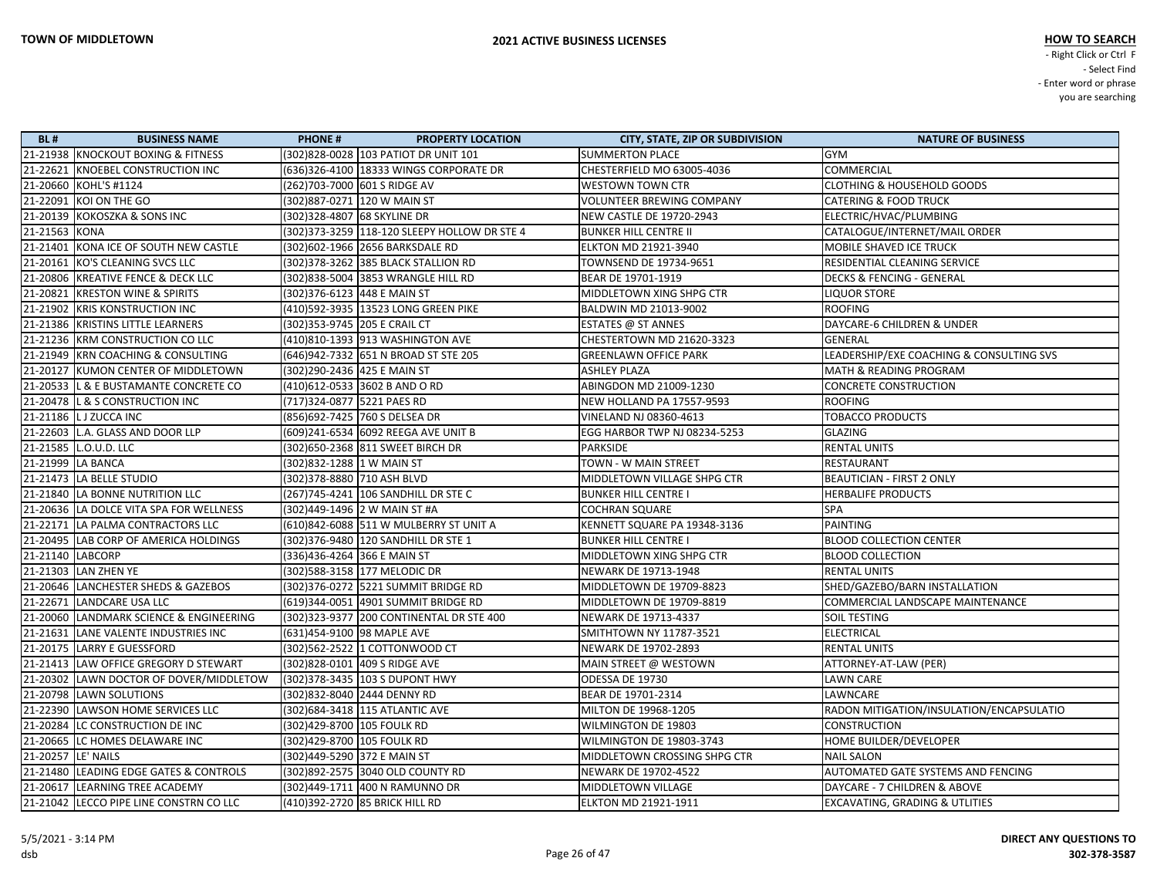| <b>BL#</b>          | <b>BUSINESS NAME</b>                    | <b>PHONE#</b>               | <b>PROPERTY LOCATION</b>                 | <b>CITY, STATE, ZIP OR SUBDIVISION</b> | <b>NATURE OF BUSINESS</b>                 |
|---------------------|-----------------------------------------|-----------------------------|------------------------------------------|----------------------------------------|-------------------------------------------|
|                     | 21-21938 KNOCKOUT BOXING & FITNESS      |                             | (302)828-0028  103 PATIOT DR UNIT 101    | <b>SUMMERTON PLACE</b>                 | GYM                                       |
|                     | 21-22621 KNOEBEL CONSTRUCTION INC       |                             | (636)326-4100 18333 WINGS CORPORATE DR   | CHESTERFIELD MO 63005-4036             | <b>COMMERCIAL</b>                         |
|                     | 21-20660 KOHL'S #1124                   |                             | (262)703-7000 601 S RIDGE AV             | <b>WESTOWN TOWN CTR</b>                | <b>CLOTHING &amp; HOUSEHOLD GOODS</b>     |
|                     | 21-22091 KOI ON THE GO                  |                             | (302)887-0271 120 W MAIN ST              | <b>VOLUNTEER BREWING COMPANY</b>       | <b>CATERING &amp; FOOD TRUCK</b>          |
|                     | 21-20139 KOKOSZKA & SONS INC            | (302)328-4807 68 SKYLINE DR |                                          | <b>NEW CASTLE DE 19720-2943</b>        | ELECTRIC/HVAC/PLUMBING                    |
| 21-21563 KONA       |                                         |                             |                                          | <b>BUNKER HILL CENTRE II</b>           | CATALOGUE/INTERNET/MAIL ORDER             |
|                     | 21-21401 KONA ICE OF SOUTH NEW CASTLE   |                             | (302)602-1966 2656 BARKSDALE RD          | <b>ELKTON MD 21921-3940</b>            | MOBILE SHAVED ICE TRUCK                   |
|                     | 21-20161 KO'S CLEANING SVCS LLC         |                             | (302)378-3262 385 BLACK STALLION RD      | <b>TOWNSEND DE 19734-9651</b>          | RESIDENTIAL CLEANING SERVICE              |
|                     | 21-20806 KREATIVE FENCE & DECK LLC      |                             | (302)838-5004 3853 WRANGLE HILL RD       | BEAR DE 19701-1919                     | <b>DECKS &amp; FENCING - GENERAL</b>      |
|                     | 21-20821 KRESTON WINE & SPIRITS         |                             | (302)376-6123 448 E MAIN ST              | MIDDLETOWN XING SHPG CTR               | <b>LIQUOR STORE</b>                       |
|                     | 21-21902 KRIS KONSTRUCTION INC          |                             | (410)592-3935 13523 LONG GREEN PIKE      | BALDWIN MD 21013-9002                  | <b>ROOFING</b>                            |
|                     | 21-21386 KRISTINS LITTLE LEARNERS       |                             | (302)353-9745 205 E CRAIL CT             | <b>ESTATES @ ST ANNES</b>              | DAYCARE-6 CHILDREN & UNDER                |
|                     | 21-21236 KRM CONSTRUCTION CO LLC        |                             | (410)810-1393 913 WASHINGTON AVE         | CHESTERTOWN MD 21620-3323              | <b>GENERAL</b>                            |
|                     | 21-21949 KRN COACHING & CONSULTING      |                             | (646)942-7332 651 N BROAD ST STE 205     | <b>GREENLAWN OFFICE PARK</b>           | LEADERSHIP/EXE COACHING & CONSULTING SVS  |
|                     | 21-20127 KUMON CENTER OF MIDDLETOWN     | (302)290-2436 425 E MAIN ST |                                          | <b>ASHLEY PLAZA</b>                    | <b>MATH &amp; READING PROGRAM</b>         |
|                     | 21-20533 L & E BUSTAMANTE CONCRETE CO   |                             | (410)612-0533 3602 B AND O RD            | ABINGDON MD 21009-1230                 | <b>CONCRETE CONSTRUCTION</b>              |
|                     | 21-20478 L & S CONSTRUCTION INC         | (717)324-0877 5221 PAES RD  |                                          | NEW HOLLAND PA 17557-9593              | <b>ROOFING</b>                            |
|                     | 21-21186   L J ZUCCA INC                |                             | (856)692-7425 760 S DELSEA DR            | VINELAND NJ 08360-4613                 | <b>TOBACCO PRODUCTS</b>                   |
|                     | 21-22603 L.A. GLASS AND DOOR LLP        |                             | (609)241-6534 6092 REEGA AVE UNIT B      | EGG HARBOR TWP NJ 08234-5253           | <b>GLAZING</b>                            |
|                     | 21-21585   L.O.U.D. LLC                 |                             |                                          | <b>PARKSIDE</b>                        | <b>RENTAL UNITS</b>                       |
|                     | 21-21999 LA BANCA                       |                             |                                          | TOWN - W MAIN STREET                   | <b>RESTAURANT</b>                         |
|                     | 21-21473   LA BELLE STUDIO              | (302) 378-8880 710 ASH BLVD |                                          | MIDDLETOWN VILLAGE SHPG CTR            | <b>BEAUTICIAN - FIRST 2 ONLY</b>          |
|                     | 21-21840 LA BONNE NUTRITION LLC         |                             | (267)745-4241 106 SANDHILL DR STE C      | <b>BUNKER HILL CENTRE I</b>            | <b>HERBALIFE PRODUCTS</b>                 |
|                     | 21-20636 LA DOLCE VITA SPA FOR WELLNESS |                             | (302)449-1496 2 W MAIN ST #A             | <b>COCHRAN SQUARE</b>                  | <b>SPA</b>                                |
|                     | 21-22171 LA PALMA CONTRACTORS LLC       |                             | (610)842-6088 511 W MULBERRY ST UNIT A   | KENNETT SQUARE PA 19348-3136           | <b>PAINTING</b>                           |
|                     | 21-20495 LAB CORP OF AMERICA HOLDINGS   |                             | (302) 376-9480 120 SANDHILL DR STE 1     | <b>BUNKER HILL CENTRE I</b>            | <b>BLOOD COLLECTION CENTER</b>            |
| 21-21140   LABCORP  |                                         | (336)436-4264 366 E MAIN ST |                                          | MIDDLETOWN XING SHPG CTR               | <b>BLOOD COLLECTION</b>                   |
|                     | 21-21303 LAN ZHEN YE                    |                             | (302)588-3158 177 MELODIC DR             | NEWARK DE 19713-1948                   | <b>RENTAL UNITS</b>                       |
|                     | 21-20646 LANCHESTER SHEDS & GAZEBOS     |                             | (302)376-0272 5221 SUMMIT BRIDGE RD      | MIDDLETOWN DE 19709-8823               | SHED/GAZEBO/BARN INSTALLATION             |
|                     | 21-22671 LANDCARE USA LLC               |                             | (619)344-0051 4901 SUMMIT BRIDGE RD      | MIDDLETOWN DE 19709-8819               | COMMERCIAL LANDSCAPE MAINTENANCE          |
|                     | 21-20060 LANDMARK SCIENCE & ENGINEERING |                             | (302)323-9377 200 CONTINENTAL DR STE 400 | NEWARK DE 19713-4337                   | <b>SOIL TESTING</b>                       |
|                     | 21-21631 LANE VALENTE INDUSTRIES INC    |                             | (631)454-9100 98 MAPLE AVE               | SMITHTOWN NY 11787-3521                | <b>ELECTRICAL</b>                         |
|                     | 21-20175   LARRY E GUESSFORD            |                             | (302)562-2522  1 COTTONWOOD CT           | <b>NEWARK DE 19702-2893</b>            | <b>RENTAL UNITS</b>                       |
|                     | 21-21413 LAW OFFICE GREGORY D STEWART   |                             | (302)828-0101 409 S RIDGE AVE            | MAIN STREET @ WESTOWN                  | ATTORNEY-AT-LAW (PER)                     |
|                     | 21-20302 LAWN DOCTOR OF DOVER/MIDDLETOW |                             | (302)378-3435   103 S DUPONT HWY         | ODESSA DE 19730                        | <b>LAWN CARE</b>                          |
|                     | 21-20798  LAWN SOLUTIONS                |                             | (302)832-8040 2444 DENNY RD              | BEAR DE 19701-2314                     | LAWNCARE                                  |
|                     | 21-22390 LAWSON HOME SERVICES LLC       |                             | (302)684-3418  115 ATLANTIC AVE          | MILTON DE 19968-1205                   | RADON MITIGATION/INSULATION/ENCAPSULATIO  |
|                     | 21-20284 LC CONSTRUCTION DE INC         | (302)429-8700 105 FOULK RD  |                                          | WILMINGTON DE 19803                    | <b>CONSTRUCTION</b>                       |
|                     | 21-20665 LC HOMES DELAWARE INC          | (302)429-8700 105 FOULK RD  |                                          | WILMINGTON DE 19803-3743               | HOME BUILDER/DEVELOPER                    |
| 21-20257  LE' NAILS |                                         |                             | (302)449-5290 372 E MAIN ST              | MIDDLETOWN CROSSING SHPG CTR           | <b>NAIL SALON</b>                         |
|                     | 21-21480 LEADING EDGE GATES & CONTROLS  |                             | (302) 892-2575 3040 OLD COUNTY RD        | NEWARK DE 19702-4522                   | <b>AUTOMATED GATE SYSTEMS AND FENCING</b> |
|                     | 21-20617 LEARNING TREE ACADEMY          |                             | (302)449-1711 400 N RAMUNNO DR           | MIDDLETOWN VILLAGE                     | DAYCARE - 7 CHILDREN & ABOVE              |
|                     | 21-21042 LECCO PIPE LINE CONSTRN CO LLC |                             | (410)392-2720 85 BRICK HILL RD           | ELKTON MD 21921-1911                   | <b>EXCAVATING, GRADING &amp; UTLITIES</b> |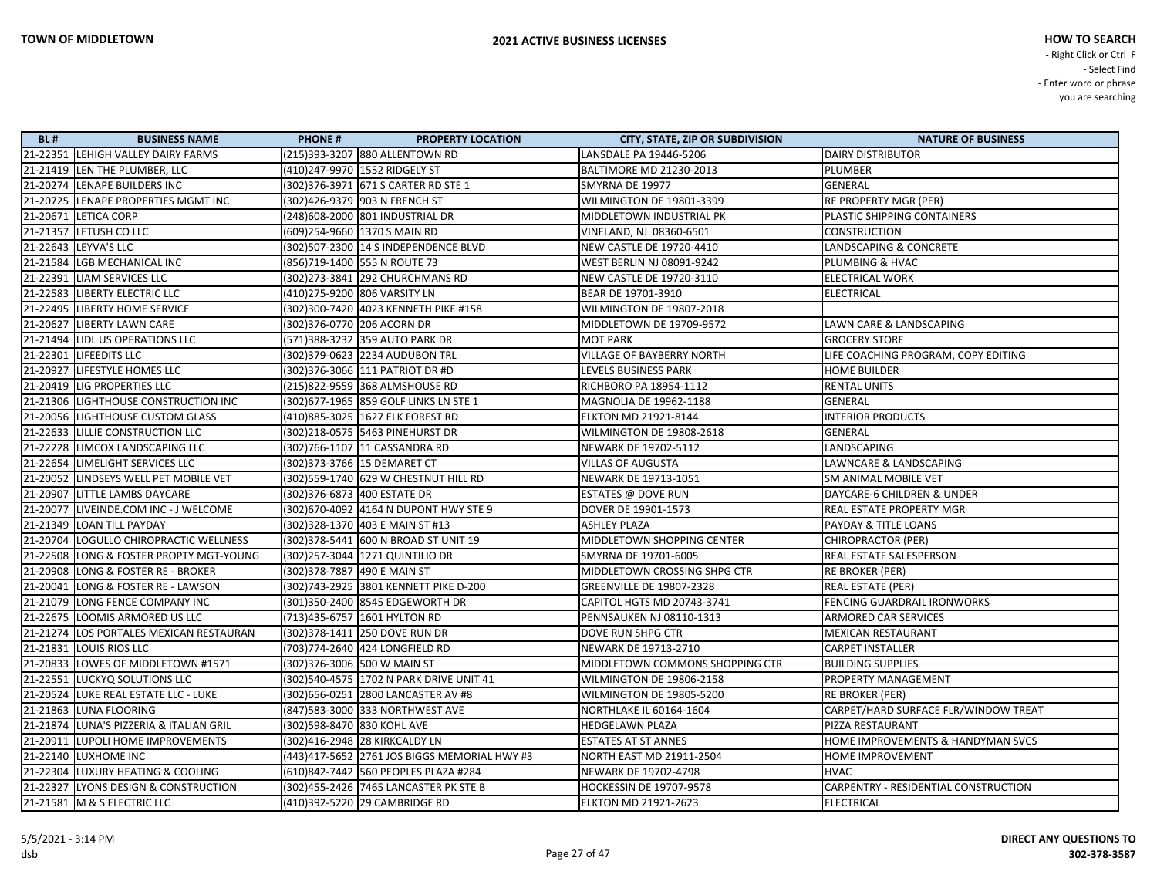| <b>BL#</b> | <b>BUSINESS NAME</b>                     | <b>PHONE#</b> | <b>PROPERTY LOCATION</b>                     | <b>CITY, STATE, ZIP OR SUBDIVISION</b> | <b>NATURE OF BUSINESS</b>            |
|------------|------------------------------------------|---------------|----------------------------------------------|----------------------------------------|--------------------------------------|
|            | 21-22351 LEHIGH VALLEY DAIRY FARMS       |               | (215)393-3207 880 ALLENTOWN RD               | LANSDALE PA 19446-5206                 | <b>DAIRY DISTRIBUTOR</b>             |
|            | 21-21419 LEN THE PLUMBER, LLC            |               | (410)247-9970  1552 RIDGELY ST               | BALTIMORE MD 21230-2013                | PLUMBER                              |
|            | 21-20274 LENAPE BUILDERS INC             |               | (302) 376-3971 671 S CARTER RD STE 1         | SMYRNA DE 19977                        | GENERAL                              |
|            | 21-20725 LENAPE PROPERTIES MGMT INC      |               | (302)426-9379 903 N FRENCH ST                | WILMINGTON DE 19801-3399               | RE PROPERTY MGR (PER)                |
|            | 21-20671 LETICA CORP                     |               | (248) 608-2000 801 INDUSTRIAL DR             | MIDDLETOWN INDUSTRIAL PK               | PLASTIC SHIPPING CONTAINERS          |
|            | 21-21357 LETUSH CO LLC                   |               | (609)254-9660 1370 S MAIN RD                 | VINELAND, NJ 08360-6501                | <b>CONSTRUCTION</b>                  |
|            | 21-22643  LEYVA'S LLC                    |               | (302)507-2300 14 S INDEPENDENCE BLVD         | NEW CASTLE DE 19720-4410               | LANDSCAPING & CONCRETE               |
|            | 21-21584 LGB MECHANICAL INC              |               | (856)719-1400 555 N ROUTE 73                 | WEST BERLIN NJ 08091-9242              | <b>PLUMBING &amp; HVAC</b>           |
|            | 21-22391 LIAM SERVICES LLC               |               | (302) 273-3841 292 CHURCHMANS RD             | NEW CASTLE DE 19720-3110               | <b>ELECTRICAL WORK</b>               |
|            | 21-22583 LIBERTY ELECTRIC LLC            |               | (410) 275-9200 806 VARSITY LN                | BEAR DE 19701-3910                     | <b>ELECTRICAL</b>                    |
|            | 21-22495  LIBERTY HOME SERVICE           |               | (302)300-7420 4023 KENNETH PIKE #158         | WILMINGTON DE 19807-2018               |                                      |
|            | 21-20627 LIBERTY LAWN CARE               |               | (302)376-0770 206 ACORN DR                   | MIDDLETOWN DE 19709-9572               | LAWN CARE & LANDSCAPING              |
|            | 21-21494   LIDL US OPERATIONS LLC        |               | (571)388-3232 359 AUTO PARK DR               | <b>MOT PARK</b>                        | <b>GROCERY STORE</b>                 |
|            | 21-22301 LIFEEDITS LLC                   |               | (302) 379-0623 2234 AUDUBON TRL              | VILLAGE OF BAYBERRY NORTH              | LIFE COACHING PROGRAM, COPY EDITING  |
|            | 21-20927 LIFESTYLE HOMES LLC             |               | (302) 376-3066 111 PATRIOT DR #D             | LEVELS BUSINESS PARK                   | <b>HOME BUILDER</b>                  |
|            | 21-20419   LIG PROPERTIES LLC            |               | (215)822-9559 368 ALMSHOUSE RD               | RICHBORO PA 18954-1112                 | <b>RENTAL UNITS</b>                  |
|            | 21-21306 LIGHTHOUSE CONSTRUCTION INC     |               | (302) 677-1965 859 GOLF LINKS LN STE 1       | MAGNOLIA DE 19962-1188                 | GENERAL                              |
|            | 21-20056  LIGHTHOUSE CUSTOM GLASS        |               | (410)885-3025  1627 ELK FOREST RD            | ELKTON MD 21921-8144                   | <b>INTERIOR PRODUCTS</b>             |
|            | 21-22633 LILLIE CONSTRUCTION LLC         |               | (302)218-0575 5463 PINEHURST DR              | WILMINGTON DE 19808-2618               | GENERAL                              |
|            | 21-22228 LIMCOX LANDSCAPING LLC          |               | (302)766-1107 11 CASSANDRA RD                | NEWARK DE 19702-5112                   | LANDSCAPING                          |
|            | 21-22654   LIMELIGHT SERVICES LLC        |               | (302) 373-3766 15 DEMARET CT                 | <b>VILLAS OF AUGUSTA</b>               | LAWNCARE & LANDSCAPING               |
|            | 21-20052 LINDSEYS WELL PET MOBILE VET    |               | (302)559-1740 629 W CHESTNUT HILL RD         | NEWARK DE 19713-1051                   | <b>SM ANIMAL MOBILE VET</b>          |
|            | 21-20907 LITTLE LAMBS DAYCARE            |               | (302) 376-6873 400 ESTATE DR                 | ESTATES @ DOVE RUN                     | DAYCARE-6 CHILDREN & UNDER           |
|            | 21-20077 LIVEINDE.COM INC - J WELCOME    |               | (302)670-4092 4164 N DUPONT HWY STE 9        | DOVER DE 19901-1573                    | REAL ESTATE PROPERTY MGR             |
|            | 21-21349   LOAN TILL PAYDAY              |               | (302) 328-1370 403 E MAIN ST #13             | <b>ASHLEY PLAZA</b>                    | PAYDAY & TITLE LOANS                 |
|            | 21-20704   LOGULLO CHIROPRACTIC WELLNESS |               | (302) 378-5441 600 N BROAD ST UNIT 19        | MIDDLETOWN SHOPPING CENTER             | <b>CHIROPRACTOR (PER)</b>            |
|            | 21-22508 LONG & FOSTER PROPTY MGT-YOUNG  |               | (302)257-3044  1271 QUINTILIO DR             | SMYRNA DE 19701-6005                   | REAL ESTATE SALESPERSON              |
|            | 21-20908 LONG & FOSTER RE - BROKER       |               | (302)378-7887  490 E MAIN ST                 | MIDDLETOWN CROSSING SHPG CTR           | RE BROKER (PER)                      |
|            | 21-20041 LONG & FOSTER RE - LAWSON       |               | (302)743-2925 3801 KENNETT PIKE D-200        | <b>GREENVILLE DE 19807-2328</b>        | <b>REAL ESTATE (PER)</b>             |
|            | 21-21079 LONG FENCE COMPANY INC          |               | (301)350-2400 8545 EDGEWORTH DR              | CAPITOL HGTS MD 20743-3741             | FENCING GUARDRAIL IRONWORKS          |
|            | 21-22675 LOOMIS ARMORED US LLC           |               | (713)435-6757 1601 HYLTON RD                 | PENNSAUKEN NJ 08110-1313               | ARMORED CAR SERVICES                 |
|            | 21-21274 LOS PORTALES MEXICAN RESTAURAN  |               | (302) 378-1411 250 DOVE RUN DR               | DOVE RUN SHPG CTR                      | <b>MEXICAN RESTAURANT</b>            |
|            | 21-21831   LOUIS RIOS LLC                |               |                                              | NEWARK DE 19713-2710                   | <b>CARPET INSTALLER</b>              |
|            | 21-20833   LOWES OF MIDDLETOWN #1571     |               | (302)376-3006 500 W MAIN ST                  | MIDDLETOWN COMMONS SHOPPING CTR        | <b>BUILDING SUPPLIES</b>             |
|            | 21-22551 LUCKYQ SOLUTIONS LLC            |               |                                              | WILMINGTON DE 19806-2158               | PROPERTY MANAGEMENT                  |
|            | 21-20524 LUKE REAL ESTATE LLC - LUKE     |               | (302)656-0251 2800 LANCASTER AV #8           | WILMINGTON DE 19805-5200               | RE BROKER (PER)                      |
|            | 21-21863 LUNA FLOORING                   |               | (847) 583-3000 333 NORTHWEST AVE             | <b>NORTHLAKE IL 60164-1604</b>         | CARPET/HARD SURFACE FLR/WINDOW TREAT |
|            | 21-21874 LUNA'S PIZZERIA & ITALIAN GRIL  |               | (302)598-8470 830 KOHL AVE                   | <b>HEDGELAWN PLAZA</b>                 | <b>PIZZA RESTAURANT</b>              |
|            | 21-20911 LUPOLI HOME IMPROVEMENTS        |               | (302)416-2948 28 KIRKCALDY LN                | <b>ESTATES AT ST ANNES</b>             | HOME IMPROVEMENTS & HANDYMAN SVCS    |
|            | 21-22140 LUXHOME INC                     |               | (443)417-5652 2761 JOS BIGGS MEMORIAL HWY #3 | NORTH EAST MD 21911-2504               | HOME IMPROVEMENT                     |
|            | 21-22304 LUXURY HEATING & COOLING        |               | (610)842-7442 560 PEOPLES PLAZA #284         | NEWARK DE 19702-4798                   | <b>HVAC</b>                          |
|            | 21-22327 LYONS DESIGN & CONSTRUCTION     |               | (302)455-2426 7465 LANCASTER PK STE B        | <b>HOCKESSIN DE 19707-9578</b>         | CARPENTRY - RESIDENTIAL CONSTRUCTION |
|            | 21-21581   M & S ELECTRIC LLC            |               | (410)392-5220 29 CAMBRIDGE RD                | ELKTON MD 21921-2623                   | ELECTRICAL                           |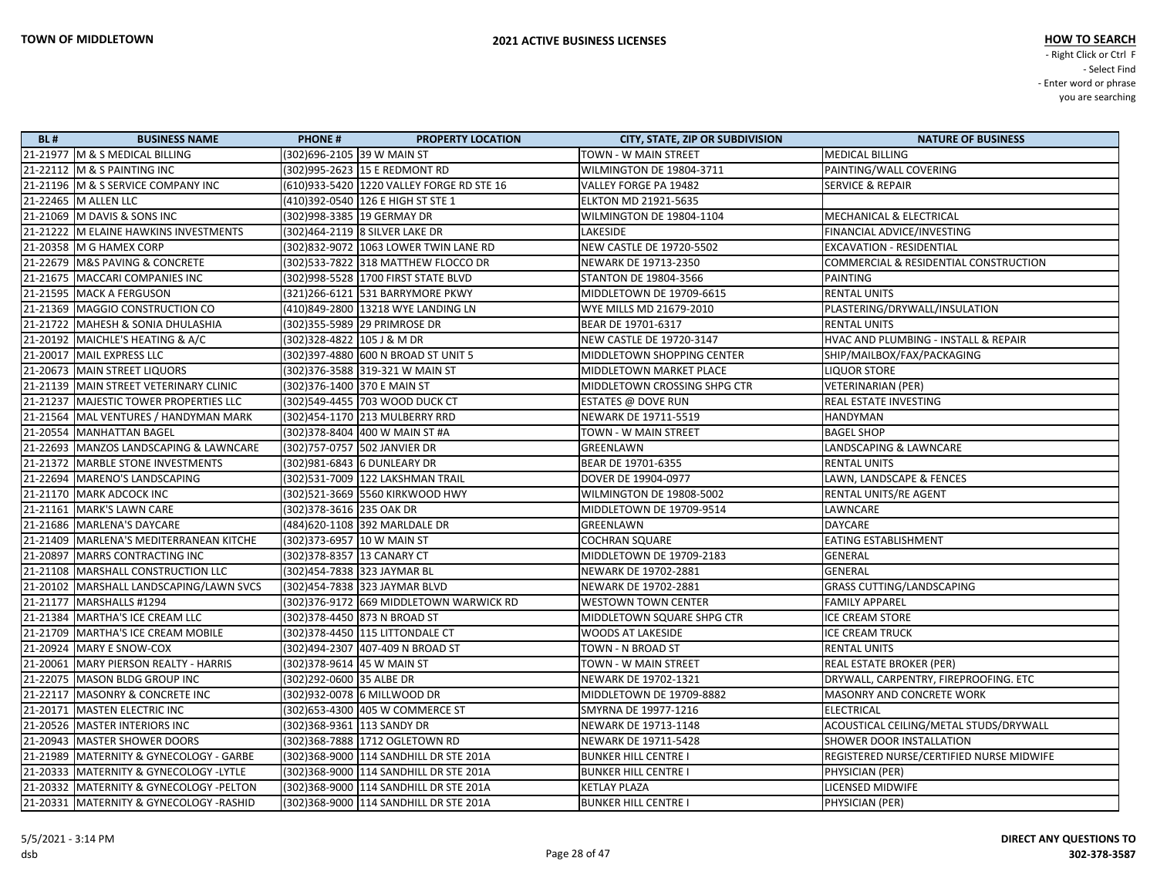| <b>BL#</b> | <b>BUSINESS NAME</b>                      | <b>PHONE#</b><br><b>PROPERTY LOCATION</b>   | <b>CITY, STATE, ZIP OR SUBDIVISION</b> | <b>NATURE OF BUSINESS</b>                |
|------------|-------------------------------------------|---------------------------------------------|----------------------------------------|------------------------------------------|
|            | 21-21977   M & S MEDICAL BILLING          | (302)696-2105 39 W MAIN ST                  | TOWN - W MAIN STREET                   | <b>MEDICAL BILLING</b>                   |
|            | 21-22112 M & S PAINTING INC               | (302)995-2623 15 E REDMONT RD               | WILMINGTON DE 19804-3711               | PAINTING/WALL COVERING                   |
|            | 21-21196 M & S SERVICE COMPANY INC        | (610)933-5420   1220 VALLEY FORGE RD STE 16 | VALLEY FORGE PA 19482                  | <b>SERVICE &amp; REPAIR</b>              |
|            | 21-22465   M ALLEN LLC                    | (410) 392-0540 126 E HIGH ST STE 1          | ELKTON MD 21921-5635                   |                                          |
|            | 21-21069 M DAVIS & SONS INC               | (302)998-3385 19 GERMAY DR                  | WILMINGTON DE 19804-1104               | MECHANICAL & ELECTRICAL                  |
|            | 21-21222 M ELAINE HAWKINS INVESTMENTS     | (302)464-2119 8 SILVER LAKE DR              | LAKESIDE                               | FINANCIAL ADVICE/INVESTING               |
|            | 21-20358 M G HAMEX CORP                   | (302)832-9072 1063 LOWER TWIN LANE RD       | <b>NEW CASTLE DE 19720-5502</b>        | <b>EXCAVATION - RESIDENTIAL</b>          |
|            | 21-22679 M&S PAVING & CONCRETE            | (302)533-7822 318 MATTHEW FLOCCO DR         | NEWARK DE 19713-2350                   | COMMERCIAL & RESIDENTIAL CONSTRUCTION    |
|            | 21-21675 MACCARI COMPANIES INC            | (302)998-5528 1700 FIRST STATE BLVD         | STANTON DE 19804-3566                  | <b>PAINTING</b>                          |
|            | 21-21595   MACK A FERGUSON                | (321)266-6121 531 BARRYMORE PKWY            | MIDDLETOWN DE 19709-6615               | <b>RENTAL UNITS</b>                      |
|            | 21-21369 MAGGIO CONSTRUCTION CO           | (410)849-2800  13218 WYE LANDING LN         | WYE MILLS MD 21679-2010                | PLASTERING/DRYWALL/INSULATION            |
|            | 21-21722 MAHESH & SONIA DHULASHIA         | (302)355-5989 29 PRIMROSE DR                | BEAR DE 19701-6317                     | <b>RENTAL UNITS</b>                      |
|            | 21-20192 MAICHLE'S HEATING & A/C          | (302) 328-4822 105 J & M DR                 | <b>NEW CASTLE DE 19720-3147</b>        | HVAC AND PLUMBING - INSTALL & REPAIR     |
|            | 21-20017   MAIL EXPRESS LLC               | (302) 397-4880 600 N BROAD ST UNIT 5        | MIDDLETOWN SHOPPING CENTER             | SHIP/MAILBOX/FAX/PACKAGING               |
|            | 21-20673   MAIN STREET LIQUORS            | (302) 376-3588 319-321 W MAIN ST            | MIDDLETOWN MARKET PLACE                | <b>LIQUOR STORE</b>                      |
|            | 21-21139   MAIN STREET VETERINARY CLINIC  | (302)376-1400 370 E MAIN ST                 | MIDDLETOWN CROSSING SHPG CTR           | VETERINARIAN (PER)                       |
|            | 21-21237 MAJESTIC TOWER PROPERTIES LLC    | (302) 549-4455 703 WOOD DUCK CT             | <b>ESTATES @ DOVE RUN</b>              | REAL ESTATE INVESTING                    |
|            | 21-21564   MAL VENTURES / HANDYMAN MARK   | (302)454-1170 213 MULBERRY RRD              | NEWARK DE 19711-5519                   | <b>HANDYMAN</b>                          |
|            | 21-20554 MANHATTAN BAGEL                  | (302) 378-8404 400 W MAIN ST #A             | TOWN - W MAIN STREET                   | <b>BAGEL SHOP</b>                        |
|            | 21-22693 MANZOS LANDSCAPING & LAWNCARE    | (302)757-0757 502 JANVIER DR                | GREENLAWN                              | LANDSCAPING & LAWNCARE                   |
|            | 21-21372 MARBLE STONE INVESTMENTS         | (302)981-6843 6 DUNLEARY DR                 | BEAR DE 19701-6355                     | <b>RENTAL UNITS</b>                      |
|            | 21-22694   MARENO'S LANDSCAPING           | (302)531-7009   122 LAKSHMAN TRAIL          | DOVER DE 19904-0977                    | LAWN, LANDSCAPE & FENCES                 |
|            | 21-21170 MARK ADCOCK INC                  | (302)521-3669 5560 KIRKWOOD HWY             | WILMINGTON DE 19808-5002               | RENTAL UNITS/RE AGENT                    |
|            | 21-21161 MARK'S LAWN CARE                 | (302) 378-3616 235 OAK DR                   | MIDDLETOWN DE 19709-9514               | LAWNCARE                                 |
|            | 21-21686   MARLENA'S DAYCARE              | (484)620-1108 392 MARLDALE DR               | GREENLAWN                              | <b>DAYCARE</b>                           |
|            | 21-21409 MARLENA'S MEDITERRANEAN KITCHE   | (302) 373-6957 10 W MAIN ST                 | COCHRAN SQUARE                         | <b>EATING ESTABLISHMENT</b>              |
|            | 21-20897   MARRS CONTRACTING INC          | (302) 378-8357 13 CANARY CT                 | MIDDLETOWN DE 19709-2183               | <b>GENERAL</b>                           |
|            | 21-21108   MARSHALL CONSTRUCTION LLC      | (302)454-7838 323 JAYMAR BL                 | NEWARK DE 19702-2881                   | GENERAL                                  |
|            | 21-20102 MARSHALL LANDSCAPING/LAWN SVCS   | (302)454-7838 323 JAYMAR BLVD               | NEWARK DE 19702-2881                   | <b>GRASS CUTTING/LANDSCAPING</b>         |
|            | 21-21177   MARSHALLS #1294                | (302)376-9172 669 MIDDLETOWN WARWICK RD     | <b>WESTOWN TOWN CENTER</b>             | <b>FAMILY APPAREL</b>                    |
|            | 21-21384   MARTHA'S ICE CREAM LLC         | (302) 378-4450 873 N BROAD ST               | MIDDLETOWN SQUARE SHPG CTR             | <b>ICE CREAM STORE</b>                   |
|            | 21-21709   MARTHA'S ICE CREAM MOBILE      | (302) 378-4450 115 LITTONDALE CT            | <b>WOODS AT LAKESIDE</b>               | <b>ICE CREAM TRUCK</b>                   |
|            | 21-20924   MARY E SNOW-COX                | (302)494-2307 407-409 N BROAD ST            | TOWN - N BROAD ST                      | <b>RENTAL UNITS</b>                      |
|            | 21-20061   MARY PIERSON REALTY - HARRIS   | (302) 378-9614 45 W MAIN ST                 | TOWN - W MAIN STREET                   | <b>REAL ESTATE BROKER (PER)</b>          |
|            | 21-22075   MASON BLDG GROUP INC           | (302)292-0600 35 ALBE DR                    | NEWARK DE 19702-1321                   | DRYWALL, CARPENTRY, FIREPROOFING. ETC    |
|            | 21-22117   MASONRY & CONCRETE INC         | (302)932-0078 6 MILLWOOD DR                 | MIDDLETOWN DE 19709-8882               | <b>MASONRY AND CONCRETE WORK</b>         |
|            | 21-20171   MASTEN ELECTRIC INC            | (302) 653-4300 405 W COMMERCE ST            | SMYRNA DE 19977-1216                   | <b>ELECTRICAL</b>                        |
|            | 21-20526   MASTER INTERIORS INC           | (302)368-9361 113 SANDY DR                  | NEWARK DE 19713-1148                   | ACOUSTICAL CEILING/METAL STUDS/DRYWALL   |
|            | 21-20943   MASTER SHOWER DOORS            | (302)368-7888 1712 OGLETOWN RD              | NEWARK DE 19711-5428                   | <b>SHOWER DOOR INSTALLATION</b>          |
|            | 21-21989   MATERNITY & GYNECOLOGY - GARBE | (302)368-9000 114 SANDHILL DR STE 201A      | <b>BUNKER HILL CENTRE I</b>            | REGISTERED NURSE/CERTIFIED NURSE MIDWIFE |
|            | 21-20333 MATERNITY & GYNECOLOGY -LYTLE    | (302)368-9000 114 SANDHILL DR STE 201A      | <b>BUNKER HILL CENTRE I</b>            | PHYSICIAN (PER)                          |
|            | 21-20332 MATERNITY & GYNECOLOGY -PELTON   | (302)368-9000 114 SANDHILL DR STE 201A      | <b>KETLAY PLAZA</b>                    | <b>LICENSED MIDWIFE</b>                  |
|            | 21-20331 MATERNITY & GYNECOLOGY -RASHID   | (302)368-9000 114 SANDHILL DR STE 201A      | <b>BUNKER HILL CENTRE I</b>            | PHYSICIAN (PER)                          |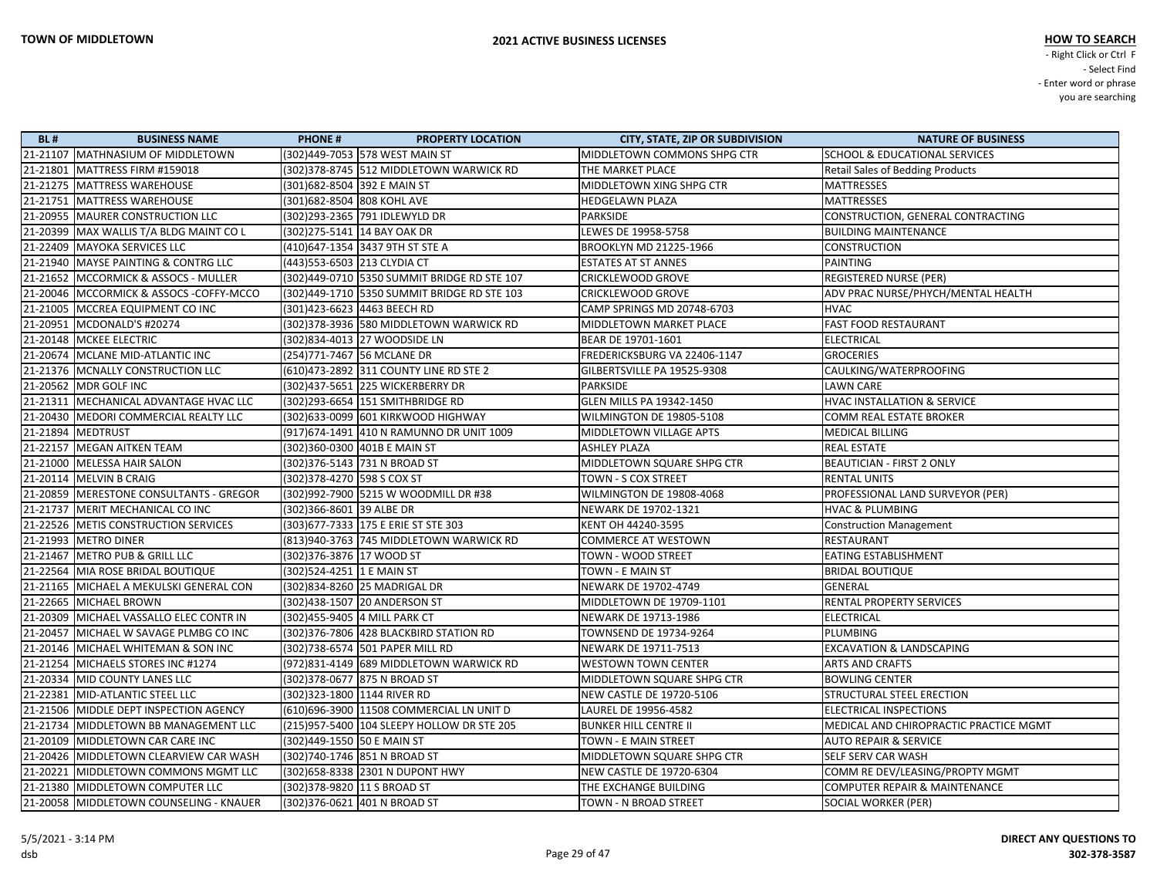| <b>BL#</b> | <b>BUSINESS NAME</b>                      | <b>PHONE#</b><br><b>PROPERTY LOCATION</b>    | <b>CITY, STATE, ZIP OR SUBDIVISION</b> | <b>NATURE OF BUSINESS</b>                |
|------------|-------------------------------------------|----------------------------------------------|----------------------------------------|------------------------------------------|
|            | 21-21107 MATHNASIUM OF MIDDLETOWN         | (302)449-7053 578 WEST MAIN ST               | MIDDLETOWN COMMONS SHPG CTR            | <b>SCHOOL &amp; EDUCATIONAL SERVICES</b> |
|            | 21-21801 MATTRESS FIRM #159018            | (302) 378-8745 512 MIDDLETOWN WARWICK RD     | THE MARKET PLACE                       | <b>Retail Sales of Bedding Products</b>  |
|            | 21-21275   MATTRESS WAREHOUSE             | (301)682-8504 392 E MAIN ST                  | MIDDLETOWN XING SHPG CTR               | <b>MATTRESSES</b>                        |
|            | 21-21751   MATTRESS WAREHOUSE             | (301) 682-8504 808 KOHL AVE                  | <b>HEDGELAWN PLAZA</b>                 | <b>MATTRESSES</b>                        |
|            | 21-20955   MAURER CONSTRUCTION LLC        | (302)293-2365 791 IDLEWYLD DR                | PARKSIDE                               | CONSTRUCTION, GENERAL CONTRACTING        |
|            | 21-20399 MAX WALLIS T/A BLDG MAINT CO L   | (302) 275-5141 14 BAY OAK DR                 | LEWES DE 19958-5758                    | <b>BUILDING MAINTENANCE</b>              |
|            | 21-22409 MAYOKA SERVICES LLC              | (410)647-1354 3437 9TH ST STE A              | <b>BROOKLYN MD 21225-1966</b>          | <b>CONSTRUCTION</b>                      |
|            | 21-21940 MAYSE PAINTING & CONTRG LLC      | (443) 553-6503 213 CLYDIA CT                 | <b>ESTATES AT ST ANNES</b>             | <b>PAINTING</b>                          |
|            | 21-21652 MCCORMICK & ASSOCS - MULLER      | (302)449-0710 5350 SUMMIT BRIDGE RD STE 107  | <b>CRICKLEWOOD GROVE</b>               | <b>REGISTERED NURSE (PER)</b>            |
|            | 21-20046 MCCORMICK & ASSOCS -COFFY-MCCO   |                                              | <b>CRICKLEWOOD GROVE</b>               | ADV PRAC NURSE/PHYCH/MENTAL HEALTH       |
|            | 21-21005   MCCREA EQUIPMENT CO INC        | (301)423-6623  4463 BEECH RD                 | CAMP SPRINGS MD 20748-6703             | <b>HVAC</b>                              |
|            | 21-20951 MCDONALD'S #20274                | (302) 378-3936 580 MIDDLETOWN WARWICK RD     | MIDDLETOWN MARKET PLACE                | <b>FAST FOOD RESTAURANT</b>              |
|            | 21-20148   MCKEE ELECTRIC                 | (302)834-4013 27 WOODSIDE LN                 | BEAR DE 19701-1601                     | <b>ELECTRICAL</b>                        |
|            | 21-20674 MCLANE MID-ATLANTIC INC          | (254)771-7467 56 MCLANE DR                   | FREDERICKSBURG VA 22406-1147           | <b>GROCERIES</b>                         |
|            | 21-21376 MCNALLY CONSTRUCTION LLC         | (610)473-2892 311 COUNTY LINE RD STE 2       | GILBERTSVILLE PA 19525-9308            | CAULKING/WATERPROOFING                   |
|            | 21-20562 MDR GOLF INC                     | (302)437-5651 225 WICKERBERRY DR             | PARKSIDE                               | <b>LAWN CARE</b>                         |
|            | 21-21311   MECHANICAL ADVANTAGE HVAC LLC  | (302)293-6654 151 SMITHBRIDGE RD             | GLEN MILLS PA 19342-1450               | <b>HVAC INSTALLATION &amp; SERVICE</b>   |
|            | 21-20430   MEDORI COMMERCIAL REALTY LLC   | (302) 633-0099 601 KIRKWOOD HIGHWAY          | WILMINGTON DE 19805-5108               | <b>COMM REAL ESTATE BROKER</b>           |
|            | 21-21894 MEDTRUST                         | (917) 674-1491 410 N RAMUNNO DR UNIT 1009    | MIDDLETOWN VILLAGE APTS                | <b>MEDICAL BILLING</b>                   |
|            | 21-22157 MEGAN AITKEN TEAM                | (302)360-0300 401B E MAIN ST                 | <b>ASHLEY PLAZA</b>                    | <b>REAL ESTATE</b>                       |
|            | 21-21000 MELESSA HAIR SALON               | (302) 376-5143 731 N BROAD ST                | MIDDLETOWN SQUARE SHPG CTR             | <b>BEAUTICIAN - FIRST 2 ONLY</b>         |
|            | 21-20114 MELVIN B CRAIG                   | (302) 378-4270 598 S COX ST                  | TOWN - S COX STREET                    | <b>RENTAL UNITS</b>                      |
|            | 21-20859 MERESTONE CONSULTANTS - GREGOR   | (302)992-7900 5215 W WOODMILL DR #38         | WILMINGTON DE 19808-4068               | PROFESSIONAL LAND SURVEYOR (PER)         |
|            | 21-21737 MERIT MECHANICAL CO INC          | (302)366-8601 39 ALBE DR                     | NEWARK DE 19702-1321                   | <b>HVAC &amp; PLUMBING</b>               |
|            | 21-22526 METIS CONSTRUCTION SERVICES      | (303) 677-7333 175 E ERIE ST STE 303         | KENT OH 44240-3595                     | <b>Construction Management</b>           |
|            | 21-21993 METRO DINER                      | (813)940-3763 745 MIDDLETOWN WARWICK RD      | <b>COMMERCE AT WESTOWN</b>             | <b>RESTAURANT</b>                        |
|            | 21-21467 METRO PUB & GRILL LLC            | (302) 376-3876 17 WOOD ST                    | TOWN - WOOD STREET                     | <b>EATING ESTABLISHMENT</b>              |
|            | 21-22564 MIA ROSE BRIDAL BOUTIQUE         | (302) 524-4251 1 E MAIN ST                   | TOWN - E MAIN ST                       | <b>BRIDAL BOUTIQUE</b>                   |
|            | 21-21165 MICHAEL A MEKULSKI GENERAL CON   | (302)834-8260 25 MADRIGAL DR                 | NEWARK DE 19702-4749                   | GENERAL                                  |
|            | 21-22665 MICHAEL BROWN                    | (302)438-1507 20 ANDERSON ST                 | MIDDLETOWN DE 19709-1101               | RENTAL PROPERTY SERVICES                 |
|            | 21-20309   MICHAEL VASSALLO ELEC CONTR IN | (302)455-9405 4 MILL PARK CT                 | NEWARK DE 19713-1986                   | <b>ELECTRICAL</b>                        |
|            | 21-20457 MICHAEL W SAVAGE PLMBG CO INC    | (302) 376-7806 428 BLACKBIRD STATION RD      | <b>TOWNSEND DE 19734-9264</b>          | PLUMBING                                 |
|            | 21-20146 MICHAEL WHITEMAN & SON INC       | (302)738-6574 501 PAPER MILL RD              | NEWARK DE 19711-7513                   | <b>EXCAVATION &amp; LANDSCAPING</b>      |
|            | 21-21254 MICHAELS STORES INC #1274        | (972)831-4149 689 MIDDLETOWN WARWICK RD      | <b>WESTOWN TOWN CENTER</b>             | <b>ARTS AND CRAFTS</b>                   |
|            | 21-20334 MID COUNTY LANES LLC             | (302)378-0677  875 N BROAD ST                | MIDDLETOWN SQUARE SHPG CTR             | <b>BOWLING CENTER</b>                    |
|            | 21-22381 MID-ATLANTIC STEEL LLC           | (302) 323-1800 1144 RIVER RD                 | NEW CASTLE DE 19720-5106               | <b>STRUCTURAL STEEL ERECTION</b>         |
|            | 21-21506 MIDDLE DEPT INSPECTION AGENCY    | (610)696-3900 11508 COMMERCIAL LN UNIT D     | LAUREL DE 19956-4582                   | ELECTRICAL INSPECTIONS                   |
|            | 21-21734 MIDDLETOWN BB MANAGEMENT LLC     | (215)957-5400   104 SLEEPY HOLLOW DR STE 205 | BUNKER HILL CENTRE II                  | MEDICAL AND CHIROPRACTIC PRACTICE MGMT   |
|            | 21-20109 MIDDLETOWN CAR CARE INC          | (302)449-1550 50 E MAIN ST                   | <b>TOWN - E MAIN STREET</b>            | <b>AUTO REPAIR &amp; SERVICE</b>         |
|            | 21-20426 MIDDLETOWN CLEARVIEW CAR WASH    | (302)740-1746 851 N BROAD ST                 | MIDDLETOWN SQUARE SHPG CTR             | SELF SERV CAR WASH                       |
|            | 21-20221 MIDDLETOWN COMMONS MGMT LLC      | (302) 658-8338 2301 N DUPONT HWY             | <b>NEW CASTLE DE 19720-6304</b>        | COMM RE DEV/LEASING/PROPTY MGMT          |
|            | 21-21380 MIDDLETOWN COMPUTER LLC          | (302) 378-9820 11 S BROAD ST                 | THE EXCHANGE BUILDING                  | <b>COMPUTER REPAIR &amp; MAINTENANCE</b> |
|            | 21-20058 MIDDLETOWN COUNSELING - KNAUER   | (302) 376-0621 401 N BROAD ST                | <b>TOWN - N BROAD STREET</b>           | SOCIAL WORKER (PER)                      |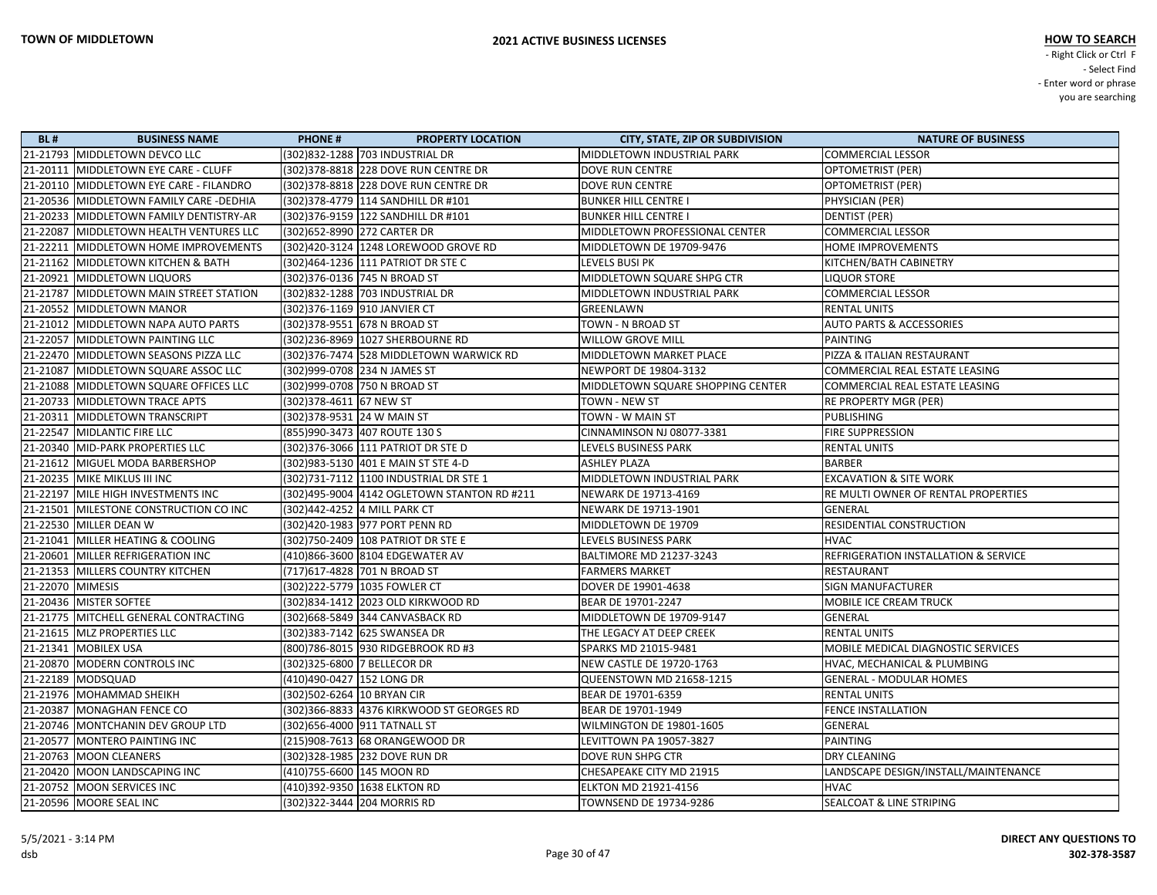| <b>BL#</b>       | <b>BUSINESS NAME</b>                    | <b>PHONE#</b><br><b>PROPERTY LOCATION</b>   | <b>CITY, STATE, ZIP OR SUBDIVISION</b> | <b>NATURE OF BUSINESS</b>            |
|------------------|-----------------------------------------|---------------------------------------------|----------------------------------------|--------------------------------------|
|                  | 21-21793 MIDDLETOWN DEVCO LLC           | (302)832-1288 703 INDUSTRIAL DR             | MIDDLETOWN INDUSTRIAL PARK             | <b>COMMERCIAL LESSOR</b>             |
|                  | 21-20111   MIDDLETOWN EYE CARE - CLUFF  | (302) 378-8818 228 DOVE RUN CENTRE DR       | <b>DOVE RUN CENTRE</b>                 | <b>OPTOMETRIST (PER)</b>             |
|                  | 21-20110 MIDDLETOWN EYE CARE - FILANDRO | (302) 378-8818 228 DOVE RUN CENTRE DR       | <b>DOVE RUN CENTRE</b>                 | OPTOMETRIST (PER)                    |
|                  | 21-20536 MIDDLETOWN FAMILY CARE -DEDHIA | (302)378-4779  114 SANDHILL DR #101         | <b>BUNKER HILL CENTRE I</b>            | PHYSICIAN (PER)                      |
|                  | 21-20233 MIDDLETOWN FAMILY DENTISTRY-AR | (302)376-9159 122 SANDHILL DR #101          | <b>BUNKER HILL CENTRE I</b>            | <b>DENTIST (PER)</b>                 |
|                  | 21-22087 MIDDLETOWN HEALTH VENTURES LLC | (302) 652-8990 272 CARTER DR                | MIDDLETOWN PROFESSIONAL CENTER         | <b>COMMERCIAL LESSOR</b>             |
|                  | 21-22211 MIDDLETOWN HOME IMPROVEMENTS   | (302)420-3124   1248 LOREWOOD GROVE RD      | MIDDLETOWN DE 19709-9476               | HOME IMPROVEMENTS                    |
|                  | 21-21162 MIDDLETOWN KITCHEN & BATH      | (302)464-1236 111 PATRIOT DR STE C          | LEVELS BUSI PK                         | KITCHEN/BATH CABINETRY               |
|                  | 21-20921 MIDDLETOWN LIQUORS             | (302)376-0136 745 N BROAD ST                | MIDDLETOWN SQUARE SHPG CTR             | <b>LIQUOR STORE</b>                  |
|                  | 21-21787 MIDDLETOWN MAIN STREET STATION | (302)832-1288 703 INDUSTRIAL DR             | MIDDLETOWN INDUSTRIAL PARK             | <b>COMMERCIAL LESSOR</b>             |
|                  | 21-20552 MIDDLETOWN MANOR               | (302) 376-1169 910 JANVIER CT               | GREENLAWN                              | <b>RENTAL UNITS</b>                  |
|                  | 21-21012 MIDDLETOWN NAPA AUTO PARTS     | (302) 378-9551 678 N BROAD ST               | TOWN - N BROAD ST                      | <b>AUTO PARTS &amp; ACCESSORIES</b>  |
|                  | 21-22057 MIDDLETOWN PAINTING LLC        | (302)236-8969 1027 SHERBOURNE RD            | <b>WILLOW GROVE MILL</b>               | <b>PAINTING</b>                      |
|                  | 21-22470 MIDDLETOWN SEASONS PIZZA LLC   | (302) 376-7474 528 MIDDLETOWN WARWICK RD    | MIDDLETOWN MARKET PLACE                | PIZZA & ITALIAN RESTAURANT           |
|                  | 21-21087 MIDDLETOWN SQUARE ASSOC LLC    | (302)999-0708 234 N JAMES ST                | NEWPORT DE 19804-3132                  | COMMERCIAL REAL ESTATE LEASING       |
|                  | 21-21088 MIDDLETOWN SQUARE OFFICES LLC  | (302)999-0708 750 N BROAD ST                | MIDDLETOWN SQUARE SHOPPING CENTER      | COMMERCIAL REAL ESTATE LEASING       |
|                  | 21-20733 MIDDLETOWN TRACE APTS          | (302) 378-4611 67 NEW ST                    | <b>TOWN - NEW ST</b>                   | RE PROPERTY MGR (PER)                |
|                  | 21-20311   MIDDLETOWN TRANSCRIPT        | (302) 378-9531 24 W MAIN ST                 | TOWN - W MAIN ST                       | <b>PUBLISHING</b>                    |
|                  | 21-22547 MIDLANTIC FIRE LLC             | (855)990-3473 407 ROUTE 130 S               | CINNAMINSON NJ 08077-3381              | FIRE SUPPRESSION                     |
|                  | 21-20340   MID-PARK PROPERTIES LLC      | (302) 376-3066 111 PATRIOT DR STE D         | LEVELS BUSINESS PARK                   | <b>RENTAL UNITS</b>                  |
|                  | 21-21612 MIGUEL MODA BARBERSHOP         | (302) 983-5130 401 E MAIN ST STE 4-D        | <b>ASHLEY PLAZA</b>                    | <b>BARBER</b>                        |
|                  | 21-20235   MIKE MIKLUS III INC          | (302)731-7112 1100 INDUSTRIAL DR STE 1      | MIDDLETOWN INDUSTRIAL PARK             | <b>EXCAVATION &amp; SITE WORK</b>    |
|                  | 21-22197 MILE HIGH INVESTMENTS INC      | (302)495-9004 4142 OGLETOWN STANTON RD #211 | NEWARK DE 19713-4169                   | RE MULTI OWNER OF RENTAL PROPERTIES  |
|                  | 21-21501 MILESTONE CONSTRUCTION CO INC  | (302)442-4252 4 MILL PARK CT                | NEWARK DE 19713-1901                   | <b>GENERAL</b>                       |
|                  | 21-22530 MILLER DEAN W                  | (302)420-1983 977 PORT PENN RD              | MIDDLETOWN DE 19709                    | RESIDENTIAL CONSTRUCTION             |
|                  | 21-21041 MILLER HEATING & COOLING       | (302) 750-2409 108 PATRIOT DR STE E         | LEVELS BUSINESS PARK                   | <b>HVAC</b>                          |
|                  | 21-20601 MILLER REFRIGERATION INC       | (410)866-3600 8104 EDGEWATER AV             | <b>BALTIMORE MD 21237-3243</b>         | REFRIGERATION INSTALLATION & SERVICE |
|                  | 21-21353 MILLERS COUNTRY KITCHEN        | (717)617-4828 701 N BROAD ST                | <b>FARMERS MARKET</b>                  | <b>RESTAURANT</b>                    |
| 21-22070 MIMESIS |                                         | (302)222-5779 1035 FOWLER CT                | DOVER DE 19901-4638                    | <b>SIGN MANUFACTURER</b>             |
|                  | 21-20436 MISTER SOFTEE                  | (302)834-1412 2023 OLD KIRKWOOD RD          | BEAR DE 19701-2247                     | MOBILE ICE CREAM TRUCK               |
|                  | 21-21775   MITCHELL GENERAL CONTRACTING | (302)668-5849 344 CANVASBACK RD             | MIDDLETOWN DE 19709-9147               | GENERAL                              |
|                  | 21-21615   MLZ PROPERTIES LLC           | (302)383-7142 625 SWANSEA DR                | THE LEGACY AT DEEP CREEK               | <b>RENTAL UNITS</b>                  |
|                  | 21-21341   MOBILEX USA                  | (800)786-8015 930 RIDGEBROOK RD #3          | SPARKS MD 21015-9481                   | MOBILE MEDICAL DIAGNOSTIC SERVICES   |
|                  | 21-20870 MODERN CONTROLS INC            | (302)325-6800 7 BELLECOR DR                 | <b>NEW CASTLE DE 19720-1763</b>        | HVAC, MECHANICAL & PLUMBING          |
|                  | 21-22189 MODSQUAD                       | (410)490-0427 152 LONG DR                   | QUEENSTOWN MD 21658-1215               | <b>GENERAL - MODULAR HOMES</b>       |
|                  | 21-21976   MOHAMMAD SHEIKH              | (302)502-6264 10 BRYAN CIR                  | BEAR DE 19701-6359                     | <b>RENTAL UNITS</b>                  |
|                  | 21-20387   MONAGHAN FENCE CO            | (302) 366-8833 4376 KIRKWOOD ST GEORGES RD  | BEAR DE 19701-1949                     | <b>FENCE INSTALLATION</b>            |
|                  | 21-20746 MONTCHANIN DEV GROUP LTD       | (302) 656-4000 911 TATNALL ST               | WILMINGTON DE 19801-1605               | GENERAL                              |
|                  | 21-20577 MONTERO PAINTING INC           | (215)908-7613 68 ORANGEWOOD DR              | LEVITTOWN PA 19057-3827                | <b>PAINTING</b>                      |
|                  | 21-20763 MOON CLEANERS                  | (302) 328-1985 232 DOVE RUN DR              | DOVE RUN SHPG CTR                      | DRY CLEANING                         |
|                  | 21-20420   MOON LANDSCAPING INC         | (410)755-6600 145 MOON RD                   | CHESAPEAKE CITY MD 21915               | LANDSCAPE DESIGN/INSTALL/MAINTENANCE |
|                  | 21-20752 MOON SERVICES INC              | (410)392-9350 1638 ELKTON RD                | <b>ELKTON MD 21921-4156</b>            | <b>HVAC</b>                          |
|                  | 21-20596 MOORE SEAL INC                 | (302) 322-3444 204 MORRIS RD                | <b>TOWNSEND DE 19734-9286</b>          | <b>SEALCOAT &amp; LINE STRIPING</b>  |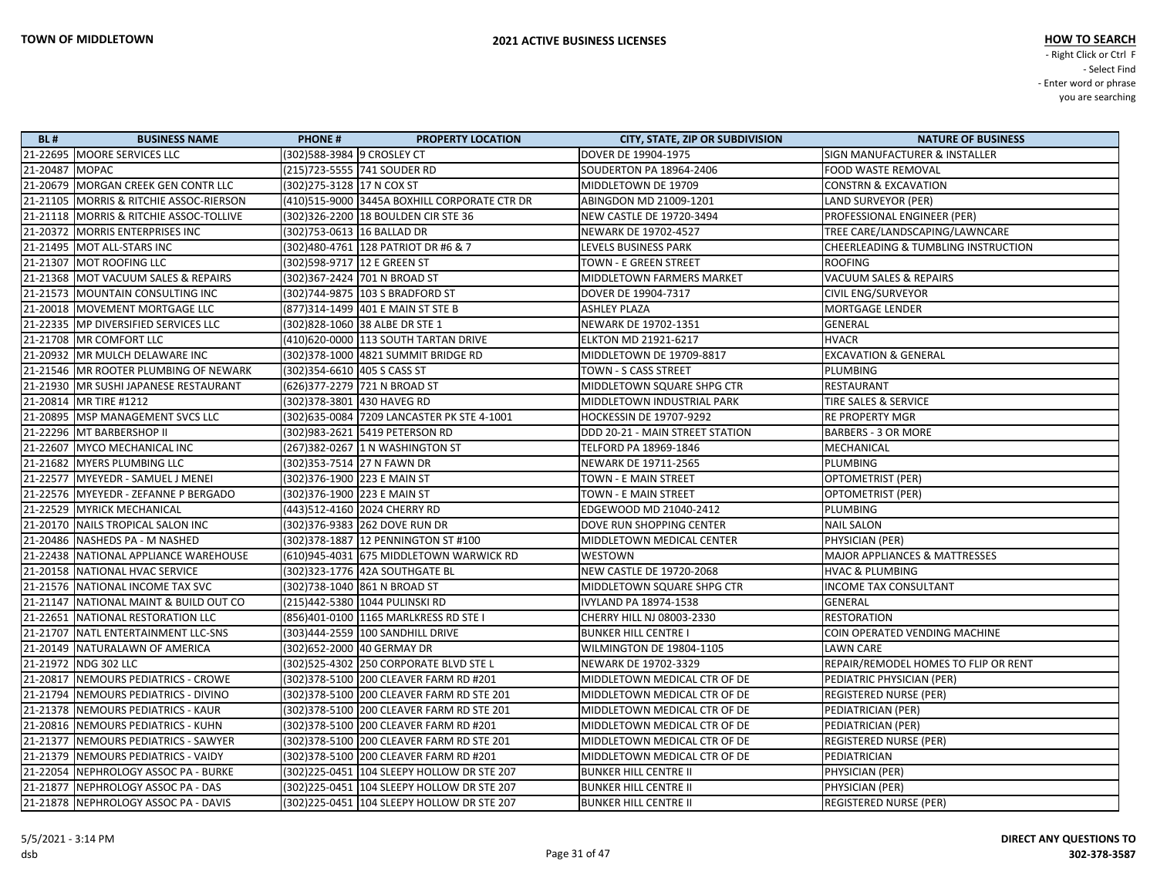| <b>BL#</b>     | <b>BUSINESS NAME</b>                    | <b>PHONE#</b><br><b>PROPERTY LOCATION</b>    | <b>CITY, STATE, ZIP OR SUBDIVISION</b> | <b>NATURE OF BUSINESS</b>                      |
|----------------|-----------------------------------------|----------------------------------------------|----------------------------------------|------------------------------------------------|
|                | 21-22695 MOORE SERVICES LLC             | (302)588-3984 9 CROSLEY CT                   | DOVER DE 19904-1975                    | SIGN MANUFACTURER & INSTALLER                  |
| 21-20487 MOPAC |                                         | (215)723-5555 741 SOUDER RD                  | <b>SOUDERTON PA 18964-2406</b>         | FOOD WASTE REMOVAL                             |
|                | 21-20679 MORGAN CREEK GEN CONTR LLC     | (302) 275-3128 17 N COX ST                   | MIDDLETOWN DE 19709                    | <b>CONSTRN &amp; EXCAVATION</b>                |
|                | 21-21105 MORRIS & RITCHIE ASSOC-RIERSON | (410)515-9000 3445A BOXHILL CORPORATE CTR DR | ABINGDON MD 21009-1201                 | LAND SURVEYOR (PER)                            |
|                | 21-21118 MORRIS & RITCHIE ASSOC-TOLLIVE | (302)326-2200 18 BOULDEN CIR STE 36          | NEW CASTLE DE 19720-3494               | PROFESSIONAL ENGINEER (PER)                    |
|                | 21-20372 MORRIS ENTERPRISES INC         | (302)753-0613  16 BALLAD DR                  | NEWARK DE 19702-4527                   | TREE CARE/LANDSCAPING/LAWNCARE                 |
|                | 21-21495   MOT ALL-STARS INC            | (302) 480-4761 128 PATRIOT DR #6 & 7         | LEVELS BUSINESS PARK                   | <b>CHEERLEADING &amp; TUMBLING INSTRUCTION</b> |
|                | 21-21307 MOT ROOFING LLC                | (302)598-9717 12 E GREEN ST                  | TOWN - E GREEN STREET                  | <b>ROOFING</b>                                 |
|                | 21-21368 MOT VACUUM SALES & REPAIRS     | (302)367-2424  701 N BROAD ST                | MIDDLETOWN FARMERS MARKET              | VACUUM SALES & REPAIRS                         |
|                | 21-21573 MOUNTAIN CONSULTING INC        | (302)744-9875  103 S BRADFORD ST             | DOVER DE 19904-7317                    | <b>CIVIL ENG/SURVEYOR</b>                      |
|                | 21-20018 MOVEMENT MORTGAGE LLC          | (877)314-1499 401 E MAIN ST STE B            | <b>ASHLEY PLAZA</b>                    | MORTGAGE LENDER                                |
|                | 21-22335   MP DIVERSIFIED SERVICES LLC  | (302)828-1060 38 ALBE DR STE 1               | NEWARK DE 19702-1351                   | GENERAL                                        |
|                | 21-21708 MR COMFORT LLC                 | (410)620-0000 113 SOUTH TARTAN DRIVE         | <b>ELKTON MD 21921-6217</b>            | <b>HVACR</b>                                   |
|                | 21-20932 MR MULCH DELAWARE INC          | (302) 378-1000 4821 SUMMIT BRIDGE RD         | MIDDLETOWN DE 19709-8817               | <b>EXCAVATION &amp; GENERAL</b>                |
|                | 21-21546   MR ROOTER PLUMBING OF NEWARK | (302) 354-6610 405 S CASS ST                 | TOWN - S CASS STREET                   | PLUMBING                                       |
|                | 21-21930   MR SUSHI JAPANESE RESTAURANT | (626)377-2279 721 N BROAD ST                 | MIDDLETOWN SQUARE SHPG CTR             | RESTAURANT                                     |
|                | 21-20814 MR TIRE #1212                  | (302)378-3801 430 HAVEG RD                   | MIDDLETOWN INDUSTRIAL PARK             | TIRE SALES & SERVICE                           |
|                | 21-20895   MSP MANAGEMENT SVCS LLC      | (302)635-0084 7209 LANCASTER PK STE 4-1001   | HOCKESSIN DE 19707-9292                | <b>RE PROPERTY MGR</b>                         |
|                | 21-22296 MT BARBERSHOP II               | (302)983-2621 5419 PETERSON RD               | DDD 20-21 - MAIN STREET STATION        | <b>BARBERS - 3 OR MORE</b>                     |
|                | 21-22607 MYCO MECHANICAL INC            | (267)382-0267 1 N WASHINGTON ST              | TELFORD PA 18969-1846                  | MECHANICAL                                     |
|                | 21-21682 MYERS PLUMBING LLC             | (302)353-7514  27 N FAWN DR                  | NEWARK DE 19711-2565                   | PLUMBING                                       |
|                | 21-22577   MYEYEDR - SAMUEL J MENEI     | (302)376-1900 223 E MAIN ST                  | TOWN - E MAIN STREET                   | OPTOMETRIST (PER)                              |
|                | 21-22576 MYEYEDR - ZEFANNE P BERGADO    | (302)376-1900  223 E MAIN ST                 | TOWN - E MAIN STREET                   | OPTOMETRIST (PER)                              |
|                | 21-22529 MYRICK MECHANICAL              | (443)512-4160 2024 CHERRY RD                 | EDGEWOOD MD 21040-2412                 | PLUMBING                                       |
|                | 21-20170 NAILS TROPICAL SALON INC       | (302)376-9383  262 DOVE RUN DR               | DOVE RUN SHOPPING CENTER               | <b>NAIL SALON</b>                              |
|                | 21-20486 NASHEDS PA - M NASHED          | (302) 378-1887   12 PENNINGTON ST #100       | MIDDLETOWN MEDICAL CENTER              | PHYSICIAN (PER)                                |
|                | 21-22438 NATIONAL APPLIANCE WAREHOUSE   | (610)945-4031 675 MIDDLETOWN WARWICK RD      | <b>WESTOWN</b>                         | <b>MAJOR APPLIANCES &amp; MATTRESSES</b>       |
|                | 21-20158 NATIONAL HVAC SERVICE          | (302)323-1776  42A SOUTHGATE BL              | NEW CASTLE DE 19720-2068               | <b>HVAC &amp; PLUMBING</b>                     |
|                | 21-21576 NATIONAL INCOME TAX SVC        | (302)738-1040 861 N BROAD ST                 | MIDDLETOWN SQUARE SHPG CTR             | <b>INCOME TAX CONSULTANT</b>                   |
|                | 21-21147 NATIONAL MAINT & BUILD OUT CO  | (215)442-5380 1044 PULINSKI RD               | IVYLAND PA 18974-1538                  | GENERAL                                        |
|                | 21-22651 NATIONAL RESTORATION LLC       | (856)401-0100 1165 MARLKRESS RD STE I        | CHERRY HILL NJ 08003-2330              | <b>RESTORATION</b>                             |
|                | 21-21707 NATL ENTERTAINMENT LLC-SNS     | (303)444-2559  100 SANDHILL DRIVE            | <b>BUNKER HILL CENTRE I</b>            | COIN OPERATED VENDING MACHINE                  |
|                | 21-20149 NATURALAWN OF AMERICA          | (302)652-2000  40 GERMAY DR                  | <b>WILMINGTON DE 19804-1105</b>        | <b>LAWN CARE</b>                               |
|                | 21-21972 NDG 302 LLC                    | (302) 525-4302 250 CORPORATE BLVD STE L      | NEWARK DE 19702-3329                   | REPAIR/REMODEL HOMES TO FLIP OR RENT           |
|                | 21-20817 NEMOURS PEDIATRICS - CROWE     | (302)378-5100 200 CLEAVER FARM RD #201       | MIDDLETOWN MEDICAL CTR OF DE           | PEDIATRIC PHYSICIAN (PER)                      |
|                | 21-21794 NEMOURS PEDIATRICS - DIVINO    | (302) 378-5100 200 CLEAVER FARM RD STE 201   | MIDDLETOWN MEDICAL CTR OF DE           | <b>REGISTERED NURSE (PER)</b>                  |
|                | 21-21378 NEMOURS PEDIATRICS - KAUR      | (302)378-5100  200 CLEAVER FARM RD STE 201   | MIDDLETOWN MEDICAL CTR OF DE           | PEDIATRICIAN (PER)                             |
|                | 21-20816 NEMOURS PEDIATRICS - KUHN      | (302)378-5100  200 CLEAVER FARM RD #201      | MIDDLETOWN MEDICAL CTR OF DE           | PEDIATRICIAN (PER)                             |
|                | 21-21377 NEMOURS PEDIATRICS - SAWYER    | (302) 378-5100 200 CLEAVER FARM RD STE 201   | MIDDLETOWN MEDICAL CTR OF DE           | <b>REGISTERED NURSE (PER)</b>                  |
|                | 21-21379   NEMOURS PEDIATRICS - VAIDY   | (302)378-5100  200 CLEAVER FARM RD #201      | MIDDLETOWN MEDICAL CTR OF DE           | PEDIATRICIAN                                   |
|                | 21-22054 NEPHROLOGY ASSOC PA - BURKE    | (302) 225-0451 104 SLEEPY HOLLOW DR STE 207  | <b>BUNKER HILL CENTRE II</b>           | PHYSICIAN (PER)                                |
|                | 21-21877 NEPHROLOGY ASSOC PA - DAS      | (302)225-0451   104 SLEEPY HOLLOW DR STE 207 | <b>BUNKER HILL CENTRE II</b>           | PHYSICIAN (PER)                                |
|                | 21-21878 NEPHROLOGY ASSOC PA - DAVIS    | (302)225-0451   104 SLEEPY HOLLOW DR STE 207 | <b>BUNKER HILL CENTRE II</b>           | <b>REGISTERED NURSE (PER)</b>                  |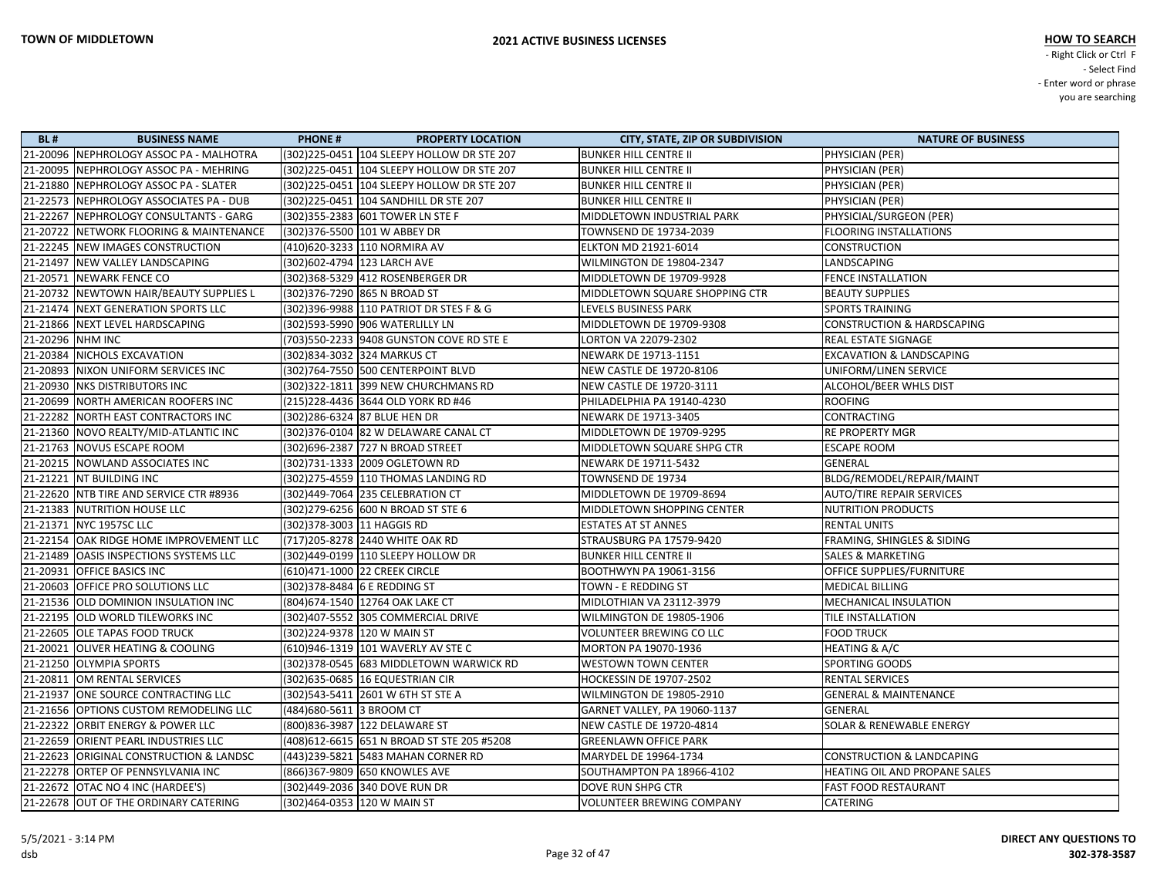| <b>BL#</b> | <b>BUSINESS NAME</b>                    | <b>PHONE#</b>                 | <b>PROPERTY LOCATION</b>                     | <b>CITY, STATE, ZIP OR SUBDIVISION</b> | <b>NATURE OF BUSINESS</b>             |
|------------|-----------------------------------------|-------------------------------|----------------------------------------------|----------------------------------------|---------------------------------------|
|            | 21-20096 NEPHROLOGY ASSOC PA - MALHOTRA |                               | (302)225-0451 104 SLEEPY HOLLOW DR STE 207   | <b>BUNKER HILL CENTRE II</b>           | PHYSICIAN (PER)                       |
|            | 21-20095 NEPHROLOGY ASSOC PA - MEHRING  |                               | (302)225-0451 104 SLEEPY HOLLOW DR STE 207   | <b>BUNKER HILL CENTRE II</b>           | PHYSICIAN (PER)                       |
|            | 21-21880 NEPHROLOGY ASSOC PA - SLATER   |                               | (302)225-0451   104 SLEEPY HOLLOW DR STE 207 | <b>BUNKER HILL CENTRE II</b>           | PHYSICIAN (PER)                       |
|            | 21-22573 NEPHROLOGY ASSOCIATES PA - DUB |                               | (302)225-0451   104 SANDHILL DR STE 207      | <b>BUNKER HILL CENTRE II</b>           | PHYSICIAN (PER)                       |
|            | 21-22267 NEPHROLOGY CONSULTANTS - GARG  |                               | (302)355-2383  601 TOWER LN STE F            | MIDDLETOWN INDUSTRIAL PARK             | PHYSICIAL/SURGEON (PER)               |
|            | 21-20722 NETWORK FLOORING & MAINTENANCE | (302)376-5500 101 W ABBEY DR  |                                              | TOWNSEND DE 19734-2039                 | <b>FLOORING INSTALLATIONS</b>         |
|            | 21-22245 NEW IMAGES CONSTRUCTION        | (410)620-3233 110 NORMIRA AV  |                                              | <b>ELKTON MD 21921-6014</b>            | <b>CONSTRUCTION</b>                   |
|            | 21-21497 NEW VALLEY LANDSCAPING         | (302) 602-4794 123 LARCH AVE  |                                              | WILMINGTON DE 19804-2347               | LANDSCAPING                           |
|            | 21-20571 NEWARK FENCE CO                |                               | (302)368-5329 412 ROSENBERGER DR             | MIDDLETOWN DE 19709-9928               | <b>FENCE INSTALLATION</b>             |
|            | 21-20732 NEWTOWN HAIR/BEAUTY SUPPLIES L | (302) 376-7290 865 N BROAD ST |                                              | MIDDLETOWN SQUARE SHOPPING CTR         | <b>BEAUTY SUPPLIES</b>                |
|            | 21-21474 NEXT GENERATION SPORTS LLC     |                               | (302) 396-9988 110 PATRIOT DR STES F & G     | LEVELS BUSINESS PARK                   | <b>SPORTS TRAINING</b>                |
|            | 21-21866 NEXT LEVEL HARDSCAPING         |                               | (302)593-5990 906 WATERLILLY LN              | MIDDLETOWN DE 19709-9308               | <b>CONSTRUCTION &amp; HARDSCAPING</b> |
|            | 21-20296 NHM INC                        |                               | (703) 550-2233 9408 GUNSTON COVE RD STE E    | LORTON VA 22079-2302                   | REAL ESTATE SIGNAGE                   |
|            | 21-20384 NICHOLS EXCAVATION             | (302)834-3032 324 MARKUS CT   |                                              | NEWARK DE 19713-1151                   | <b>EXCAVATION &amp; LANDSCAPING</b>   |
|            | 21-20893 NIXON UNIFORM SERVICES INC     |                               | (302)764-7550 500 CENTERPOINT BLVD           | NEW CASTLE DE 19720-8106               | UNIFORM/LINEN SERVICE                 |
|            | 21-20930 NKS DISTRIBUTORS INC           |                               | (302) 322-1811 399 NEW CHURCHMANS RD         | NEW CASTLE DE 19720-3111               | ALCOHOL/BEER WHLS DIST                |
|            | 21-20699 NORTH AMERICAN ROOFERS INC     |                               | (215) 228-4436 3644 OLD YORK RD #46          | PHILADELPHIA PA 19140-4230             | <b>ROOFING</b>                        |
|            | 21-22282 NORTH EAST CONTRACTORS INC     | (302)286-6324 87 BLUE HEN DR  |                                              | NEWARK DE 19713-3405                   | CONTRACTING                           |
|            | 21-21360 NOVO REALTY/MID-ATLANTIC INC   |                               | (302) 376-0104 82 W DELAWARE CANAL CT        | MIDDLETOWN DE 19709-9295               | RE PROPERTY MGR                       |
|            | 21-21763 NOVUS ESCAPE ROOM              |                               | (302)696-2387 727 N BROAD STREET             | MIDDLETOWN SQUARE SHPG CTR             | <b>ESCAPE ROOM</b>                    |
|            | 21-20215 NOWLAND ASSOCIATES INC         |                               | (302)731-1333 2009 OGLETOWN RD               | NEWARK DE 19711-5432                   | <b>GENERAL</b>                        |
|            | 21-21221 NT BUILDING INC                |                               | (302)275-4559 110 THOMAS LANDING RD          | TOWNSEND DE 19734                      | BLDG/REMODEL/REPAIR/MAINT             |
|            | 21-22620 NTB TIRE AND SERVICE CTR #8936 |                               | (302)449-7064 235 CELEBRATION CT             | MIDDLETOWN DE 19709-8694               | <b>AUTO/TIRE REPAIR SERVICES</b>      |
|            | 21-21383 NUTRITION HOUSE LLC            |                               | (302) 279-6256 600 N BROAD ST STE 6          | MIDDLETOWN SHOPPING CENTER             | <b>NUTRITION PRODUCTS</b>             |
|            | 21-21371 NYC 1957SC LLC                 | (302) 378-3003 11 HAGGIS RD   |                                              | <b>ESTATES AT ST ANNES</b>             | <b>RENTAL UNITS</b>                   |
|            | 21-22154 OAK RIDGE HOME IMPROVEMENT LLC |                               | (717) 205-8278 2440 WHITE OAK RD             | STRAUSBURG PA 17579-9420               | FRAMING, SHINGLES & SIDING            |
|            | 21-21489 OASIS INSPECTIONS SYSTEMS LLC  |                               | (302)449-0199 110 SLEEPY HOLLOW DR           | <b>BUNKER HILL CENTRE II</b>           | <b>SALES &amp; MARKETING</b>          |
|            | 21-20931 OFFICE BASICS INC              | (610)471-1000 22 CREEK CIRCLE |                                              | <b>BOOTHWYN PA 19061-3156</b>          | OFFICE SUPPLIES/FURNITURE             |
|            | 21-20603 OFFICE PRO SOLUTIONS LLC       | (302) 378-8484 6 E REDDING ST |                                              | TOWN - E REDDING ST                    | <b>MEDICAL BILLING</b>                |
|            | 21-21536 OLD DOMINION INSULATION INC    |                               | (804) 674-1540 12764 OAK LAKE CT             | MIDLOTHIAN VA 23112-3979               | MECHANICAL INSULATION                 |
|            | 21-22195 OLD WORLD TILEWORKS INC        |                               | (302)407-5552 305 COMMERCIAL DRIVE           | WILMINGTON DE 19805-1906               | TILE INSTALLATION                     |
|            | 21-22605 OLE TAPAS FOOD TRUCK           | (302)224-9378 120 W MAIN ST   |                                              | VOLUNTEER BREWING CO LLC               | <b>FOOD TRUCK</b>                     |
|            | 21-20021 OLIVER HEATING & COOLING       |                               | (610)946-1319 101 WAVERLY AV STE C           | MORTON PA 19070-1936                   | HEATING & A/C                         |
|            | 21-21250 OLYMPIA SPORTS                 |                               | (302) 378-0545 683 MIDDLETOWN WARWICK RD     | <b>WESTOWN TOWN CENTER</b>             | <b>SPORTING GOODS</b>                 |
|            | 21-20811 OM RENTAL SERVICES             |                               | (302) 635-0685 16 EQUESTRIAN CIR             | HOCKESSIN DE 19707-2502                | RENTAL SERVICES                       |
|            | 21-21937 ONE SOURCE CONTRACTING LLC     |                               | (302)543-5411 2601 W 6TH ST STE A            | WILMINGTON DE 19805-2910               | <b>GENERAL &amp; MAINTENANCE</b>      |
|            | 21-21656 OPTIONS CUSTOM REMODELING LLC  | (484)680-5611 3 BROOM CT      |                                              | GARNET VALLEY, PA 19060-1137           | GENERAL                               |
|            | 21-22322 ORBIT ENERGY & POWER LLC       |                               | (800) 836-3987 122 DELAWARE ST               | NEW CASTLE DE 19720-4814               | <b>SOLAR &amp; RENEWABLE ENERGY</b>   |
|            | 21-22659 ORIENT PEARL INDUSTRIES LLC    |                               | (408) 612-6615 651 N BROAD ST STE 205 #5208  | <b>GREENLAWN OFFICE PARK</b>           |                                       |
|            | 21-22623 ORIGINAL CONSTRUCTION & LANDSC |                               | (443)239-5821 5483 MAHAN CORNER RD           | MARYDEL DE 19964-1734                  | <b>CONSTRUCTION &amp; LANDCAPING</b>  |
|            | 21-22278 ORTEP OF PENNSYLVANIA INC      |                               | (866)367-9809 650 KNOWLES AVE                | SOUTHAMPTON PA 18966-4102              | HEATING OIL AND PROPANE SALES         |
|            | 21-22672 OTAC NO 4 INC (HARDEE'S)       |                               | (302)449-2036 340 DOVE RUN DR                | DOVE RUN SHPG CTR                      | <b>FAST FOOD RESTAURANT</b>           |
|            | 21-22678 OUT OF THE ORDINARY CATERING   | (302)464-0353 120 W MAIN ST   |                                              | <b>VOLUNTEER BREWING COMPANY</b>       | CATERING                              |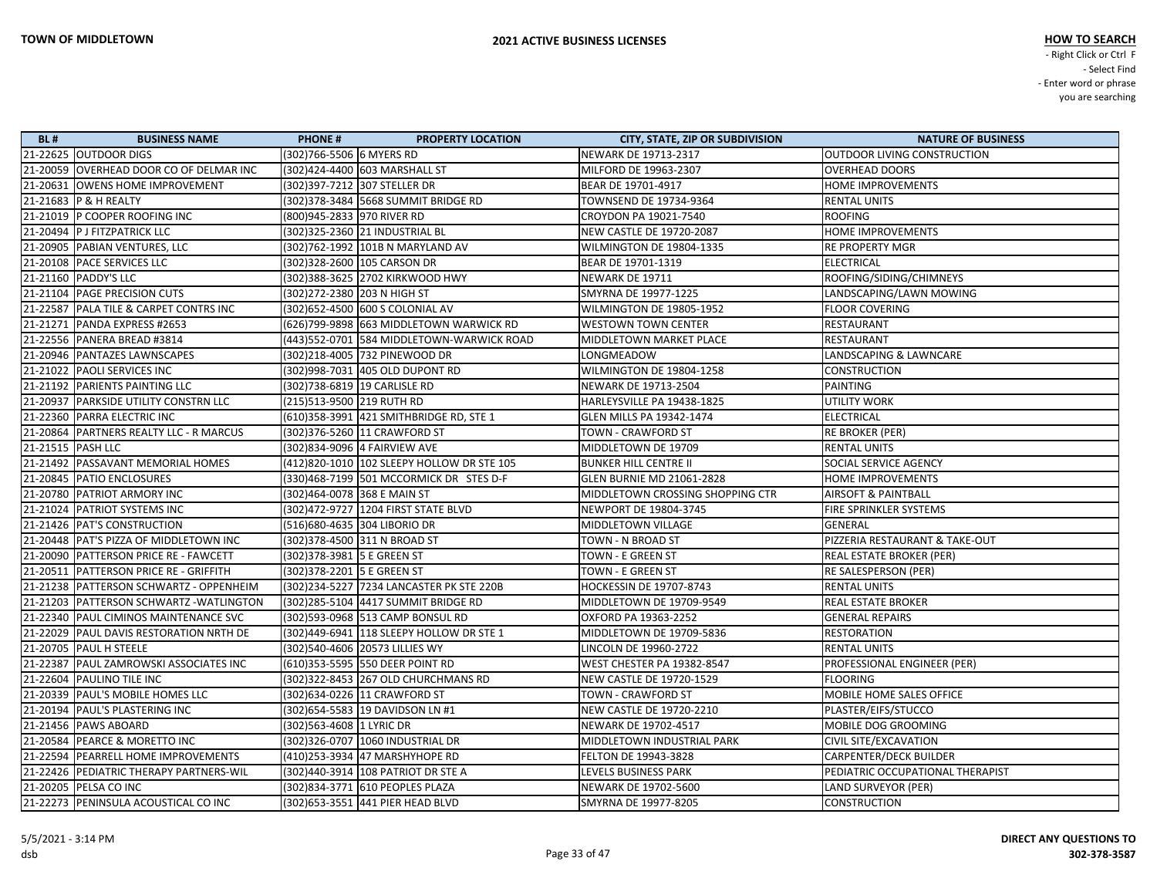| <b>BL#</b>          | <b>BUSINESS NAME</b>                     | <b>PHONE#</b>                | <b>PROPERTY LOCATION</b>                   | <b>CITY, STATE, ZIP OR SUBDIVISION</b> | <b>NATURE OF BUSINESS</b>        |
|---------------------|------------------------------------------|------------------------------|--------------------------------------------|----------------------------------------|----------------------------------|
|                     | 21-22625 OUTDOOR DIGS                    | (302)766-5506 6 MYERS RD     |                                            | NEWARK DE 19713-2317                   | OUTDOOR LIVING CONSTRUCTION      |
|                     | 21-20059 OVERHEAD DOOR CO OF DELMAR INC  |                              | (302)424-4400 603 MARSHALL ST              | MILFORD DE 19963-2307                  | <b>OVERHEAD DOORS</b>            |
|                     | 21-20631 OWENS HOME IMPROVEMENT          |                              | (302)397-7212 307 STELLER DR               | BEAR DE 19701-4917                     | HOME IMPROVEMENTS                |
|                     | 21-21683 P & H REALTY                    |                              |                                            | TOWNSEND DE 19734-9364                 | <b>RENTAL UNITS</b>              |
|                     | 21-21019 P COOPER ROOFING INC            | (800)945-2833 970 RIVER RD   |                                            | CROYDON PA 19021-7540                  | <b>ROOFING</b>                   |
|                     | 21-20494   P J FITZPATRICK LLC           |                              |                                            | NEW CASTLE DE 19720-2087               | HOME IMPROVEMENTS                |
|                     | 21-20905 PABIAN VENTURES, LLC            |                              | (302)762-1992  101B N MARYLAND AV          | WILMINGTON DE 19804-1335               | RE PROPERTY MGR                  |
|                     | 21-20108 PACE SERVICES LLC               |                              | (302)328-2600  105 CARSON DR               | BEAR DE 19701-1319                     | <b>ELECTRICAL</b>                |
|                     | 21-21160 PADDY'S LLC                     |                              | (302)388-3625  2702 KIRKWOOD HWY           | NEWARK DE 19711                        | ROOFING/SIDING/CHIMNEYS          |
|                     | 21-21104 PAGE PRECISION CUTS             | (302) 272-2380 203 N HIGH ST |                                            | SMYRNA DE 19977-1225                   | LANDSCAPING/LAWN MOWING          |
|                     | 21-22587 PALA TILE & CARPET CONTRS INC   |                              | (302)652-4500 600 S COLONIAL AV            | WILMINGTON DE 19805-1952               | <b>FLOOR COVERING</b>            |
|                     | 21-21271 PANDA EXPRESS #2653             |                              | (626)799-9898 663 MIDDLETOWN WARWICK RD    | <b>WESTOWN TOWN CENTER</b>             | RESTAURANT                       |
|                     | 21-22556 PANERA BREAD #3814              |                              | (443)552-0701 584 MIDDLETOWN-WARWICK ROAD  | MIDDLETOWN MARKET PLACE                | <b>RESTAURANT</b>                |
|                     | 21-20946   PANTAZES LAWNSCAPES           |                              |                                            | LONGMEADOW                             | LANDSCAPING & LAWNCARE           |
|                     | 21-21022 PAOLI SERVICES INC              |                              | (302)998-7031 405 OLD DUPONT RD            | WILMINGTON DE 19804-1258               | <b>CONSTRUCTION</b>              |
|                     | 21-21192 PARIENTS PAINTING LLC           |                              | (302)738-6819  19 CARLISLE RD              | NEWARK DE 19713-2504                   | <b>PAINTING</b>                  |
|                     | 21-20937   PARKSIDE UTILITY CONSTRN LLC  | (215)513-9500 219 RUTH RD    |                                            | HARLEYSVILLE PA 19438-1825             | <b>UTILITY WORK</b>              |
|                     | 21-22360 PARRA ELECTRIC INC              |                              | (610)358-3991 421 SMITHBRIDGE RD, STE 1    | <b>GLEN MILLS PA 19342-1474</b>        | <b>ELECTRICAL</b>                |
|                     | 21-20864 PARTNERS REALTY LLC - R MARCUS  |                              | (302) 376-5260 11 CRAWFORD ST              | TOWN - CRAWFORD ST                     | <b>RE BROKER (PER)</b>           |
| 21-21515   PASH LLC |                                          |                              | (302)834-9096 4 FAIRVIEW AVE               | MIDDLETOWN DE 19709                    | <b>RENTAL UNITS</b>              |
|                     | 21-21492 PASSAVANT MEMORIAL HOMES        |                              | (412)820-1010 102 SLEEPY HOLLOW DR STE 105 | <b>BUNKER HILL CENTRE II</b>           | SOCIAL SERVICE AGENCY            |
|                     | 21-20845   PATIO ENCLOSURES              |                              | (330) 468-7199 501 MCCORMICK DR STES D-F   | <b>GLEN BURNIE MD 21061-2828</b>       | HOME IMPROVEMENTS                |
|                     | 21-20780 PATRIOT ARMORY INC              |                              |                                            | MIDDLETOWN CROSSING SHOPPING CTR       | <b>AIRSOFT &amp; PAINTBALL</b>   |
|                     | 21-21024 PATRIOT SYSTEMS INC             |                              | (302)472-9727 1204 FIRST STATE BLVD        | NEWPORT DE 19804-3745                  | FIRE SPRINKLER SYSTEMS           |
|                     | 21-21426 PAT'S CONSTRUCTION              |                              | (516)680-4635 304 LIBORIO DR               | MIDDLETOWN VILLAGE                     | <b>GENERAL</b>                   |
|                     | 21-20448   PAT'S PIZZA OF MIDDLETOWN INC |                              | (302) 378-4500 311 N BROAD ST              | TOWN - N BROAD ST                      | PIZZERIA RESTAURANT & TAKE-OUT   |
|                     | 21-20090 PATTERSON PRICE RE - FAWCETT    | (302) 378-3981 5 E GREEN ST  |                                            | TOWN - E GREEN ST                      | REAL ESTATE BROKER (PER)         |
|                     | 21-20511 PATTERSON PRICE RE - GRIFFITH   | (302) 378-2201 5 E GREEN ST  |                                            | TOWN - E GREEN ST                      | RE SALESPERSON (PER)             |
|                     | 21-21238 PATTERSON SCHWARTZ - OPPENHEIM  |                              | (302)234-5227 7234 LANCASTER PK STE 220B   | HOCKESSIN DE 19707-8743                | <b>RENTAL UNITS</b>              |
|                     | 21-21203 PATTERSON SCHWARTZ-WATLINGTON   |                              | (302) 285-5104 4417 SUMMIT BRIDGE RD       | MIDDLETOWN DE 19709-9549               | <b>REAL ESTATE BROKER</b>        |
|                     | 21-22340 PAUL CIMINOS MAINTENANCE SVC    |                              | (302)593-0968 513 CAMP BONSUL RD           | OXFORD PA 19363-2252                   | <b>GENERAL REPAIRS</b>           |
|                     | 21-22029 PAUL DAVIS RESTORATION NRTH DE  |                              | (302)449-6941 118 SLEEPY HOLLOW DR STE 1   | MIDDLETOWN DE 19709-5836               | <b>RESTORATION</b>               |
|                     | 21-20705   PAUL H STEELE                 |                              | (302)540-4606 20573 LILLIES WY             | LINCOLN DE 19960-2722                  | <b>RENTAL UNITS</b>              |
|                     | 21-22387 PAUL ZAMROWSKI ASSOCIATES INC   |                              | (610)353-5595 550 DEER POINT RD            | <b>WEST CHESTER PA 19382-8547</b>      | PROFESSIONAL ENGINEER (PER)      |
|                     | 21-22604 PAULINO TILE INC                |                              | (302) 322-8453 267 OLD CHURCHMANS RD       | NEW CASTLE DE 19720-1529               | <b>FLOORING</b>                  |
|                     | 21-20339 PAUL'S MOBILE HOMES LLC         |                              | (302)634-0226 11 CRAWFORD ST               | TOWN - CRAWFORD ST                     | MOBILE HOME SALES OFFICE         |
|                     | 21-20194   PAUL'S PLASTERING INC         |                              | (302) 654-5583 19 DAVIDSON LN #1           | <b>NEW CASTLE DE 19720-2210</b>        | PLASTER/EIFS/STUCCO              |
|                     | 21-21456 PAWS ABOARD                     |                              |                                            | NEWARK DE 19702-4517                   | MOBILE DOG GROOMING              |
|                     | 21-20584 PEARCE & MORETTO INC            |                              | (302)326-0707 1060 INDUSTRIAL DR           | MIDDLETOWN INDUSTRIAL PARK             | <b>CIVIL SITE/EXCAVATION</b>     |
|                     | 21-22594 PEARRELL HOME IMPROVEMENTS      |                              | (410)253-3934 47 MARSHYHOPE RD             | FELTON DE 19943-3828                   | <b>CARPENTER/DECK BUILDER</b>    |
|                     | 21-22426 PEDIATRIC THERAPY PARTNERS-WIL  |                              | (302)440-3914 108 PATRIOT DR STE A         | LEVELS BUSINESS PARK                   | PEDIATRIC OCCUPATIONAL THERAPIST |
|                     | 21-20205 PELSA CO INC                    |                              | (302)834-3771 610 PEOPLES PLAZA            | NEWARK DE 19702-5600                   | LAND SURVEYOR (PER)              |
|                     | 21-22273 PENINSULA ACOUSTICAL CO INC     |                              | (302) 653-3551 441 PIER HEAD BLVD          | SMYRNA DE 19977-8205                   | <b>CONSTRUCTION</b>              |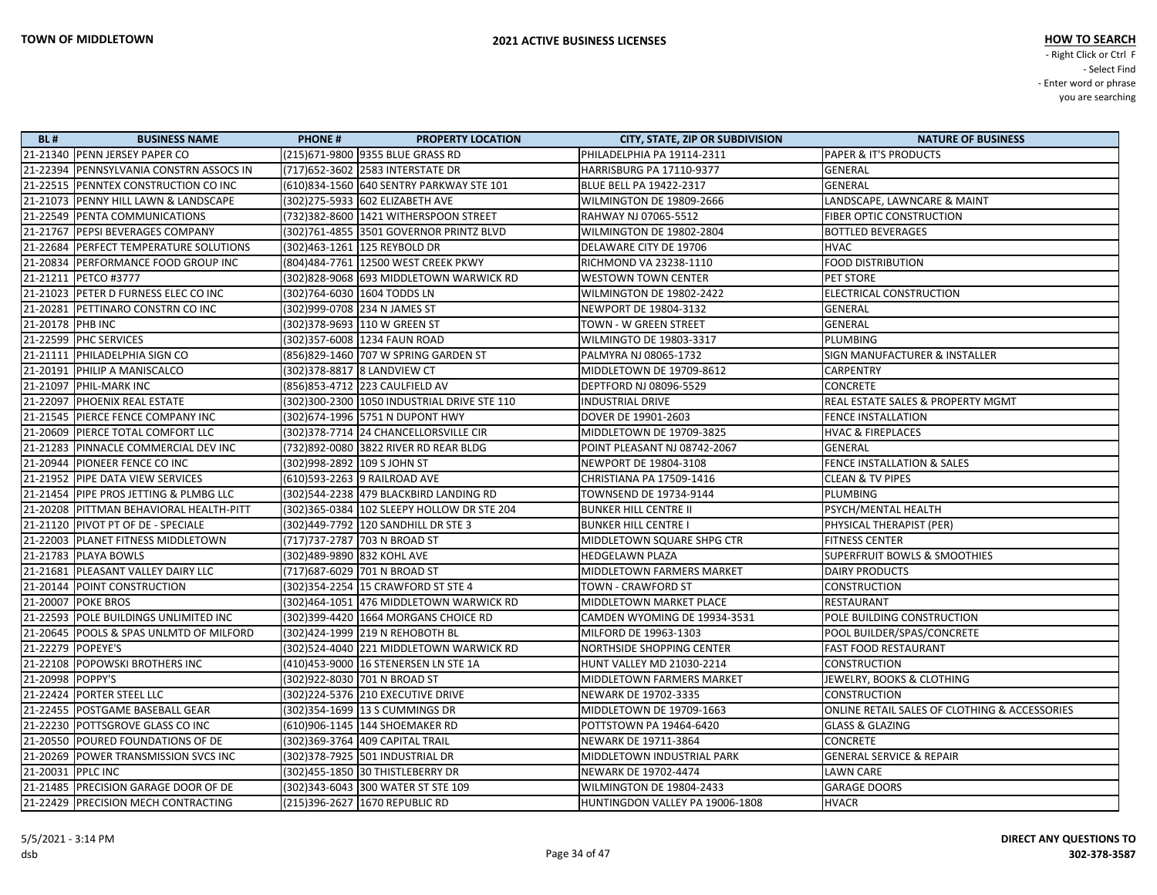| <b>BL#</b>        | <b>BUSINESS NAME</b>                     | <b>PHONE#</b>                     | <b>PROPERTY LOCATION</b>                    | <b>CITY, STATE, ZIP OR SUBDIVISION</b> | <b>NATURE OF BUSINESS</b>                     |
|-------------------|------------------------------------------|-----------------------------------|---------------------------------------------|----------------------------------------|-----------------------------------------------|
|                   | 21-21340 PENN JERSEY PAPER CO            | (215)671-9800 9355 BLUE GRASS RD  |                                             | PHILADELPHIA PA 19114-2311             | <b>PAPER &amp; IT'S PRODUCTS</b>              |
|                   | 21-22394 PENNSYLVANIA CONSTRN ASSOCS IN  | (717) 652-3602 2583 INTERSTATE DR |                                             | HARRISBURG PA 17110-9377               | <b>GENERAL</b>                                |
|                   | 21-22515 PENNTEX CONSTRUCTION CO INC     |                                   | (610)834-1560 640 SENTRY PARKWAY STE 101    | <b>BLUE BELL PA 19422-2317</b>         | <b>GENERAL</b>                                |
|                   | 21-21073 PENNY HILL LAWN & LANDSCAPE     | (302) 275-5933 602 ELIZABETH AVE  |                                             | WILMINGTON DE 19809-2666               | LANDSCAPE, LAWNCARE & MAINT                   |
|                   | 21-22549 PENTA COMMUNICATIONS            |                                   | (732)382-8600 1421 WITHERSPOON STREET       | RAHWAY NJ 07065-5512                   | FIBER OPTIC CONSTRUCTION                      |
|                   | 21-21767 PEPSI BEVERAGES COMPANY         |                                   | (302)761-4855 3501 GOVERNOR PRINTZ BLVD     | WILMINGTON DE 19802-2804               | <b>BOTTLED BEVERAGES</b>                      |
|                   | 21-22684 PERFECT TEMPERATURE SOLUTIONS   | (302)463-1261 125 REYBOLD DR      |                                             | DELAWARE CITY DE 19706                 | <b>HVAC</b>                                   |
|                   | 21-20834 PERFORMANCE FOOD GROUP INC      |                                   | (804)484-7761 12500 WEST CREEK PKWY         | RICHMOND VA 23238-1110                 | <b>FOOD DISTRIBUTION</b>                      |
|                   | 21-21211 PETCO #3777                     |                                   | (302)828-9068 693 MIDDLETOWN WARWICK RD     | <b>WESTOWN TOWN CENTER</b>             | PET STORE                                     |
|                   | 21-21023 PETER D FURNESS ELEC CO INC     | (302)764-6030 1604 TODDS LN       |                                             | WILMINGTON DE 19802-2422               | ELECTRICAL CONSTRUCTION                       |
|                   | 21-20281 PETTINARO CONSTRN CO INC        | (302)999-0708 234 N JAMES ST      |                                             | NEWPORT DE 19804-3132                  | <b>GENERAL</b>                                |
| 21-20178 PHB INC  |                                          | (302) 378-9693 110 W GREEN ST     |                                             | TOWN - W GREEN STREET                  | <b>GENERAL</b>                                |
|                   | 21-22599  PHC SERVICES                   | (302)357-6008 1234 FAUN ROAD      |                                             | WILMINGTO DE 19803-3317                | <b>PLUMBING</b>                               |
|                   | 21-21111 PHILADELPHIA SIGN CO            |                                   | (856)829-1460 707 W SPRING GARDEN ST        | PALMYRA NJ 08065-1732                  | SIGN MANUFACTURER & INSTALLER                 |
|                   | 21-20191 PHILIP A MANISCALCO             | (302) 378-8817   8 LANDVIEW CT    |                                             | MIDDLETOWN DE 19709-8612               | <b>CARPENTRY</b>                              |
|                   | 21-21097 PHIL-MARK INC                   | (856) 853-4712 223 CAULFIELD AV   |                                             | DEPTFORD NJ 08096-5529                 | <b>CONCRETE</b>                               |
|                   | 21-22097 PHOENIX REAL ESTATE             |                                   | (302)300-2300 1050 INDUSTRIAL DRIVE STE 110 | <b>INDUSTRIAL DRIVE</b>                | REAL ESTATE SALES & PROPERTY MGMT             |
|                   | 21-21545  PIERCE FENCE COMPANY INC       |                                   | (302)674-1996 5751 N DUPONT HWY             | DOVER DE 19901-2603                    | <b>FENCE INSTALLATION</b>                     |
|                   | 21-20609 PIERCE TOTAL COMFORT LLC        |                                   | (302) 378-7714 24 CHANCELLORSVILLE CIR      | MIDDLETOWN DE 19709-3825               | <b>HVAC &amp; FIREPLACES</b>                  |
|                   | 21-21283 PINNACLE COMMERCIAL DEV INC     |                                   | (732)892-0080 3822 RIVER RD REAR BLDG       | POINT PLEASANT NJ 08742-2067           | GENERAL                                       |
|                   | 21-20944  PIONEER FENCE CO INC           | (302)998-2892   109 S JOHN ST     |                                             | NEWPORT DE 19804-3108                  | <b>FENCE INSTALLATION &amp; SALES</b>         |
|                   | 21-21952 PIPE DATA VIEW SERVICES         | (610)593-2263 9 RAILROAD AVE      |                                             | CHRISTIANA PA 17509-1416               | <b>CLEAN &amp; TV PIPES</b>                   |
|                   | 21-21454 PIPE PROS JETTING & PLMBG LLC   |                                   | (302)544-2238 479 BLACKBIRD LANDING RD      | TOWNSEND DE 19734-9144                 | <b>PLUMBING</b>                               |
|                   | 21-20208 PITTMAN BEHAVIORAL HEALTH-PITT  |                                   | (302)365-0384 102 SLEEPY HOLLOW DR STE 204  | <b>BUNKER HILL CENTRE II</b>           | PSYCH/MENTAL HEALTH                           |
|                   | 21-21120 PIVOT PT OF DE - SPECIALE       |                                   | (302)449-7792  120 SANDHILL DR STE 3        | <b>BUNKER HILL CENTRE I</b>            | PHYSICAL THERAPIST (PER)                      |
|                   | 21-22003 PLANET FITNESS MIDDLETOWN       | (717) 737-2787 703 N BROAD ST     |                                             | MIDDLETOWN SQUARE SHPG CTR             | <b>FITNESS CENTER</b>                         |
|                   | 21-21783   PLAYA BOWLS                   | (302)489-9890 832 KOHL AVE        |                                             | <b>HEDGELAWN PLAZA</b>                 | <b>SUPERFRUIT BOWLS &amp; SMOOTHIES</b>       |
|                   | 21-21681  PLEASANT VALLEY DAIRY LLC      | (717)687-6029 701 N BROAD ST      |                                             | <b>MIDDLETOWN FARMERS MARKET</b>       | <b>DAIRY PRODUCTS</b>                         |
|                   | 21-20144 POINT CONSTRUCTION              |                                   | (302) 354-2254 15 CRAWFORD ST STE 4         | <b>TOWN - CRAWFORD ST</b>              | <b>CONSTRUCTION</b>                           |
|                   | 21-20007 POKE BROS                       |                                   | (302)464-1051 476 MIDDLETOWN WARWICK RD     | MIDDLETOWN MARKET PLACE                | RESTAURANT                                    |
|                   | 21-22593 POLE BUILDINGS UNLIMITED INC    |                                   | (302) 399-4420 1664 MORGANS CHOICE RD       | CAMDEN WYOMING DE 19934-3531           | POLE BUILDING CONSTRUCTION                    |
|                   | 21-20645  POOLS & SPAS UNLMTD OF MILFORD | (302)424-1999  219 N REHOBOTH BL  |                                             | MILFORD DE 19963-1303                  | POOL BUILDER/SPAS/CONCRETE                    |
|                   | 21-22279  POPEYE'S                       |                                   | (302)524-4040 221 MIDDLETOWN WARWICK RD     | NORTHSIDE SHOPPING CENTER              | <b>FAST FOOD RESTAURANT</b>                   |
|                   | 21-22108 POPOWSKI BROTHERS INC           |                                   | (410)453-9000 16 STENERSEN LN STE 1A        | HUNT VALLEY MD 21030-2214              | <b>CONSTRUCTION</b>                           |
| 21-20998 POPPY'S  |                                          | (302)922-8030 701 N BROAD ST      |                                             | <b>MIDDLETOWN FARMERS MARKET</b>       | JEWELRY, BOOKS & CLOTHING                     |
|                   | 21-22424 PORTER STEEL LLC                |                                   | (302) 224-5376 210 EXECUTIVE DRIVE          | NEWARK DE 19702-3335                   | <b>CONSTRUCTION</b>                           |
|                   | 21-22455 POSTGAME BASEBALL GEAR          | (302) 354-1699 13 S CUMMINGS DR   |                                             | MIDDLETOWN DE 19709-1663               | ONLINE RETAIL SALES OF CLOTHING & ACCESSORIES |
|                   | 21-22230 POTTSGROVE GLASS CO INC         | (610)906-1145 144 SHOEMAKER RD    |                                             | POTTSTOWN PA 19464-6420                | <b>GLASS &amp; GLAZING</b>                    |
|                   | 21-20550 POURED FOUNDATIONS OF DE        | (302) 369-3764 409 CAPITAL TRAIL  |                                             | NEWARK DE 19711-3864                   | <b>CONCRETE</b>                               |
|                   | 21-20269 POWER TRANSMISSION SVCS INC     | (302) 378-7925 501 INDUSTRIAL DR  |                                             | MIDDLETOWN INDUSTRIAL PARK             | <b>GENERAL SERVICE &amp; REPAIR</b>           |
| 21-20031 PPLC INC |                                          | (302)455-1850 30 THISTLEBERRY DR  |                                             | NEWARK DE 19702-4474                   | <b>LAWN CARE</b>                              |
|                   | 21-21485 PRECISION GARAGE DOOR OF DE     |                                   | (302) 343-6043 300 WATER ST STE 109         | WILMINGTON DE 19804-2433               | <b>GARAGE DOORS</b>                           |
|                   | 21-22429 PRECISION MECH CONTRACTING      | (215)396-2627 1670 REPUBLIC RD    |                                             | HUNTINGDON VALLEY PA 19006-1808        | <b>HVACR</b>                                  |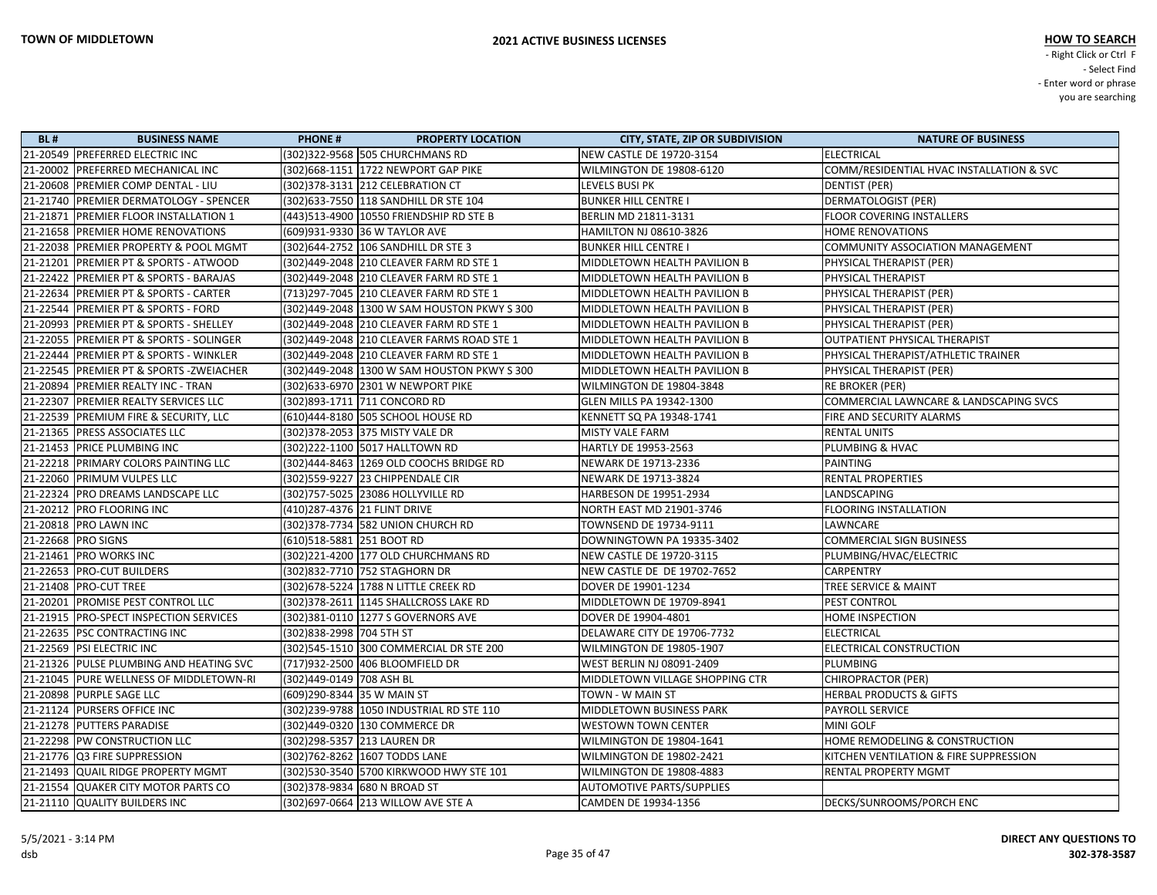| <b>BL#</b> | <b>BUSINESS NAME</b>                     | <b>PHONE#</b>                 | <b>PROPERTY LOCATION</b>                     | <b>CITY, STATE, ZIP OR SUBDIVISION</b> | <b>NATURE OF BUSINESS</b>                |
|------------|------------------------------------------|-------------------------------|----------------------------------------------|----------------------------------------|------------------------------------------|
|            | 21-20549 PREFERRED ELECTRIC INC          |                               | (302) 322-9568 505 CHURCHMANS RD             | NEW CASTLE DE 19720-3154               | <b>ELECTRICAL</b>                        |
|            | 21-20002 PREFERRED MECHANICAL INC        |                               | (302) 668-1151 1722 NEWPORT GAP PIKE         | WILMINGTON DE 19808-6120               | COMM/RESIDENTIAL HVAC INSTALLATION & SVC |
|            | 21-20608 PREMIER COMP DENTAL - LIU       |                               | (302) 378-3131 212 CELEBRATION CT            | LEVELS BUSI PK                         | DENTIST (PER)                            |
|            | 21-21740  PREMIER DERMATOLOGY - SPENCER  |                               | (302) 633-7550 118 SANDHILL DR STE 104       | <b>BUNKER HILL CENTRE I</b>            | DERMATOLOGIST (PER)                      |
|            | 21-21871 PREMIER FLOOR INSTALLATION 1    |                               | (443)513-4900 10550 FRIENDSHIP RD STE B      | <b>BERLIN MD 21811-3131</b>            | <b>FLOOR COVERING INSTALLERS</b>         |
|            | 21-21658 PREMIER HOME RENOVATIONS        |                               | (609)931-9330 36 W TAYLOR AVE                | HAMILTON NJ 08610-3826                 | HOME RENOVATIONS                         |
|            | 21-22038 PREMIER PROPERTY & POOL MGMT    |                               | (302)644-2752 106 SANDHILL DR STE 3          | <b>BUNKER HILL CENTRE I</b>            | COMMUNITY ASSOCIATION MANAGEMENT         |
|            | 21-21201 PREMIER PT & SPORTS - ATWOOD    |                               | (302)449-2048 210 CLEAVER FARM RD STE 1      | MIDDLETOWN HEALTH PAVILION B           | PHYSICAL THERAPIST (PER)                 |
|            | 21-22422 PREMIER PT & SPORTS - BARAJAS   |                               | (302)449-2048 210 CLEAVER FARM RD STE 1      | MIDDLETOWN HEALTH PAVILION B           | PHYSICAL THERAPIST                       |
|            | 21-22634  PREMIER PT & SPORTS - CARTER   |                               | (713) 297-7045 210 CLEAVER FARM RD STE 1     | MIDDLETOWN HEALTH PAVILION B           | PHYSICAL THERAPIST (PER)                 |
|            | 21-22544  PREMIER PT & SPORTS - FORD     |                               | (302)449-2048  1300 W SAM HOUSTON PKWY S 300 | MIDDLETOWN HEALTH PAVILION B           | PHYSICAL THERAPIST (PER)                 |
|            | 21-20993 PREMIER PT & SPORTS - SHELLEY   |                               | (302)449-2048 210 CLEAVER FARM RD STE 1      | MIDDLETOWN HEALTH PAVILION B           | PHYSICAL THERAPIST (PER)                 |
|            | 21-22055  PREMIER PT & SPORTS - SOLINGER |                               | (302)449-2048 210 CLEAVER FARMS ROAD STE 1   | MIDDLETOWN HEALTH PAVILION B           | OUTPATIENT PHYSICAL THERAPIST            |
|            | 21-22444 PREMIER PT & SPORTS - WINKLER   |                               | (302)449-2048 210 CLEAVER FARM RD STE 1      | MIDDLETOWN HEALTH PAVILION B           | PHYSICAL THERAPIST/ATHLETIC TRAINER      |
|            | 21-22545  PREMIER PT & SPORTS -ZWEIACHER |                               | (302)449-2048  1300 W SAM HOUSTON PKWY S 300 | MIDDLETOWN HEALTH PAVILION B           | PHYSICAL THERAPIST (PER)                 |
|            | 21-20894 PREMIER REALTY INC - TRAN       |                               | (302)633-6970 2301 W NEWPORT PIKE            | WILMINGTON DE 19804-3848               | RE BROKER (PER)                          |
|            | 21-22307 PREMIER REALTY SERVICES LLC     |                               | (302)893-1711 711 CONCORD RD                 | GLEN MILLS PA 19342-1300               | COMMERCIAL LAWNCARE & LANDSCAPING SVCS   |
|            | 21-22539 PREMIUM FIRE & SECURITY, LLC    |                               | (610)444-8180 505 SCHOOL HOUSE RD            | KENNETT SQ PA 19348-1741               | FIRE AND SECURITY ALARMS                 |
|            | 21-21365 PRESS ASSOCIATES LLC            |                               | (302) 378-2053 375 MISTY VALE DR             | <b>MISTY VALE FARM</b>                 | <b>RENTAL UNITS</b>                      |
|            | 21-21453 PRICE PLUMBING INC              |                               | (302)222-1100 5017 HALLTOWN RD               | HARTLY DE 19953-2563                   | <b>PLUMBING &amp; HVAC</b>               |
|            | 21-22218 PRIMARY COLORS PAINTING LLC     |                               | (302)444-8463 1269 OLD COOCHS BRIDGE RD      | NEWARK DE 19713-2336                   | <b>PAINTING</b>                          |
|            | 21-22060 PRIMUM VULPES LLC               |                               | (302) 559-9227 23 CHIPPENDALE CIR            | NEWARK DE 19713-3824                   | <b>RENTAL PROPERTIES</b>                 |
|            | 21-22324 PRO DREAMS LANDSCAPE LLC        |                               | (302)757-5025 23086 HOLLYVILLE RD            | HARBESON DE 19951-2934                 | LANDSCAPING                              |
|            | 21-20212 PRO FLOORING INC                | (410) 287-4376 21 FLINT DRIVE |                                              | NORTH EAST MD 21901-3746               | <b>FLOORING INSTALLATION</b>             |
|            | 21-20818   PRO LAWN INC                  |                               | (302) 378-7734 582 UNION CHURCH RD           | TOWNSEND DE 19734-9111                 | LAWNCARE                                 |
|            | 21-22668 PRO SIGNS                       | (610)518-5881 251 BOOT RD     |                                              | DOWNINGTOWN PA 19335-3402              | <b>COMMERCIAL SIGN BUSINESS</b>          |
|            | 21-21461   PRO WORKS INC                 |                               | (302) 221-4200 177 OLD CHURCHMANS RD         | <b>NEW CASTLE DE 19720-3115</b>        | PLUMBING/HVAC/ELECTRIC                   |
|            | 21-22653  PRO-CUT BUILDERS               |                               | (302)832-7710 752 STAGHORN DR                | NEW CASTLE DE DE 19702-7652            | CARPENTRY                                |
|            | 21-21408 PRO-CUT TREE                    |                               | (302) 678-5224 1788 N LITTLE CREEK RD        | DOVER DE 19901-1234                    | TREE SERVICE & MAINT                     |
|            | 21-20201 PROMISE PEST CONTROL LLC        |                               | (302) 378-2611 1145 SHALLCROSS LAKE RD       | MIDDLETOWN DE 19709-8941               | <b>PEST CONTROL</b>                      |
|            | 21-21915 PRO-SPECT INSPECTION SERVICES   |                               | (302) 381-0110 1277 S GOVERNORS AVE          | DOVER DE 19904-4801                    | <b>HOME INSPECTION</b>                   |
|            | 21-22635  PSC CONTRACTING INC            | (302) 838-2998 704 5TH ST     |                                              | DELAWARE CITY DE 19706-7732            | <b>ELECTRICAL</b>                        |
|            | 21-22569 PSI ELECTRIC INC                |                               | (302) 545-1510 300 COMMERCIAL DR STE 200     | WILMINGTON DE 19805-1907               | ELECTRICAL CONSTRUCTION                  |
|            | 21-21326 PULSE PLUMBING AND HEATING SVC  |                               | (717)932-2500 406 BLOOMFIELD DR              | WEST BERLIN NJ 08091-2409              | PLUMBING                                 |
|            | 21-21045 PURE WELLNESS OF MIDDLETOWN-RI  | (302)449-0149 708 ASH BL      |                                              | MIDDLETOWN VILLAGE SHOPPING CTR        | <b>CHIROPRACTOR (PER)</b>                |
|            | 21-20898 PURPLE SAGE LLC                 | (609)290-8344 35 W MAIN ST    |                                              | TOWN - W MAIN ST                       | <b>HERBAL PRODUCTS &amp; GIFTS</b>       |
|            | 21-21124 PURSERS OFFICE INC              |                               | (302)239-9788   1050 INDUSTRIAL RD STE 110   | MIDDLETOWN BUSINESS PARK               | <b>PAYROLL SERVICE</b>                   |
|            | 21-21278  PUTTERS PARADISE               |                               | (302)449-0320 130 COMMERCE DR                | <b>WESTOWN TOWN CENTER</b>             | MINI GOLF                                |
|            | 21-22298 PW CONSTRUCTION LLC             | (302)298-5357 213 LAUREN DR   |                                              | WILMINGTON DE 19804-1641               | HOME REMODELING & CONSTRUCTION           |
|            | 21-21776 Q3 FIRE SUPPRESSION             |                               | (302)762-8262 1607 TODDS LANE                | WILMINGTON DE 19802-2421               | KITCHEN VENTILATION & FIRE SUPPRESSION   |
|            | 21-21493 QUAIL RIDGE PROPERTY MGMT       |                               | (302) 530-3540 5700 KIRKWOOD HWY STE 101     | WILMINGTON DE 19808-4883               | RENTAL PROPERTY MGMT                     |
|            | 21-21554  QUAKER CITY MOTOR PARTS CO     | (302) 378-9834 680 N BROAD ST |                                              | <b>AUTOMOTIVE PARTS/SUPPLIES</b>       |                                          |
|            | 21-21110 QUALITY BUILDERS INC            |                               | (302)697-0664 213 WILLOW AVE STE A           | CAMDEN DE 19934-1356                   | DECKS/SUNROOMS/PORCH ENC                 |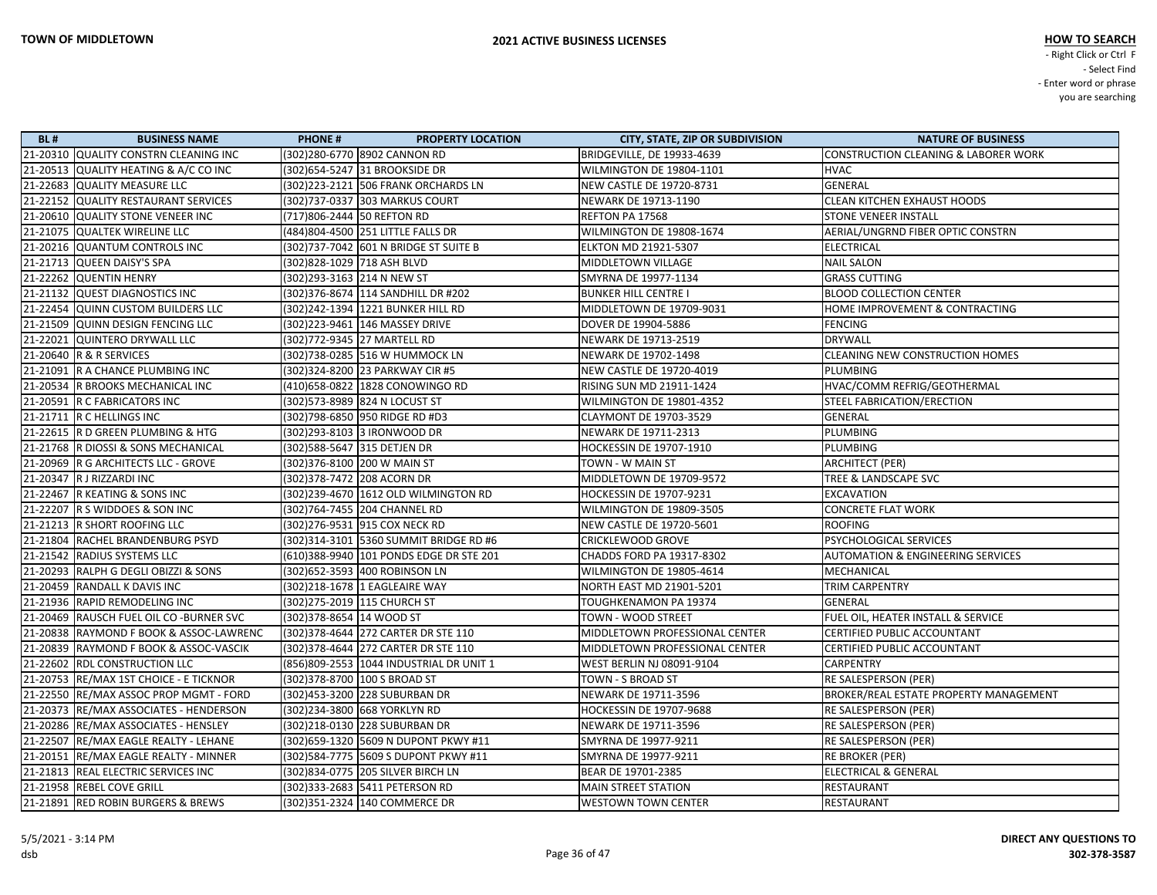| <b>BL#</b> | <b>BUSINESS NAME</b>                    | <b>PHONE#</b><br><b>PROPERTY LOCATION</b> | <b>CITY, STATE, ZIP OR SUBDIVISION</b> | <b>NATURE OF BUSINESS</b>                       |
|------------|-----------------------------------------|-------------------------------------------|----------------------------------------|-------------------------------------------------|
|            | 21-20310 QUALITY CONSTRN CLEANING INC   | (302)280-6770 8902 CANNON RD              | BRIDGEVILLE, DE 19933-4639             | <b>CONSTRUCTION CLEANING &amp; LABORER WORK</b> |
|            | 21-20513 QUALITY HEATING & A/C CO INC   | (302) 654-5247 31 BROOKSIDE DR            | WILMINGTON DE 19804-1101               | <b>HVAC</b>                                     |
|            | 21-22683 QUALITY MEASURE LLC            | (302) 223-2121 506 FRANK ORCHARDS LN      | <b>NEW CASTLE DE 19720-8731</b>        | <b>GENERAL</b>                                  |
|            | 21-22152 QUALITY RESTAURANT SERVICES    | (302) 737-0337 303 MARKUS COURT           | <b>NEWARK DE 19713-1190</b>            | <b>CLEAN KITCHEN EXHAUST HOODS</b>              |
|            | 21-20610 QUALITY STONE VENEER INC       | (717)806-2444 50 REFTON RD                | REFTON PA 17568                        | <b>STONE VENEER INSTALL</b>                     |
|            | 21-21075 QUALTEK WIRELINE LLC           | (484)804-4500 251 LITTLE FALLS DR         | WILMINGTON DE 19808-1674               | AERIAL/UNGRND FIBER OPTIC CONSTRN               |
|            | 21-20216 QUANTUM CONTROLS INC           | (302) 737-7042 601 N BRIDGE ST SUITE B    | <b>ELKTON MD 21921-5307</b>            | <b>ELECTRICAL</b>                               |
|            | 21-21713 QUEEN DAISY'S SPA              | (302)828-1029 718 ASH BLVD                | MIDDLETOWN VILLAGE                     | <b>NAIL SALON</b>                               |
|            | 21-22262 QUENTIN HENRY                  | (302)293-3163 214 N NEW ST                | SMYRNA DE 19977-1134                   | <b>GRASS CUTTING</b>                            |
|            | 21-21132 QUEST DIAGNOSTICS INC          | (302) 376-8674 114 SANDHILL DR #202       | <b>BUNKER HILL CENTRE I</b>            | <b>BLOOD COLLECTION CENTER</b>                  |
|            | 21-22454 QUINN CUSTOM BUILDERS LLC      | (302)242-1394 1221 BUNKER HILL RD         | MIDDLETOWN DE 19709-9031               | HOME IMPROVEMENT & CONTRACTING                  |
|            | 21-21509 QUINN DESIGN FENCING LLC       | (302)223-9461 146 MASSEY DRIVE            | DOVER DE 19904-5886                    | <b>FENCING</b>                                  |
|            | 21-22021 QUINTERO DRYWALL LLC           | (302)772-9345 27 MARTELL RD               | <b>NEWARK DE 19713-2519</b>            | <b>DRYWALL</b>                                  |
|            | 21-20640   R & R SERVICES               | (302)738-0285 516 W HUMMOCK LN            | NEWARK DE 19702-1498                   | <b>CLEANING NEW CONSTRUCTION HOMES</b>          |
|            | 21-21091 R A CHANCE PLUMBING INC        | (302) 324-8200 23 PARKWAY CIR #5          | <b>NEW CASTLE DE 19720-4019</b>        | <b>PLUMBING</b>                                 |
|            | 21-20534 R BROOKS MECHANICAL INC        | (410)658-0822 1828 CONOWINGO RD           | <b>RISING SUN MD 21911-1424</b>        | HVAC/COMM REFRIG/GEOTHERMAL                     |
|            | 21-20591 R C FABRICATORS INC            | (302) 573-8989 824 N LOCUST ST            | WILMINGTON DE 19801-4352               | STEEL FABRICATION/ERECTION                      |
|            | 21-21711 R C HELLINGS INC               | (302)798-6850 950 RIDGE RD #D3            | <b>CLAYMONT DE 19703-3529</b>          | GENERAL                                         |
|            | 21-22615 R D GREEN PLUMBING & HTG       | (302)293-8103 3 IRONWOOD DR               | NEWARK DE 19711-2313                   | <b>PLUMBING</b>                                 |
|            | 21-21768 R DIOSSI & SONS MECHANICAL     | (302)588-5647 315 DETJEN DR               | <b>HOCKESSIN DE 19707-1910</b>         | PLUMBING                                        |
|            | 21-20969 R G ARCHITECTS LLC - GROVE     | (302)376-8100 200 W MAIN ST               | TOWN - W MAIN ST                       | <b>ARCHITECT (PER)</b>                          |
|            | 21-20347 R J RIZZARDI INC               | (302) 378-7472 208 ACORN DR               | MIDDLETOWN DE 19709-9572               | TREE & LANDSCAPE SVC                            |
|            | 21-22467 R KEATING & SONS INC           | (302)239-4670 1612 OLD WILMINGTON RD      | <b>HOCKESSIN DE 19707-9231</b>         | <b>EXCAVATION</b>                               |
|            | 21-22207 R S WIDDOES & SON INC          | (302)764-7455 204 CHANNEL RD              | WILMINGTON DE 19809-3505               | <b>CONCRETE FLAT WORK</b>                       |
|            | 21-21213 R SHORT ROOFING LLC            | (302)276-9531 915 COX NECK RD             | <b>NEW CASTLE DE 19720-5601</b>        | ROOFING                                         |
|            | 21-21804 RACHEL BRANDENBURG PSYD        | (302)314-3101 5360 SUMMIT BRIDGE RD #6    | <b>CRICKLEWOOD GROVE</b>               | PSYCHOLOGICAL SERVICES                          |
|            | 21-21542 RADIUS SYSTEMS LLC             | (610)388-9940 101 PONDS EDGE DR STE 201   | CHADDS FORD PA 19317-8302              | <b>AUTOMATION &amp; ENGINEERING SERVICES</b>    |
|            | 21-20293 RALPH G DEGLI OBIZZI & SONS    | (302)652-3593 400 ROBINSON LN             | WILMINGTON DE 19805-4614               | MECHANICAL                                      |
|            | 21-20459 RANDALL K DAVIS INC            | (302)218-1678 1 EAGLEAIRE WAY             | <b>NORTH EAST MD 21901-5201</b>        | TRIM CARPENTRY                                  |
|            | 21-21936 RAPID REMODELING INC           | (302) 275-2019 115 CHURCH ST              | <b>TOUGHKENAMON PA 19374</b>           | <b>GENERAL</b>                                  |
|            | 21-20469 RAUSCH FUEL OIL CO -BURNER SVC | (302)378-8654  14 WOOD ST                 | TOWN - WOOD STREET                     | FUEL OIL, HEATER INSTALL & SERVICE              |
|            | 21-20838 RAYMOND F BOOK & ASSOC-LAWRENC | (302) 378-4644 272 CARTER DR STE 110      | MIDDLETOWN PROFESSIONAL CENTER         | CERTIFIED PUBLIC ACCOUNTANT                     |
|            | 21-20839  RAYMOND F BOOK & ASSOC-VASCIK | (302) 378-4644 272 CARTER DR STE 110      | MIDDLETOWN PROFESSIONAL CENTER         | CERTIFIED PUBLIC ACCOUNTANT                     |
|            | 21-22602 RDL CONSTRUCTION LLC           | (856)809-2553 1044 INDUSTRIAL DR UNIT 1   | <b>WEST BERLIN NJ 08091-9104</b>       | <b>CARPENTRY</b>                                |
|            | 21-20753 RE/MAX 1ST CHOICE - E TICKNOR  | (302) 378-8700 100 S BROAD ST             | TOWN - S BROAD ST                      | RE SALESPERSON (PER)                            |
|            | 21-22550 RE/MAX ASSOC PROP MGMT - FORD  | (302)453-3200 228 SUBURBAN DR             | NEWARK DE 19711-3596                   | BROKER/REAL ESTATE PROPERTY MANAGEMENT          |
|            | 21-20373  RE/MAX ASSOCIATES - HENDERSON | (302)234-3800  668 YORKLYN RD             | <b>HOCKESSIN DE 19707-9688</b>         | RE SALESPERSON (PER)                            |
|            | 21-20286 RE/MAX ASSOCIATES - HENSLEY    | (302)218-0130 228 SUBURBAN DR             | <b>NEWARK DE 19711-3596</b>            | RE SALESPERSON (PER)                            |
|            | 21-22507 RE/MAX EAGLE REALTY - LEHANE   | (302)659-1320 5609 N DUPONT PKWY #11      | SMYRNA DE 19977-9211                   | RE SALESPERSON (PER)                            |
|            | 21-20151  RE/MAX EAGLE REALTY - MINNER  | (302) 584-7775 5609 S DUPONT PKWY #11     | SMYRNA DE 19977-9211                   | <b>RE BROKER (PER)</b>                          |
|            | 21-21813 REAL ELECTRIC SERVICES INC     | (302)834-0775 205 SILVER BIRCH LN         | BEAR DE 19701-2385                     | ELECTRICAL & GENERAL                            |
|            | 21-21958 REBEL COVE GRILL               | (302)333-2683 5411 PETERSON RD            | MAIN STREET STATION                    | RESTAURANT                                      |
|            | 21-21891  RED ROBIN BURGERS & BREWS     | (302)351-2324 140 COMMERCE DR             | <b>WESTOWN TOWN CENTER</b>             | RESTAURANT                                      |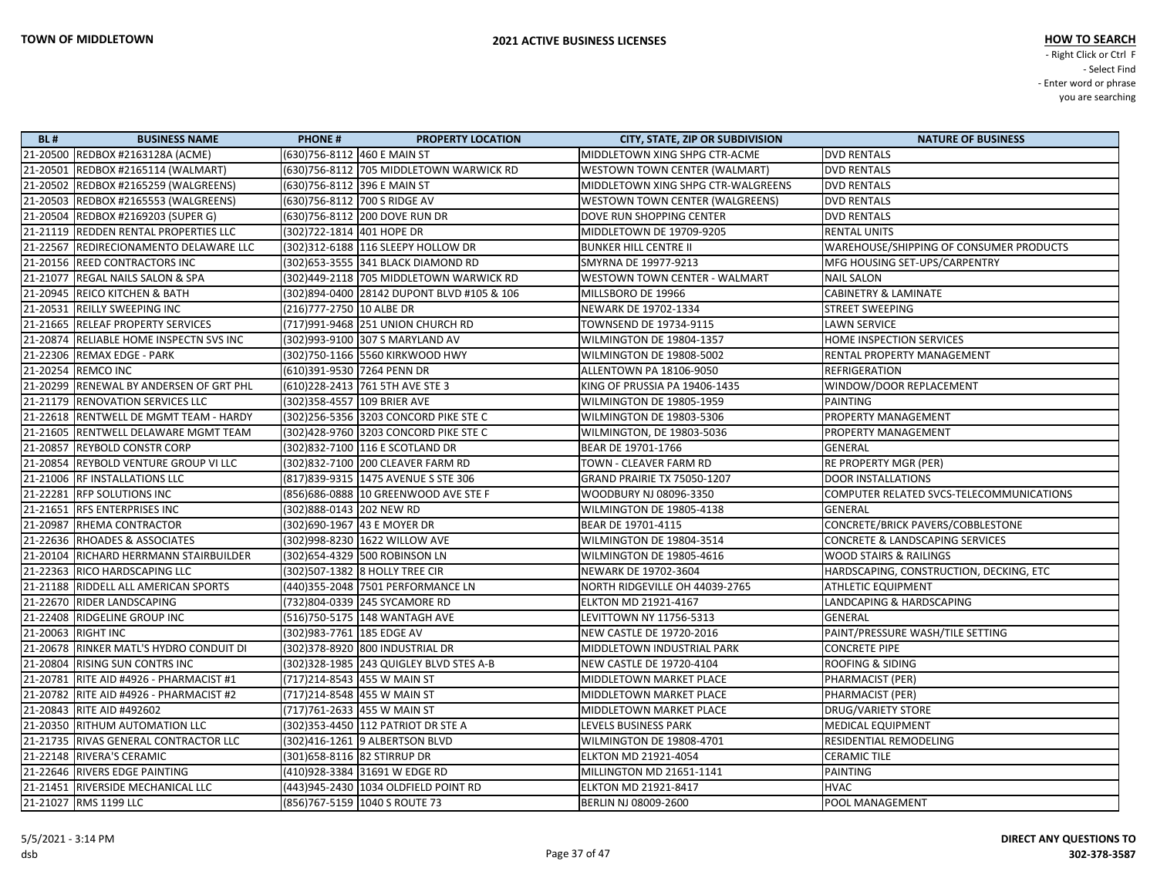| <b>BL#</b> | <b>BUSINESS NAME</b>                      | <b>PHONE#</b><br><b>PROPERTY LOCATION</b>  | <b>CITY, STATE, ZIP OR SUBDIVISION</b> | <b>NATURE OF BUSINESS</b>                  |
|------------|-------------------------------------------|--------------------------------------------|----------------------------------------|--------------------------------------------|
|            | 21-20500 REDBOX #2163128A (ACME)          | (630) 756-8112 460 E MAIN ST               | MIDDLETOWN XING SHPG CTR-ACME          | <b>DVD RENTALS</b>                         |
|            | 21-20501 REDBOX #2165114 (WALMART)        | (630)756-8112 705 MIDDLETOWN WARWICK RD    | <b>WESTOWN TOWN CENTER (WALMART)</b>   | <b>DVD RENTALS</b>                         |
|            | 21-20502 REDBOX #2165259 (WALGREENS)      | (630) 756-8112 396 E MAIN ST               | MIDDLETOWN XING SHPG CTR-WALGREENS     | <b>DVD RENTALS</b>                         |
|            | 21-20503 REDBOX #2165553 (WALGREENS)      | (630) 756-8112 700 S RIDGE AV              | WESTOWN TOWN CENTER (WALGREENS)        | <b>DVD RENTALS</b>                         |
|            | 21-20504 REDBOX #2169203 (SUPER G)        | (630)756-8112 200 DOVE RUN DR              | DOVE RUN SHOPPING CENTER               | <b>DVD RENTALS</b>                         |
|            | 21-21119 REDDEN RENTAL PROPERTIES LLC     | (302)722-1814 401 HOPE DR                  | MIDDLETOWN DE 19709-9205               | <b>RENTAL UNITS</b>                        |
|            | 21-22567 REDIRECIONAMENTO DELAWARE LLC    | (302) 312-6188 116 SLEEPY HOLLOW DR        | <b>BUNKER HILL CENTRE II</b>           | WAREHOUSE/SHIPPING OF CONSUMER PRODUCTS    |
|            | 21-20156 REED CONTRACTORS INC             | (302) 653-3555 341 BLACK DIAMOND RD        | SMYRNA DE 19977-9213                   | MFG HOUSING SET-UPS/CARPENTRY              |
|            | 21-21077 REGAL NAILS SALON & SPA          | (302)449-2118 705 MIDDLETOWN WARWICK RD    | <b>WESTOWN TOWN CENTER - WALMART</b>   | <b>NAIL SALON</b>                          |
|            | 21-20945 REICO KITCHEN & BATH             | (302)894-0400 28142 DUPONT BLVD #105 & 106 | MILLSBORO DE 19966                     | <b>CABINETRY &amp; LAMINATE</b>            |
|            | 21-20531 REILLY SWEEPING INC              | (216)777-2750 10 ALBE DR                   | NEWARK DE 19702-1334                   | <b>STREET SWEEPING</b>                     |
|            | 21-21665 RELEAF PROPERTY SERVICES         | (717)991-9468 251 UNION CHURCH RD          | TOWNSEND DE 19734-9115                 | <b>LAWN SERVICE</b>                        |
|            | 21-20874 RELIABLE HOME INSPECTN SVS INC   | (302)993-9100 307 S MARYLAND AV            | WILMINGTON DE 19804-1357               | HOME INSPECTION SERVICES                   |
|            | 21-22306 REMAX EDGE - PARK                | (302) 750-1166 5560 KIRKWOOD HWY           | WILMINGTON DE 19808-5002               | RENTAL PROPERTY MANAGEMENT                 |
|            | 21-20254 REMCO INC                        | (610)391-9530 7264 PENN DR                 | ALLENTOWN PA 18106-9050                | <b>REFRIGERATION</b>                       |
|            | 21-20299 RENEWAL BY ANDERSEN OF GRT PHL   | (610)228-2413 761 5TH AVE STE 3            | KING OF PRUSSIA PA 19406-1435          | WINDOW/DOOR REPLACEMENT                    |
|            | 21-21179 RENOVATION SERVICES LLC          | (302) 358-4557 109 BRIER AVE               | WILMINGTON DE 19805-1959               | <b>PAINTING</b>                            |
|            | 21-22618 RENTWELL DE MGMT TEAM - HARDY    | (302) 256-5356 3203 CONCORD PIKE STE C     | WILMINGTON DE 19803-5306               | PROPERTY MANAGEMENT                        |
|            | 21-21605 RENTWELL DELAWARE MGMT TEAM      | (302) 428-9760 3203 CONCORD PIKE STE C     | WILMINGTON, DE 19803-5036              | PROPERTY MANAGEMENT                        |
|            | 21-20857 REYBOLD CONSTR CORP              | (302) 832-7100 116 E SCOTLAND DR           | BEAR DE 19701-1766                     | GENERAL                                    |
|            | 21-20854 REYBOLD VENTURE GROUP VI LLC     | (302)832-7100 200 CLEAVER FARM RD          | TOWN - CLEAVER FARM RD                 | RE PROPERTY MGR (PER)                      |
|            | 21-21006 RF INSTALLATIONS LLC             | (817) 839-9315 1475 AVENUE S STE 306       | GRAND PRAIRIE TX 75050-1207            | <b>DOOR INSTALLATIONS</b>                  |
|            | 21-22281  RFP SOLUTIONS INC               | (856) 686-0888 10 GREENWOOD AVE STE F      | WOODBURY NJ 08096-3350                 | COMPUTER RELATED SVCS-TELECOMMUNICATIONS   |
|            | 21-21651 RFS ENTERPRISES INC              | (302)888-0143 202 NEW RD                   | WILMINGTON DE 19805-4138               | <b>GENERAL</b>                             |
|            | 21-20987 RHEMA CONTRACTOR                 | (302)690-1967   43 E MOYER DR              | BEAR DE 19701-4115                     | CONCRETE/BRICK PAVERS/COBBLESTONE          |
|            | 21-22636 RHOADES & ASSOCIATES             | (302)998-8230 1622 WILLOW AVE              | WILMINGTON DE 19804-3514               | <b>CONCRETE &amp; LANDSCAPING SERVICES</b> |
|            | 21-20104 RICHARD HERRMANN STAIRBUILDER    | (302) 654-4329 500 ROBINSON LN             | WILMINGTON DE 19805-4616               | WOOD STAIRS & RAILINGS                     |
|            | 21-22363 RICO HARDSCAPING LLC             | (302)507-1382 8 HOLLY TREE CIR             | NEWARK DE 19702-3604                   | HARDSCAPING, CONSTRUCTION, DECKING, ETC    |
|            | 21-21188 RIDDELL ALL AMERICAN SPORTS      | (440)355-2048 7501 PERFORMANCE LN          | NORTH RIDGEVILLE OH 44039-2765         | <b>ATHLETIC EQUIPMENT</b>                  |
|            | 21-22670 RIDER LANDSCAPING                | (732)804-0339 245 SYCAMORE RD              | <b>ELKTON MD 21921-4167</b>            | LANDCAPING & HARDSCAPING                   |
|            | 21-22408   RIDGELINE GROUP INC            | (516)750-5175 148 WANTAGH AVE              | LEVITTOWN NY 11756-5313                | GENERAL                                    |
|            | 21-20063 RIGHT INC                        | (302) 983-7761 185 EDGE AV                 | NEW CASTLE DE 19720-2016               | PAINT/PRESSURE WASH/TILE SETTING           |
|            | 21-20678 RINKER MATL'S HYDRO CONDUIT DI   | (302) 378-8920 800 INDUSTRIAL DR           | MIDDLETOWN INDUSTRIAL PARK             | <b>CONCRETE PIPE</b>                       |
|            | 21-20804 RISING SUN CONTRS INC            | (302) 328-1985 243 QUIGLEY BLVD STES A-B   | NEW CASTLE DE 19720-4104               | <b>ROOFING &amp; SIDING</b>                |
|            | 21-20781 RITE AID #4926 - PHARMACIST #1   | (717)214-8543 455 W MAIN ST                | MIDDLETOWN MARKET PLACE                | PHARMACIST (PER)                           |
|            | 21-20782   RITE AID #4926 - PHARMACIST #2 | (717)214-8548 455 W MAIN ST                | MIDDLETOWN MARKET PLACE                | PHARMACIST (PER)                           |
|            | 21-20843 RITE AID #492602                 | (717) 761-2633 455 W MAIN ST               | MIDDLETOWN MARKET PLACE                | DRUG/VARIETY STORE                         |
|            | 21-20350 RITHUM AUTOMATION LLC            | (302) 353-4450 112 PATRIOT DR STE A        | LEVELS BUSINESS PARK                   | MEDICAL EQUIPMENT                          |
|            | 21-21735   RIVAS GENERAL CONTRACTOR LLC   | (302)416-1261 9 ALBERTSON BLVD             | WILMINGTON DE 19808-4701               | RESIDENTIAL REMODELING                     |
|            | 21-22148 RIVERA'S CERAMIC                 | (301)658-8116  82 STIRRUP DR               | <b>ELKTON MD 21921-4054</b>            | <b>CERAMIC TILE</b>                        |
|            | 21-22646 RIVERS EDGE PAINTING             | (410)928-3384 31691 W EDGE RD              | MILLINGTON MD 21651-1141               | PAINTING                                   |
|            | 21-21451 RIVERSIDE MECHANICAL LLC         | (443) 945-2430 1034 OLDFIELD POINT RD      | <b>ELKTON MD 21921-8417</b>            | <b>HVAC</b>                                |
|            | 21-21027 RMS 1199 LLC                     | (856)767-5159 1040 S ROUTE 73              | BERLIN NJ 08009-2600                   | POOL MANAGEMENT                            |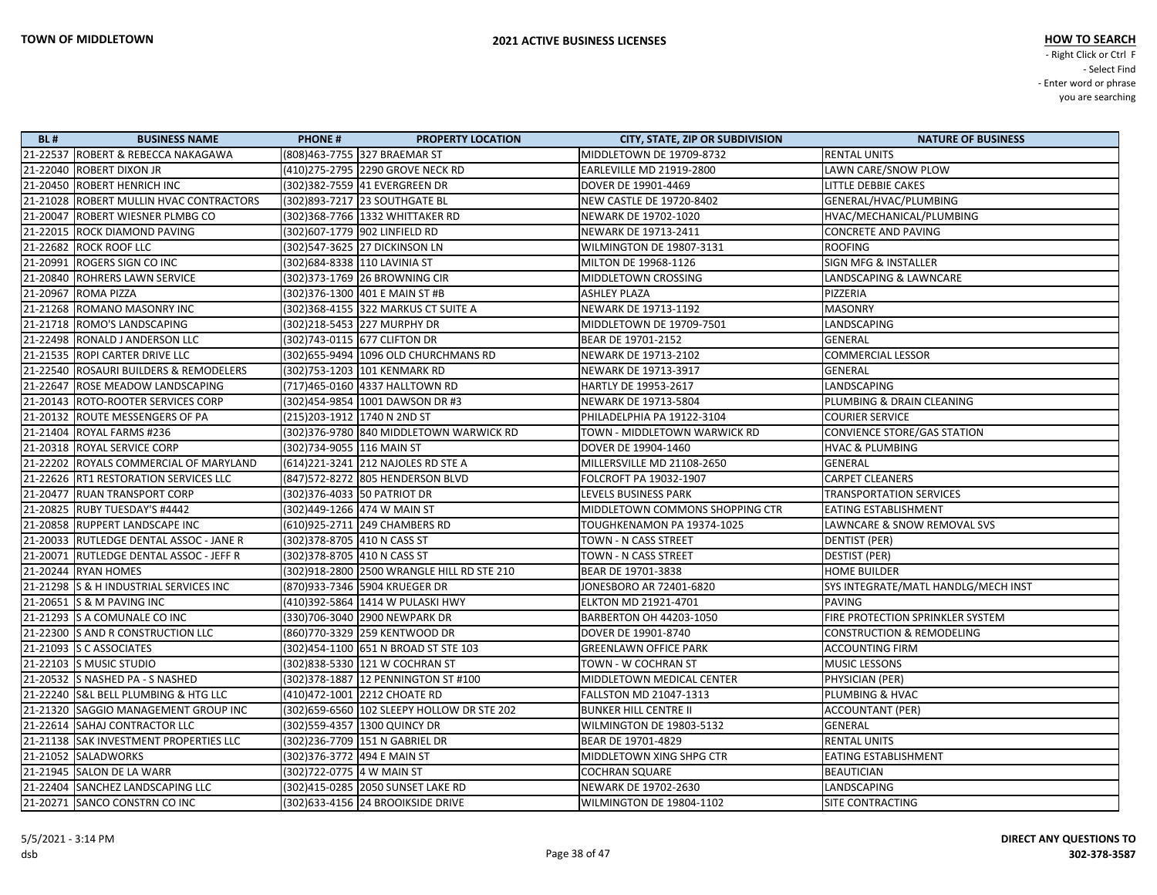| <b>BL#</b> | <b>BUSINESS NAME</b>                    | <b>PHONE#</b>                 | <b>PROPERTY LOCATION</b>                    | <b>CITY, STATE, ZIP OR SUBDIVISION</b> | <b>NATURE OF BUSINESS</b>            |
|------------|-----------------------------------------|-------------------------------|---------------------------------------------|----------------------------------------|--------------------------------------|
|            | 21-22537 ROBERT & REBECCA NAKAGAWA      |                               | (808)463-7755 327 BRAEMAR ST                | MIDDLETOWN DE 19709-8732               | <b>RENTAL UNITS</b>                  |
|            | 21-22040 ROBERT DIXON JR                |                               | (410) 275-2795 2290 GROVE NECK RD           | EARLEVILLE MD 21919-2800               | LAWN CARE/SNOW PLOW                  |
|            | 21-20450 ROBERT HENRICH INC             |                               | (302)382-7559 41 EVERGREEN DR               | DOVER DE 19901-4469                    | LITTLE DEBBIE CAKES                  |
|            | 21-21028 ROBERT MULLIN HVAC CONTRACTORS |                               | (302)893-7217 23 SOUTHGATE BL               | NEW CASTLE DE 19720-8402               | GENERAL/HVAC/PLUMBING                |
|            | 21-20047 ROBERT WIESNER PLMBG CO        |                               | (302)368-7766 1332 WHITTAKER RD             | NEWARK DE 19702-1020                   | HVAC/MECHANICAL/PLUMBING             |
|            | 21-22015 ROCK DIAMOND PAVING            |                               | (302)607-1779 902 LINFIELD RD               | NEWARK DE 19713-2411                   | <b>CONCRETE AND PAVING</b>           |
|            | 21-22682 ROCK ROOF LLC                  |                               | (302)547-3625 27 DICKINSON LN               | WILMINGTON DE 19807-3131               | <b>ROOFING</b>                       |
|            | 21-20991 ROGERS SIGN CO INC             | (302) 684-8338 110 LAVINIA ST |                                             | MILTON DE 19968-1126                   | <b>SIGN MFG &amp; INSTALLER</b>      |
|            | 21-20840 ROHRERS LAWN SERVICE           |                               | (302)373-1769 26 BROWNING CIR               | MIDDLETOWN CROSSING                    | LANDSCAPING & LAWNCARE               |
|            | 21-20967 ROMA PIZZA                     |                               | (302) 376-1300 401 E MAIN ST #B             | <b>ASHLEY PLAZA</b>                    | PIZZERIA                             |
|            | 21-21268 ROMANO MASONRY INC             |                               | (302) 368-4155 322 MARKUS CT SUITE A        | NEWARK DE 19713-1192                   | <b>MASONRY</b>                       |
|            | 21-21718 ROMO'S LANDSCAPING             |                               | (302)218-5453 227 MURPHY DR                 | MIDDLETOWN DE 19709-7501               | LANDSCAPING                          |
|            | 21-22498   RONALD J ANDERSON LLC        |                               | (302)743-0115 677 CLIFTON DR                | BEAR DE 19701-2152                     | <b>GENERAL</b>                       |
|            | 21-21535 ROPI CARTER DRIVE LLC          |                               | (302) 655-9494 1096 OLD CHURCHMANS RD       | NEWARK DE 19713-2102                   | <b>COMMERCIAL LESSOR</b>             |
|            | 21-22540 ROSAURI BUILDERS & REMODELERS  |                               | (302)753-1203 101 KENMARK RD                | NEWARK DE 19713-3917                   | <b>GENERAL</b>                       |
|            | 21-22647 ROSE MEADOW LANDSCAPING        |                               | (717)465-0160 4337 HALLTOWN RD              | HARTLY DE 19953-2617                   | LANDSCAPING                          |
|            | 21-20143 ROTO-ROOTER SERVICES CORP      |                               | (302)454-9854 1001 DAWSON DR #3             | NEWARK DE 19713-5804                   | PLUMBING & DRAIN CLEANING            |
|            | 21-20132 ROUTE MESSENGERS OF PA         | (215) 203-1912 1740 N 2ND ST  |                                             | PHILADELPHIA PA 19122-3104             | <b>COURIER SERVICE</b>               |
|            | 21-21404   ROYAL FARMS #236             |                               | (302) 376-9780 840 MIDDLETOWN WARWICK RD    | TOWN - MIDDLETOWN WARWICK RD           | CONVIENCE STORE/GAS STATION          |
|            | 21-20318 ROYAL SERVICE CORP             | (302)734-9055 116 MAIN ST     |                                             | DOVER DE 19904-1460                    | <b>HVAC &amp; PLUMBING</b>           |
|            | 21-22202 ROYALS COMMERCIAL OF MARYLAND  |                               | (614)221-3241 212 NAJOLES RD STE A          | MILLERSVILLE MD 21108-2650             | GENERAL                              |
|            | 21-22626 RT1 RESTORATION SERVICES LLC   |                               | (847)572-8272 805 HENDERSON BLVD            | FOLCROFT PA 19032-1907                 | <b>CARPET CLEANERS</b>               |
|            | 21-20477 RUAN TRANSPORT CORP            |                               | (302) 376-4033 50 PATRIOT DR                | LEVELS BUSINESS PARK                   | <b>TRANSPORTATION SERVICES</b>       |
|            | 21-20825 RUBY TUESDAY'S #4442           |                               | (302)449-1266 474 W MAIN ST                 | MIDDLETOWN COMMONS SHOPPING CTR        | EATING ESTABLISHMENT                 |
|            | 21-20858 RUPPERT LANDSCAPE INC          |                               | (610)925-2711 249 CHAMBERS RD               | TOUGHKENAMON PA 19374-1025             | LAWNCARE & SNOW REMOVAL SVS          |
|            | 21-20033 RUTLEDGE DENTAL ASSOC - JANE R | (302) 378-8705 410 N CASS ST  |                                             | TOWN - N CASS STREET                   | DENTIST (PER)                        |
|            | 21-20071 RUTLEDGE DENTAL ASSOC - JEFF R | (302) 378-8705 410 N CASS ST  |                                             | TOWN - N CASS STREET                   | DESTIST (PER)                        |
|            | 21-20244 RYAN HOMES                     |                               | (302)918-2800 2500 WRANGLE HILL RD STE 210  | BEAR DE 19701-3838                     | <b>HOME BUILDER</b>                  |
|            | 21-21298 S & H INDUSTRIAL SERVICES INC  |                               | (870)933-7346 5904 KRUEGER DR               | JONESBORO AR 72401-6820                | SYS INTEGRATE/MATL HANDLG/MECH INST  |
|            | 21-20651 S & M PAVING INC               |                               | (410)392-5864 1414 W PULASKI HWY            | <b>ELKTON MD 21921-4701</b>            | PAVING                               |
|            | 21-21293 S A COMUNALE CO INC            |                               | (330)706-3040 2900 NEWPARK DR               | BARBERTON OH 44203-1050                | FIRE PROTECTION SPRINKLER SYSTEM     |
|            | 21-22300 S AND R CONSTRUCTION LLC       |                               | (860)770-3329 259 KENTWOOD DR               | DOVER DE 19901-8740                    | <b>CONSTRUCTION &amp; REMODELING</b> |
|            | 21-21093 S C ASSOCIATES                 |                               | (302)454-1100 651 N BROAD ST STE 103        | <b>GREENLAWN OFFICE PARK</b>           | <b>ACCOUNTING FIRM</b>               |
|            | 21-22103 S MUSIC STUDIO                 |                               | (302)838-5330 121 W COCHRAN ST              | TOWN - W COCHRAN ST                    | <b>MUSIC LESSONS</b>                 |
|            | 21-20532 S NASHED PA - S NASHED         |                               | (302) 378-1887 12 PENNINGTON ST #100        | MIDDLETOWN MEDICAL CENTER              | PHYSICIAN (PER)                      |
|            | 21-22240 S&L BELL PLUMBING & HTG LLC    |                               | (410)472-1001 2212 CHOATE RD                | <b>FALLSTON MD 21047-1313</b>          | PLUMBING & HVAC                      |
|            | 21-21320 SAGGIO MANAGEMENT GROUP INC    |                               | (302) 659-6560 102 SLEEPY HOLLOW DR STE 202 | <b>BUNKER HILL CENTRE II</b>           | <b>ACCOUNTANT (PER)</b>              |
|            | 21-22614 SAHAJ CONTRACTOR LLC           |                               | (302)559-4357 1300 QUINCY DR                | WILMINGTON DE 19803-5132               | GENERAL                              |
|            | 21-21138 SAK INVESTMENT PROPERTIES LLC  |                               | (302)236-7709 151 N GABRIEL DR              | BEAR DE 19701-4829                     | <b>RENTAL UNITS</b>                  |
|            | 21-21052 SALADWORKS                     | (302) 376-3772 494 E MAIN ST  |                                             | MIDDLETOWN XING SHPG CTR               | EATING ESTABLISHMENT                 |
|            | 21-21945 SALON DE LA WARR               | (302)722-0775 4 W MAIN ST     |                                             | <b>COCHRAN SQUARE</b>                  | <b>BEAUTICIAN</b>                    |
|            | 21-22404 SANCHEZ LANDSCAPING LLC        |                               | (302)415-0285 2050 SUNSET LAKE RD           | NEWARK DE 19702-2630                   | LANDSCAPING                          |
|            | 21-20271 SANCO CONSTRN CO INC           |                               | (302)633-4156  24 BROOIKSIDE DRIVE          | WILMINGTON DE 19804-1102               | SITE CONTRACTING                     |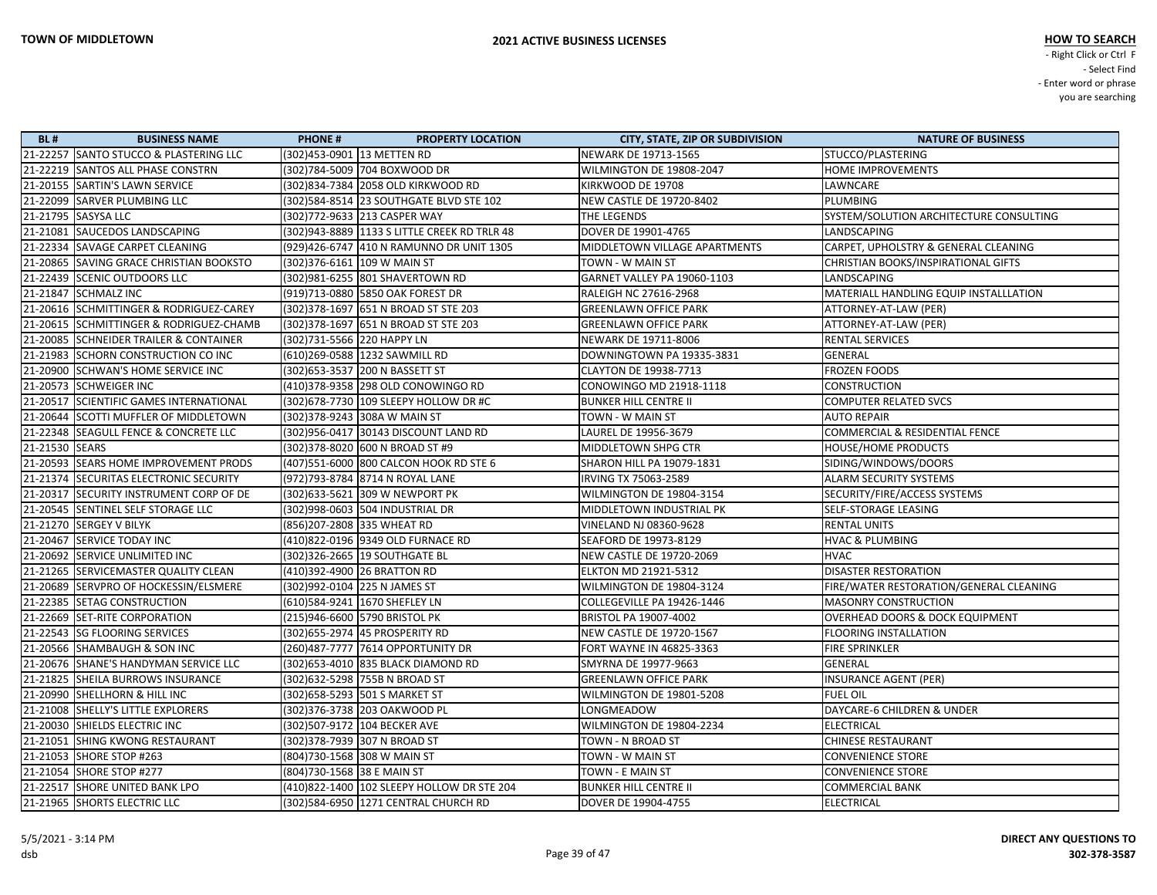| <b>BL#</b>     | <b>BUSINESS NAME</b>                    | <b>PHONE#</b>              | <b>PROPERTY LOCATION</b>                       | <b>CITY, STATE, ZIP OR SUBDIVISION</b> | <b>NATURE OF BUSINESS</b>               |
|----------------|-----------------------------------------|----------------------------|------------------------------------------------|----------------------------------------|-----------------------------------------|
|                | 21-22257 SANTO STUCCO & PLASTERING LLC  | (302)453-0901 13 METTEN RD |                                                | NEWARK DE 19713-1565                   | STUCCO/PLASTERING                       |
|                | 21-22219 SANTOS ALL PHASE CONSTRN       |                            | (302)784-5009 704 BOXWOOD DR                   | WILMINGTON DE 19808-2047               | HOME IMPROVEMENTS                       |
|                | 21-20155 SARTIN'S LAWN SERVICE          |                            | (302) 834-7384 2058 OLD KIRKWOOD RD            | KIRKWOOD DE 19708                      | LAWNCARE                                |
|                | 21-22099 SARVER PLUMBING LLC            |                            | (302) 584-8514 23 SOUTHGATE BLVD STE 102       | <b>NEW CASTLE DE 19720-8402</b>        | PLUMBING                                |
|                | 21-21795 SASYSA LLC                     |                            | (302)772-9633 213 CASPER WAY                   | THE LEGENDS                            | SYSTEM/SOLUTION ARCHITECTURE CONSULTING |
|                | 21-21081 SAUCEDOS LANDSCAPING           |                            | (302)943-8889   1133 S LITTLE CREEK RD TRLR 48 | DOVER DE 19901-4765                    | LANDSCAPING                             |
|                | 21-22334 SAVAGE CARPET CLEANING         |                            | (929)426-6747 410 N RAMUNNO DR UNIT 1305       | MIDDLETOWN VILLAGE APARTMENTS          | CARPET, UPHOLSTRY & GENERAL CLEANING    |
|                | 21-20865 SAVING GRACE CHRISTIAN BOOKSTO |                            | (302) 376-6161 109 W MAIN ST                   | TOWN - W MAIN ST                       | CHRISTIAN BOOKS/INSPIRATIONAL GIFTS     |
|                | 21-22439 SCENIC OUTDOORS LLC            |                            | (302)981-6255 801 SHAVERTOWN RD                | GARNET VALLEY PA 19060-1103            | LANDSCAPING                             |
|                | 21-21847 SCHMALZ INC                    |                            | (919)713-0880 5850 OAK FOREST DR               | RALEIGH NC 27616-2968                  | MATERIALL HANDLING EQUIP INSTALLLATION  |
|                | 21-20616 SCHMITTINGER & RODRIGUEZ-CAREY |                            | (302) 378-1697 651 N BROAD ST STE 203          | <b>GREENLAWN OFFICE PARK</b>           | ATTORNEY-AT-LAW (PER)                   |
|                | 21-20615 SCHMITTINGER & RODRIGUEZ-CHAMB |                            | (302) 378-1697 651 N BROAD ST STE 203          | <b>GREENLAWN OFFICE PARK</b>           | ATTORNEY-AT-LAW (PER)                   |
|                | 21-20085 SCHNEIDER TRAILER & CONTAINER  | (302)731-5566 220 HAPPY LN |                                                | NEWARK DE 19711-8006                   | RENTAL SERVICES                         |
|                | 21-21983 SCHORN CONSTRUCTION CO INC     |                            | (610)269-0588 1232 SAWMILL RD                  | DOWNINGTOWN PA 19335-3831              | GENERAL                                 |
|                | 21-20900 SCHWAN'S HOME SERVICE INC      |                            | (302) 653-3537 200 N BASSETT ST                | CLAYTON DE 19938-7713                  | FROZEN FOODS                            |
|                | 21-20573 SCHWEIGER INC                  |                            | (410)378-9358 298 OLD CONOWINGO RD             | CONOWINGO MD 21918-1118                | <b>CONSTRUCTION</b>                     |
|                | 21-20517 SCIENTIFIC GAMES INTERNATIONAL |                            | (302) 678-7730 109 SLEEPY HOLLOW DR #C         | <b>BUNKER HILL CENTRE II</b>           | <b>COMPUTER RELATED SVCS</b>            |
|                | 21-20644 SCOTTI MUFFLER OF MIDDLETOWN   |                            | (302) 378-9243 308A W MAIN ST                  | TOWN - W MAIN ST                       | <b>AUTO REPAIR</b>                      |
|                | 21-22348 SEAGULL FENCE & CONCRETE LLC   |                            | (302)956-0417 30143 DISCOUNT LAND RD           | LAUREL DE 19956-3679                   | COMMERCIAL & RESIDENTIAL FENCE          |
| 21-21530 SEARS |                                         |                            | (302) 378-8020 600 N BROAD ST #9               | MIDDLETOWN SHPG CTR                    | HOUSE/HOME PRODUCTS                     |
|                | 21-20593 SEARS HOME IMPROVEMENT PRODS   |                            | (407)551-6000 800 CALCON HOOK RD STE 6         | SHARON HILL PA 19079-1831              | SIDING/WINDOWS/DOORS                    |
|                | 21-21374 SECURITAS ELECTRONIC SECURITY  |                            | (972) 793-8784 8714 N ROYAL LANE               | IRVING TX 75063-2589                   | <b>ALARM SECURITY SYSTEMS</b>           |
|                | 21-20317 SECURITY INSTRUMENT CORP OF DE |                            | (302) 633-5621 309 W NEWPORT PK                | WILMINGTON DE 19804-3154               | SECURITY/FIRE/ACCESS SYSTEMS            |
|                | 21-20545 SENTINEL SELF STORAGE LLC      |                            | (302)998-0603 504 INDUSTRIAL DR                | MIDDLETOWN INDUSTRIAL PK               | SELF-STORAGE LEASING                    |
|                | 21-21270 SERGEY V BILYK                 |                            | (856)207-2808 335 WHEAT RD                     | VINELAND NJ 08360-9628                 | <b>RENTAL UNITS</b>                     |
|                | 21-20467 SERVICE TODAY INC              |                            | (410)822-0196 9349 OLD FURNACE RD              | SEAFORD DE 19973-8129                  | <b>HVAC &amp; PLUMBING</b>              |
|                | 21-20692 SERVICE UNLIMITED INC          |                            | (302) 326-2665 19 SOUTHGATE BL                 | <b>NEW CASTLE DE 19720-2069</b>        | <b>HVAC</b>                             |
|                | 21-21265 SERVICEMASTER QUALITY CLEAN    |                            | (410)392-4900 26 BRATTON RD                    | <b>ELKTON MD 21921-5312</b>            | <b>DISASTER RESTORATION</b>             |
|                | 21-20689 SERVPRO OF HOCKESSIN/ELSMERE   |                            | (302)992-0104 225 N JAMES ST                   | WILMINGTON DE 19804-3124               | FIRE/WATER RESTORATION/GENERAL CLEANING |
|                | 21-22385 SETAG CONSTRUCTION             |                            | (610)584-9241 1670 SHEFLEY LN                  | COLLEGEVILLE PA 19426-1446             | <b>MASONRY CONSTRUCTION</b>             |
|                | 21-22669 SET-RITE CORPORATION           |                            | (215)946-6600 5790 BRISTOL PK                  | BRISTOL PA 19007-4002                  | OVERHEAD DOORS & DOCK EQUIPMENT         |
|                | 21-22543 SG FLOORING SERVICES           |                            | (302) 655-2974 45 PROSPERITY RD                | <b>NEW CASTLE DE 19720-1567</b>        | <b>FLOORING INSTALLATION</b>            |
|                | 21-20566 SHAMBAUGH & SON INC            |                            | (260)487-7777 7614 OPPORTUNITY DR              | FORT WAYNE IN 46825-3363               | <b>FIRE SPRINKLER</b>                   |
|                | 21-20676 SHANE'S HANDYMAN SERVICE LLC   |                            | (302) 653-4010 835 BLACK DIAMOND RD            | SMYRNA DE 19977-9663                   | GENERAL                                 |
|                | 21-21825 SHEILA BURROWS INSURANCE       |                            | (302)632-5298 755B N BROAD ST                  | <b>GREENLAWN OFFICE PARK</b>           | <b>INSURANCE AGENT (PER)</b>            |
|                | 21-20990 SHELLHORN & HILL INC           |                            | (302) 658-5293 501 S MARKET ST                 | <b>WILMINGTON DE 19801-5208</b>        | <b>FUEL OIL</b>                         |
|                | 21-21008 SHELLY'S LITTLE EXPLORERS      |                            | (302)376-3738 203 OAKWOOD PL                   | LONGMEADOW                             | <b>DAYCARE-6 CHILDREN &amp; UNDER</b>   |
|                | 21-20030 SHIELDS ELECTRIC INC           |                            | (302)507-9172 104 BECKER AVE                   | WILMINGTON DE 19804-2234               | ELECTRICAL                              |
|                | 21-21051 SHING KWONG RESTAURANT         |                            | (302) 378-7939 307 N BROAD ST                  | TOWN - N BROAD ST                      | <b>CHINESE RESTAURANT</b>               |
|                | 21-21053 SHORE STOP #263                |                            | (804)730-1568 308 W MAIN ST                    | TOWN - W MAIN ST                       | <b>CONVENIENCE STORE</b>                |
|                | 21-21054 SHORE STOP #277                | (804)730-1568 38 E MAIN ST |                                                | TOWN - E MAIN ST                       | <b>CONVENIENCE STORE</b>                |
|                | 21-22517 SHORE UNITED BANK LPO          |                            | (410)822-1400   102 SLEEPY HOLLOW DR STE 204   | <b>BUNKER HILL CENTRE II</b>           | <b>COMMERCIAL BANK</b>                  |
|                | 21-21965 SHORTS ELECTRIC LLC            |                            | (302) 584-6950 1271 CENTRAL CHURCH RD          | DOVER DE 19904-4755                    | ELECTRICAL                              |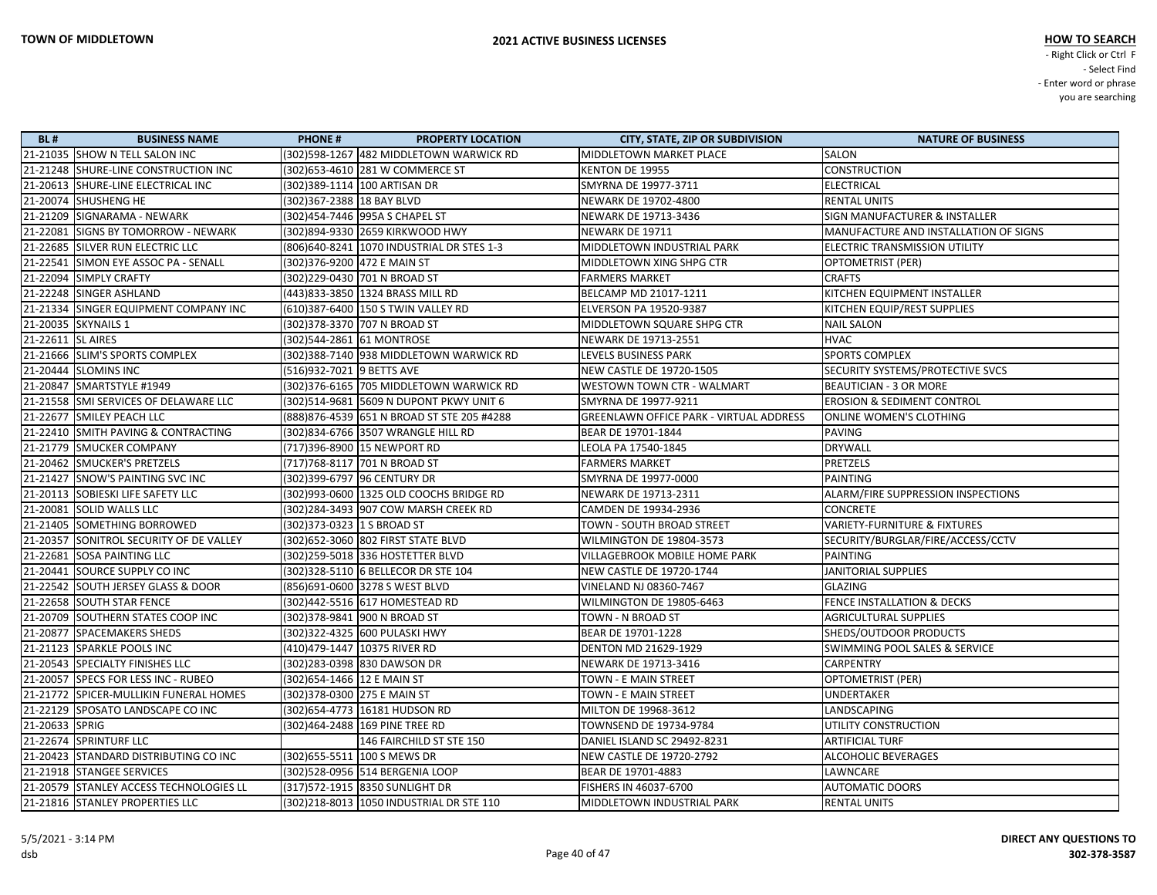| <b>BL#</b>        | <b>BUSINESS NAME</b>                    | <b>PHONE#</b>                | <b>PROPERTY LOCATION</b>                    | <b>CITY, STATE, ZIP OR SUBDIVISION</b>         | <b>NATURE OF BUSINESS</b>                |
|-------------------|-----------------------------------------|------------------------------|---------------------------------------------|------------------------------------------------|------------------------------------------|
|                   | 21-21035 SHOW N TELL SALON INC          |                              | (302)598-1267 482 MIDDLETOWN WARWICK RD     | <b>MIDDLETOWN MARKET PLACE</b>                 | SALON                                    |
|                   | 21-21248 SHURE-LINE CONSTRUCTION INC    |                              | (302) 653-4610 281 W COMMERCE ST            | KENTON DE 19955                                | <b>CONSTRUCTION</b>                      |
|                   | 21-20613 SHURE-LINE ELECTRICAL INC      |                              | (302)389-1114   100 ARTISAN DR              | SMYRNA DE 19977-3711                           | <b>ELECTRICAL</b>                        |
|                   | 21-20074 SHUSHENG HE                    | (302) 367-2388 18 BAY BLVD   |                                             | NEWARK DE 19702-4800                           | <b>RENTAL UNITS</b>                      |
|                   | 21-21209   SIGNARAMA - NEWARK           |                              | (302)454-7446 995A S CHAPEL ST              | NEWARK DE 19713-3436                           | <b>SIGN MANUFACTURER &amp; INSTALLER</b> |
|                   | 21-22081 SIGNS BY TOMORROW - NEWARK     |                              | (302)894-9330 2659 KIRKWOOD HWY             | NEWARK DE 19711                                | MANUFACTURE AND INSTALLATION OF SIGNS    |
|                   | 21-22685 SILVER RUN ELECTRIC LLC        |                              | (806)640-8241 1070 INDUSTRIAL DR STES 1-3   | MIDDLETOWN INDUSTRIAL PARK                     | ELECTRIC TRANSMISSION UTILITY            |
|                   | 21-22541 SIMON EYE ASSOC PA - SENALL    | (302)376-9200 472 E MAIN ST  |                                             | MIDDLETOWN XING SHPG CTR                       | OPTOMETRIST (PER)                        |
|                   | 21-22094 SIMPLY CRAFTY                  |                              | (302)229-0430 701 N BROAD ST                | <b>FARMERS MARKET</b>                          | <b>CRAFTS</b>                            |
|                   | 21-22248 SINGER ASHLAND                 |                              | (443)833-3850 1324 BRASS MILL RD            | BELCAMP MD 21017-1211                          | KITCHEN EQUIPMENT INSTALLER              |
|                   | 21-21334 SINGER EQUIPMENT COMPANY INC   |                              | (610)387-6400 150 S TWIN VALLEY RD          | <b>ELVERSON PA 19520-9387</b>                  | KITCHEN EQUIP/REST SUPPLIES              |
|                   | 21-20035 SKYNAILS 1                     |                              | (302) 378-3370 707 N BROAD ST               | MIDDLETOWN SQUARE SHPG CTR                     | <b>NAIL SALON</b>                        |
| 21-22611 SL AIRES |                                         |                              | (302)544-2861 61 MONTROSE                   | NEWARK DE 19713-2551                           | <b>HVAC</b>                              |
|                   | 21-21666 SLIM'S SPORTS COMPLEX          |                              | (302)388-7140 938 MIDDLETOWN WARWICK RD     | LEVELS BUSINESS PARK                           | <b>SPORTS COMPLEX</b>                    |
|                   | 21-20444 SLOMINS INC                    | (516)932-7021 9 BETTS AVE    |                                             | <b>NEW CASTLE DE 19720-1505</b>                | SECURITY SYSTEMS/PROTECTIVE SVCS         |
|                   | 21-20847 SMARTSTYLE #1949               |                              | (302) 376-6165 705 MIDDLETOWN WARWICK RD    | <b>WESTOWN TOWN CTR - WALMART</b>              | <b>BEAUTICIAN - 3 OR MORE</b>            |
|                   | 21-21558 SMI SERVICES OF DELAWARE LLC   |                              | (302)514-9681 5609 N DUPONT PKWY UNIT 6     | SMYRNA DE 19977-9211                           | <b>EROSION &amp; SEDIMENT CONTROL</b>    |
|                   | 21-22677 SMILEY PEACH LLC               |                              | (888) 876-4539 651 N BROAD ST STE 205 #4288 | <b>GREENLAWN OFFICE PARK - VIRTUAL ADDRESS</b> | <b>ONLINE WOMEN'S CLOTHING</b>           |
|                   | 21-22410 SMITH PAVING & CONTRACTING     |                              | (302)834-6766 3507 WRANGLE HILL RD          | BEAR DE 19701-1844                             | <b>PAVING</b>                            |
|                   | 21-21779 SMUCKER COMPANY                |                              | (717)396-8900 15 NEWPORT RD                 | LEOLA PA 17540-1845                            | <b>DRYWALL</b>                           |
|                   | 21-20462 SMUCKER'S PRETZELS             |                              | (717)768-8117 701 N BROAD ST                | <b>FARMERS MARKET</b>                          | <b>PRETZELS</b>                          |
|                   | 21-21427 SNOW'S PAINTING SVC INC        |                              | (302)399-6797 96 CENTURY DR                 | SMYRNA DE 19977-0000                           | <b>PAINTING</b>                          |
|                   | 21-20113 SOBIESKI LIFE SAFETY LLC       |                              | (302)993-0600 1325 OLD COOCHS BRIDGE RD     | NEWARK DE 19713-2311                           | ALARM/FIRE SUPPRESSION INSPECTIONS       |
|                   | 21-20081 SOLID WALLS LLC                |                              | (302)284-3493 907 COW MARSH CREEK RD        | CAMDEN DE 19934-2936                           | <b>CONCRETE</b>                          |
|                   | 21-21405 SOMETHING BORROWED             | (302)373-0323 1 S BROAD ST   |                                             | TOWN - SOUTH BROAD STREET                      | <b>VARIETY-FURNITURE &amp; FIXTURES</b>  |
|                   | 21-20357 SONITROL SECURITY OF DE VALLEY |                              | (302) 652-3060 802 FIRST STATE BLVD         | WILMINGTON DE 19804-3573                       | SECURITY/BURGLAR/FIRE/ACCESS/CCTV        |
|                   | 21-22681 SOSA PAINTING LLC              |                              | (302) 259-5018 336 HOSTETTER BLVD           | VILLAGEBROOK MOBILE HOME PARK                  | <b>PAINTING</b>                          |
|                   | 21-20441 SOURCE SUPPLY CO INC           |                              | (302) 328-5110 6 BELLECOR DR STE 104        | <b>NEW CASTLE DE 19720-1744</b>                | JANITORIAL SUPPLIES                      |
|                   | 21-22542 SOUTH JERSEY GLASS & DOOR      |                              | (856)691-0600 3278 S WEST BLVD              | VINELAND NJ 08360-7467                         | GLAZING                                  |
|                   | 21-22658 SOUTH STAR FENCE               |                              | (302)442-5516 617 HOMESTEAD RD              | WILMINGTON DE 19805-6463                       | FENCE INSTALLATION & DECKS               |
|                   | 21-20709 SOUTHERN STATES COOP INC       |                              | (302) 378-9841 900 N BROAD ST               | TOWN - N BROAD ST                              | <b>AGRICULTURAL SUPPLIES</b>             |
|                   | 21-20877 SPACEMAKERS SHEDS              |                              | (302) 322-4325 600 PULASKI HWY              | BEAR DE 19701-1228                             | SHEDS/OUTDOOR PRODUCTS                   |
|                   | 21-21123 SPARKLE POOLS INC              |                              | (410)479-1447 10375 RIVER RD                | <b>DENTON MD 21629-1929</b>                    | <b>SWIMMING POOL SALES &amp; SERVICE</b> |
|                   | 21-20543 SPECIALTY FINISHES LLC         |                              | (302)283-0398 830 DAWSON DR                 | NEWARK DE 19713-3416                           | <b>CARPENTRY</b>                         |
|                   | 21-20057 SPECS FOR LESS INC - RUBEO     | (302) 654-1466 12 E MAIN ST  |                                             | TOWN - E MAIN STREET                           | <b>OPTOMETRIST (PER)</b>                 |
|                   | 21-21772 SPICER-MULLIKIN FUNERAL HOMES  | (302) 378-0300 275 E MAIN ST |                                             | TOWN - E MAIN STREET                           | <b>UNDERTAKER</b>                        |
|                   | 21-22129 SPOSATO LANDSCAPE CO INC       |                              | (302) 654-4773 16181 HUDSON RD              | MILTON DE 19968-3612                           | LANDSCAPING                              |
| 21-20633 SPRIG    |                                         |                              | (302)464-2488 169 PINE TREE RD              | TOWNSEND DE 19734-9784                         | UTILITY CONSTRUCTION                     |
|                   | 21-22674 SPRINTURF LLC                  |                              | 146 FAIRCHILD ST STE 150                    | DANIEL ISLAND SC 29492-8231                    | <b>ARTIFICIAL TURF</b>                   |
|                   | 21-20423 STANDARD DISTRIBUTING CO INC   |                              | (302) 655-5511 100 S MEWS DR                | <b>NEW CASTLE DE 19720-2792</b>                | ALCOHOLIC BEVERAGES                      |
|                   | 21-21918 STANGEE SERVICES               |                              | (302)528-0956 514 BERGENIA LOOP             | BEAR DE 19701-4883                             | LAWNCARE                                 |
|                   | 21-20579 STANLEY ACCESS TECHNOLOGIES LL |                              | (317)572-1915 8350 SUNLIGHT DR              | FISHERS IN 46037-6700                          | <b>AUTOMATIC DOORS</b>                   |
|                   | 21-21816 STANLEY PROPERTIES LLC         |                              | (302)218-8013 1050 INDUSTRIAL DR STE 110    | MIDDLETOWN INDUSTRIAL PARK                     | <b>RENTAL UNITS</b>                      |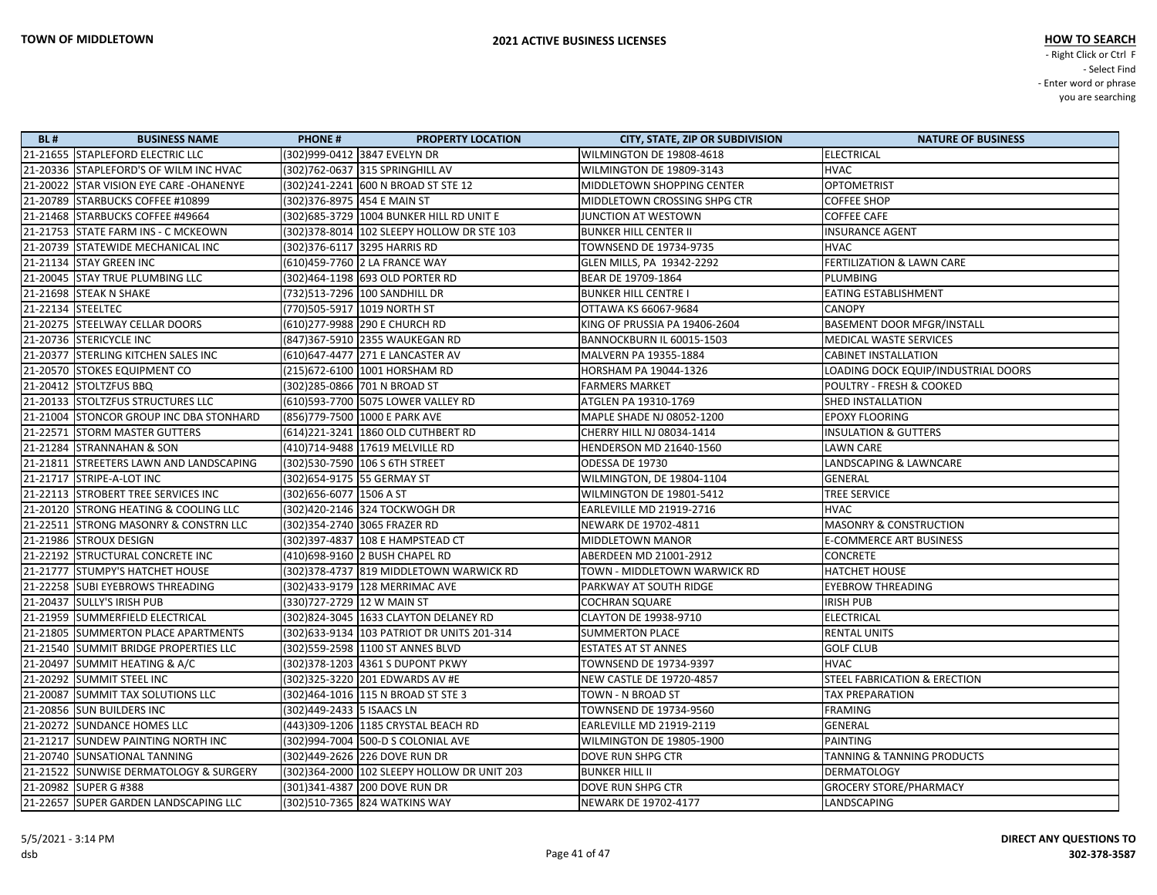| <b>BL#</b> | <b>BUSINESS NAME</b>                    | <b>PHONE#</b>               | <b>PROPERTY LOCATION</b>                    | <b>CITY, STATE, ZIP OR SUBDIVISION</b> | <b>NATURE OF BUSINESS</b>               |
|------------|-----------------------------------------|-----------------------------|---------------------------------------------|----------------------------------------|-----------------------------------------|
|            | 21-21655 STAPLEFORD ELECTRIC LLC        |                             | (302)999-0412 3847 EVELYN DR                | WILMINGTON DE 19808-4618               | <b>ELECTRICAL</b>                       |
|            | 21-20336 STAPLEFORD'S OF WILM INC HVAC  |                             | (302)762-0637 315 SPRINGHILL AV             | WILMINGTON DE 19809-3143               | <b>HVAC</b>                             |
|            | 21-20022 STAR VISION EYE CARE -OHANENYE |                             | (302)241-2241 600 N BROAD ST STE 12         | MIDDLETOWN SHOPPING CENTER             | <b>OPTOMETRIST</b>                      |
|            | 21-20789 STARBUCKS COFFEE #10899        |                             | (302) 376-8975 454 E MAIN ST                | MIDDLETOWN CROSSING SHPG CTR           | <b>COFFEE SHOP</b>                      |
|            | 21-21468 STARBUCKS COFFEE #49664        |                             | (302) 685-3729 1004 BUNKER HILL RD UNIT E   | JUNCTION AT WESTOWN                    | <b>COFFEE CAFE</b>                      |
|            | 21-21753 STATE FARM INS - C MCKEOWN     |                             | (302)378-8014  102 SLEEPY HOLLOW DR STE 103 | <b>BUNKER HILL CENTER II</b>           | <b>INSURANCE AGENT</b>                  |
|            | 21-20739 STATEWIDE MECHANICAL INC       |                             | (302) 376-6117 3295 HARRIS RD               | TOWNSEND DE 19734-9735                 | <b>HVAC</b>                             |
|            | 21-21134 STAY GREEN INC                 |                             | (610)459-7760 2 LA FRANCE WAY               | GLEN MILLS, PA 19342-2292              | <b>FERTILIZATION &amp; LAWN CARE</b>    |
|            | 21-20045 STAY TRUE PLUMBING LLC         |                             | (302)464-1198 693 OLD PORTER RD             | BEAR DE 19709-1864                     | PLUMBING                                |
|            | 21-21698 STEAK N SHAKE                  |                             | (732)513-7296 100 SANDHILL DR               | <b>BUNKER HILL CENTRE I</b>            | <b>EATING ESTABLISHMENT</b>             |
|            | 21-22134 STEELTEC                       |                             | (770)505-5917   1019 NORTH ST               | OTTAWA KS 66067-9684                   | <b>CANOPY</b>                           |
|            | 21-20275 STEELWAY CELLAR DOORS          |                             | (610) 277-9988 290 E CHURCH RD              | KING OF PRUSSIA PA 19406-2604          | <b>BASEMENT DOOR MFGR/INSTALL</b>       |
|            | 21-20736 STERICYCLE INC                 |                             | (847)367-5910 2355 WAUKEGAN RD              | BANNOCKBURN IL 60015-1503              | MEDICAL WASTE SERVICES                  |
|            | 21-20377 STERLING KITCHEN SALES INC     |                             | (610) 647-4477 271 E LANCASTER AV           | MALVERN PA 19355-1884                  | <b>CABINET INSTALLATION</b>             |
|            | 21-20570 STOKES EQUIPMENT CO            |                             | (215)672-6100 1001 HORSHAM RD               | HORSHAM PA 19044-1326                  | LOADING DOCK EQUIP/INDUSTRIAL DOORS     |
|            | 21-20412 STOLTZFUS BBQ                  |                             | (302)285-0866 701 N BROAD ST                | <b>FARMERS MARKET</b>                  | POULTRY - FRESH & COOKED                |
|            | 21-20133 STOLTZFUS STRUCTURES LLC       |                             | (610)593-7700 5075 LOWER VALLEY RD          | ATGLEN PA 19310-1769                   | <b>SHED INSTALLATION</b>                |
|            | 21-21004 STONCOR GROUP INC DBA STONHARD |                             | (856)779-7500  1000 E PARK AVE              | MAPLE SHADE NJ 08052-1200              | <b>EPOXY FLOORING</b>                   |
|            | 21-22571 STORM MASTER GUTTERS           |                             | (614) 221-3241 1860 OLD CUTHBERT RD         | CHERRY HILL NJ 08034-1414              | <b>INSULATION &amp; GUTTERS</b>         |
|            | 21-21284 STRANNAHAN & SON               |                             | (410)714-9488 17619 MELVILLE RD             | <b>HENDERSON MD 21640-1560</b>         | <b>LAWN CARE</b>                        |
|            | 21-21811 STREETERS LAWN AND LANDSCAPING |                             | (302)530-7590 106 S 6TH STREET              | ODESSA DE 19730                        | LANDSCAPING & LAWNCARE                  |
|            | 21-21717 STRIPE-A-LOT INC               | (302) 654-9175 55 GERMAY ST |                                             | WILMINGTON, DE 19804-1104              | GENERAL                                 |
|            | 21-22113 STROBERT TREE SERVICES INC     | (302) 656-6077   1506 A ST  |                                             | WILMINGTON DE 19801-5412               | <b>TREE SERVICE</b>                     |
|            | 21-20120 STRONG HEATING & COOLING LLC   |                             | (302)420-2146 324 TOCKWOGH DR               | <b>EARLEVILLE MD 21919-2716</b>        | <b>HVAC</b>                             |
|            | 21-22511 STRONG MASONRY & CONSTRN LLC   |                             | (302)354-2740 3065 FRAZER RD                | NEWARK DE 19702-4811                   | <b>MASONRY &amp; CONSTRUCTION</b>       |
|            | 21-21986 STROUX DESIGN                  |                             | (302) 397-4837 108 E HAMPSTEAD CT           | MIDDLETOWN MANOR                       | <b>E-COMMERCE ART BUSINESS</b>          |
|            | 21-22192 STRUCTURAL CONCRETE INC        |                             | (410)698-9160 2 BUSH CHAPEL RD              | ABERDEEN MD 21001-2912                 | <b>CONCRETE</b>                         |
|            | 21-21777 STUMPY'S HATCHET HOUSE         |                             | (302) 378-4737 819 MIDDLETOWN WARWICK RD    | TOWN - MIDDLETOWN WARWICK RD           | <b>HATCHET HOUSE</b>                    |
|            | 21-22258 SUBI EYEBROWS THREADING        |                             | (302)433-9179 128 MERRIMAC AVE              | PARKWAY AT SOUTH RIDGE                 | <b>EYEBROW THREADING</b>                |
|            | 21-20437 SULLY'S IRISH PUB              | (330)727-2729 12 W MAIN ST  |                                             | <b>COCHRAN SQUARE</b>                  | <b>IRISH PUB</b>                        |
|            | 21-21959 SUMMERFIELD ELECTRICAL         |                             | (302)824-3045 1633 CLAYTON DELANEY RD       | CLAYTON DE 19938-9710                  | <b>ELECTRICAL</b>                       |
|            | 21-21805 SUMMERTON PLACE APARTMENTS     |                             | (302) 633-9134 103 PATRIOT DR UNITS 201-314 | <b>SUMMERTON PLACE</b>                 | <b>RENTAL UNITS</b>                     |
|            | 21-21540 SUMMIT BRIDGE PROPERTIES LLC   |                             | (302) 559-2598 1100 ST ANNES BLVD           | <b>ESTATES AT ST ANNES</b>             | <b>GOLF CLUB</b>                        |
|            | 21-20497 SUMMIT HEATING & A/C           |                             | (302) 378-1203 4361 S DUPONT PKWY           | TOWNSEND DE 19734-9397                 | <b>HVAC</b>                             |
|            | 21-20292 SUMMIT STEEL INC               |                             | (302)325-3220 201 EDWARDS AV #E             | <b>NEW CASTLE DE 19720-4857</b>        | <b>STEEL FABRICATION &amp; ERECTION</b> |
|            | 21-20087 SUMMIT TAX SOLUTIONS LLC       |                             | (302)464-1016 115 N BROAD ST STE 3          | TOWN - N BROAD ST                      | <b>TAX PREPARATION</b>                  |
|            | 21-20856 SUN BUILDERS INC               | (302)449-2433 5 ISAACS LN   |                                             | TOWNSEND DE 19734-9560                 | <b>FRAMING</b>                          |
|            | 21-20272 SUNDANCE HOMES LLC             |                             | (443)309-1206 1185 CRYSTAL BEACH RD         | EARLEVILLE MD 21919-2119               | GENERAL                                 |
|            | 21-21217 SUNDEW PAINTING NORTH INC      |                             | (302)994-7004 500-D S COLONIAL AVE          | WILMINGTON DE 19805-1900               | <b>PAINTING</b>                         |
|            | 21-20740 SUNSATIONAL TANNING            |                             | (302)449-2626 226 DOVE RUN DR               | DOVE RUN SHPG CTR                      | <b>TANNING &amp; TANNING PRODUCTS</b>   |
|            | 21-21522 SUNWISE DERMATOLOGY & SURGERY  |                             | (302)364-2000 102 SLEEPY HOLLOW DR UNIT 203 | <b>BUNKER HILL II</b>                  | <b>DERMATOLOGY</b>                      |
|            | 21-20982 SUPER G #388                   |                             | (301)341-4387 200 DOVE RUN DR               | DOVE RUN SHPG CTR                      | <b>GROCERY STORE/PHARMACY</b>           |
|            | 21-22657 SUPER GARDEN LANDSCAPING LLC   |                             | (302)510-7365 824 WATKINS WAY               | NEWARK DE 19702-4177                   | LANDSCAPING                             |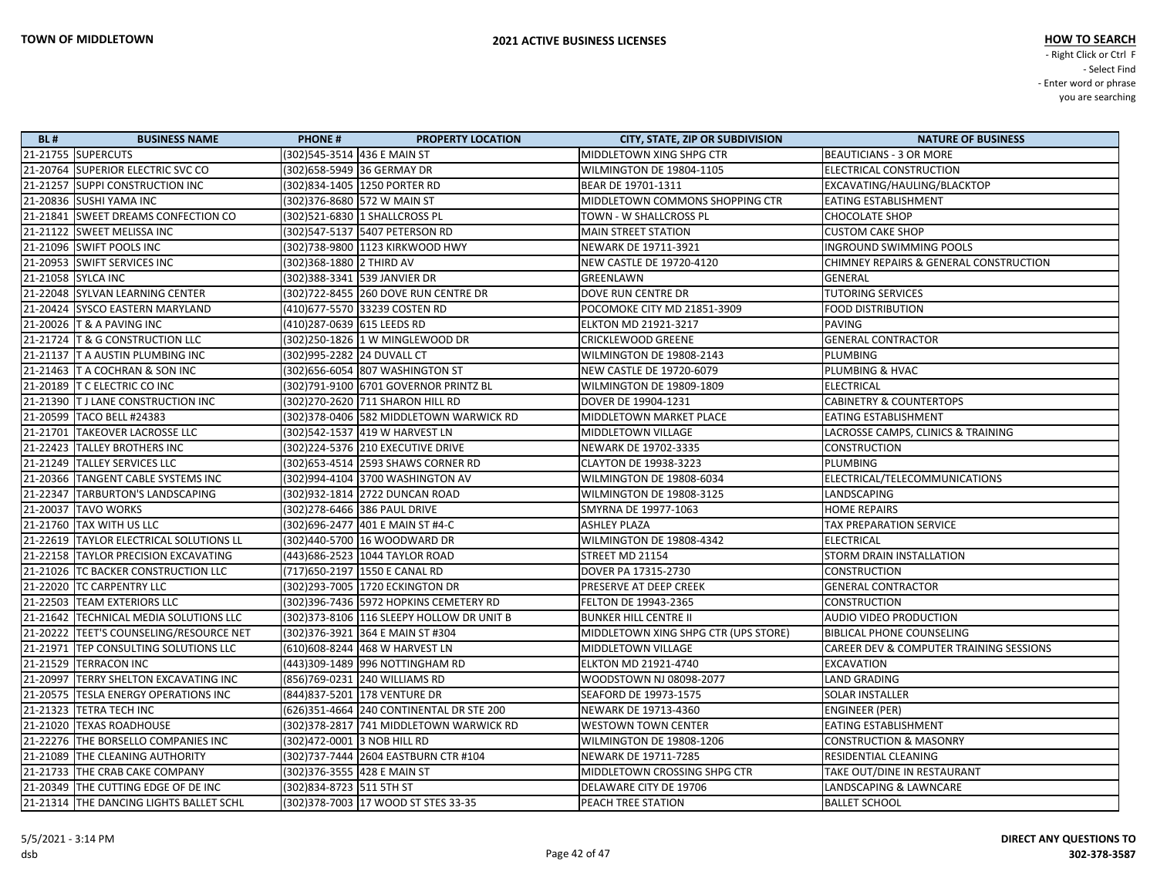| <b>BL#</b> | <b>BUSINESS NAME</b>                    | <b>PHONE#</b>                  | <b>PROPERTY LOCATION</b>                   | <b>CITY, STATE, ZIP OR SUBDIVISION</b> | <b>NATURE OF BUSINESS</b>                          |
|------------|-----------------------------------------|--------------------------------|--------------------------------------------|----------------------------------------|----------------------------------------------------|
|            | 21-21755 SUPERCUTS                      | (302) 545-3514 436 E MAIN ST   |                                            | MIDDLETOWN XING SHPG CTR               | <b>BEAUTICIANS - 3 OR MORE</b>                     |
|            | 21-20764 SUPERIOR ELECTRIC SVC CO       | (302) 658-5949 36 GERMAY DR    |                                            | WILMINGTON DE 19804-1105               | <b>ELECTRICAL CONSTRUCTION</b>                     |
|            | 21-21257 SUPPI CONSTRUCTION INC         | (302)834-1405 1250 PORTER RD   |                                            | BEAR DE 19701-1311                     | EXCAVATING/HAULING/BLACKTOP                        |
|            | 21-20836 SUSHI YAMA INC                 | (302) 376-8680 572 W MAIN ST   |                                            | MIDDLETOWN COMMONS SHOPPING CTR        | <b>EATING ESTABLISHMENT</b>                        |
|            | 21-21841 SWEET DREAMS CONFECTION CO     | (302)521-6830 1 SHALLCROSS PL  |                                            | TOWN - W SHALLCROSS PL                 | <b>CHOCOLATE SHOP</b>                              |
|            | 21-21122 SWEET MELISSA INC              |                                | (302)547-5137 5407 PETERSON RD             | <b>MAIN STREET STATION</b>             | <b>CUSTOM CAKE SHOP</b>                            |
|            | 21-21096 SWIFT POOLS INC                |                                | (302)738-9800 1123 KIRKWOOD HWY            | NEWARK DE 19711-3921                   | <b>INGROUND SWIMMING POOLS</b>                     |
|            | 21-20953 SWIFT SERVICES INC             | (302)368-1880 2 THIRD AV       |                                            | NEW CASTLE DE 19720-4120               | CHIMNEY REPAIRS & GENERAL CONSTRUCTION             |
|            | 21-21058 SYLCA INC                      | (302)388-3341 539 JANVIER DR   |                                            | GREENLAWN                              | GENERAL                                            |
|            | 21-22048 SYLVAN LEARNING CENTER         |                                | (302)722-8455 260 DOVE RUN CENTRE DR       | DOVE RUN CENTRE DR                     | <b>TUTORING SERVICES</b>                           |
|            | 21-20424 SYSCO EASTERN MARYLAND         | (410)677-5570 33239 COSTEN RD  |                                            | POCOMOKE CITY MD 21851-3909            | <b>FOOD DISTRIBUTION</b>                           |
|            | 21-20026 T & A PAVING INC               | (410)287-0639 615 LEEDS RD     |                                            | <b>ELKTON MD 21921-3217</b>            | PAVING                                             |
|            | 21-21724 T & G CONSTRUCTION LLC         |                                | (302)250-1826 1 W MINGLEWOOD DR            | <b>CRICKLEWOOD GREENE</b>              | <b>GENERAL CONTRACTOR</b>                          |
|            | 21-21137 T A AUSTIN PLUMBING INC        | (302)995-2282 24 DUVALL CT     |                                            | WILMINGTON DE 19808-2143               | PLUMBING                                           |
|            | 21-21463 T A COCHRAN & SON INC          |                                | (302) 656-6054 807 WASHINGTON ST           | NEW CASTLE DE 19720-6079               | <b>PLUMBING &amp; HVAC</b>                         |
|            | 21-20189 T C ELECTRIC CO INC            |                                | (302)791-9100 6701 GOVERNOR PRINTZ BL      | WILMINGTON DE 19809-1809               | ELECTRICAL                                         |
|            | 21-21390 T J LANE CONSTRUCTION INC      |                                | (302) 270-2620 711 SHARON HILL RD          | DOVER DE 19904-1231                    | <b>CABINETRY &amp; COUNTERTOPS</b>                 |
|            | 21-20599 TACO BELL #24383               |                                | (302) 378-0406 582 MIDDLETOWN WARWICK RD   | MIDDLETOWN MARKET PLACE                | <b>EATING ESTABLISHMENT</b>                        |
|            | 21-21701 TAKEOVER LACROSSE LLC          |                                | (302)542-1537 419 W HARVEST LN             | MIDDLETOWN VILLAGE                     | LACROSSE CAMPS, CLINICS & TRAINING                 |
|            | 21-22423 TALLEY BROTHERS INC            |                                | (302) 224-5376 210 EXECUTIVE DRIVE         | NEWARK DE 19702-3335                   | <b>CONSTRUCTION</b>                                |
|            | 21-21249 TALLEY SERVICES LLC            |                                | (302) 653-4514 2593 SHAWS CORNER RD        | <b>CLAYTON DE 19938-3223</b>           | PLUMBING                                           |
|            | 21-20366 TANGENT CABLE SYSTEMS INC      |                                | (302)994-4104 3700 WASHINGTON AV           | WILMINGTON DE 19808-6034               | ELECTRICAL/TELECOMMUNICATIONS                      |
|            | 21-22347 TARBURTON'S LANDSCAPING        |                                | (302)932-1814 2722 DUNCAN ROAD             | WILMINGTON DE 19808-3125               | LANDSCAPING                                        |
|            | 21-20037 TAVO WORKS                     | (302) 278-6466 386 PAUL DRIVE  |                                            | SMYRNA DE 19977-1063                   | <b>HOME REPAIRS</b>                                |
|            | 21-21760 TAX WITH US LLC                |                                | (302) 696-2477 401 E MAIN ST #4-C          | <b>ASHLEY PLAZA</b>                    | TAX PREPARATION SERVICE                            |
|            | 21-22619 TAYLOR ELECTRICAL SOLUTIONS LL |                                | (302)440-5700 16 WOODWARD DR               | <b>WILMINGTON DE 19808-4342</b>        | <b>ELECTRICAL</b>                                  |
|            | 21-22158 TAYLOR PRECISION EXCAVATING    |                                | (443) 686-2523 1044 TAYLOR ROAD            | STREET MD 21154                        | <b>STORM DRAIN INSTALLATION</b>                    |
|            | 21-21026 TC BACKER CONSTRUCTION LLC     | (717) 650-2197 1550 E CANAL RD |                                            | DOVER PA 17315-2730                    | <b>CONSTRUCTION</b>                                |
|            | 21-22020 TC CARPENTRY LLC               |                                | (302) 293-7005 1720 ECKINGTON DR           | PRESERVE AT DEEP CREEK                 | <b>GENERAL CONTRACTOR</b>                          |
|            | 21-22503 TEAM EXTERIORS LLC             |                                | (302)396-7436 5972 HOPKINS CEMETERY RD     | FELTON DE 19943-2365                   | <b>CONSTRUCTION</b>                                |
|            | 21-21642 TECHNICAL MEDIA SOLUTIONS LLC  |                                | (302) 373-8106 116 SLEEPY HOLLOW DR UNIT B | <b>BUNKER HILL CENTRE II</b>           | AUDIO VIDEO PRODUCTION                             |
|            | 21-20222 TEET'S COUNSELING/RESOURCE NET |                                | (302) 376-3921 364 E MAIN ST #304          | MIDDLETOWN XING SHPG CTR (UPS STORE)   | <b>BIBLICAL PHONE COUNSELING</b>                   |
|            | 21-21971 TEP CONSULTING SOLUTIONS LLC   |                                | (610)608-8244 468 W HARVEST LN             | MIDDLETOWN VILLAGE                     | <b>CAREER DEV &amp; COMPUTER TRAINING SESSIONS</b> |
|            | 21-21529 TERRACON INC                   |                                | (443)309-1489 996 NOTTINGHAM RD            | <b>ELKTON MD 21921-4740</b>            | <b>EXCAVATION</b>                                  |
|            | 21-20997 TERRY SHELTON EXCAVATING INC   | (856)769-0231 240 WILLIAMS RD  |                                            | WOODSTOWN NJ 08098-2077                | <b>LAND GRADING</b>                                |
|            | 21-20575 TESLA ENERGY OPERATIONS INC    | (844) 837-5201 178 VENTURE DR  |                                            | SEAFORD DE 19973-1575                  | <b>SOLAR INSTALLER</b>                             |
|            | 21-21323 TETRA TECH INC                 |                                | (626)351-4664 240 CONTINENTAL DR STE 200   | NEWARK DE 19713-4360                   | <b>ENGINEER (PER)</b>                              |
|            | 21-21020 TEXAS ROADHOUSE                |                                | (302) 378-2817 741 MIDDLETOWN WARWICK RD   | <b>WESTOWN TOWN CENTER</b>             | <b>EATING ESTABLISHMENT</b>                        |
|            | 21-22276 THE BORSELLO COMPANIES INC     | (302)472-0001 3 NOB HILL RD    |                                            | WILMINGTON DE 19808-1206               | <b>CONSTRUCTION &amp; MASONRY</b>                  |
|            | 21-21089 THE CLEANING AUTHORITY         |                                | (302)737-7444 2604 EASTBURN CTR #104       | NEWARK DE 19711-7285                   | <b>RESIDENTIAL CLEANING</b>                        |
|            | 21-21733 THE CRAB CAKE COMPANY          | (302) 376-3555 428 E MAIN ST   |                                            | MIDDLETOWN CROSSING SHPG CTR           | TAKE OUT/DINE IN RESTAURANT                        |
|            | 21-20349 THE CUTTING EDGE OF DE INC     | (302) 834-8723 511 5TH ST      |                                            | DELAWARE CITY DE 19706                 | LANDSCAPING & LAWNCARE                             |
|            | 21-21314 THE DANCING LIGHTS BALLET SCHL |                                | (302) 378-7003 17 WOOD ST STES 33-35       | PEACH TREE STATION                     | <b>BALLET SCHOOL</b>                               |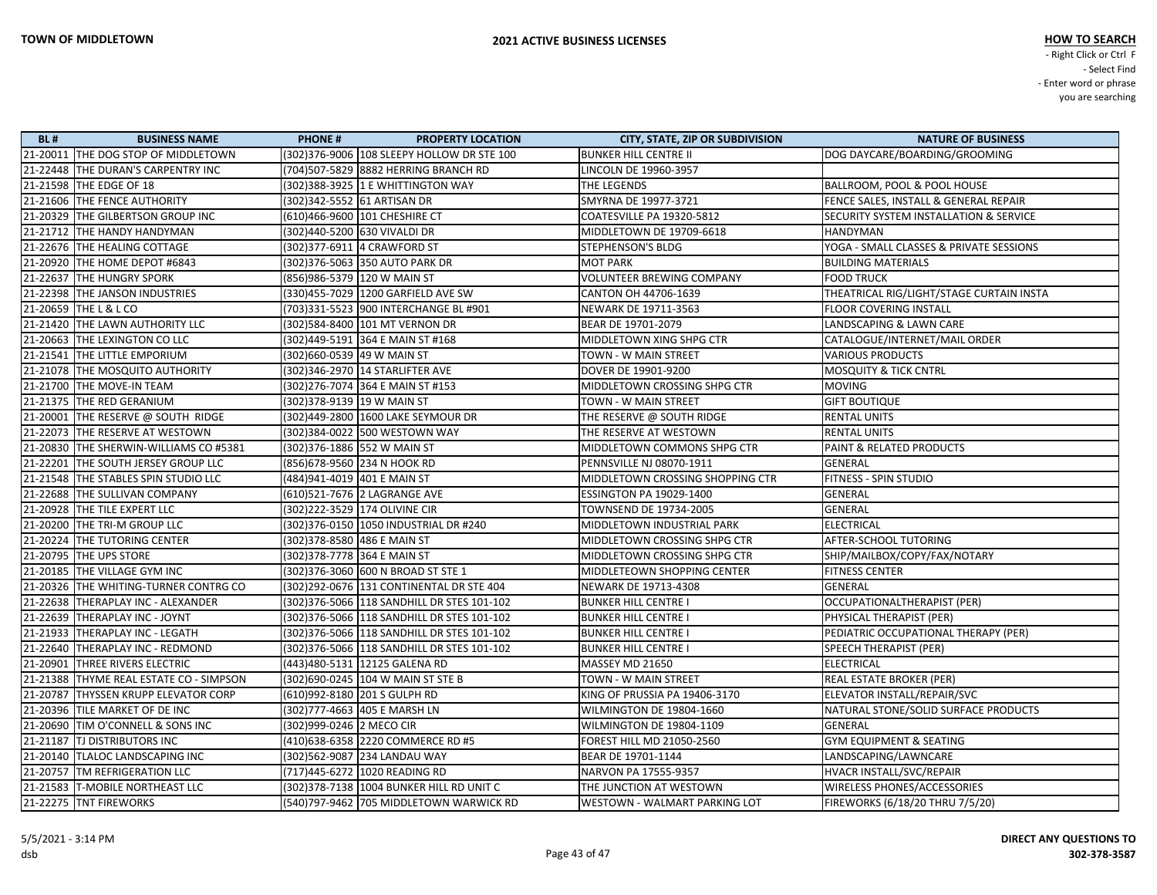| <b>BL#</b> | <b>BUSINESS NAME</b>                    | <b>PHONE#</b>               | <b>PROPERTY LOCATION</b>                    | <b>CITY, STATE, ZIP OR SUBDIVISION</b> | <b>NATURE OF BUSINESS</b>                         |
|------------|-----------------------------------------|-----------------------------|---------------------------------------------|----------------------------------------|---------------------------------------------------|
|            | 21-20011 THE DOG STOP OF MIDDLETOWN     |                             | (302) 376-9006 108 SLEEPY HOLLOW DR STE 100 | <b>BUNKER HILL CENTRE II</b>           | DOG DAYCARE/BOARDING/GROOMING                     |
|            | 21-22448 THE DURAN'S CARPENTRY INC      |                             | (704)507-5829 8882 HERRING BRANCH RD        | LINCOLN DE 19960-3957                  |                                                   |
|            | 21-21598 THE EDGE OF 18                 |                             | (302)388-3925 1 E WHITTINGTON WAY           | <b>THE LEGENDS</b>                     | BALLROOM, POOL & POOL HOUSE                       |
|            | 21-21606 THE FENCE AUTHORITY            |                             | (302)342-5552  61 ARTISAN DR                | SMYRNA DE 19977-3721                   | FENCE SALES, INSTALL & GENERAL REPAIR             |
|            | 21-20329 THE GILBERTSON GROUP INC       |                             | (610)466-9600 101 CHESHIRE CT               | COATESVILLE PA 19320-5812              | <b>SECURITY SYSTEM INSTALLATION &amp; SERVICE</b> |
|            | 21-21712 THE HANDY HANDYMAN             |                             | (302)440-5200  630 VIVALDI DR               | MIDDLETOWN DE 19709-6618               | <b>HANDYMAN</b>                                   |
|            | 21-22676 THE HEALING COTTAGE            |                             | (302)377-6911 4 CRAWFORD ST                 | <b>STEPHENSON'S BLDG</b>               | YOGA - SMALL CLASSES & PRIVATE SESSIONS           |
|            | 21-20920 THE HOME DEPOT #6843           |                             | (302)376-5063 350 AUTO PARK DR              | <b>MOT PARK</b>                        | <b>BUILDING MATERIALS</b>                         |
|            | 21-22637 THE HUNGRY SPORK               |                             | (856)986-5379  120 W MAIN ST                | VOLUNTEER BREWING COMPANY              | <b>FOOD TRUCK</b>                                 |
|            | 21-22398 THE JANSON INDUSTRIES          |                             | (330)455-7029  1200 GARFIELD AVE SW         | CANTON OH 44706-1639                   | THEATRICAL RIG/LIGHT/STAGE CURTAIN INSTA          |
|            | 21-20659 THE L & L CO                   |                             | (703)331-5523  900 INTERCHANGE BL #901      | NEWARK DE 19711-3563                   | <b>FLOOR COVERING INSTALL</b>                     |
|            | 21-21420 THE LAWN AUTHORITY LLC         |                             | (302)584-8400  101 MT VERNON DR             | BEAR DE 19701-2079                     | LANDSCAPING & LAWN CARE                           |
|            | 21-20663 THE LEXINGTON CO LLC           |                             | (302)449-5191 364 E MAIN ST #168            | MIDDLETOWN XING SHPG CTR               | CATALOGUE/INTERNET/MAIL ORDER                     |
|            | 21-21541 THE LITTLE EMPORIUM            | (302)660-0539  49 W MAIN ST |                                             | TOWN - W MAIN STREET                   | <b>VARIOUS PRODUCTS</b>                           |
|            | 21-21078 THE MOSQUITO AUTHORITY         |                             | (302)346-2970 14 STARLIFTER AVE             | DOVER DE 19901-9200                    | <b>MOSQUITY &amp; TICK CNTRL</b>                  |
|            | 21-21700 THE MOVE-IN TEAM               |                             | (302)276-7074 364 E MAIN ST #153            | MIDDLETOWN CROSSING SHPG CTR           | <b>MOVING</b>                                     |
|            | 21-21375 THE RED GERANIUM               | (302) 378-9139 19 W MAIN ST |                                             | TOWN - W MAIN STREET                   | <b>GIFT BOUTIQUE</b>                              |
|            | 21-20001 THE RESERVE @ SOUTH RIDGE      |                             | (302)449-2800   1600 LAKE SEYMOUR DR        | THE RESERVE $@$ SOUTH RIDGE            | <b>RENTAL UNITS</b>                               |
|            | 21-22073 THE RESERVE AT WESTOWN         |                             | (302)384-0022 500 WESTOWN WAY               | THE RESERVE AT WESTOWN                 | <b>RENTAL UNITS</b>                               |
|            | 21-20830 THE SHERWIN-WILLIAMS CO #5381  |                             | (302) 376-1886 552 W MAIN ST                | MIDDLETOWN COMMONS SHPG CTR            | PAINT & RELATED PRODUCTS                          |
|            | 21-22201 THE SOUTH JERSEY GROUP LLC     |                             | (856)678-9560 234 N HOOK RD                 | PENNSVILLE NJ 08070-1911               | <b>GENERAL</b>                                    |
|            | 21-21548 THE STABLES SPIN STUDIO LLC    |                             | (484)941-4019 401 E MAIN ST                 | MIDDLETOWN CROSSING SHOPPING CTR       | <b>FITNESS - SPIN STUDIO</b>                      |
|            | 21-22688 THE SULLIVAN COMPANY           |                             | (610)521-7676 2 LAGRANGE AVE                | <b>ESSINGTON PA 19029-1400</b>         | <b>GENERAL</b>                                    |
|            | 21-20928 THE TILE EXPERT LLC            |                             | (302) 222-3529 174 OLIVINE CIR              | TOWNSEND DE 19734-2005                 | GENERAL                                           |
|            | 21-20200 THE TRI-M GROUP LLC            |                             | (302)376-0150  1050 INDUSTRIAL DR #240      | MIDDLETOWN INDUSTRIAL PARK             | <b>ELECTRICAL</b>                                 |
|            | 21-20224 THE TUTORING CENTER            |                             | (302)378-8580  486 E MAIN ST                | MIDDLETOWN CROSSING SHPG CTR           | AFTER-SCHOOL TUTORING                             |
|            | 21-20795 THE UPS STORE                  | (302)378-7778 364 E MAIN ST |                                             | MIDDLETOWN CROSSING SHPG CTR           | SHIP/MAILBOX/COPY/FAX/NOTARY                      |
|            | 21-20185 THE VILLAGE GYM INC            |                             | (302)376-3060 600 N BROAD ST STE 1          | MIDDLETEOWN SHOPPING CENTER            | <b>FITNESS CENTER</b>                             |
|            | 21-20326 THE WHITING-TURNER CONTRG CO   |                             | (302) 292-0676 131 CONTINENTAL DR STE 404   | NEWARK DE 19713-4308                   | <b>GENERAL</b>                                    |
|            | 21-22638 THERAPLAY INC - ALEXANDER      |                             | (302)376-5066 118 SANDHILL DR STES 101-102  | <b>BUNKER HILL CENTRE I</b>            | OCCUPATIONALTHERAPIST (PER)                       |
|            | 21-22639 THERAPLAY INC - JOYNT          |                             | (302)376-5066  118 SANDHILL DR STES 101-102 | <b>BUNKER HILL CENTRE I</b>            | PHYSICAL THERAPIST (PER)                          |
|            | 21-21933 THERAPLAY INC - LEGATH         |                             | (302)376-5066 118 SANDHILL DR STES 101-102  | <b>BUNKER HILL CENTRE I</b>            | PEDIATRIC OCCUPATIONAL THERAPY (PER)              |
|            | 21-22640 THERAPLAY INC - REDMOND        |                             |                                             | <b>BUNKER HILL CENTRE I</b>            | <b>SPEECH THERAPIST (PER)</b>                     |
|            | 21-20901 THREE RIVERS ELECTRIC          |                             | (443)480-5131 12125 GALENA RD               | MASSEY MD 21650                        | <b>ELECTRICAL</b>                                 |
|            | 21-21388 THYME REAL ESTATE CO - SIMPSON |                             | (302) 690-0245 104 W MAIN ST STE B          | TOWN - W MAIN STREET                   | <b>REAL ESTATE BROKER (PER)</b>                   |
|            | 21-20787 THYSSEN KRUPP ELEVATOR CORP    |                             | (610)992-8180 201 S GULPH RD                | KING OF PRUSSIA PA 19406-3170          | ELEVATOR INSTALL/REPAIR/SVC                       |
|            | 21-20396 TILE MARKET OF DE INC          |                             | (302)777-4663 405 E MARSH LN                | WILMINGTON DE 19804-1660               | NATURAL STONE/SOLID SURFACE PRODUCTS              |
|            | 21-20690 TIM O'CONNELL & SONS INC       | (302)999-0246 2 MECO CIR    |                                             | WILMINGTON DE 19804-1109               | GENERAL                                           |
|            | 21-21187 TJ DISTRIBUTORS INC            |                             | (410)638-6358 2220 COMMERCE RD #5           | FOREST HILL MD 21050-2560              | <b>GYM EQUIPMENT &amp; SEATING</b>                |
|            | 21-20140 TLALOC LANDSCAPING INC         |                             | (302)562-9087  234 LANDAU WAY               | BEAR DE 19701-1144                     | LANDSCAPING/LAWNCARE                              |
|            | 21-20757 TM REFRIGERATION LLC           |                             | (717)445-6272 1020 READING RD               | NARVON PA 17555-9357                   | HVACR INSTALL/SVC/REPAIR                          |
|            | 21-21583 T-MOBILE NORTHEAST LLC         |                             | (302) 378-7138 1004 BUNKER HILL RD UNIT C   | THE JUNCTION AT WESTOWN                | <b>WIRELESS PHONES/ACCESSORIES</b>                |
|            | 21-22275 TNT FIREWORKS                  |                             | (540)797-9462 705 MIDDLETOWN WARWICK RD     | WESTOWN - WALMART PARKING LOT          | FIREWORKS (6/18/20 THRU 7/5/20)                   |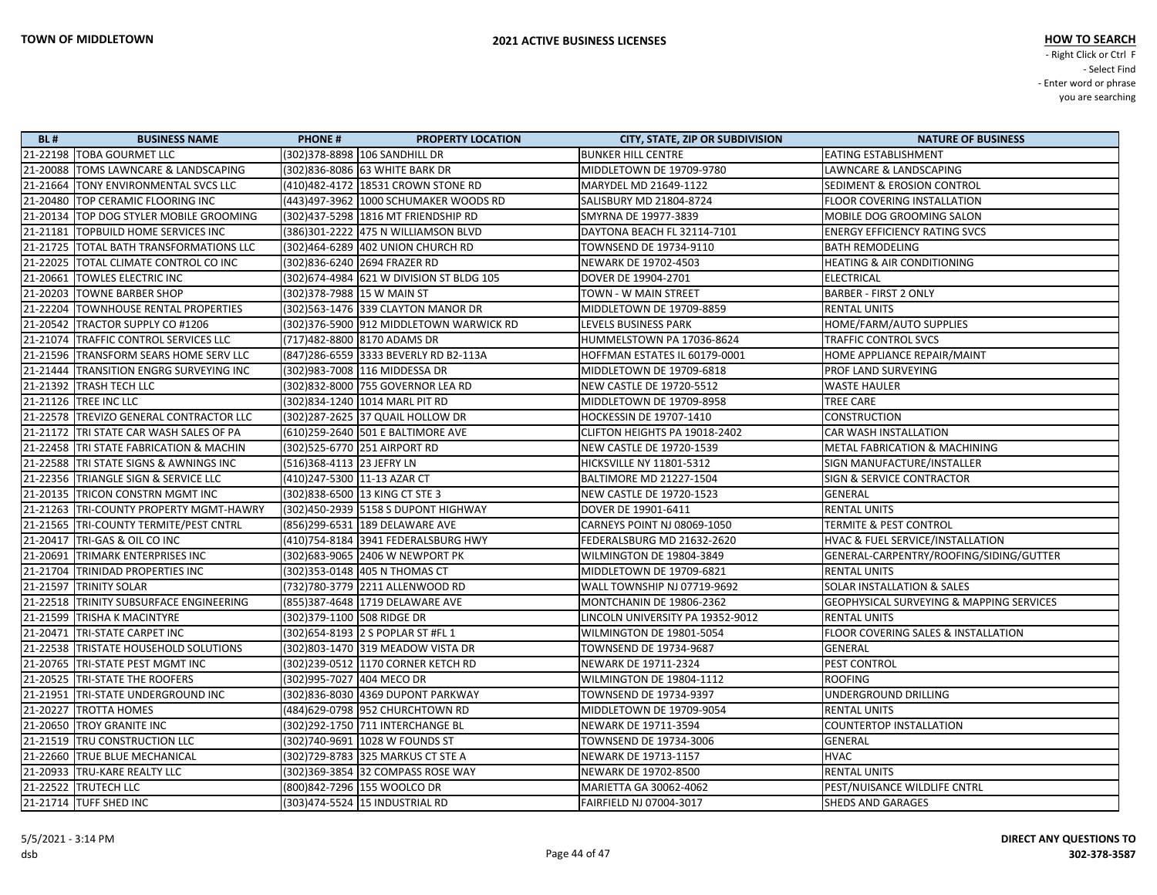| 21-22198   TOBA GOURMET LLC<br>(302) 378-8898 106 SANDHILL DR<br><b>BUNKER HILL CENTRE</b><br><b>EATING ESTABLISHMENT</b><br>(302)836-8086 63 WHITE BARK DR<br>MIDDLETOWN DE 19709-9780<br>LAWNCARE & LANDSCAPING<br>21-20088 TOMS LAWNCARE & LANDSCAPING<br>21-21664 TONY ENVIRONMENTAL SVCS LLC<br>(410)482-4172 18531 CROWN STONE RD<br>MARYDEL MD 21649-1122<br><b>SEDIMENT &amp; EROSION CONTROL</b><br>21-20480 TOP CERAMIC FLOORING INC<br>(443)497-3962 1000 SCHUMAKER WOODS RD<br>SALISBURY MD 21804-8724<br>FLOOR COVERING INSTALLATION<br>21-20134 TOP DOG STYLER MOBILE GROOMING<br>(302)437-5298 1816 MT FRIENDSHIP RD<br>MOBILE DOG GROOMING SALON<br>SMYRNA DE 19977-3839<br>21-21181 TOPBUILD HOME SERVICES INC<br>(386)301-2222 475 N WILLIAMSON BLVD<br>DAYTONA BEACH FL 32114-7101<br><b>ENERGY EFFICIENCY RATING SVCS</b><br>21-21725 TOTAL BATH TRANSFORMATIONS LLC<br>(302)464-6289 402 UNION CHURCH RD<br>TOWNSEND DE 19734-9110<br><b>BATH REMODELING</b><br>21-22025 TOTAL CLIMATE CONTROL CO INC<br>NEWARK DE 19702-4503<br><b>HEATING &amp; AIR CONDITIONING</b><br>(302)836-6240 2694 FRAZER RD<br>21-20661 TOWLES ELECTRIC INC<br>(302) 674-4984 621 W DIVISION ST BLDG 105<br>DOVER DE 19904-2701<br>ELECTRICAL<br><b>BARBER - FIRST 2 ONLY</b><br>21-20203 TOWNE BARBER SHOP<br>(302) 378-7988 15 W MAIN ST<br>TOWN - W MAIN STREET<br>(302) 563-1476 339 CLAYTON MANOR DR<br>21-22204   TOWNHOUSE RENTAL PROPERTIES<br>MIDDLETOWN DE 19709-8859<br><b>RENTAL UNITS</b><br>(302)376-5900 912 MIDDLETOWN WARWICK RD<br>21-20542 TRACTOR SUPPLY CO #1206<br>LEVELS BUSINESS PARK<br>HOME/FARM/AUTO SUPPLIES<br>21-21074   TRAFFIC CONTROL SERVICES LLC<br>(717)482-8800 8170 ADAMS DR<br><b>TRAFFIC CONTROL SVCS</b><br>HUMMELSTOWN PA 17036-8624<br>21-21596 TRANSFORM SEARS HOME SERV LLC<br>(847) 286-6559 3333 BEVERLY RD B2-113A<br>HOFFMAN ESTATES IL 60179-0001<br>HOME APPLIANCE REPAIR/MAINT<br>(302)983-7008 116 MIDDESSA DR<br>MIDDLETOWN DE 19709-6818<br><b>PROF LAND SURVEYING</b> |  |
|-------------------------------------------------------------------------------------------------------------------------------------------------------------------------------------------------------------------------------------------------------------------------------------------------------------------------------------------------------------------------------------------------------------------------------------------------------------------------------------------------------------------------------------------------------------------------------------------------------------------------------------------------------------------------------------------------------------------------------------------------------------------------------------------------------------------------------------------------------------------------------------------------------------------------------------------------------------------------------------------------------------------------------------------------------------------------------------------------------------------------------------------------------------------------------------------------------------------------------------------------------------------------------------------------------------------------------------------------------------------------------------------------------------------------------------------------------------------------------------------------------------------------------------------------------------------------------------------------------------------------------------------------------------------------------------------------------------------------------------------------------------------------------------------------------------------------------------------------------------------------------------------------------------------------------------------------------------------------------------------------------------------------------|--|
|                                                                                                                                                                                                                                                                                                                                                                                                                                                                                                                                                                                                                                                                                                                                                                                                                                                                                                                                                                                                                                                                                                                                                                                                                                                                                                                                                                                                                                                                                                                                                                                                                                                                                                                                                                                                                                                                                                                                                                                                                               |  |
|                                                                                                                                                                                                                                                                                                                                                                                                                                                                                                                                                                                                                                                                                                                                                                                                                                                                                                                                                                                                                                                                                                                                                                                                                                                                                                                                                                                                                                                                                                                                                                                                                                                                                                                                                                                                                                                                                                                                                                                                                               |  |
|                                                                                                                                                                                                                                                                                                                                                                                                                                                                                                                                                                                                                                                                                                                                                                                                                                                                                                                                                                                                                                                                                                                                                                                                                                                                                                                                                                                                                                                                                                                                                                                                                                                                                                                                                                                                                                                                                                                                                                                                                               |  |
|                                                                                                                                                                                                                                                                                                                                                                                                                                                                                                                                                                                                                                                                                                                                                                                                                                                                                                                                                                                                                                                                                                                                                                                                                                                                                                                                                                                                                                                                                                                                                                                                                                                                                                                                                                                                                                                                                                                                                                                                                               |  |
|                                                                                                                                                                                                                                                                                                                                                                                                                                                                                                                                                                                                                                                                                                                                                                                                                                                                                                                                                                                                                                                                                                                                                                                                                                                                                                                                                                                                                                                                                                                                                                                                                                                                                                                                                                                                                                                                                                                                                                                                                               |  |
|                                                                                                                                                                                                                                                                                                                                                                                                                                                                                                                                                                                                                                                                                                                                                                                                                                                                                                                                                                                                                                                                                                                                                                                                                                                                                                                                                                                                                                                                                                                                                                                                                                                                                                                                                                                                                                                                                                                                                                                                                               |  |
|                                                                                                                                                                                                                                                                                                                                                                                                                                                                                                                                                                                                                                                                                                                                                                                                                                                                                                                                                                                                                                                                                                                                                                                                                                                                                                                                                                                                                                                                                                                                                                                                                                                                                                                                                                                                                                                                                                                                                                                                                               |  |
|                                                                                                                                                                                                                                                                                                                                                                                                                                                                                                                                                                                                                                                                                                                                                                                                                                                                                                                                                                                                                                                                                                                                                                                                                                                                                                                                                                                                                                                                                                                                                                                                                                                                                                                                                                                                                                                                                                                                                                                                                               |  |
|                                                                                                                                                                                                                                                                                                                                                                                                                                                                                                                                                                                                                                                                                                                                                                                                                                                                                                                                                                                                                                                                                                                                                                                                                                                                                                                                                                                                                                                                                                                                                                                                                                                                                                                                                                                                                                                                                                                                                                                                                               |  |
|                                                                                                                                                                                                                                                                                                                                                                                                                                                                                                                                                                                                                                                                                                                                                                                                                                                                                                                                                                                                                                                                                                                                                                                                                                                                                                                                                                                                                                                                                                                                                                                                                                                                                                                                                                                                                                                                                                                                                                                                                               |  |
|                                                                                                                                                                                                                                                                                                                                                                                                                                                                                                                                                                                                                                                                                                                                                                                                                                                                                                                                                                                                                                                                                                                                                                                                                                                                                                                                                                                                                                                                                                                                                                                                                                                                                                                                                                                                                                                                                                                                                                                                                               |  |
|                                                                                                                                                                                                                                                                                                                                                                                                                                                                                                                                                                                                                                                                                                                                                                                                                                                                                                                                                                                                                                                                                                                                                                                                                                                                                                                                                                                                                                                                                                                                                                                                                                                                                                                                                                                                                                                                                                                                                                                                                               |  |
|                                                                                                                                                                                                                                                                                                                                                                                                                                                                                                                                                                                                                                                                                                                                                                                                                                                                                                                                                                                                                                                                                                                                                                                                                                                                                                                                                                                                                                                                                                                                                                                                                                                                                                                                                                                                                                                                                                                                                                                                                               |  |
| 21-21444 TRANSITION ENGRG SURVEYING INC                                                                                                                                                                                                                                                                                                                                                                                                                                                                                                                                                                                                                                                                                                                                                                                                                                                                                                                                                                                                                                                                                                                                                                                                                                                                                                                                                                                                                                                                                                                                                                                                                                                                                                                                                                                                                                                                                                                                                                                       |  |
|                                                                                                                                                                                                                                                                                                                                                                                                                                                                                                                                                                                                                                                                                                                                                                                                                                                                                                                                                                                                                                                                                                                                                                                                                                                                                                                                                                                                                                                                                                                                                                                                                                                                                                                                                                                                                                                                                                                                                                                                                               |  |
| 21-21392 TRASH TECH LLC<br>(302)832-8000 755 GOVERNOR LEA RD<br>NEW CASTLE DE 19720-5512<br><b>WASTE HAULER</b>                                                                                                                                                                                                                                                                                                                                                                                                                                                                                                                                                                                                                                                                                                                                                                                                                                                                                                                                                                                                                                                                                                                                                                                                                                                                                                                                                                                                                                                                                                                                                                                                                                                                                                                                                                                                                                                                                                               |  |
| 21-21126 TREE INC LLC<br>(302)834-1240 1014 MARL PIT RD<br>MIDDLETOWN DE 19709-8958<br>TREE CARE                                                                                                                                                                                                                                                                                                                                                                                                                                                                                                                                                                                                                                                                                                                                                                                                                                                                                                                                                                                                                                                                                                                                                                                                                                                                                                                                                                                                                                                                                                                                                                                                                                                                                                                                                                                                                                                                                                                              |  |
| 21-22578 TREVIZO GENERAL CONTRACTOR LLC<br>(302) 287-2625 37 QUAIL HOLLOW DR<br>HOCKESSIN DE 19707-1410<br>CONSTRUCTION                                                                                                                                                                                                                                                                                                                                                                                                                                                                                                                                                                                                                                                                                                                                                                                                                                                                                                                                                                                                                                                                                                                                                                                                                                                                                                                                                                                                                                                                                                                                                                                                                                                                                                                                                                                                                                                                                                       |  |
| 21-21172 TRI STATE CAR WASH SALES OF PA<br>(610)259-2640 501 E BALTIMORE AVE<br>CLIFTON HEIGHTS PA 19018-2402<br>CAR WASH INSTALLATION                                                                                                                                                                                                                                                                                                                                                                                                                                                                                                                                                                                                                                                                                                                                                                                                                                                                                                                                                                                                                                                                                                                                                                                                                                                                                                                                                                                                                                                                                                                                                                                                                                                                                                                                                                                                                                                                                        |  |
| (302)525-6770 251 AIRPORT RD<br>21-22458 TRI STATE FABRICATION & MACHIN<br>NEW CASTLE DE 19720-1539<br><b>METAL FABRICATION &amp; MACHINING</b>                                                                                                                                                                                                                                                                                                                                                                                                                                                                                                                                                                                                                                                                                                                                                                                                                                                                                                                                                                                                                                                                                                                                                                                                                                                                                                                                                                                                                                                                                                                                                                                                                                                                                                                                                                                                                                                                               |  |
| 21-22588 TRI STATE SIGNS & AWNINGS INC<br>(516)368-4113 23 JEFRY LN<br><b>HICKSVILLE NY 11801-5312</b><br>SIGN MANUFACTURE/INSTALLER                                                                                                                                                                                                                                                                                                                                                                                                                                                                                                                                                                                                                                                                                                                                                                                                                                                                                                                                                                                                                                                                                                                                                                                                                                                                                                                                                                                                                                                                                                                                                                                                                                                                                                                                                                                                                                                                                          |  |
| 21-22356 TRIANGLE SIGN & SERVICE LLC<br>(410) 247-5300 11-13 AZAR CT<br><b>BALTIMORE MD 21227-1504</b><br><b>SIGN &amp; SERVICE CONTRACTOR</b>                                                                                                                                                                                                                                                                                                                                                                                                                                                                                                                                                                                                                                                                                                                                                                                                                                                                                                                                                                                                                                                                                                                                                                                                                                                                                                                                                                                                                                                                                                                                                                                                                                                                                                                                                                                                                                                                                |  |
| 21-20135 TRICON CONSTRN MGMT INC<br>(302)838-6500 13 KING CT STE 3<br><b>NEW CASTLE DE 19720-1523</b><br>GENERAL                                                                                                                                                                                                                                                                                                                                                                                                                                                                                                                                                                                                                                                                                                                                                                                                                                                                                                                                                                                                                                                                                                                                                                                                                                                                                                                                                                                                                                                                                                                                                                                                                                                                                                                                                                                                                                                                                                              |  |
| 21-21263 TRI-COUNTY PROPERTY MGMT-HAWRY<br>(302) 450-2939 5158 S DUPONT HIGHWAY<br>DOVER DE 19901-6411<br><b>RENTAL UNITS</b>                                                                                                                                                                                                                                                                                                                                                                                                                                                                                                                                                                                                                                                                                                                                                                                                                                                                                                                                                                                                                                                                                                                                                                                                                                                                                                                                                                                                                                                                                                                                                                                                                                                                                                                                                                                                                                                                                                 |  |
| 21-21565 TRI-COUNTY TERMITE/PEST CNTRL<br>(856)299-6531 189 DELAWARE AVE<br>CARNEYS POINT NJ 08069-1050<br><b>TERMITE &amp; PEST CONTROL</b>                                                                                                                                                                                                                                                                                                                                                                                                                                                                                                                                                                                                                                                                                                                                                                                                                                                                                                                                                                                                                                                                                                                                                                                                                                                                                                                                                                                                                                                                                                                                                                                                                                                                                                                                                                                                                                                                                  |  |
| HVAC & FUEL SERVICE/INSTALLATION<br>21-20417 TRI-GAS & OIL CO INC<br>(410)754-8184 3941 FEDERALSBURG HWY<br>FEDERALSBURG MD 21632-2620                                                                                                                                                                                                                                                                                                                                                                                                                                                                                                                                                                                                                                                                                                                                                                                                                                                                                                                                                                                                                                                                                                                                                                                                                                                                                                                                                                                                                                                                                                                                                                                                                                                                                                                                                                                                                                                                                        |  |
| GENERAL-CARPENTRY/ROOFING/SIDING/GUTTER<br>21-20691 TRIMARK ENTERPRISES INC<br>(302) 683-9065 2406 W NEWPORT PK<br>WILMINGTON DE 19804-3849                                                                                                                                                                                                                                                                                                                                                                                                                                                                                                                                                                                                                                                                                                                                                                                                                                                                                                                                                                                                                                                                                                                                                                                                                                                                                                                                                                                                                                                                                                                                                                                                                                                                                                                                                                                                                                                                                   |  |
| 21-21704 TRINIDAD PROPERTIES INC<br>(302)353-0148 405 N THOMAS CT<br>MIDDLETOWN DE 19709-6821<br><b>RENTAL UNITS</b>                                                                                                                                                                                                                                                                                                                                                                                                                                                                                                                                                                                                                                                                                                                                                                                                                                                                                                                                                                                                                                                                                                                                                                                                                                                                                                                                                                                                                                                                                                                                                                                                                                                                                                                                                                                                                                                                                                          |  |
| 21-21597 TRINITY SOLAR<br>(732) 780-3779 2211 ALLENWOOD RD<br>WALL TOWNSHIP NJ 07719-9692<br><b>SOLAR INSTALLATION &amp; SALES</b>                                                                                                                                                                                                                                                                                                                                                                                                                                                                                                                                                                                                                                                                                                                                                                                                                                                                                                                                                                                                                                                                                                                                                                                                                                                                                                                                                                                                                                                                                                                                                                                                                                                                                                                                                                                                                                                                                            |  |
| 21-22518 TRINITY SUBSURFACE ENGINEERING<br>(855)387-4648 1719 DELAWARE AVE<br>MONTCHANIN DE 19806-2362<br><b>GEOPHYSICAL SURVEYING &amp; MAPPING SERVICES</b>                                                                                                                                                                                                                                                                                                                                                                                                                                                                                                                                                                                                                                                                                                                                                                                                                                                                                                                                                                                                                                                                                                                                                                                                                                                                                                                                                                                                                                                                                                                                                                                                                                                                                                                                                                                                                                                                 |  |
| (302) 379-1100 508 RIDGE DR<br>21-21599 TRISHA K MACINTYRE<br><b>RENTAL UNITS</b><br>LINCOLN UNIVERSITY PA 19352-9012                                                                                                                                                                                                                                                                                                                                                                                                                                                                                                                                                                                                                                                                                                                                                                                                                                                                                                                                                                                                                                                                                                                                                                                                                                                                                                                                                                                                                                                                                                                                                                                                                                                                                                                                                                                                                                                                                                         |  |
| (302) 654-8193 2 S POPLAR ST #FL 1<br><b>FLOOR COVERING SALES &amp; INSTALLATION</b><br>21-20471 TRI-STATE CARPET INC<br>WILMINGTON DE 19801-5054                                                                                                                                                                                                                                                                                                                                                                                                                                                                                                                                                                                                                                                                                                                                                                                                                                                                                                                                                                                                                                                                                                                                                                                                                                                                                                                                                                                                                                                                                                                                                                                                                                                                                                                                                                                                                                                                             |  |
| (302) 803-1470 319 MEADOW VISTA DR<br>21-22538 TRISTATE HOUSEHOLD SOLUTIONS<br>TOWNSEND DE 19734-9687<br>GENERAL                                                                                                                                                                                                                                                                                                                                                                                                                                                                                                                                                                                                                                                                                                                                                                                                                                                                                                                                                                                                                                                                                                                                                                                                                                                                                                                                                                                                                                                                                                                                                                                                                                                                                                                                                                                                                                                                                                              |  |
| (302)239-0512 1170 CORNER KETCH RD<br><b>PEST CONTROL</b><br>21-20765 TRI-STATE PEST MGMT INC<br>NEWARK DE 19711-2324                                                                                                                                                                                                                                                                                                                                                                                                                                                                                                                                                                                                                                                                                                                                                                                                                                                                                                                                                                                                                                                                                                                                                                                                                                                                                                                                                                                                                                                                                                                                                                                                                                                                                                                                                                                                                                                                                                         |  |
| 21-20525 TRI-STATE THE ROOFERS<br>(302)995-7027 404 MECO DR<br>ROOFING<br>WILMINGTON DE 19804-1112                                                                                                                                                                                                                                                                                                                                                                                                                                                                                                                                                                                                                                                                                                                                                                                                                                                                                                                                                                                                                                                                                                                                                                                                                                                                                                                                                                                                                                                                                                                                                                                                                                                                                                                                                                                                                                                                                                                            |  |
| 21-21951 TRI-STATE UNDERGROUND INC<br>(302)836-8030 4369 DUPONT PARKWAY<br>TOWNSEND DE 19734-9397<br>UNDERGROUND DRILLING                                                                                                                                                                                                                                                                                                                                                                                                                                                                                                                                                                                                                                                                                                                                                                                                                                                                                                                                                                                                                                                                                                                                                                                                                                                                                                                                                                                                                                                                                                                                                                                                                                                                                                                                                                                                                                                                                                     |  |
| 21-20227 TROTTA HOMES<br>(484) 629-0798 952 CHURCHTOWN RD<br><b>RENTAL UNITS</b><br>MIDDLETOWN DE 19709-9054                                                                                                                                                                                                                                                                                                                                                                                                                                                                                                                                                                                                                                                                                                                                                                                                                                                                                                                                                                                                                                                                                                                                                                                                                                                                                                                                                                                                                                                                                                                                                                                                                                                                                                                                                                                                                                                                                                                  |  |
| 21-20650 TROY GRANITE INC<br>(302)292-1750 711 INTERCHANGE BL<br>NEWARK DE 19711-3594<br><b>COUNTERTOP INSTALLATION</b>                                                                                                                                                                                                                                                                                                                                                                                                                                                                                                                                                                                                                                                                                                                                                                                                                                                                                                                                                                                                                                                                                                                                                                                                                                                                                                                                                                                                                                                                                                                                                                                                                                                                                                                                                                                                                                                                                                       |  |
| 21-21519 TRU CONSTRUCTION LLC<br>(302)740-9691 1028 W FOUNDS ST<br>TOWNSEND DE 19734-3006<br>GENERAL                                                                                                                                                                                                                                                                                                                                                                                                                                                                                                                                                                                                                                                                                                                                                                                                                                                                                                                                                                                                                                                                                                                                                                                                                                                                                                                                                                                                                                                                                                                                                                                                                                                                                                                                                                                                                                                                                                                          |  |
| <b>HVAC</b><br>21-22660 TRUE BLUE MECHANICAL<br>(302)729-8783 325 MARKUS CT STE A<br>NEWARK DE 19713-1157                                                                                                                                                                                                                                                                                                                                                                                                                                                                                                                                                                                                                                                                                                                                                                                                                                                                                                                                                                                                                                                                                                                                                                                                                                                                                                                                                                                                                                                                                                                                                                                                                                                                                                                                                                                                                                                                                                                     |  |
| 21-20933 TRU-KARE REALTY LLC<br>(302)369-3854 32 COMPASS ROSE WAY<br>NEWARK DE 19702-8500<br><b>RENTAL UNITS</b>                                                                                                                                                                                                                                                                                                                                                                                                                                                                                                                                                                                                                                                                                                                                                                                                                                                                                                                                                                                                                                                                                                                                                                                                                                                                                                                                                                                                                                                                                                                                                                                                                                                                                                                                                                                                                                                                                                              |  |
| 21-22522 TRUTECH LLC<br>(800) 842-7296 155 WOOLCO DR<br>MARIETTA GA 30062-4062<br>PEST/NUISANCE WILDLIFE CNTRL                                                                                                                                                                                                                                                                                                                                                                                                                                                                                                                                                                                                                                                                                                                                                                                                                                                                                                                                                                                                                                                                                                                                                                                                                                                                                                                                                                                                                                                                                                                                                                                                                                                                                                                                                                                                                                                                                                                |  |
| 21-21714 TUFF SHED INC<br>(303)474-5524 15 INDUSTRIAL RD<br>FAIRFIELD NJ 07004-3017<br><b>SHEDS AND GARAGES</b>                                                                                                                                                                                                                                                                                                                                                                                                                                                                                                                                                                                                                                                                                                                                                                                                                                                                                                                                                                                                                                                                                                                                                                                                                                                                                                                                                                                                                                                                                                                                                                                                                                                                                                                                                                                                                                                                                                               |  |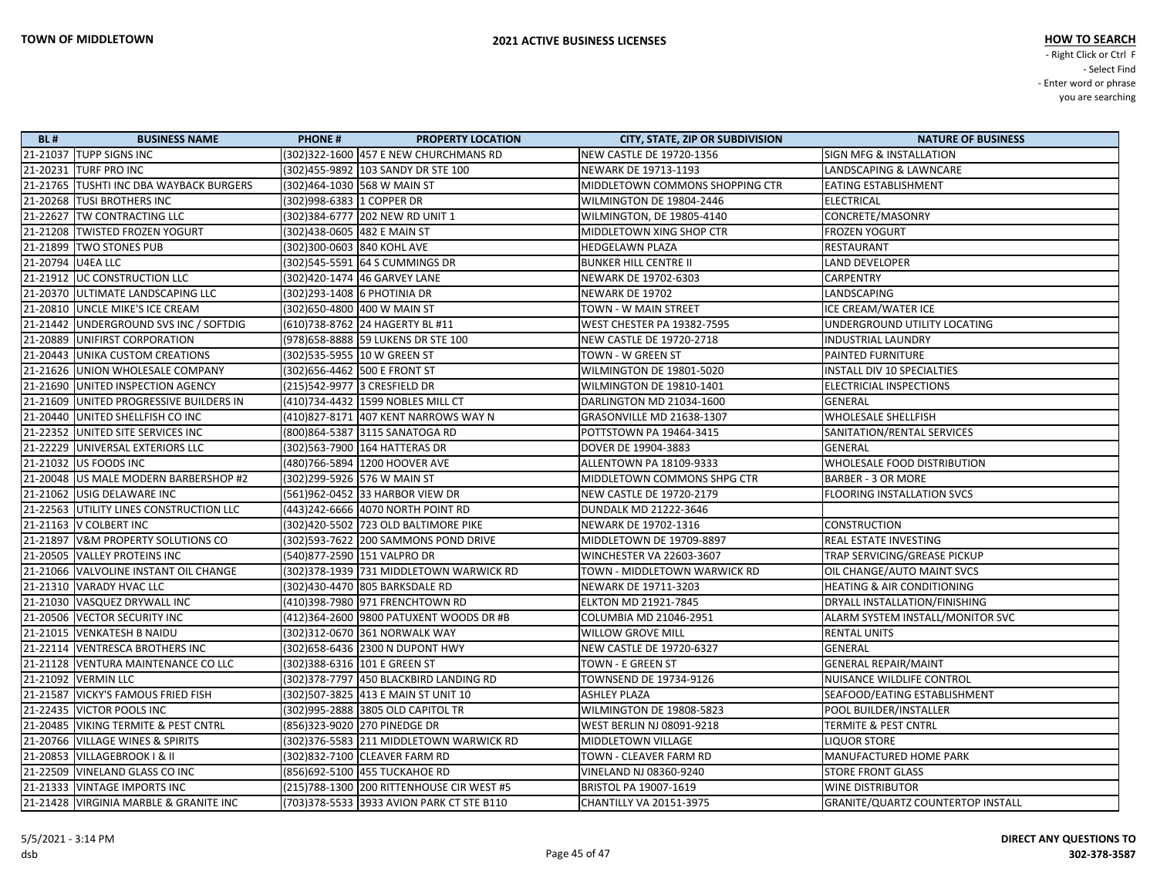| <b>BL#</b> | <b>BUSINESS NAME</b>                    | <b>PHONE#</b>                 | <b>PROPERTY LOCATION</b>                   | <b>CITY, STATE, ZIP OR SUBDIVISION</b> | <b>NATURE OF BUSINESS</b>                |
|------------|-----------------------------------------|-------------------------------|--------------------------------------------|----------------------------------------|------------------------------------------|
|            | 21-21037 TUPP SIGNS INC                 |                               | (302)322-1600 457 E NEW CHURCHMANS RD      | NEW CASTLE DE 19720-1356               | <b>SIGN MFG &amp; INSTALLATION</b>       |
|            | 21-20231 TURF PRO INC                   |                               | (302)455-9892 103 SANDY DR STE 100         | NEWARK DE 19713-1193                   | LANDSCAPING & LAWNCARE                   |
|            | 21-21765 TUSHTI INC DBA WAYBACK BURGERS | (302)464-1030 568 W MAIN ST   |                                            | MIDDLETOWN COMMONS SHOPPING CTR        | <b>EATING ESTABLISHMENT</b>              |
|            | 21-20268 TUSI BROTHERS INC              | (302)998-6383 1 COPPER DR     |                                            | WILMINGTON DE 19804-2446               | ELECTRICAL                               |
|            | 21-22627 TW CONTRACTING LLC             |                               | (302)384-6777 202 NEW RD UNIT 1            | WILMINGTON, DE 19805-4140              | CONCRETE/MASONRY                         |
|            | 21-21208 TWISTED FROZEN YOGURT          | (302)438-0605 482 E MAIN ST   |                                            | MIDDLETOWN XING SHOP CTR               | <b>FROZEN YOGURT</b>                     |
|            | 21-21899 TWO STONES PUB                 | (302)300-0603 840 KOHL AVE    |                                            | HEDGELAWN PLAZA                        | RESTAURANT                               |
|            | 21-20794 U4EA LLC                       |                               | (302) 545-5591 64 S CUMMINGS DR            | <b>BUNKER HILL CENTRE II</b>           | <b>LAND DEVELOPER</b>                    |
|            | 21-21912   UC CONSTRUCTION LLC          |                               | (302)420-1474 46 GARVEY LANE               | NEWARK DE 19702-6303                   | <b>CARPENTRY</b>                         |
|            | 21-20370 ULTIMATE LANDSCAPING LLC       | (302)293-1408 6 PHOTINIA DR   |                                            | NEWARK DE 19702                        | LANDSCAPING                              |
|            | 21-20810 UNCLE MIKE'S ICE CREAM         | (302)650-4800 400 W MAIN ST   |                                            | TOWN - W MAIN STREET                   | ICE CREAM/WATER ICE                      |
|            | 21-21442 UNDERGROUND SVS INC / SOFTDIG  |                               | (610)738-8762  24 HAGERTY BL #11           | <b>WEST CHESTER PA 19382-7595</b>      | UNDERGROUND UTILITY LOCATING             |
|            | 21-20889 UNIFIRST CORPORATION           |                               | (978) 658-8888 59 LUKENS DR STE 100        | NEW CASTLE DE 19720-2718               | <b>INDUSTRIAL LAUNDRY</b>                |
|            | 21-20443 UNIKA CUSTOM CREATIONS         | (302)535-5955 10 W GREEN ST   |                                            | TOWN - W GREEN ST                      | <b>PAINTED FURNITURE</b>                 |
|            | 21-21626 UNION WHOLESALE COMPANY        | (302) 656-4462 500 E FRONT ST |                                            | WILMINGTON DE 19801-5020               | INSTALL DIV 10 SPECIALTIES               |
|            | 21-21690 UNITED INSPECTION AGENCY       | (215)542-9977 3 CRESFIELD DR  |                                            | WILMINGTON DE 19810-1401               | ELECTRICIAL INSPECTIONS                  |
|            | 21-21609 UNITED PROGRESSIVE BUILDERS IN |                               | (410)734-4432 1599 NOBLES MILL CT          | DARLINGTON MD 21034-1600               | GENERAL                                  |
|            | 21-20440 UNITED SHELLFISH CO INC        |                               | (410)827-8171 407 KENT NARROWS WAY N       | GRASONVILLE MD 21638-1307              | WHOLESALE SHELLFISH                      |
|            | 21-22352 UNITED SITE SERVICES INC       |                               | (800)864-5387  3115 SANATOGA RD            | POTTSTOWN PA 19464-3415                | SANITATION/RENTAL SERVICES               |
|            | 21-22229 UNIVERSAL EXTERIORS LLC        |                               | (302) 563-7900 164 HATTERAS DR             | DOVER DE 19904-3883                    | GENERAL                                  |
|            | 21-21032 US FOODS INC                   |                               | (480)766-5894 1200 HOOVER AVE              | ALLENTOWN PA 18109-9333                | WHOLESALE FOOD DISTRIBUTION              |
|            | 21-20048 US MALE MODERN BARBERSHOP #2   | (302)299-5926 576 W MAIN ST   |                                            | MIDDLETOWN COMMONS SHPG CTR            | <b>BARBER - 3 OR MORE</b>                |
|            | 21-21062 USIG DELAWARE INC              |                               | (561)962-0452 33 HARBOR VIEW DR            | NEW CASTLE DE 19720-2179               | <b>FLOORING INSTALLATION SVCS</b>        |
|            | 21-22563 UTILITY LINES CONSTRUCTION LLC |                               | (443) 242-6666 4070 NORTH POINT RD         | <b>DUNDALK MD 21222-3646</b>           |                                          |
|            | 21-21163   V COLBERT INC                |                               | (302)420-5502 723 OLD BALTIMORE PIKE       | NEWARK DE 19702-1316                   | <b>CONSTRUCTION</b>                      |
|            | 21-21897 V&M PROPERTY SOLUTIONS CO      |                               | (302)593-7622 200 SAMMONS POND DRIVE       | MIDDLETOWN DE 19709-8897               | REAL ESTATE INVESTING                    |
|            | 21-20505 VALLEY PROTEINS INC            | (540)877-2590 151 VALPRO DR   |                                            | WINCHESTER VA 22603-3607               | TRAP SERVICING/GREASE PICKUP             |
|            | 21-21066 VALVOLINE INSTANT OIL CHANGE   |                               | (302) 378-1939 731 MIDDLETOWN WARWICK RD   | TOWN - MIDDLETOWN WARWICK RD           | OIL CHANGE/AUTO MAINT SVCS               |
|            | 21-21310 VARADY HVAC LLC                |                               | (302)430-4470 805 BARKSDALE RD             | NEWARK DE 19711-3203                   | <b>HEATING &amp; AIR CONDITIONING</b>    |
|            | 21-21030 VASQUEZ DRYWALL INC            |                               | (410)398-7980 971 FRENCHTOWN RD            | <b>ELKTON MD 21921-7845</b>            | DRYALL INSTALLATION/FINISHING            |
|            | 21-20506 VECTOR SECURITY INC            |                               | (412)364-2600 9800 PATUXENT WOODS DR #B    | COLUMBIA MD 21046-2951                 | ALARM SYSTEM INSTALL/MONITOR SVC         |
|            | 21-21015 VENKATESH B NAIDU              |                               | (302)312-0670 361 NORWALK WAY              | <b>WILLOW GROVE MILL</b>               | <b>RENTAL UNITS</b>                      |
|            | 21-22114 VENTRESCA BROTHERS INC         |                               | (302)658-6436 2300 N DUPONT HWY            | <b>NEW CASTLE DE 19720-6327</b>        | GENERAL                                  |
|            | 21-21128 VENTURA MAINTENANCE CO LLC     | (302) 388-6316 101 E GREEN ST |                                            | TOWN - E GREEN ST                      | <b>GENERAL REPAIR/MAINT</b>              |
|            | 21-21092 VERMIN LLC                     |                               | (302) 378-7797 450 BLACKBIRD LANDING RD    | TOWNSEND DE 19734-9126                 | NUISANCE WILDLIFE CONTROL                |
|            | 21-21587   VICKY'S FAMOUS FRIED FISH    |                               | (302) 507-3825 413 E MAIN ST UNIT 10       | <b>ASHLEY PLAZA</b>                    | SEAFOOD/EATING ESTABLISHMENT             |
|            | 21-22435 VICTOR POOLS INC               |                               | (302) 995-2888 3805 OLD CAPITOL TR         | WILMINGTON DE 19808-5823               | POOL BUILDER/INSTALLER                   |
|            | 21-20485   VIKING TERMITE & PEST CNTRL  | (856)323-9020 270 PINEDGE DR  |                                            | WEST BERLIN NJ 08091-9218              | TERMITE & PEST CNTRL                     |
|            | 21-20766 VILLAGE WINES & SPIRITS        |                               | (302) 376-5583 211 MIDDLETOWN WARWICK RD   | MIDDLETOWN VILLAGE                     | <b>LIQUOR STORE</b>                      |
|            | 21-20853 VILLAGEBROOK   & II            |                               | (302)832-7100 CLEAVER FARM RD              | TOWN - CLEAVER FARM RD                 | MANUFACTURED HOME PARK                   |
|            | 21-22509 VINELAND GLASS CO INC          |                               | (856)692-5100  455 TUCKAHOE RD             | VINELAND NJ 08360-9240                 | <b>STORE FRONT GLASS</b>                 |
|            | 21-21333 VINTAGE IMPORTS INC            |                               | (215) 788-1300 200 RITTENHOUSE CIR WEST #5 | BRISTOL PA 19007-1619                  | <b>WINE DISTRIBUTOR</b>                  |
|            | 21-21428 VIRGINIA MARBLE & GRANITE INC  |                               | (703)378-5533 3933 AVION PARK CT STE B110  | CHANTILLY VA 20151-3975                | <b>GRANITE/QUARTZ COUNTERTOP INSTALL</b> |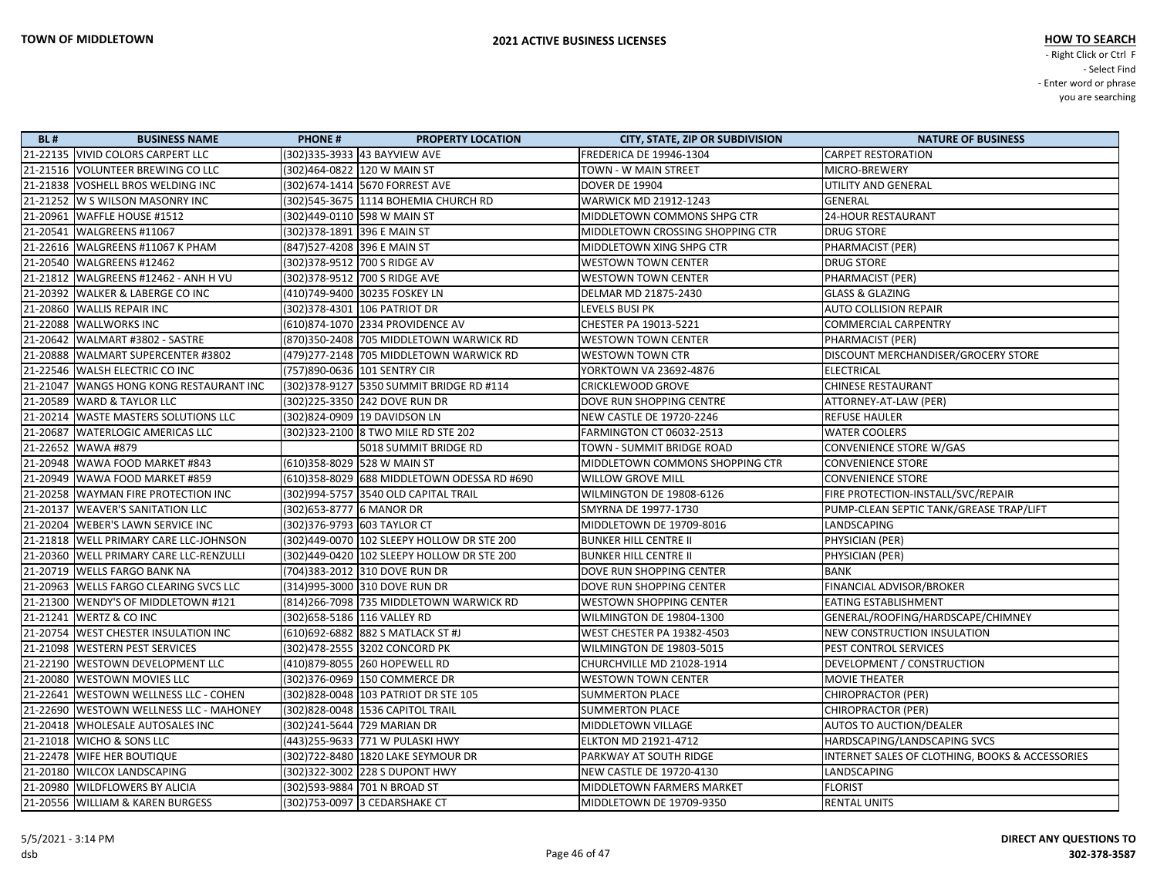| <b>BL#</b> | <b>BUSINESS NAME</b>                    | <b>PHONE#</b>                | <b>PROPERTY LOCATION</b>                    | <b>CITY, STATE, ZIP OR SUBDIVISION</b> | <b>NATURE OF BUSINESS</b>                       |
|------------|-----------------------------------------|------------------------------|---------------------------------------------|----------------------------------------|-------------------------------------------------|
|            | 21-22135 VIVID COLORS CARPERT LLC       |                              |                                             | <b>FREDERICA DE 19946-1304</b>         | <b>CARPET RESTORATION</b>                       |
|            | 21-21516 VOLUNTEER BREWING CO LLC       |                              | (302)464-0822  120 W MAIN ST                | TOWN - W MAIN STREET                   | MICRO-BREWERY                                   |
|            | 21-21838 VOSHELL BROS WELDING INC       |                              | (302)674-1414 5670 FORREST AVE              | <b>DOVER DE 19904</b>                  | UTILITY AND GENERAL                             |
|            | 21-21252 W S WILSON MASONRY INC         |                              | (302)545-3675  1114 BOHEMIA CHURCH RD       | <b>WARWICK MD 21912-1243</b>           | GENERAL                                         |
|            | 21-20961 WAFFLE HOUSE #1512             |                              | (302)449-0110 598 W MAIN ST                 | MIDDLETOWN COMMONS SHPG CTR            | <b>24-HOUR RESTAURANT</b>                       |
|            | 21-20541   WALGREENS #11067             |                              | (302)378-1891 396 E MAIN ST                 | MIDDLETOWN CROSSING SHOPPING CTR       | <b>DRUG STORE</b>                               |
|            | 21-22616 WALGREENS #11067 K PHAM        | (847) 527-4208 396 E MAIN ST |                                             | MIDDLETOWN XING SHPG CTR               | PHARMACIST (PER)                                |
|            | 21-20540 WALGREENS #12462               |                              | (302) 378-9512 700 S RIDGE AV               | <b>WESTOWN TOWN CENTER</b>             | <b>DRUG STORE</b>                               |
|            | 21-21812 WALGREENS #12462 - ANH H VU    |                              | (302)378-9512 700 S RIDGE AVE               | <b>WESTOWN TOWN CENTER</b>             | PHARMACIST (PER)                                |
|            | 21-20392 WALKER & LABERGE CO INC        |                              | (410)749-9400 30235 FOSKEY LN               | DELMAR MD 21875-2430                   | <b>GLASS &amp; GLAZING</b>                      |
|            | 21-20860 WALLIS REPAIR INC              |                              | (302)378-4301 106 PATRIOT DR                | LEVELS BUSI PK                         | <b>AUTO COLLISION REPAIR</b>                    |
|            | 21-22088 WALLWORKS INC                  |                              | (610)874-1070 2334 PROVIDENCE AV            | CHESTER PA 19013-5221                  | <b>COMMERCIAL CARPENTRY</b>                     |
|            | 21-20642   WALMART #3802 - SASTRE       |                              | (870)350-2408 705 MIDDLETOWN WARWICK RD     | <b>WESTOWN TOWN CENTER</b>             | PHARMACIST (PER)                                |
|            | 21-20888 WALMART SUPERCENTER #3802      |                              | (479)277-2148 705 MIDDLETOWN WARWICK RD     | <b>WESTOWN TOWN CTR</b>                | DISCOUNT MERCHANDISER/GROCERY STORE             |
|            | 21-22546 WALSH ELECTRIC CO INC          |                              | (757)890-0636   101 SENTRY CIR              | YORKTOWN VA 23692-4876                 | <b>ELECTRICAL</b>                               |
|            | 21-21047 WANGS HONG KONG RESTAURANT INC |                              | (302)378-9127 5350 SUMMIT BRIDGE RD #114    | <b>CRICKLEWOOD GROVE</b>               | <b>CHINESE RESTAURANT</b>                       |
|            | 21-20589 WARD & TAYLOR LLC              |                              | (302)225-3350 242 DOVE RUN DR               | DOVE RUN SHOPPING CENTRE               | ATTORNEY-AT-LAW (PER)                           |
|            | 21-20214 WASTE MASTERS SOLUTIONS LLC    |                              | (302)824-0909 19 DAVIDSON LN                | <b>NEW CASTLE DE 19720-2246</b>        | <b>REFUSE HAULER</b>                            |
|            | 21-20687   WATERLOGIC AMERICAS LLC      |                              |                                             | <b>FARMINGTON CT 06032-2513</b>        | <b>WATER COOLERS</b>                            |
|            | 21-22652 WAWA #879                      |                              | 5018 SUMMIT BRIDGE RD                       | TOWN - SUMMIT BRIDGE ROAD              | <b>CONVENIENCE STORE W/GAS</b>                  |
|            | 21-20948 WAWA FOOD MARKET #843          |                              | (610)358-8029 528 W MAIN ST                 | MIDDLETOWN COMMONS SHOPPING CTR        | <b>CONVENIENCE STORE</b>                        |
|            | 21-20949   WAWA FOOD MARKET #859        |                              | (610)358-8029 688 MIDDLETOWN ODESSA RD #690 | <b>WILLOW GROVE MILL</b>               | <b>CONVENIENCE STORE</b>                        |
|            | 21-20258 WAYMAN FIRE PROTECTION INC     |                              | (302) 994-5757 3540 OLD CAPITAL TRAIL       | WILMINGTON DE 19808-6126               | FIRE PROTECTION-INSTALL/SVC/REPAIR              |
|            | 21-20137   WEAVER'S SANITATION LLC      | (302)653-8777 6 MANOR DR     |                                             | SMYRNA DE 19977-1730                   | PUMP-CLEAN SEPTIC TANK/GREASE TRAP/LIFT         |
|            | 21-20204   WEBER'S LAWN SERVICE INC     |                              | (302) 376-9793 603 TAYLOR CT                | MIDDLETOWN DE 19709-8016               | LANDSCAPING                                     |
|            | 21-21818 WELL PRIMARY CARE LLC-JOHNSON  |                              | (302)449-0070 102 SLEEPY HOLLOW DR STE 200  | <b>BUNKER HILL CENTRE II</b>           | PHYSICIAN (PER)                                 |
|            | 21-20360 WELL PRIMARY CARE LLC-RENZULLI |                              | (302)449-0420 102 SLEEPY HOLLOW DR STE 200  | <b>BUNKER HILL CENTRE II</b>           | PHYSICIAN (PER)                                 |
|            | 21-20719   WELLS FARGO BANK NA          |                              | (704)383-2012 310 DOVE RUN DR               | DOVE RUN SHOPPING CENTER               | <b>BANK</b>                                     |
|            | 21-20963 WELLS FARGO CLEARING SVCS LLC  |                              | (314)995-3000 310 DOVE RUN DR               | DOVE RUN SHOPPING CENTER               | FINANCIAL ADVISOR/BROKER                        |
|            | 21-21300 WENDY'S OF MIDDLETOWN #121     |                              | (814) 266-7098 735 MIDDLETOWN WARWICK RD    | <b>WESTOWN SHOPPING CENTER</b>         | <b>EATING ESTABLISHMENT</b>                     |
|            | 21-21241 WERTZ & CO INC                 |                              |                                             | WILMINGTON DE 19804-1300               | GENERAL/ROOFING/HARDSCAPE/CHIMNEY               |
|            | 21-20754 WEST CHESTER INSULATION INC    |                              | (610) 692-6882 882 S MATLACK ST #J          | WEST CHESTER PA 19382-4503             | <b>NEW CONSTRUCTION INSULATION</b>              |
|            | 21-21098   WESTERN PEST SERVICES        |                              | (302)478-2555 3202 CONCORD PK               | WILMINGTON DE 19803-5015               | PEST CONTROL SERVICES                           |
|            | 21-22190 WESTOWN DEVELOPMENT LLC        |                              | (410)879-8055 260 HOPEWELL RD               | CHURCHVILLE MD 21028-1914              | DEVELOPMENT / CONSTRUCTION                      |
|            | 21-20080 WESTOWN MOVIES LLC             |                              | (302)376-0969 150 COMMERCE DR               | <b>WESTOWN TOWN CENTER</b>             | <b>MOVIE THEATER</b>                            |
|            | 21-22641   WESTOWN WELLNESS LLC - COHEN |                              | (302) 828-0048 103 PATRIOT DR STE 105       | <b>SUMMERTON PLACE</b>                 | CHIROPRACTOR (PER)                              |
|            | 21-22690 WESTOWN WELLNESS LLC - MAHONEY |                              | (302)828-0048 1536 CAPITOL TRAIL            | <b>SUMMERTON PLACE</b>                 | CHIROPRACTOR (PER)                              |
|            | 21-20418 WHOLESALE AUTOSALES INC        |                              | (302)241-5644 729 MARIAN DR                 | MIDDLETOWN VILLAGE                     | <b>AUTOS TO AUCTION/DEALER</b>                  |
|            | 21-21018 WICHO & SONS LLC               |                              | (443) 255-9633 771 W PULASKI HWY            | <b>ELKTON MD 21921-4712</b>            | HARDSCAPING/LANDSCAPING SVCS                    |
|            | 21-22478 WIFE HER BOUTIQUE              |                              | (302)722-8480   1820 LAKE SEYMOUR DR        | PARKWAY AT SOUTH RIDGE                 | INTERNET SALES OF CLOTHING, BOOKS & ACCESSORIES |
|            | 21-20180 WILCOX LANDSCAPING             |                              | (302)322-3002  228 S DUPONT HWY             | NEW CASTLE DE 19720-4130               | LANDSCAPING                                     |
|            | 21-20980 WILDFLOWERS BY ALICIA          |                              | (302)593-9884 701 N BROAD ST                | MIDDLETOWN FARMERS MARKET              | <b>FLORIST</b>                                  |
|            | 21-20556 WILLIAM & KAREN BURGESS        |                              | (302) 753-0097 3 CEDARSHAKE CT              | MIDDLETOWN DE 19709-9350               | <b>RENTAL UNITS</b>                             |